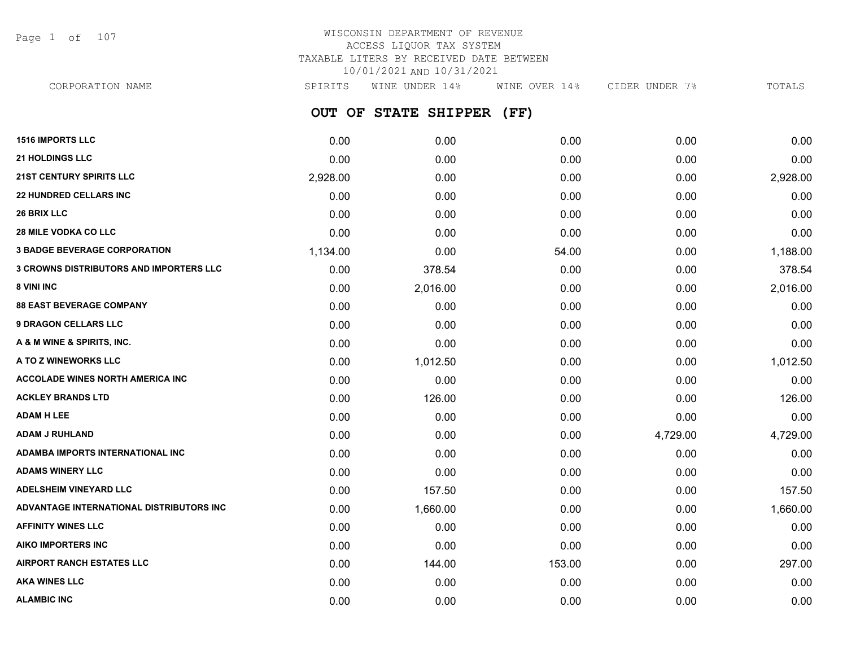Page 1 of 107

## WISCONSIN DEPARTMENT OF REVENUE ACCESS LIQUOR TAX SYSTEM TAXABLE LITERS BY RECEIVED DATE BETWEEN 10/01/2021 AND 10/31/2021

**OUT OF STATE SHIPPER (FF) 1516 IMPORTS LLC** 0.00 0.00 0.00 0.00 0.00 **21 HOLDINGS LLC** 0.00 0.00 0.00 0.00 0.00 **21ST CENTURY SPIRITS LLC** 2,928.00 0.00 0.00 0.00 2,928.00 **22 HUNDRED CELLARS INC** 0.00 0.00 0.00 0.00 0.00 **26 BRIX LLC** 0.00 0.00 0.00 0.00 0.00 **28 MILE VODKA CO LLC** 0.00 0.00 0.00 0.00 0.00 **3 BADGE BEVERAGE CORPORATION** 1,134.00 0.00 54.00 0.00 1,188.00 **3 CROWNS DISTRIBUTORS AND IMPORTERS LLC** 0.00 378.54 0.00 0.00 378.54 **8 VINI INC** 6.00 **2.016.00 2.016.00 2.016.00 0.00 0.00 0.00 0.00 2.016.00 88 EAST BEVERAGE COMPANY** 0.00 0.00 0.00 0.00 0.00 **9 DRAGON CELLARS LLC** 0.00 0.00 0.00 0.00 0.00 **A & M WINE & SPIRITS, INC.** 0.00 0.00 0.00 0.00 0.00 **A TO Z WINEWORKS LLC** 0.00 1,012.50 0.00 0.00 1,012.50 **ACCOLADE WINES NORTH AMERICA INC**  $0.00$   $0.00$   $0.00$   $0.00$   $0.00$   $0.00$   $0.00$   $0.00$   $0.00$   $0.00$   $0.00$   $0.00$ **ACKLEY BRANDS LTD** 0.00 126.00 0.00 0.00 126.00 **ADAM H LEE** 0.00 0.00 0.00 0.00 0.00 **ADAM J RUHLAND** 0.00 0.00 0.00 4,729.00 4,729.00 **ADAMBA IMPORTS INTERNATIONAL INC** 0.00 0.00 0.00 0.00 0.00 **ADAMS WINERY LLC** 0.00 0.00 0.00 0.00 0.00 **ADELSHEIM VINEYARD LLC** 0.00 157.50 0.00 0.00 157.50 **ADVANTAGE INTERNATIONAL DISTRIBUTORS INC** 0.00 1,660.00 0.00 0.00 1,660.00 **AFFINITY WINES LLC** 0.00 0.00 0.00 0.00 0.00 **AIKO IMPORTERS INC** 0.00 0.00 0.00 0.00 0.00 **AIRPORT RANCH ESTATES LLC** 0.00 144.00 153.00 0.00 297.00 **AKA WINES LLC** 0.00 0.00 0.00 0.00 0.00 CORPORATION NAME SPIRITS WINE UNDER 14% WINE OVER 14% CIDER UNDER 7% TOTALS

**ALAMBIC INC** 0.00 0.00 0.00 0.00 0.00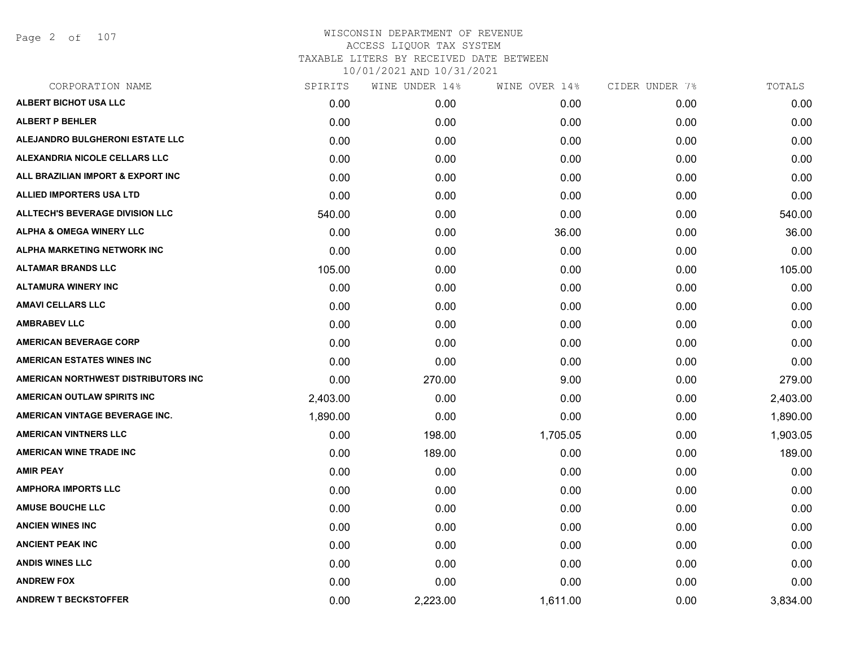Page 2 of 107

| CORPORATION NAME                    | SPIRITS  | WINE UNDER 14% | WINE OVER 14% | CIDER UNDER 7% | TOTALS   |
|-------------------------------------|----------|----------------|---------------|----------------|----------|
| ALBERT BICHOT USA LLC               | 0.00     | 0.00           | 0.00          | 0.00           | 0.00     |
| <b>ALBERT P BEHLER</b>              | 0.00     | 0.00           | 0.00          | 0.00           | 0.00     |
| ALEJANDRO BULGHERONI ESTATE LLC     | 0.00     | 0.00           | 0.00          | 0.00           | 0.00     |
| ALEXANDRIA NICOLE CELLARS LLC       | 0.00     | 0.00           | 0.00          | 0.00           | 0.00     |
| ALL BRAZILIAN IMPORT & EXPORT INC   | 0.00     | 0.00           | 0.00          | 0.00           | 0.00     |
| ALLIED IMPORTERS USA LTD            | 0.00     | 0.00           | 0.00          | 0.00           | 0.00     |
| ALLTECH'S BEVERAGE DIVISION LLC     | 540.00   | 0.00           | 0.00          | 0.00           | 540.00   |
| <b>ALPHA &amp; OMEGA WINERY LLC</b> | 0.00     | 0.00           | 36.00         | 0.00           | 36.00    |
| ALPHA MARKETING NETWORK INC         | 0.00     | 0.00           | 0.00          | 0.00           | 0.00     |
| <b>ALTAMAR BRANDS LLC</b>           | 105.00   | 0.00           | 0.00          | 0.00           | 105.00   |
| <b>ALTAMURA WINERY INC</b>          | 0.00     | 0.00           | 0.00          | 0.00           | 0.00     |
| <b>AMAVI CELLARS LLC</b>            | 0.00     | 0.00           | 0.00          | 0.00           | 0.00     |
| <b>AMBRABEV LLC</b>                 | 0.00     | 0.00           | 0.00          | 0.00           | 0.00     |
| <b>AMERICAN BEVERAGE CORP</b>       | 0.00     | 0.00           | 0.00          | 0.00           | 0.00     |
| <b>AMERICAN ESTATES WINES INC</b>   | 0.00     | 0.00           | 0.00          | 0.00           | 0.00     |
| AMERICAN NORTHWEST DISTRIBUTORS INC | 0.00     | 270.00         | 9.00          | 0.00           | 279.00   |
| AMERICAN OUTLAW SPIRITS INC         | 2,403.00 | 0.00           | 0.00          | 0.00           | 2,403.00 |
| AMERICAN VINTAGE BEVERAGE INC.      | 1,890.00 | 0.00           | 0.00          | 0.00           | 1,890.00 |
| <b>AMERICAN VINTNERS LLC</b>        | 0.00     | 198.00         | 1,705.05      | 0.00           | 1,903.05 |
| <b>AMERICAN WINE TRADE INC</b>      | 0.00     | 189.00         | 0.00          | 0.00           | 189.00   |
| <b>AMIR PEAY</b>                    | 0.00     | 0.00           | 0.00          | 0.00           | 0.00     |
| <b>AMPHORA IMPORTS LLC</b>          | 0.00     | 0.00           | 0.00          | 0.00           | 0.00     |
| <b>AMUSE BOUCHE LLC</b>             | 0.00     | 0.00           | 0.00          | 0.00           | 0.00     |
| <b>ANCIEN WINES INC</b>             | 0.00     | 0.00           | 0.00          | 0.00           | 0.00     |
| <b>ANCIENT PEAK INC</b>             | 0.00     | 0.00           | 0.00          | 0.00           | 0.00     |
| <b>ANDIS WINES LLC</b>              | 0.00     | 0.00           | 0.00          | 0.00           | 0.00     |
| <b>ANDREW FOX</b>                   | 0.00     | 0.00           | 0.00          | 0.00           | 0.00     |
| <b>ANDREW T BECKSTOFFER</b>         | 0.00     | 2,223.00       | 1,611.00      | 0.00           | 3,834.00 |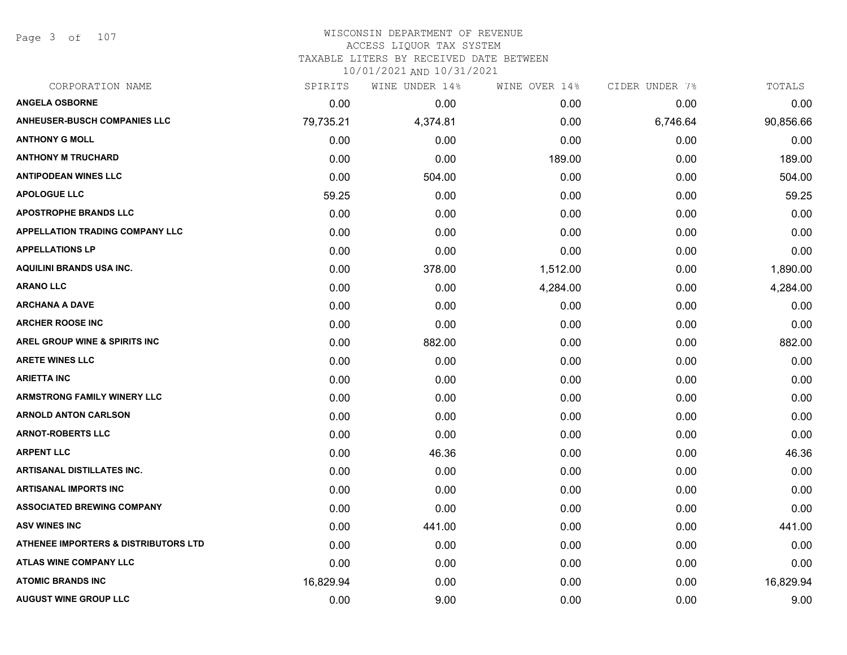Page 3 of 107

# WISCONSIN DEPARTMENT OF REVENUE ACCESS LIQUOR TAX SYSTEM

TAXABLE LITERS BY RECEIVED DATE BETWEEN

| CORPORATION NAME                                | SPIRITS   | WINE UNDER 14% | WINE OVER 14% | CIDER UNDER 7% | TOTALS    |
|-------------------------------------------------|-----------|----------------|---------------|----------------|-----------|
| <b>ANGELA OSBORNE</b>                           | 0.00      | 0.00           | 0.00          | 0.00           | 0.00      |
| <b>ANHEUSER-BUSCH COMPANIES LLC</b>             | 79,735.21 | 4,374.81       | 0.00          | 6,746.64       | 90,856.66 |
| <b>ANTHONY G MOLL</b>                           | 0.00      | 0.00           | 0.00          | 0.00           | 0.00      |
| <b>ANTHONY M TRUCHARD</b>                       | 0.00      | 0.00           | 189.00        | 0.00           | 189.00    |
| <b>ANTIPODEAN WINES LLC</b>                     | 0.00      | 504.00         | 0.00          | 0.00           | 504.00    |
| <b>APOLOGUE LLC</b>                             | 59.25     | 0.00           | 0.00          | 0.00           | 59.25     |
| <b>APOSTROPHE BRANDS LLC</b>                    | 0.00      | 0.00           | 0.00          | 0.00           | 0.00      |
| <b>APPELLATION TRADING COMPANY LLC</b>          | 0.00      | 0.00           | 0.00          | 0.00           | 0.00      |
| <b>APPELLATIONS LP</b>                          | 0.00      | 0.00           | 0.00          | 0.00           | 0.00      |
| <b>AQUILINI BRANDS USA INC.</b>                 | 0.00      | 378.00         | 1,512.00      | 0.00           | 1,890.00  |
| <b>ARANO LLC</b>                                | 0.00      | 0.00           | 4,284.00      | 0.00           | 4,284.00  |
| <b>ARCHANA A DAVE</b>                           | 0.00      | 0.00           | 0.00          | 0.00           | 0.00      |
| <b>ARCHER ROOSE INC</b>                         | 0.00      | 0.00           | 0.00          | 0.00           | 0.00      |
| <b>AREL GROUP WINE &amp; SPIRITS INC</b>        | 0.00      | 882.00         | 0.00          | 0.00           | 882.00    |
| <b>ARETE WINES LLC</b>                          | 0.00      | 0.00           | 0.00          | 0.00           | 0.00      |
| <b>ARIETTA INC</b>                              | 0.00      | 0.00           | 0.00          | 0.00           | 0.00      |
| <b>ARMSTRONG FAMILY WINERY LLC</b>              | 0.00      | 0.00           | 0.00          | 0.00           | 0.00      |
| <b>ARNOLD ANTON CARLSON</b>                     | 0.00      | 0.00           | 0.00          | 0.00           | 0.00      |
| <b>ARNOT-ROBERTS LLC</b>                        | 0.00      | 0.00           | 0.00          | 0.00           | 0.00      |
| <b>ARPENT LLC</b>                               | 0.00      | 46.36          | 0.00          | 0.00           | 46.36     |
| <b>ARTISANAL DISTILLATES INC.</b>               | 0.00      | 0.00           | 0.00          | 0.00           | 0.00      |
| <b>ARTISANAL IMPORTS INC</b>                    | 0.00      | 0.00           | 0.00          | 0.00           | 0.00      |
| <b>ASSOCIATED BREWING COMPANY</b>               | 0.00      | 0.00           | 0.00          | 0.00           | 0.00      |
| <b>ASV WINES INC</b>                            | 0.00      | 441.00         | 0.00          | 0.00           | 441.00    |
| <b>ATHENEE IMPORTERS &amp; DISTRIBUTORS LTD</b> | 0.00      | 0.00           | 0.00          | 0.00           | 0.00      |
| <b>ATLAS WINE COMPANY LLC</b>                   | 0.00      | 0.00           | 0.00          | 0.00           | 0.00      |
| <b>ATOMIC BRANDS INC</b>                        | 16,829.94 | 0.00           | 0.00          | 0.00           | 16,829.94 |
| <b>AUGUST WINE GROUP LLC</b>                    | 0.00      | 9.00           | 0.00          | 0.00           | 9.00      |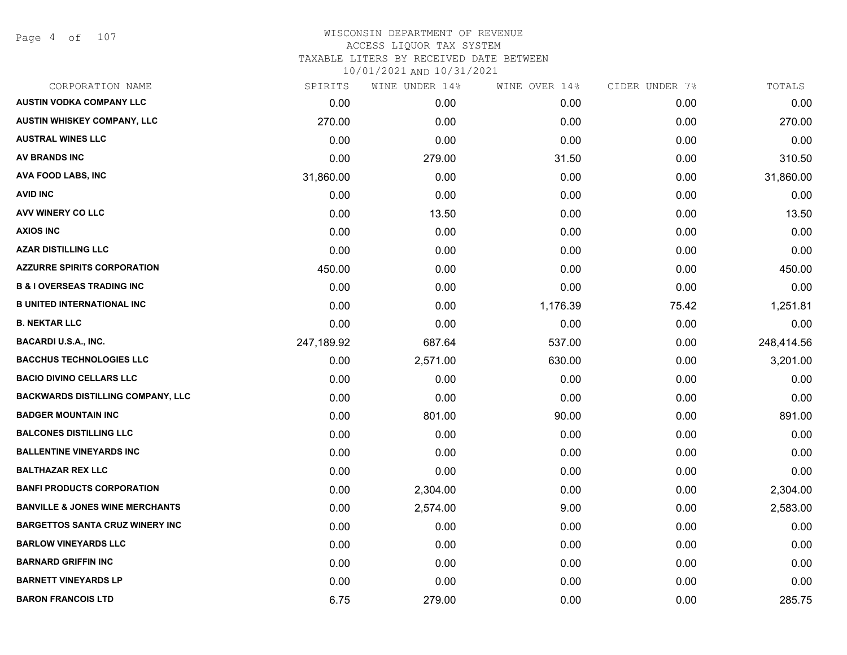Page 4 of 107

#### WISCONSIN DEPARTMENT OF REVENUE ACCESS LIQUOR TAX SYSTEM TAXABLE LITERS BY RECEIVED DATE BETWEEN

| CORPORATION NAME                           | SPIRITS    | WINE UNDER 14% | WINE OVER 14% | CIDER UNDER 7% | TOTALS     |
|--------------------------------------------|------------|----------------|---------------|----------------|------------|
| <b>AUSTIN VODKA COMPANY LLC</b>            | 0.00       | 0.00           | 0.00          | 0.00           | 0.00       |
| AUSTIN WHISKEY COMPANY, LLC                | 270.00     | 0.00           | 0.00          | 0.00           | 270.00     |
| <b>AUSTRAL WINES LLC</b>                   | 0.00       | 0.00           | 0.00          | 0.00           | 0.00       |
| AV BRANDS INC                              | 0.00       | 279.00         | 31.50         | 0.00           | 310.50     |
| AVA FOOD LABS, INC                         | 31,860.00  | 0.00           | 0.00          | 0.00           | 31,860.00  |
| <b>AVID INC</b>                            | 0.00       | 0.00           | 0.00          | 0.00           | 0.00       |
| AVV WINERY CO LLC                          | 0.00       | 13.50          | 0.00          | 0.00           | 13.50      |
| <b>AXIOS INC</b>                           | 0.00       | 0.00           | 0.00          | 0.00           | 0.00       |
| <b>AZAR DISTILLING LLC</b>                 | 0.00       | 0.00           | 0.00          | 0.00           | 0.00       |
| <b>AZZURRE SPIRITS CORPORATION</b>         | 450.00     | 0.00           | 0.00          | 0.00           | 450.00     |
| <b>B &amp; I OVERSEAS TRADING INC</b>      | 0.00       | 0.00           | 0.00          | 0.00           | 0.00       |
| <b>B UNITED INTERNATIONAL INC</b>          | 0.00       | 0.00           | 1,176.39      | 75.42          | 1,251.81   |
| <b>B. NEKTAR LLC</b>                       | 0.00       | 0.00           | 0.00          | 0.00           | 0.00       |
| <b>BACARDI U.S.A., INC.</b>                | 247,189.92 | 687.64         | 537.00        | 0.00           | 248,414.56 |
| <b>BACCHUS TECHNOLOGIES LLC</b>            | 0.00       | 2,571.00       | 630.00        | 0.00           | 3,201.00   |
| <b>BACIO DIVINO CELLARS LLC</b>            | 0.00       | 0.00           | 0.00          | 0.00           | 0.00       |
| <b>BACKWARDS DISTILLING COMPANY, LLC</b>   | 0.00       | 0.00           | 0.00          | 0.00           | 0.00       |
| <b>BADGER MOUNTAIN INC</b>                 | 0.00       | 801.00         | 90.00         | 0.00           | 891.00     |
| <b>BALCONES DISTILLING LLC</b>             | 0.00       | 0.00           | 0.00          | 0.00           | 0.00       |
| <b>BALLENTINE VINEYARDS INC</b>            | 0.00       | 0.00           | 0.00          | 0.00           | 0.00       |
| <b>BALTHAZAR REX LLC</b>                   | 0.00       | 0.00           | 0.00          | 0.00           | 0.00       |
| <b>BANFI PRODUCTS CORPORATION</b>          | 0.00       | 2,304.00       | 0.00          | 0.00           | 2,304.00   |
| <b>BANVILLE &amp; JONES WINE MERCHANTS</b> | 0.00       | 2,574.00       | 9.00          | 0.00           | 2,583.00   |
| <b>BARGETTOS SANTA CRUZ WINERY INC</b>     | 0.00       | 0.00           | 0.00          | 0.00           | 0.00       |
| <b>BARLOW VINEYARDS LLC</b>                | 0.00       | 0.00           | 0.00          | 0.00           | 0.00       |
| <b>BARNARD GRIFFIN INC</b>                 | 0.00       | 0.00           | 0.00          | 0.00           | 0.00       |
| <b>BARNETT VINEYARDS LP</b>                | 0.00       | 0.00           | 0.00          | 0.00           | 0.00       |
| <b>BARON FRANCOIS LTD</b>                  | 6.75       | 279.00         | 0.00          | 0.00           | 285.75     |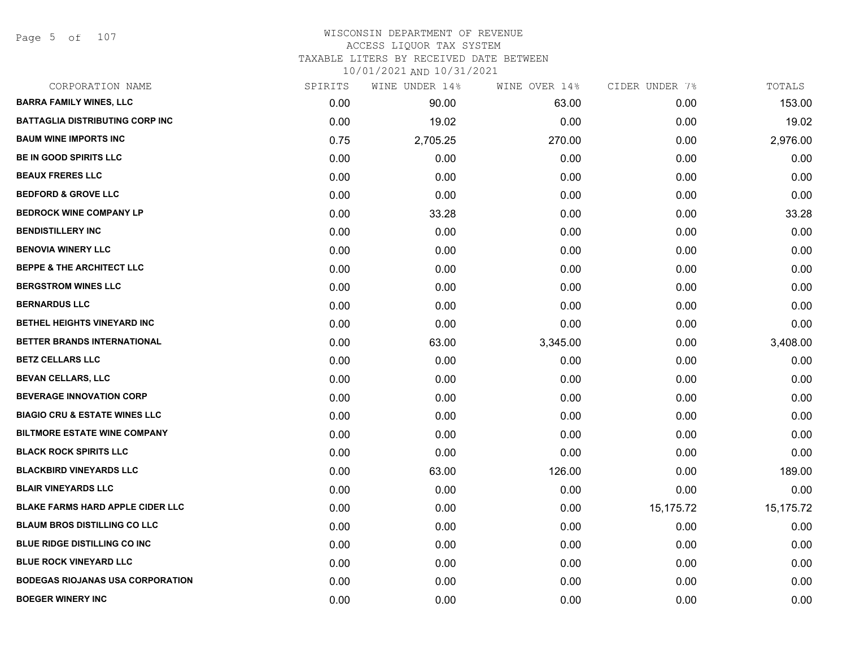Page 5 of 107

# WISCONSIN DEPARTMENT OF REVENUE ACCESS LIQUOR TAX SYSTEM TAXABLE LITERS BY RECEIVED DATE BETWEEN

| CORPORATION NAME                         | SPIRITS | WINE UNDER 14% | WINE OVER 14% | CIDER UNDER 7% | TOTALS    |
|------------------------------------------|---------|----------------|---------------|----------------|-----------|
| <b>BARRA FAMILY WINES, LLC</b>           | 0.00    | 90.00          | 63.00         | 0.00           | 153.00    |
| <b>BATTAGLIA DISTRIBUTING CORP INC</b>   | 0.00    | 19.02          | 0.00          | 0.00           | 19.02     |
| <b>BAUM WINE IMPORTS INC</b>             | 0.75    | 2,705.25       | 270.00        | 0.00           | 2,976.00  |
| <b>BE IN GOOD SPIRITS LLC</b>            | 0.00    | 0.00           | 0.00          | 0.00           | 0.00      |
| <b>BEAUX FRERES LLC</b>                  | 0.00    | 0.00           | 0.00          | 0.00           | 0.00      |
| <b>BEDFORD &amp; GROVE LLC</b>           | 0.00    | 0.00           | 0.00          | 0.00           | 0.00      |
| <b>BEDROCK WINE COMPANY LP</b>           | 0.00    | 33.28          | 0.00          | 0.00           | 33.28     |
| <b>BENDISTILLERY INC</b>                 | 0.00    | 0.00           | 0.00          | 0.00           | 0.00      |
| <b>BENOVIA WINERY LLC</b>                | 0.00    | 0.00           | 0.00          | 0.00           | 0.00      |
| <b>BEPPE &amp; THE ARCHITECT LLC</b>     | 0.00    | 0.00           | 0.00          | 0.00           | 0.00      |
| <b>BERGSTROM WINES LLC</b>               | 0.00    | 0.00           | 0.00          | 0.00           | 0.00      |
| <b>BERNARDUS LLC</b>                     | 0.00    | 0.00           | 0.00          | 0.00           | 0.00      |
| BETHEL HEIGHTS VINEYARD INC              | 0.00    | 0.00           | 0.00          | 0.00           | 0.00      |
| BETTER BRANDS INTERNATIONAL              | 0.00    | 63.00          | 3,345.00      | 0.00           | 3,408.00  |
| <b>BETZ CELLARS LLC</b>                  | 0.00    | 0.00           | 0.00          | 0.00           | 0.00      |
| <b>BEVAN CELLARS, LLC</b>                | 0.00    | 0.00           | 0.00          | 0.00           | 0.00      |
| <b>BEVERAGE INNOVATION CORP</b>          | 0.00    | 0.00           | 0.00          | 0.00           | 0.00      |
| <b>BIAGIO CRU &amp; ESTATE WINES LLC</b> | 0.00    | 0.00           | 0.00          | 0.00           | 0.00      |
| <b>BILTMORE ESTATE WINE COMPANY</b>      | 0.00    | 0.00           | 0.00          | 0.00           | 0.00      |
| <b>BLACK ROCK SPIRITS LLC</b>            | 0.00    | 0.00           | 0.00          | 0.00           | 0.00      |
| <b>BLACKBIRD VINEYARDS LLC</b>           | 0.00    | 63.00          | 126.00        | 0.00           | 189.00    |
| <b>BLAIR VINEYARDS LLC</b>               | 0.00    | 0.00           | 0.00          | 0.00           | 0.00      |
| <b>BLAKE FARMS HARD APPLE CIDER LLC</b>  | 0.00    | 0.00           | 0.00          | 15,175.72      | 15,175.72 |
| <b>BLAUM BROS DISTILLING CO LLC</b>      | 0.00    | 0.00           | 0.00          | 0.00           | 0.00      |
| <b>BLUE RIDGE DISTILLING CO INC</b>      | 0.00    | 0.00           | 0.00          | 0.00           | 0.00      |
| <b>BLUE ROCK VINEYARD LLC</b>            | 0.00    | 0.00           | 0.00          | 0.00           | 0.00      |
| <b>BODEGAS RIOJANAS USA CORPORATION</b>  | 0.00    | 0.00           | 0.00          | 0.00           | 0.00      |
| <b>BOEGER WINERY INC</b>                 | 0.00    | 0.00           | 0.00          | 0.00           | 0.00      |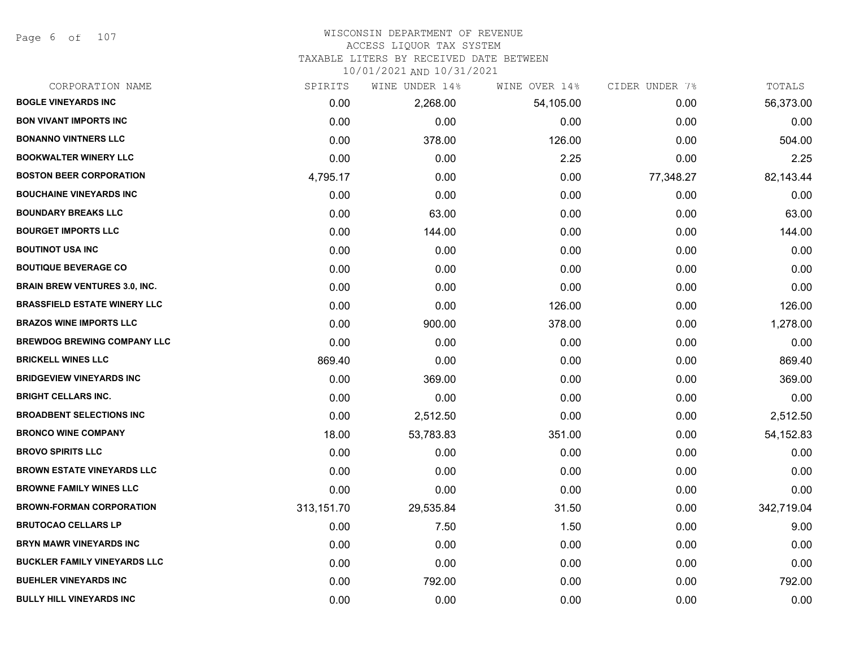Page 6 of 107

#### WISCONSIN DEPARTMENT OF REVENUE ACCESS LIQUOR TAX SYSTEM

TAXABLE LITERS BY RECEIVED DATE BETWEEN

| CORPORATION NAME                     | SPIRITS    | WINE UNDER 14% | WINE OVER 14% | CIDER UNDER 7% | TOTALS     |
|--------------------------------------|------------|----------------|---------------|----------------|------------|
| <b>BOGLE VINEYARDS INC</b>           | 0.00       | 2,268.00       | 54,105.00     | 0.00           | 56,373.00  |
| <b>BON VIVANT IMPORTS INC</b>        | 0.00       | 0.00           | 0.00          | 0.00           | 0.00       |
| <b>BONANNO VINTNERS LLC</b>          | 0.00       | 378.00         | 126.00        | 0.00           | 504.00     |
| <b>BOOKWALTER WINERY LLC</b>         | 0.00       | 0.00           | 2.25          | 0.00           | 2.25       |
| <b>BOSTON BEER CORPORATION</b>       | 4,795.17   | 0.00           | 0.00          | 77,348.27      | 82,143.44  |
| <b>BOUCHAINE VINEYARDS INC</b>       | 0.00       | 0.00           | 0.00          | 0.00           | 0.00       |
| <b>BOUNDARY BREAKS LLC</b>           | 0.00       | 63.00          | 0.00          | 0.00           | 63.00      |
| <b>BOURGET IMPORTS LLC</b>           | 0.00       | 144.00         | 0.00          | 0.00           | 144.00     |
| <b>BOUTINOT USA INC</b>              | 0.00       | 0.00           | 0.00          | 0.00           | 0.00       |
| <b>BOUTIQUE BEVERAGE CO</b>          | 0.00       | 0.00           | 0.00          | 0.00           | 0.00       |
| <b>BRAIN BREW VENTURES 3.0, INC.</b> | 0.00       | 0.00           | 0.00          | 0.00           | 0.00       |
| <b>BRASSFIELD ESTATE WINERY LLC</b>  | 0.00       | 0.00           | 126.00        | 0.00           | 126.00     |
| <b>BRAZOS WINE IMPORTS LLC</b>       | 0.00       | 900.00         | 378.00        | 0.00           | 1,278.00   |
| <b>BREWDOG BREWING COMPANY LLC</b>   | 0.00       | 0.00           | 0.00          | 0.00           | 0.00       |
| <b>BRICKELL WINES LLC</b>            | 869.40     | 0.00           | 0.00          | 0.00           | 869.40     |
| <b>BRIDGEVIEW VINEYARDS INC</b>      | 0.00       | 369.00         | 0.00          | 0.00           | 369.00     |
| <b>BRIGHT CELLARS INC.</b>           | 0.00       | 0.00           | 0.00          | 0.00           | 0.00       |
| <b>BROADBENT SELECTIONS INC</b>      | 0.00       | 2,512.50       | 0.00          | 0.00           | 2,512.50   |
| <b>BRONCO WINE COMPANY</b>           | 18.00      | 53,783.83      | 351.00        | 0.00           | 54, 152.83 |
| <b>BROVO SPIRITS LLC</b>             | 0.00       | 0.00           | 0.00          | 0.00           | 0.00       |
| <b>BROWN ESTATE VINEYARDS LLC</b>    | 0.00       | 0.00           | 0.00          | 0.00           | 0.00       |
| <b>BROWNE FAMILY WINES LLC</b>       | 0.00       | 0.00           | 0.00          | 0.00           | 0.00       |
| <b>BROWN-FORMAN CORPORATION</b>      | 313,151.70 | 29,535.84      | 31.50         | 0.00           | 342,719.04 |
| <b>BRUTOCAO CELLARS LP</b>           | 0.00       | 7.50           | 1.50          | 0.00           | 9.00       |
| <b>BRYN MAWR VINEYARDS INC</b>       | 0.00       | 0.00           | 0.00          | 0.00           | 0.00       |
| <b>BUCKLER FAMILY VINEYARDS LLC</b>  | 0.00       | 0.00           | 0.00          | 0.00           | 0.00       |
| <b>BUEHLER VINEYARDS INC</b>         | 0.00       | 792.00         | 0.00          | 0.00           | 792.00     |
| <b>BULLY HILL VINEYARDS INC</b>      | 0.00       | 0.00           | 0.00          | 0.00           | 0.00       |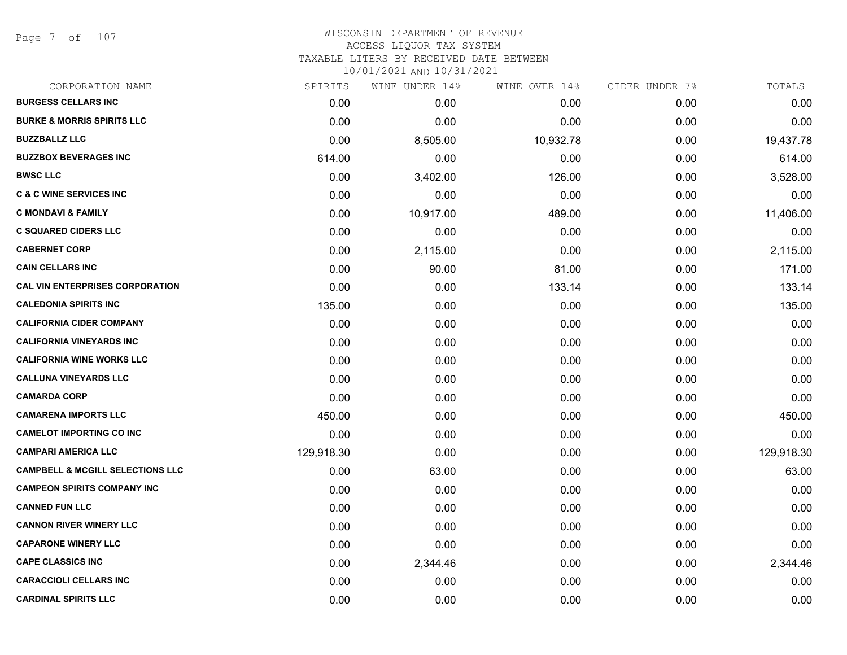Page 7 of 107

## WISCONSIN DEPARTMENT OF REVENUE ACCESS LIQUOR TAX SYSTEM TAXABLE LITERS BY RECEIVED DATE BETWEEN

| CORPORATION NAME                            | SPIRITS    | WINE UNDER 14% | WINE OVER 14% | CIDER UNDER 7% | TOTALS     |
|---------------------------------------------|------------|----------------|---------------|----------------|------------|
| <b>BURGESS CELLARS INC</b>                  | 0.00       | 0.00           | 0.00          | 0.00           | 0.00       |
| <b>BURKE &amp; MORRIS SPIRITS LLC</b>       | 0.00       | 0.00           | 0.00          | 0.00           | 0.00       |
| <b>BUZZBALLZ LLC</b>                        | 0.00       | 8,505.00       | 10,932.78     | 0.00           | 19,437.78  |
| <b>BUZZBOX BEVERAGES INC</b>                | 614.00     | 0.00           | 0.00          | 0.00           | 614.00     |
| <b>BWSC LLC</b>                             | 0.00       | 3,402.00       | 126.00        | 0.00           | 3,528.00   |
| <b>C &amp; C WINE SERVICES INC</b>          | 0.00       | 0.00           | 0.00          | 0.00           | 0.00       |
| <b>C MONDAVI &amp; FAMILY</b>               | 0.00       | 10,917.00      | 489.00        | 0.00           | 11,406.00  |
| <b>C SQUARED CIDERS LLC</b>                 | 0.00       | 0.00           | 0.00          | 0.00           | 0.00       |
| <b>CABERNET CORP</b>                        | 0.00       | 2,115.00       | 0.00          | 0.00           | 2,115.00   |
| <b>CAIN CELLARS INC</b>                     | 0.00       | 90.00          | 81.00         | 0.00           | 171.00     |
| <b>CAL VIN ENTERPRISES CORPORATION</b>      | 0.00       | 0.00           | 133.14        | 0.00           | 133.14     |
| <b>CALEDONIA SPIRITS INC</b>                | 135.00     | 0.00           | 0.00          | 0.00           | 135.00     |
| <b>CALIFORNIA CIDER COMPANY</b>             | 0.00       | 0.00           | 0.00          | 0.00           | 0.00       |
| <b>CALIFORNIA VINEYARDS INC</b>             | 0.00       | 0.00           | 0.00          | 0.00           | 0.00       |
| <b>CALIFORNIA WINE WORKS LLC</b>            | 0.00       | 0.00           | 0.00          | 0.00           | 0.00       |
| <b>CALLUNA VINEYARDS LLC</b>                | 0.00       | 0.00           | 0.00          | 0.00           | 0.00       |
| <b>CAMARDA CORP</b>                         | 0.00       | 0.00           | 0.00          | 0.00           | 0.00       |
| <b>CAMARENA IMPORTS LLC</b>                 | 450.00     | 0.00           | 0.00          | 0.00           | 450.00     |
| <b>CAMELOT IMPORTING CO INC</b>             | 0.00       | 0.00           | 0.00          | 0.00           | 0.00       |
| <b>CAMPARI AMERICA LLC</b>                  | 129,918.30 | 0.00           | 0.00          | 0.00           | 129,918.30 |
| <b>CAMPBELL &amp; MCGILL SELECTIONS LLC</b> | 0.00       | 63.00          | 0.00          | 0.00           | 63.00      |
| <b>CAMPEON SPIRITS COMPANY INC</b>          | 0.00       | 0.00           | 0.00          | 0.00           | 0.00       |
| <b>CANNED FUN LLC</b>                       | 0.00       | 0.00           | 0.00          | 0.00           | 0.00       |
| <b>CANNON RIVER WINERY LLC</b>              | 0.00       | 0.00           | 0.00          | 0.00           | 0.00       |
| <b>CAPARONE WINERY LLC</b>                  | 0.00       | 0.00           | 0.00          | 0.00           | 0.00       |
| <b>CAPE CLASSICS INC</b>                    | 0.00       | 2,344.46       | 0.00          | 0.00           | 2,344.46   |
| <b>CARACCIOLI CELLARS INC</b>               | 0.00       | 0.00           | 0.00          | 0.00           | 0.00       |
| <b>CARDINAL SPIRITS LLC</b>                 | 0.00       | 0.00           | 0.00          | 0.00           | 0.00       |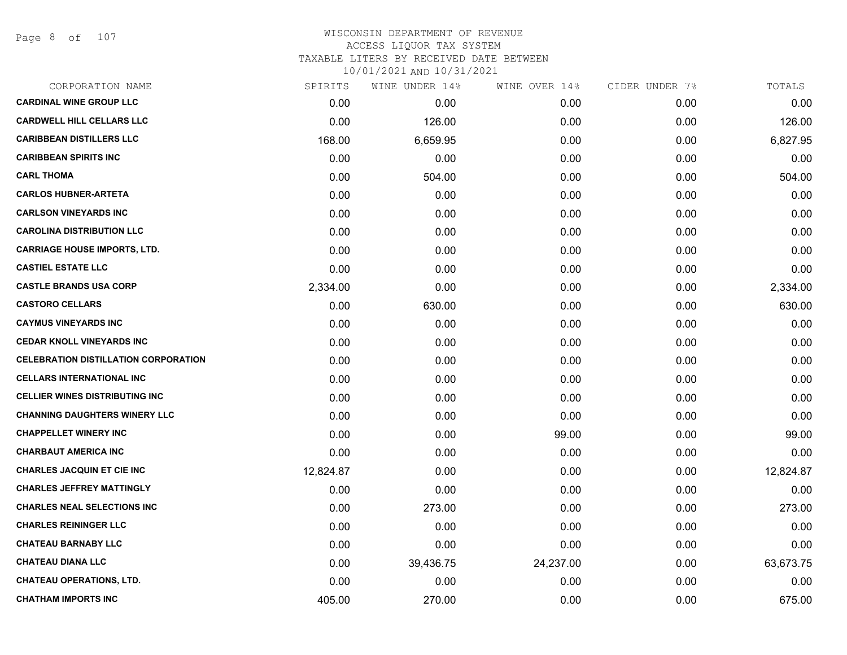Page 8 of 107

## WISCONSIN DEPARTMENT OF REVENUE ACCESS LIQUOR TAX SYSTEM TAXABLE LITERS BY RECEIVED DATE BETWEEN

| CORPORATION NAME                            | SPIRITS   | WINE UNDER 14% | WINE OVER 14% | CIDER UNDER 7% | TOTALS    |
|---------------------------------------------|-----------|----------------|---------------|----------------|-----------|
| <b>CARDINAL WINE GROUP LLC</b>              | 0.00      | 0.00           | 0.00          | 0.00           | 0.00      |
| <b>CARDWELL HILL CELLARS LLC</b>            | 0.00      | 126.00         | 0.00          | 0.00           | 126.00    |
| <b>CARIBBEAN DISTILLERS LLC</b>             | 168.00    | 6,659.95       | 0.00          | 0.00           | 6,827.95  |
| <b>CARIBBEAN SPIRITS INC</b>                | 0.00      | 0.00           | 0.00          | 0.00           | 0.00      |
| <b>CARL THOMA</b>                           | 0.00      | 504.00         | 0.00          | 0.00           | 504.00    |
| <b>CARLOS HUBNER-ARTETA</b>                 | 0.00      | 0.00           | 0.00          | 0.00           | 0.00      |
| <b>CARLSON VINEYARDS INC</b>                | 0.00      | 0.00           | 0.00          | 0.00           | 0.00      |
| <b>CAROLINA DISTRIBUTION LLC</b>            | 0.00      | 0.00           | 0.00          | 0.00           | 0.00      |
| <b>CARRIAGE HOUSE IMPORTS, LTD.</b>         | 0.00      | 0.00           | 0.00          | 0.00           | 0.00      |
| <b>CASTIEL ESTATE LLC</b>                   | 0.00      | 0.00           | 0.00          | 0.00           | 0.00      |
| <b>CASTLE BRANDS USA CORP</b>               | 2,334.00  | 0.00           | 0.00          | 0.00           | 2,334.00  |
| <b>CASTORO CELLARS</b>                      | 0.00      | 630.00         | 0.00          | 0.00           | 630.00    |
| <b>CAYMUS VINEYARDS INC</b>                 | 0.00      | 0.00           | 0.00          | 0.00           | 0.00      |
| <b>CEDAR KNOLL VINEYARDS INC</b>            | 0.00      | 0.00           | 0.00          | 0.00           | 0.00      |
| <b>CELEBRATION DISTILLATION CORPORATION</b> | 0.00      | 0.00           | 0.00          | 0.00           | 0.00      |
| <b>CELLARS INTERNATIONAL INC</b>            | 0.00      | 0.00           | 0.00          | 0.00           | 0.00      |
| <b>CELLIER WINES DISTRIBUTING INC</b>       | 0.00      | 0.00           | 0.00          | 0.00           | 0.00      |
| <b>CHANNING DAUGHTERS WINERY LLC</b>        | 0.00      | 0.00           | 0.00          | 0.00           | 0.00      |
| <b>CHAPPELLET WINERY INC</b>                | 0.00      | 0.00           | 99.00         | 0.00           | 99.00     |
| <b>CHARBAUT AMERICA INC</b>                 | 0.00      | 0.00           | 0.00          | 0.00           | 0.00      |
| <b>CHARLES JACQUIN ET CIE INC</b>           | 12,824.87 | 0.00           | 0.00          | 0.00           | 12,824.87 |
| <b>CHARLES JEFFREY MATTINGLY</b>            | 0.00      | 0.00           | 0.00          | 0.00           | 0.00      |
| <b>CHARLES NEAL SELECTIONS INC</b>          | 0.00      | 273.00         | 0.00          | 0.00           | 273.00    |
| <b>CHARLES REININGER LLC</b>                | 0.00      | 0.00           | 0.00          | 0.00           | 0.00      |
| <b>CHATEAU BARNABY LLC</b>                  | 0.00      | 0.00           | 0.00          | 0.00           | 0.00      |
| <b>CHATEAU DIANA LLC</b>                    | 0.00      | 39,436.75      | 24,237.00     | 0.00           | 63,673.75 |
| <b>CHATEAU OPERATIONS, LTD.</b>             | 0.00      | 0.00           | 0.00          | 0.00           | 0.00      |
| <b>CHATHAM IMPORTS INC</b>                  | 405.00    | 270.00         | 0.00          | 0.00           | 675.00    |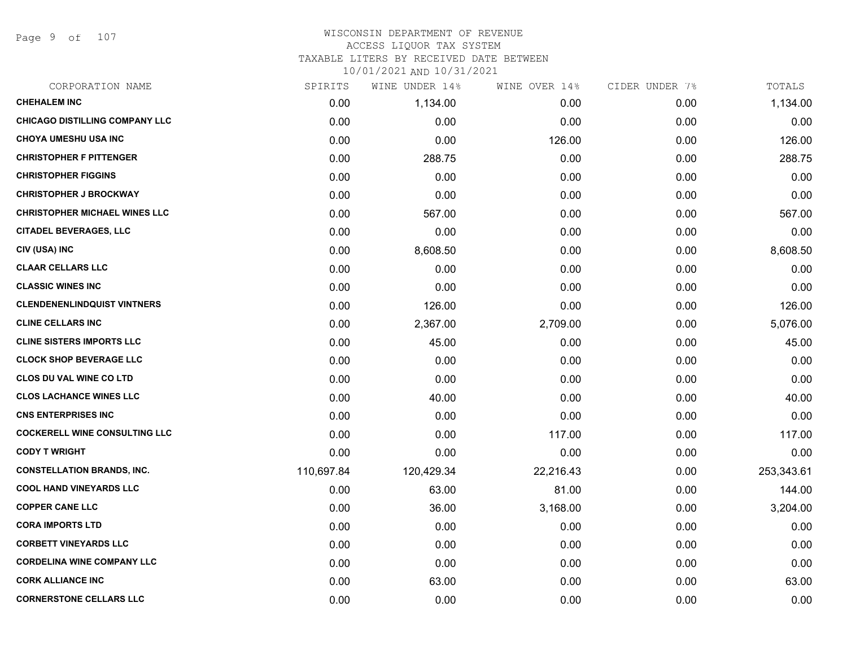Page 9 of 107

## WISCONSIN DEPARTMENT OF REVENUE ACCESS LIQUOR TAX SYSTEM TAXABLE LITERS BY RECEIVED DATE BETWEEN

| CORPORATION NAME                      | SPIRITS    | WINE UNDER 14% | WINE OVER 14% | CIDER UNDER 7% | TOTALS     |
|---------------------------------------|------------|----------------|---------------|----------------|------------|
| <b>CHEHALEM INC</b>                   | 0.00       | 1,134.00       | 0.00          | 0.00           | 1,134.00   |
| <b>CHICAGO DISTILLING COMPANY LLC</b> | 0.00       | 0.00           | 0.00          | 0.00           | 0.00       |
| <b>CHOYA UMESHU USA INC</b>           | 0.00       | 0.00           | 126.00        | 0.00           | 126.00     |
| <b>CHRISTOPHER F PITTENGER</b>        | 0.00       | 288.75         | 0.00          | 0.00           | 288.75     |
| <b>CHRISTOPHER FIGGINS</b>            | 0.00       | 0.00           | 0.00          | 0.00           | 0.00       |
| <b>CHRISTOPHER J BROCKWAY</b>         | 0.00       | 0.00           | 0.00          | 0.00           | 0.00       |
| <b>CHRISTOPHER MICHAEL WINES LLC</b>  | 0.00       | 567.00         | 0.00          | 0.00           | 567.00     |
| <b>CITADEL BEVERAGES, LLC</b>         | 0.00       | 0.00           | 0.00          | 0.00           | 0.00       |
| CIV (USA) INC                         | 0.00       | 8,608.50       | 0.00          | 0.00           | 8,608.50   |
| <b>CLAAR CELLARS LLC</b>              | 0.00       | 0.00           | 0.00          | 0.00           | 0.00       |
| <b>CLASSIC WINES INC</b>              | 0.00       | 0.00           | 0.00          | 0.00           | 0.00       |
| <b>CLENDENENLINDQUIST VINTNERS</b>    | 0.00       | 126.00         | 0.00          | 0.00           | 126.00     |
| <b>CLINE CELLARS INC</b>              | 0.00       | 2,367.00       | 2,709.00      | 0.00           | 5,076.00   |
| <b>CLINE SISTERS IMPORTS LLC</b>      | 0.00       | 45.00          | 0.00          | 0.00           | 45.00      |
| <b>CLOCK SHOP BEVERAGE LLC</b>        | 0.00       | 0.00           | 0.00          | 0.00           | 0.00       |
| CLOS DU VAL WINE CO LTD               | 0.00       | 0.00           | 0.00          | 0.00           | 0.00       |
| <b>CLOS LACHANCE WINES LLC</b>        | 0.00       | 40.00          | 0.00          | 0.00           | 40.00      |
| <b>CNS ENTERPRISES INC</b>            | 0.00       | 0.00           | 0.00          | 0.00           | 0.00       |
| <b>COCKERELL WINE CONSULTING LLC</b>  | 0.00       | 0.00           | 117.00        | 0.00           | 117.00     |
| <b>CODY T WRIGHT</b>                  | 0.00       | 0.00           | 0.00          | 0.00           | 0.00       |
| <b>CONSTELLATION BRANDS, INC.</b>     | 110,697.84 | 120,429.34     | 22,216.43     | 0.00           | 253,343.61 |
| <b>COOL HAND VINEYARDS LLC</b>        | 0.00       | 63.00          | 81.00         | 0.00           | 144.00     |
| <b>COPPER CANE LLC</b>                | 0.00       | 36.00          | 3,168.00      | 0.00           | 3,204.00   |
| <b>CORA IMPORTS LTD</b>               | 0.00       | 0.00           | 0.00          | 0.00           | 0.00       |
| <b>CORBETT VINEYARDS LLC</b>          | 0.00       | 0.00           | 0.00          | 0.00           | 0.00       |
| <b>CORDELINA WINE COMPANY LLC</b>     | 0.00       | 0.00           | 0.00          | 0.00           | 0.00       |
| <b>CORK ALLIANCE INC</b>              | 0.00       | 63.00          | 0.00          | 0.00           | 63.00      |
| <b>CORNERSTONE CELLARS LLC</b>        | 0.00       | 0.00           | 0.00          | 0.00           | 0.00       |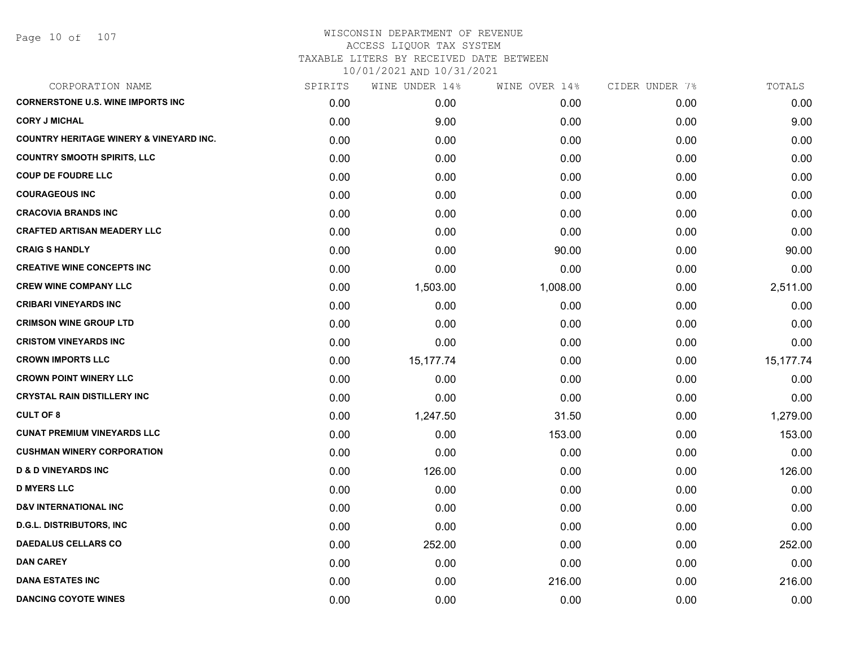| CORPORATION NAME                                   | SPIRITS | WINE UNDER 14% | WINE OVER 14% | CIDER UNDER 7% | TOTALS      |
|----------------------------------------------------|---------|----------------|---------------|----------------|-------------|
| <b>CORNERSTONE U.S. WINE IMPORTS INC</b>           | 0.00    | 0.00           | 0.00          | 0.00           | 0.00        |
| <b>CORY J MICHAL</b>                               | 0.00    | 9.00           | 0.00          | 0.00           | 9.00        |
| <b>COUNTRY HERITAGE WINERY &amp; VINEYARD INC.</b> | 0.00    | 0.00           | 0.00          | 0.00           | 0.00        |
| <b>COUNTRY SMOOTH SPIRITS, LLC</b>                 | 0.00    | 0.00           | 0.00          | 0.00           | 0.00        |
| <b>COUP DE FOUDRE LLC</b>                          | 0.00    | 0.00           | 0.00          | 0.00           | 0.00        |
| <b>COURAGEOUS INC</b>                              | 0.00    | 0.00           | 0.00          | 0.00           | 0.00        |
| <b>CRACOVIA BRANDS INC</b>                         | 0.00    | 0.00           | 0.00          | 0.00           | 0.00        |
| <b>CRAFTED ARTISAN MEADERY LLC</b>                 | 0.00    | 0.00           | 0.00          | 0.00           | 0.00        |
| <b>CRAIG S HANDLY</b>                              | 0.00    | 0.00           | 90.00         | 0.00           | 90.00       |
| <b>CREATIVE WINE CONCEPTS INC</b>                  | 0.00    | 0.00           | 0.00          | 0.00           | 0.00        |
| <b>CREW WINE COMPANY LLC</b>                       | 0.00    | 1,503.00       | 1,008.00      | 0.00           | 2,511.00    |
| <b>CRIBARI VINEYARDS INC</b>                       | 0.00    | 0.00           | 0.00          | 0.00           | 0.00        |
| <b>CRIMSON WINE GROUP LTD</b>                      | 0.00    | 0.00           | 0.00          | 0.00           | 0.00        |
| <b>CRISTOM VINEYARDS INC</b>                       | 0.00    | 0.00           | 0.00          | 0.00           | 0.00        |
| <b>CROWN IMPORTS LLC</b>                           | 0.00    | 15,177.74      | 0.00          | 0.00           | 15, 177. 74 |
| <b>CROWN POINT WINERY LLC</b>                      | 0.00    | 0.00           | 0.00          | 0.00           | 0.00        |
| <b>CRYSTAL RAIN DISTILLERY INC</b>                 | 0.00    | 0.00           | 0.00          | 0.00           | 0.00        |
| <b>CULT OF 8</b>                                   | 0.00    | 1,247.50       | 31.50         | 0.00           | 1,279.00    |
| <b>CUNAT PREMIUM VINEYARDS LLC</b>                 | 0.00    | 0.00           | 153.00        | 0.00           | 153.00      |
| <b>CUSHMAN WINERY CORPORATION</b>                  | 0.00    | 0.00           | 0.00          | 0.00           | 0.00        |
| <b>D &amp; D VINEYARDS INC</b>                     | 0.00    | 126.00         | 0.00          | 0.00           | 126.00      |
| <b>D MYERS LLC</b>                                 | 0.00    | 0.00           | 0.00          | 0.00           | 0.00        |
| <b>D&amp;V INTERNATIONAL INC</b>                   | 0.00    | 0.00           | 0.00          | 0.00           | 0.00        |
| <b>D.G.L. DISTRIBUTORS, INC.</b>                   | 0.00    | 0.00           | 0.00          | 0.00           | 0.00        |
| <b>DAEDALUS CELLARS CO</b>                         | 0.00    | 252.00         | 0.00          | 0.00           | 252.00      |
| <b>DAN CAREY</b>                                   | 0.00    | 0.00           | 0.00          | 0.00           | 0.00        |
| <b>DANA ESTATES INC</b>                            | 0.00    | 0.00           | 216.00        | 0.00           | 216.00      |
| <b>DANCING COYOTE WINES</b>                        | 0.00    | 0.00           | 0.00          | 0.00           | 0.00        |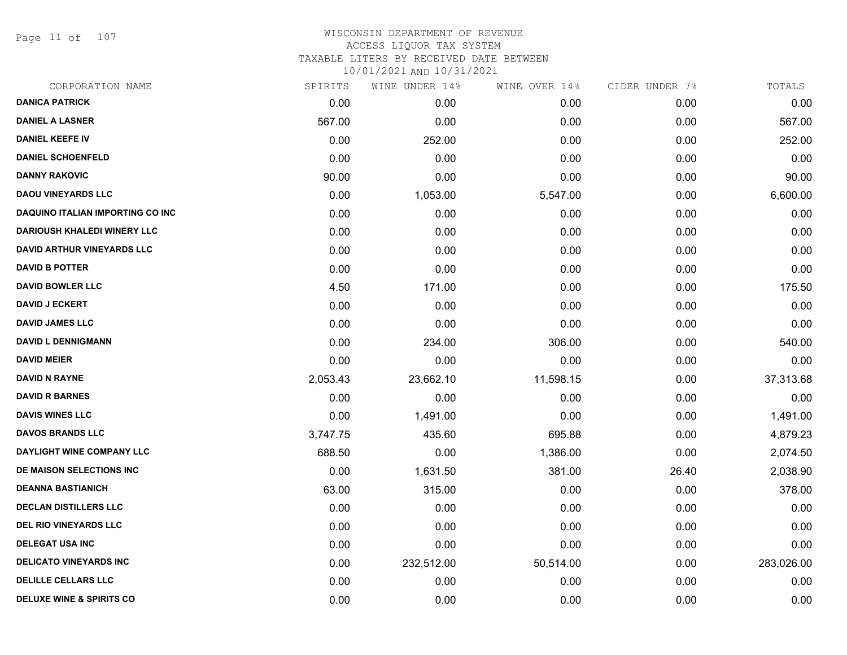Page 11 of 107

## WISCONSIN DEPARTMENT OF REVENUE ACCESS LIQUOR TAX SYSTEM TAXABLE LITERS BY RECEIVED DATE BETWEEN

| CORPORATION NAME                    | SPIRITS  | WINE UNDER 14% | WINE OVER 14% | CIDER UNDER 7% | TOTALS     |
|-------------------------------------|----------|----------------|---------------|----------------|------------|
| <b>DANICA PATRICK</b>               | 0.00     | 0.00           | 0.00          | 0.00           | 0.00       |
| <b>DANIEL A LASNER</b>              | 567.00   | 0.00           | 0.00          | 0.00           | 567.00     |
| <b>DANIEL KEEFE IV</b>              | 0.00     | 252.00         | 0.00          | 0.00           | 252.00     |
| <b>DANIEL SCHOENFELD</b>            | 0.00     | 0.00           | 0.00          | 0.00           | 0.00       |
| <b>DANNY RAKOVIC</b>                | 90.00    | 0.00           | 0.00          | 0.00           | 90.00      |
| <b>DAOU VINEYARDS LLC</b>           | 0.00     | 1,053.00       | 5,547.00      | 0.00           | 6,600.00   |
| DAQUINO ITALIAN IMPORTING CO INC    | 0.00     | 0.00           | 0.00          | 0.00           | 0.00       |
| <b>DARIOUSH KHALEDI WINERY LLC</b>  | 0.00     | 0.00           | 0.00          | 0.00           | 0.00       |
| <b>DAVID ARTHUR VINEYARDS LLC</b>   | 0.00     | 0.00           | 0.00          | 0.00           | 0.00       |
| <b>DAVID B POTTER</b>               | 0.00     | 0.00           | 0.00          | 0.00           | 0.00       |
| <b>DAVID BOWLER LLC</b>             | 4.50     | 171.00         | 0.00          | 0.00           | 175.50     |
| <b>DAVID J ECKERT</b>               | 0.00     | 0.00           | 0.00          | 0.00           | 0.00       |
| <b>DAVID JAMES LLC</b>              | 0.00     | 0.00           | 0.00          | 0.00           | 0.00       |
| <b>DAVID L DENNIGMANN</b>           | 0.00     | 234.00         | 306.00        | 0.00           | 540.00     |
| <b>DAVID MEIER</b>                  | 0.00     | 0.00           | 0.00          | 0.00           | 0.00       |
| <b>DAVID N RAYNE</b>                | 2,053.43 | 23,662.10      | 11,598.15     | 0.00           | 37,313.68  |
| <b>DAVID R BARNES</b>               | 0.00     | 0.00           | 0.00          | 0.00           | 0.00       |
| <b>DAVIS WINES LLC</b>              | 0.00     | 1,491.00       | 0.00          | 0.00           | 1,491.00   |
| <b>DAVOS BRANDS LLC</b>             | 3,747.75 | 435.60         | 695.88        | 0.00           | 4,879.23   |
| DAYLIGHT WINE COMPANY LLC           | 688.50   | 0.00           | 1,386.00      | 0.00           | 2,074.50   |
| <b>DE MAISON SELECTIONS INC</b>     | 0.00     | 1,631.50       | 381.00        | 26.40          | 2,038.90   |
| <b>DEANNA BASTIANICH</b>            | 63.00    | 315.00         | 0.00          | 0.00           | 378.00     |
| <b>DECLAN DISTILLERS LLC</b>        | 0.00     | 0.00           | 0.00          | 0.00           | 0.00       |
| DEL RIO VINEYARDS LLC               | 0.00     | 0.00           | 0.00          | 0.00           | 0.00       |
| <b>DELEGAT USA INC</b>              | 0.00     | 0.00           | 0.00          | 0.00           | 0.00       |
| <b>DELICATO VINEYARDS INC</b>       | 0.00     | 232,512.00     | 50,514.00     | 0.00           | 283,026.00 |
| <b>DELILLE CELLARS LLC</b>          | 0.00     | 0.00           | 0.00          | 0.00           | 0.00       |
| <b>DELUXE WINE &amp; SPIRITS CO</b> | 0.00     | 0.00           | 0.00          | 0.00           | 0.00       |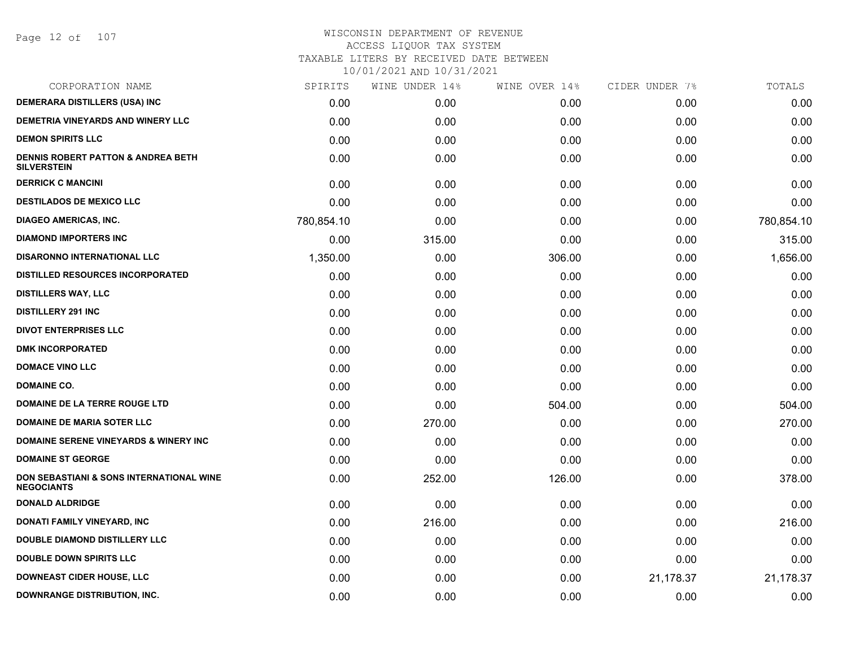Page 12 of 107

| CORPORATION NAME                                                    | SPIRITS    | WINE UNDER 14% | WINE OVER 14% | CIDER UNDER 7% | TOTALS     |
|---------------------------------------------------------------------|------------|----------------|---------------|----------------|------------|
| <b>DEMERARA DISTILLERS (USA) INC</b>                                | 0.00       | 0.00           | 0.00          | 0.00           | 0.00       |
| DEMETRIA VINEYARDS AND WINERY LLC                                   | 0.00       | 0.00           | 0.00          | 0.00           | 0.00       |
| <b>DEMON SPIRITS LLC</b>                                            | 0.00       | 0.00           | 0.00          | 0.00           | 0.00       |
| <b>DENNIS ROBERT PATTON &amp; ANDREA BETH</b><br><b>SILVERSTEIN</b> | 0.00       | 0.00           | 0.00          | 0.00           | 0.00       |
| <b>DERRICK C MANCINI</b>                                            | 0.00       | 0.00           | 0.00          | 0.00           | 0.00       |
| <b>DESTILADOS DE MEXICO LLC</b>                                     | 0.00       | 0.00           | 0.00          | 0.00           | 0.00       |
| <b>DIAGEO AMERICAS, INC.</b>                                        | 780,854.10 | 0.00           | 0.00          | 0.00           | 780,854.10 |
| <b>DIAMOND IMPORTERS INC</b>                                        | 0.00       | 315.00         | 0.00          | 0.00           | 315.00     |
| <b>DISARONNO INTERNATIONAL LLC</b>                                  | 1,350.00   | 0.00           | 306.00        | 0.00           | 1,656.00   |
| <b>DISTILLED RESOURCES INCORPORATED</b>                             | 0.00       | 0.00           | 0.00          | 0.00           | 0.00       |
| <b>DISTILLERS WAY, LLC</b>                                          | 0.00       | 0.00           | 0.00          | 0.00           | 0.00       |
| <b>DISTILLERY 291 INC</b>                                           | 0.00       | 0.00           | 0.00          | 0.00           | 0.00       |
| <b>DIVOT ENTERPRISES LLC</b>                                        | 0.00       | 0.00           | 0.00          | 0.00           | 0.00       |
| <b>DMK INCORPORATED</b>                                             | 0.00       | 0.00           | 0.00          | 0.00           | 0.00       |
| <b>DOMACE VINO LLC</b>                                              | 0.00       | 0.00           | 0.00          | 0.00           | 0.00       |
| <b>DOMAINE CO.</b>                                                  | 0.00       | 0.00           | 0.00          | 0.00           | 0.00       |
| DOMAINE DE LA TERRE ROUGE LTD                                       | 0.00       | 0.00           | 504.00        | 0.00           | 504.00     |
| DOMAINE DE MARIA SOTER LLC                                          | 0.00       | 270.00         | 0.00          | 0.00           | 270.00     |
| <b>DOMAINE SERENE VINEYARDS &amp; WINERY INC</b>                    | 0.00       | 0.00           | 0.00          | 0.00           | 0.00       |
| <b>DOMAINE ST GEORGE</b>                                            | 0.00       | 0.00           | 0.00          | 0.00           | 0.00       |
| DON SEBASTIANI & SONS INTERNATIONAL WINE<br><b>NEGOCIANTS</b>       | 0.00       | 252.00         | 126.00        | 0.00           | 378.00     |
| <b>DONALD ALDRIDGE</b>                                              | 0.00       | 0.00           | 0.00          | 0.00           | 0.00       |
| DONATI FAMILY VINEYARD, INC                                         | 0.00       | 216.00         | 0.00          | 0.00           | 216.00     |
| DOUBLE DIAMOND DISTILLERY LLC                                       | 0.00       | 0.00           | 0.00          | 0.00           | 0.00       |
| <b>DOUBLE DOWN SPIRITS LLC</b>                                      | 0.00       | 0.00           | 0.00          | 0.00           | 0.00       |
| <b>DOWNEAST CIDER HOUSE, LLC</b>                                    | 0.00       | 0.00           | 0.00          | 21,178.37      | 21,178.37  |
| <b>DOWNRANGE DISTRIBUTION, INC.</b>                                 | 0.00       | 0.00           | 0.00          | 0.00           | 0.00       |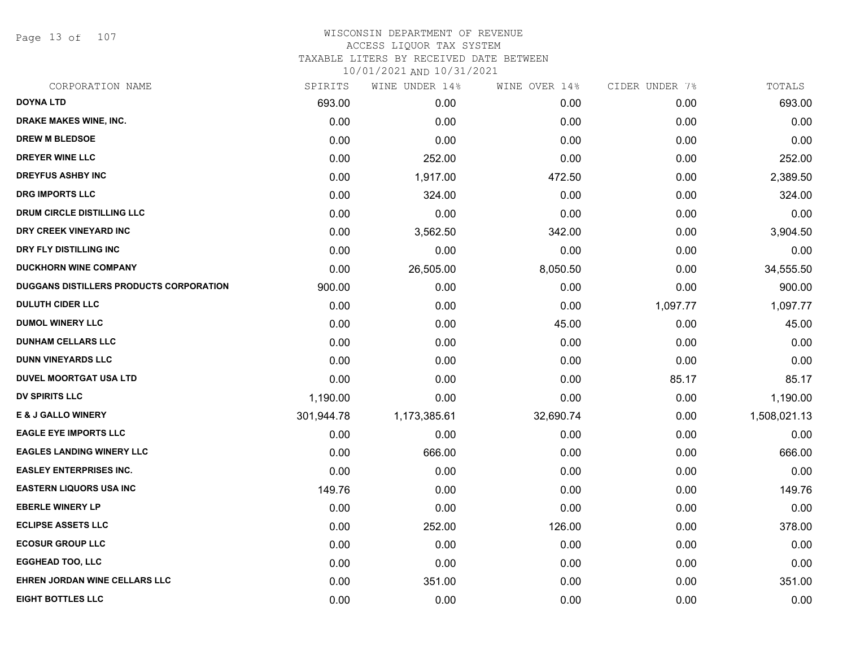Page 13 of 107

## WISCONSIN DEPARTMENT OF REVENUE ACCESS LIQUOR TAX SYSTEM TAXABLE LITERS BY RECEIVED DATE BETWEEN

| CORPORATION NAME                        | SPIRITS    | WINE UNDER 14% | WINE OVER 14% | CIDER UNDER 7% | TOTALS       |
|-----------------------------------------|------------|----------------|---------------|----------------|--------------|
| <b>DOYNA LTD</b>                        | 693.00     | 0.00           | 0.00          | 0.00           | 693.00       |
| DRAKE MAKES WINE, INC.                  | 0.00       | 0.00           | 0.00          | 0.00           | 0.00         |
| <b>DREW M BLEDSOE</b>                   | 0.00       | 0.00           | 0.00          | 0.00           | 0.00         |
| <b>DREYER WINE LLC</b>                  | 0.00       | 252.00         | 0.00          | 0.00           | 252.00       |
| <b>DREYFUS ASHBY INC</b>                | 0.00       | 1,917.00       | 472.50        | 0.00           | 2,389.50     |
| <b>DRG IMPORTS LLC</b>                  | 0.00       | 324.00         | 0.00          | 0.00           | 324.00       |
| DRUM CIRCLE DISTILLING LLC              | 0.00       | 0.00           | 0.00          | 0.00           | 0.00         |
| DRY CREEK VINEYARD INC                  | 0.00       | 3,562.50       | 342.00        | 0.00           | 3,904.50     |
| DRY FLY DISTILLING INC                  | 0.00       | 0.00           | 0.00          | 0.00           | 0.00         |
| <b>DUCKHORN WINE COMPANY</b>            | 0.00       | 26,505.00      | 8,050.50      | 0.00           | 34,555.50    |
| DUGGANS DISTILLERS PRODUCTS CORPORATION | 900.00     | 0.00           | 0.00          | 0.00           | 900.00       |
| <b>DULUTH CIDER LLC</b>                 | 0.00       | 0.00           | 0.00          | 1,097.77       | 1,097.77     |
| <b>DUMOL WINERY LLC</b>                 | 0.00       | 0.00           | 45.00         | 0.00           | 45.00        |
| <b>DUNHAM CELLARS LLC</b>               | 0.00       | 0.00           | 0.00          | 0.00           | 0.00         |
| <b>DUNN VINEYARDS LLC</b>               | 0.00       | 0.00           | 0.00          | 0.00           | 0.00         |
| <b>DUVEL MOORTGAT USA LTD</b>           | 0.00       | 0.00           | 0.00          | 85.17          | 85.17        |
| <b>DV SPIRITS LLC</b>                   | 1,190.00   | 0.00           | 0.00          | 0.00           | 1,190.00     |
| <b>E &amp; J GALLO WINERY</b>           | 301,944.78 | 1,173,385.61   | 32,690.74     | 0.00           | 1,508,021.13 |
| <b>EAGLE EYE IMPORTS LLC</b>            | 0.00       | 0.00           | 0.00          | 0.00           | 0.00         |
| <b>EAGLES LANDING WINERY LLC</b>        | 0.00       | 666.00         | 0.00          | 0.00           | 666.00       |
| <b>EASLEY ENTERPRISES INC.</b>          | 0.00       | 0.00           | 0.00          | 0.00           | 0.00         |
| <b>EASTERN LIQUORS USA INC</b>          | 149.76     | 0.00           | 0.00          | 0.00           | 149.76       |
| <b>EBERLE WINERY LP</b>                 | 0.00       | 0.00           | 0.00          | 0.00           | 0.00         |
| <b>ECLIPSE ASSETS LLC</b>               | 0.00       | 252.00         | 126.00        | 0.00           | 378.00       |
| <b>ECOSUR GROUP LLC</b>                 | 0.00       | 0.00           | 0.00          | 0.00           | 0.00         |
| <b>EGGHEAD TOO, LLC</b>                 | 0.00       | 0.00           | 0.00          | 0.00           | 0.00         |
| EHREN JORDAN WINE CELLARS LLC           | 0.00       | 351.00         | 0.00          | 0.00           | 351.00       |
| <b>EIGHT BOTTLES LLC</b>                | 0.00       | 0.00           | 0.00          | 0.00           | 0.00         |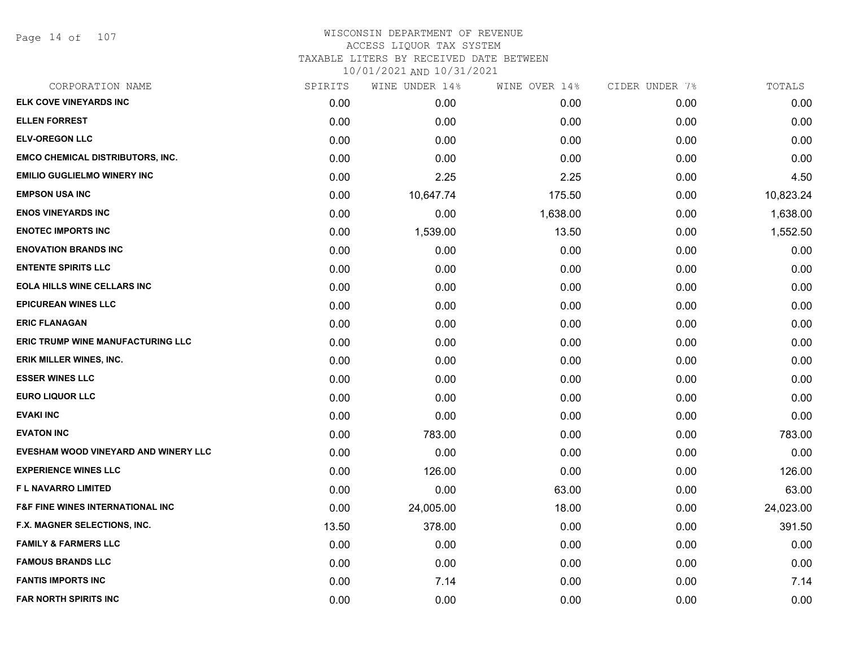| CORPORATION NAME                            | SPIRITS | WINE UNDER 14% | WINE OVER 14% | CIDER UNDER 7% | TOTALS    |
|---------------------------------------------|---------|----------------|---------------|----------------|-----------|
| ELK COVE VINEYARDS INC                      | 0.00    | 0.00           | 0.00          | 0.00           | 0.00      |
| <b>ELLEN FORREST</b>                        | 0.00    | 0.00           | 0.00          | 0.00           | 0.00      |
| <b>ELV-OREGON LLC</b>                       | 0.00    | 0.00           | 0.00          | 0.00           | 0.00      |
| <b>EMCO CHEMICAL DISTRIBUTORS, INC.</b>     | 0.00    | 0.00           | 0.00          | 0.00           | 0.00      |
| <b>EMILIO GUGLIELMO WINERY INC</b>          | 0.00    | 2.25           | 2.25          | 0.00           | 4.50      |
| <b>EMPSON USA INC</b>                       | 0.00    | 10,647.74      | 175.50        | 0.00           | 10,823.24 |
| <b>ENOS VINEYARDS INC</b>                   | 0.00    | 0.00           | 1,638.00      | 0.00           | 1,638.00  |
| <b>ENOTEC IMPORTS INC</b>                   | 0.00    | 1,539.00       | 13.50         | 0.00           | 1,552.50  |
| <b>ENOVATION BRANDS INC</b>                 | 0.00    | 0.00           | 0.00          | 0.00           | 0.00      |
| <b>ENTENTE SPIRITS LLC</b>                  | 0.00    | 0.00           | 0.00          | 0.00           | 0.00      |
| <b>EOLA HILLS WINE CELLARS INC</b>          | 0.00    | 0.00           | 0.00          | 0.00           | 0.00      |
| <b>EPICUREAN WINES LLC</b>                  | 0.00    | 0.00           | 0.00          | 0.00           | 0.00      |
| <b>ERIC FLANAGAN</b>                        | 0.00    | 0.00           | 0.00          | 0.00           | 0.00      |
| <b>ERIC TRUMP WINE MANUFACTURING LLC</b>    | 0.00    | 0.00           | 0.00          | 0.00           | 0.00      |
| ERIK MILLER WINES, INC.                     | 0.00    | 0.00           | 0.00          | 0.00           | 0.00      |
| <b>ESSER WINES LLC</b>                      | 0.00    | 0.00           | 0.00          | 0.00           | 0.00      |
| <b>EURO LIQUOR LLC</b>                      | 0.00    | 0.00           | 0.00          | 0.00           | 0.00      |
| <b>EVAKI INC</b>                            | 0.00    | 0.00           | 0.00          | 0.00           | 0.00      |
| <b>EVATON INC</b>                           | 0.00    | 783.00         | 0.00          | 0.00           | 783.00    |
| EVESHAM WOOD VINEYARD AND WINERY LLC        | 0.00    | 0.00           | 0.00          | 0.00           | 0.00      |
| <b>EXPERIENCE WINES LLC</b>                 | 0.00    | 126.00         | 0.00          | 0.00           | 126.00    |
| F L NAVARRO LIMITED                         | 0.00    | 0.00           | 63.00         | 0.00           | 63.00     |
| <b>F&amp;F FINE WINES INTERNATIONAL INC</b> | 0.00    | 24,005.00      | 18.00         | 0.00           | 24,023.00 |
| F.X. MAGNER SELECTIONS, INC.                | 13.50   | 378.00         | 0.00          | 0.00           | 391.50    |
| <b>FAMILY &amp; FARMERS LLC</b>             | 0.00    | 0.00           | 0.00          | 0.00           | 0.00      |
| <b>FAMOUS BRANDS LLC</b>                    | 0.00    | 0.00           | 0.00          | 0.00           | 0.00      |
| <b>FANTIS IMPORTS INC</b>                   | 0.00    | 7.14           | 0.00          | 0.00           | 7.14      |
| <b>FAR NORTH SPIRITS INC</b>                | 0.00    | 0.00           | 0.00          | 0.00           | 0.00      |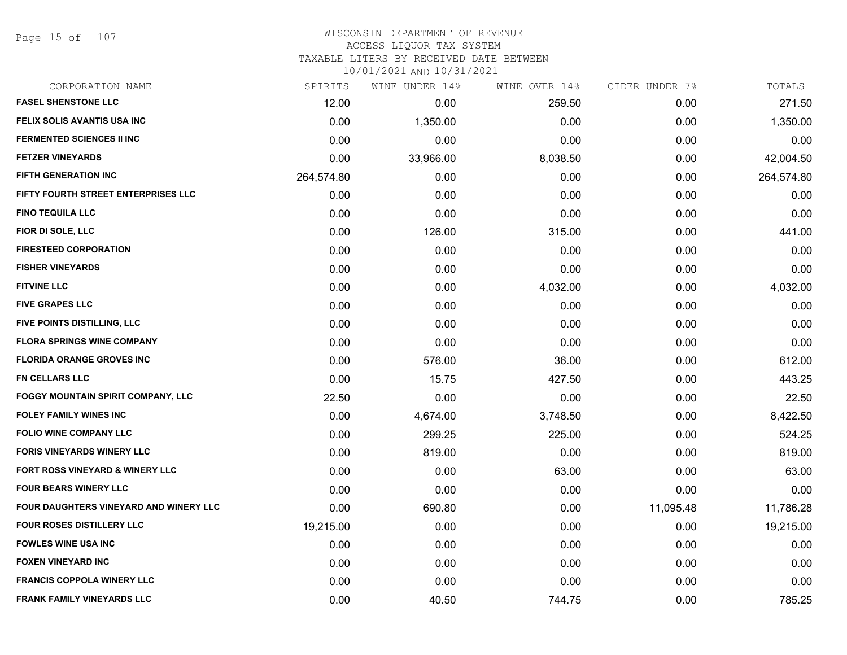Page 15 of 107

# WISCONSIN DEPARTMENT OF REVENUE

# ACCESS LIQUOR TAX SYSTEM

TAXABLE LITERS BY RECEIVED DATE BETWEEN

| CORPORATION NAME                           | SPIRITS    | WINE UNDER 14% | WINE OVER 14% | CIDER UNDER 7% | TOTALS     |
|--------------------------------------------|------------|----------------|---------------|----------------|------------|
| <b>FASEL SHENSTONE LLC</b>                 | 12.00      | 0.00           | 259.50        | 0.00           | 271.50     |
| FELIX SOLIS AVANTIS USA INC                | 0.00       | 1,350.00       | 0.00          | 0.00           | 1,350.00   |
| <b>FERMENTED SCIENCES II INC</b>           | 0.00       | 0.00           | 0.00          | 0.00           | 0.00       |
| <b>FETZER VINEYARDS</b>                    | 0.00       | 33,966.00      | 8,038.50      | 0.00           | 42,004.50  |
| <b>FIFTH GENERATION INC</b>                | 264,574.80 | 0.00           | 0.00          | 0.00           | 264,574.80 |
| FIFTY FOURTH STREET ENTERPRISES LLC        | 0.00       | 0.00           | 0.00          | 0.00           | 0.00       |
| <b>FINO TEQUILA LLC</b>                    | 0.00       | 0.00           | 0.00          | 0.00           | 0.00       |
| FIOR DI SOLE, LLC                          | 0.00       | 126.00         | 315.00        | 0.00           | 441.00     |
| <b>FIRESTEED CORPORATION</b>               | 0.00       | 0.00           | 0.00          | 0.00           | 0.00       |
| <b>FISHER VINEYARDS</b>                    | 0.00       | 0.00           | 0.00          | 0.00           | 0.00       |
| <b>FITVINE LLC</b>                         | 0.00       | 0.00           | 4,032.00      | 0.00           | 4,032.00   |
| <b>FIVE GRAPES LLC</b>                     | 0.00       | 0.00           | 0.00          | 0.00           | 0.00       |
| FIVE POINTS DISTILLING, LLC                | 0.00       | 0.00           | 0.00          | 0.00           | 0.00       |
| <b>FLORA SPRINGS WINE COMPANY</b>          | 0.00       | 0.00           | 0.00          | 0.00           | 0.00       |
| <b>FLORIDA ORANGE GROVES INC</b>           | 0.00       | 576.00         | 36.00         | 0.00           | 612.00     |
| <b>FN CELLARS LLC</b>                      | 0.00       | 15.75          | 427.50        | 0.00           | 443.25     |
| <b>FOGGY MOUNTAIN SPIRIT COMPANY, LLC</b>  | 22.50      | 0.00           | 0.00          | 0.00           | 22.50      |
| <b>FOLEY FAMILY WINES INC</b>              | 0.00       | 4,674.00       | 3,748.50      | 0.00           | 8,422.50   |
| <b>FOLIO WINE COMPANY LLC</b>              | 0.00       | 299.25         | 225.00        | 0.00           | 524.25     |
| <b>FORIS VINEYARDS WINERY LLC</b>          | 0.00       | 819.00         | 0.00          | 0.00           | 819.00     |
| <b>FORT ROSS VINEYARD &amp; WINERY LLC</b> | 0.00       | 0.00           | 63.00         | 0.00           | 63.00      |
| <b>FOUR BEARS WINERY LLC</b>               | 0.00       | 0.00           | 0.00          | 0.00           | 0.00       |
| FOUR DAUGHTERS VINEYARD AND WINERY LLC     | 0.00       | 690.80         | 0.00          | 11,095.48      | 11,786.28  |
| <b>FOUR ROSES DISTILLERY LLC</b>           | 19,215.00  | 0.00           | 0.00          | 0.00           | 19,215.00  |
| <b>FOWLES WINE USA INC</b>                 | 0.00       | 0.00           | 0.00          | 0.00           | 0.00       |
| <b>FOXEN VINEYARD INC</b>                  | 0.00       | 0.00           | 0.00          | 0.00           | 0.00       |
| <b>FRANCIS COPPOLA WINERY LLC</b>          | 0.00       | 0.00           | 0.00          | 0.00           | 0.00       |
| <b>FRANK FAMILY VINEYARDS LLC</b>          | 0.00       | 40.50          | 744.75        | 0.00           | 785.25     |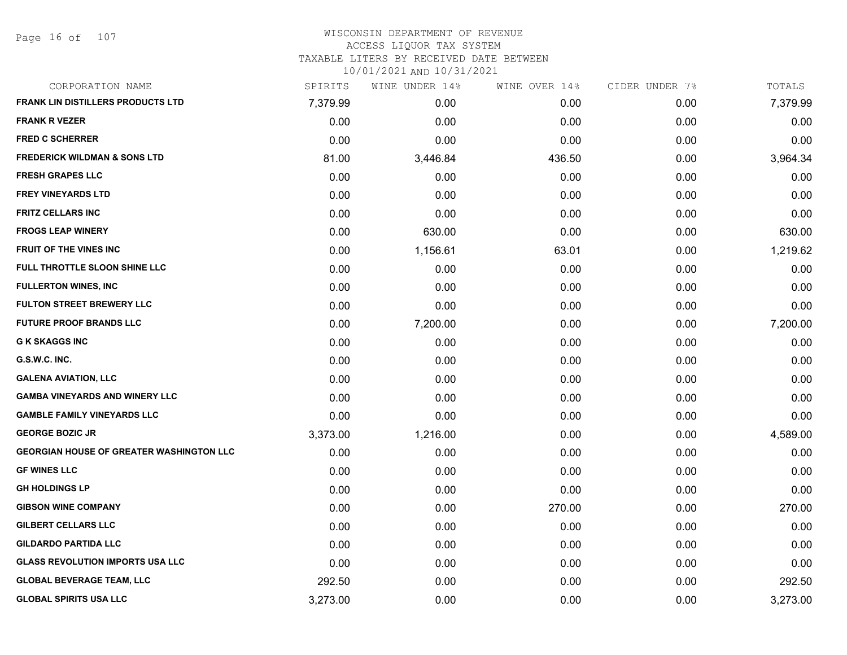Page 16 of 107

## WISCONSIN DEPARTMENT OF REVENUE ACCESS LIQUOR TAX SYSTEM TAXABLE LITERS BY RECEIVED DATE BETWEEN

| CORPORATION NAME                                | SPIRITS  | WINE UNDER 14% | WINE OVER 14% | CIDER UNDER 7% | TOTALS   |
|-------------------------------------------------|----------|----------------|---------------|----------------|----------|
| <b>FRANK LIN DISTILLERS PRODUCTS LTD</b>        | 7,379.99 | 0.00           | 0.00          | 0.00           | 7,379.99 |
| <b>FRANK R VEZER</b>                            | 0.00     | 0.00           | 0.00          | 0.00           | 0.00     |
| <b>FRED C SCHERRER</b>                          | 0.00     | 0.00           | 0.00          | 0.00           | 0.00     |
| <b>FREDERICK WILDMAN &amp; SONS LTD</b>         | 81.00    | 3,446.84       | 436.50        | 0.00           | 3,964.34 |
| <b>FRESH GRAPES LLC</b>                         | 0.00     | 0.00           | 0.00          | 0.00           | 0.00     |
| <b>FREY VINEYARDS LTD</b>                       | 0.00     | 0.00           | 0.00          | 0.00           | 0.00     |
| <b>FRITZ CELLARS INC</b>                        | 0.00     | 0.00           | 0.00          | 0.00           | 0.00     |
| <b>FROGS LEAP WINERY</b>                        | 0.00     | 630.00         | 0.00          | 0.00           | 630.00   |
| <b>FRUIT OF THE VINES INC</b>                   | 0.00     | 1,156.61       | 63.01         | 0.00           | 1,219.62 |
| FULL THROTTLE SLOON SHINE LLC                   | 0.00     | 0.00           | 0.00          | 0.00           | 0.00     |
| <b>FULLERTON WINES, INC</b>                     | 0.00     | 0.00           | 0.00          | 0.00           | 0.00     |
| <b>FULTON STREET BREWERY LLC</b>                | 0.00     | 0.00           | 0.00          | 0.00           | 0.00     |
| <b>FUTURE PROOF BRANDS LLC</b>                  | 0.00     | 7,200.00       | 0.00          | 0.00           | 7,200.00 |
| <b>G K SKAGGS INC</b>                           | 0.00     | 0.00           | 0.00          | 0.00           | 0.00     |
| G.S.W.C. INC.                                   | 0.00     | 0.00           | 0.00          | 0.00           | 0.00     |
| <b>GALENA AVIATION, LLC</b>                     | 0.00     | 0.00           | 0.00          | 0.00           | 0.00     |
| <b>GAMBA VINEYARDS AND WINERY LLC</b>           | 0.00     | 0.00           | 0.00          | 0.00           | 0.00     |
| <b>GAMBLE FAMILY VINEYARDS LLC</b>              | 0.00     | 0.00           | 0.00          | 0.00           | 0.00     |
| <b>GEORGE BOZIC JR</b>                          | 3,373.00 | 1,216.00       | 0.00          | 0.00           | 4,589.00 |
| <b>GEORGIAN HOUSE OF GREATER WASHINGTON LLC</b> | 0.00     | 0.00           | 0.00          | 0.00           | 0.00     |
| <b>GF WINES LLC</b>                             | 0.00     | 0.00           | 0.00          | 0.00           | 0.00     |
| <b>GH HOLDINGS LP</b>                           | 0.00     | 0.00           | 0.00          | 0.00           | 0.00     |
| <b>GIBSON WINE COMPANY</b>                      | 0.00     | 0.00           | 270.00        | 0.00           | 270.00   |
| <b>GILBERT CELLARS LLC</b>                      | 0.00     | 0.00           | 0.00          | 0.00           | 0.00     |
| <b>GILDARDO PARTIDA LLC</b>                     | 0.00     | 0.00           | 0.00          | 0.00           | 0.00     |
| <b>GLASS REVOLUTION IMPORTS USA LLC</b>         | 0.00     | 0.00           | 0.00          | 0.00           | 0.00     |
| <b>GLOBAL BEVERAGE TEAM, LLC</b>                | 292.50   | 0.00           | 0.00          | 0.00           | 292.50   |
| <b>GLOBAL SPIRITS USA LLC</b>                   | 3,273.00 | 0.00           | 0.00          | 0.00           | 3,273.00 |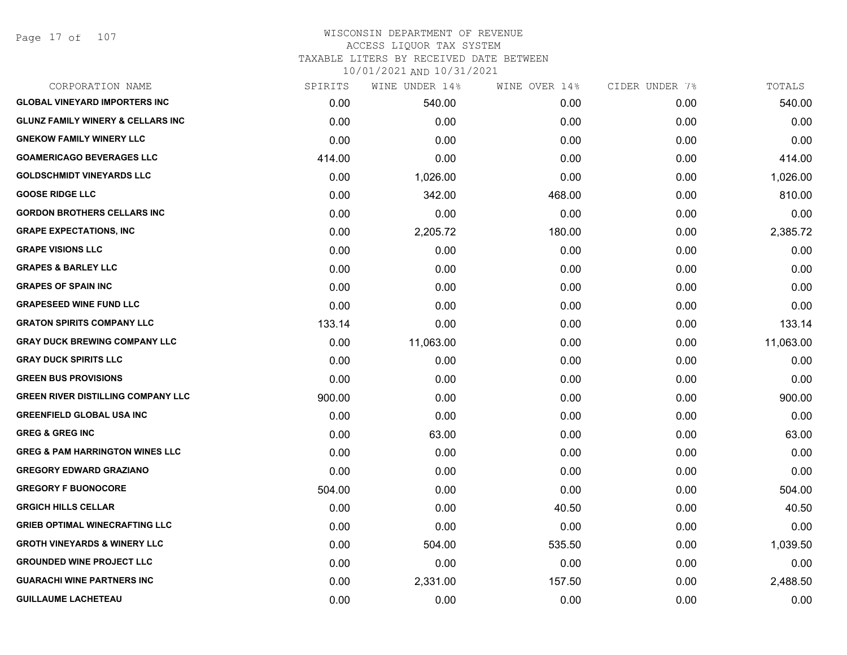## WISCONSIN DEPARTMENT OF REVENUE ACCESS LIQUOR TAX SYSTEM TAXABLE LITERS BY RECEIVED DATE BETWEEN

| CORPORATION NAME                             | SPIRITS | WINE UNDER 14% | WINE OVER 14% | CIDER UNDER 7% | TOTALS    |
|----------------------------------------------|---------|----------------|---------------|----------------|-----------|
| <b>GLOBAL VINEYARD IMPORTERS INC</b>         | 0.00    | 540.00         | 0.00          | 0.00           | 540.00    |
| <b>GLUNZ FAMILY WINERY &amp; CELLARS INC</b> | 0.00    | 0.00           | 0.00          | 0.00           | 0.00      |
| <b>GNEKOW FAMILY WINERY LLC</b>              | 0.00    | 0.00           | 0.00          | 0.00           | 0.00      |
| <b>GOAMERICAGO BEVERAGES LLC</b>             | 414.00  | 0.00           | 0.00          | 0.00           | 414.00    |
| <b>GOLDSCHMIDT VINEYARDS LLC</b>             | 0.00    | 1,026.00       | 0.00          | 0.00           | 1,026.00  |
| <b>GOOSE RIDGE LLC</b>                       | 0.00    | 342.00         | 468.00        | 0.00           | 810.00    |
| <b>GORDON BROTHERS CELLARS INC</b>           | 0.00    | 0.00           | 0.00          | 0.00           | 0.00      |
| <b>GRAPE EXPECTATIONS, INC</b>               | 0.00    | 2,205.72       | 180.00        | 0.00           | 2,385.72  |
| <b>GRAPE VISIONS LLC</b>                     | 0.00    | 0.00           | 0.00          | 0.00           | 0.00      |
| <b>GRAPES &amp; BARLEY LLC</b>               | 0.00    | 0.00           | 0.00          | 0.00           | 0.00      |
| <b>GRAPES OF SPAIN INC</b>                   | 0.00    | 0.00           | 0.00          | 0.00           | 0.00      |
| <b>GRAPESEED WINE FUND LLC</b>               | 0.00    | 0.00           | 0.00          | 0.00           | 0.00      |
| <b>GRATON SPIRITS COMPANY LLC</b>            | 133.14  | 0.00           | 0.00          | 0.00           | 133.14    |
| <b>GRAY DUCK BREWING COMPANY LLC</b>         | 0.00    | 11,063.00      | 0.00          | 0.00           | 11,063.00 |
| <b>GRAY DUCK SPIRITS LLC</b>                 | 0.00    | 0.00           | 0.00          | 0.00           | 0.00      |
| <b>GREEN BUS PROVISIONS</b>                  | 0.00    | 0.00           | 0.00          | 0.00           | 0.00      |
| <b>GREEN RIVER DISTILLING COMPANY LLC</b>    | 900.00  | 0.00           | 0.00          | 0.00           | 900.00    |
| <b>GREENFIELD GLOBAL USA INC</b>             | 0.00    | 0.00           | 0.00          | 0.00           | 0.00      |
| <b>GREG &amp; GREG INC</b>                   | 0.00    | 63.00          | 0.00          | 0.00           | 63.00     |
| <b>GREG &amp; PAM HARRINGTON WINES LLC</b>   | 0.00    | 0.00           | 0.00          | 0.00           | 0.00      |
| <b>GREGORY EDWARD GRAZIANO</b>               | 0.00    | 0.00           | 0.00          | 0.00           | 0.00      |
| <b>GREGORY F BUONOCORE</b>                   | 504.00  | 0.00           | 0.00          | 0.00           | 504.00    |
| <b>GRGICH HILLS CELLAR</b>                   | 0.00    | 0.00           | 40.50         | 0.00           | 40.50     |
| <b>GRIEB OPTIMAL WINECRAFTING LLC</b>        | 0.00    | 0.00           | 0.00          | 0.00           | 0.00      |
| <b>GROTH VINEYARDS &amp; WINERY LLC</b>      | 0.00    | 504.00         | 535.50        | 0.00           | 1,039.50  |
| <b>GROUNDED WINE PROJECT LLC</b>             | 0.00    | 0.00           | 0.00          | 0.00           | 0.00      |
| <b>GUARACHI WINE PARTNERS INC</b>            | 0.00    | 2,331.00       | 157.50        | 0.00           | 2,488.50  |
| <b>GUILLAUME LACHETEAU</b>                   | 0.00    | 0.00           | 0.00          | 0.00           | 0.00      |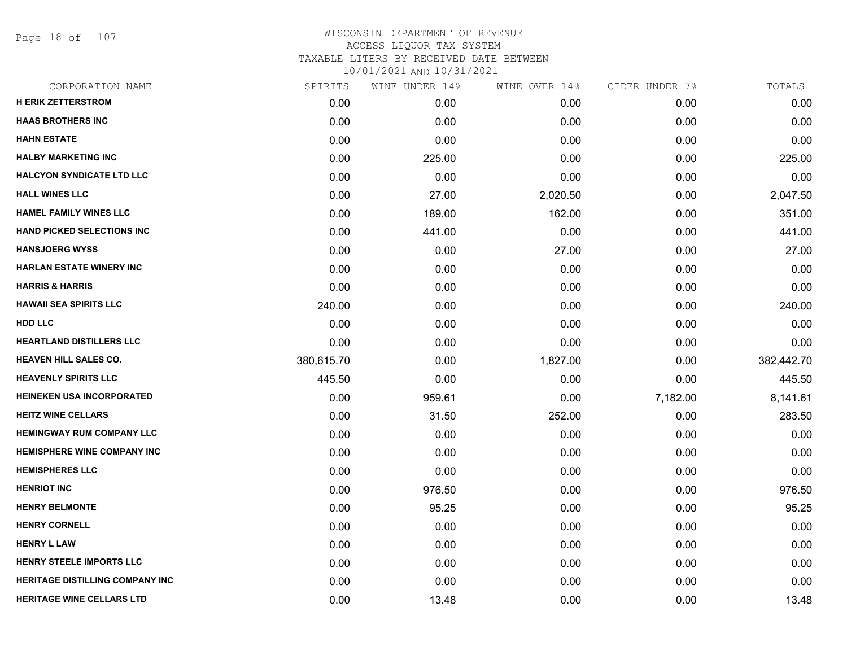Page 18 of 107

| CORPORATION NAME                       | SPIRITS    | WINE UNDER 14% | WINE OVER 14% | CIDER UNDER 7% | TOTALS     |
|----------------------------------------|------------|----------------|---------------|----------------|------------|
| <b>H ERIK ZETTERSTROM</b>              | 0.00       | 0.00           | 0.00          | 0.00           | 0.00       |
| <b>HAAS BROTHERS INC</b>               | 0.00       | 0.00           | 0.00          | 0.00           | 0.00       |
| <b>HAHN ESTATE</b>                     | 0.00       | 0.00           | 0.00          | 0.00           | 0.00       |
| <b>HALBY MARKETING INC</b>             | 0.00       | 225.00         | 0.00          | 0.00           | 225.00     |
| <b>HALCYON SYNDICATE LTD LLC</b>       | 0.00       | 0.00           | 0.00          | 0.00           | 0.00       |
| <b>HALL WINES LLC</b>                  | 0.00       | 27.00          | 2,020.50      | 0.00           | 2,047.50   |
| <b>HAMEL FAMILY WINES LLC</b>          | 0.00       | 189.00         | 162.00        | 0.00           | 351.00     |
| <b>HAND PICKED SELECTIONS INC</b>      | 0.00       | 441.00         | 0.00          | 0.00           | 441.00     |
| <b>HANSJOERG WYSS</b>                  | 0.00       | 0.00           | 27.00         | 0.00           | 27.00      |
| <b>HARLAN ESTATE WINERY INC</b>        | 0.00       | 0.00           | 0.00          | 0.00           | 0.00       |
| <b>HARRIS &amp; HARRIS</b>             | 0.00       | 0.00           | 0.00          | 0.00           | 0.00       |
| <b>HAWAII SEA SPIRITS LLC</b>          | 240.00     | 0.00           | 0.00          | 0.00           | 240.00     |
| <b>HDD LLC</b>                         | 0.00       | 0.00           | 0.00          | 0.00           | 0.00       |
| <b>HEARTLAND DISTILLERS LLC</b>        | 0.00       | 0.00           | 0.00          | 0.00           | 0.00       |
| <b>HEAVEN HILL SALES CO.</b>           | 380,615.70 | 0.00           | 1,827.00      | 0.00           | 382,442.70 |
| <b>HEAVENLY SPIRITS LLC</b>            | 445.50     | 0.00           | 0.00          | 0.00           | 445.50     |
| <b>HEINEKEN USA INCORPORATED</b>       | 0.00       | 959.61         | 0.00          | 7,182.00       | 8,141.61   |
| <b>HEITZ WINE CELLARS</b>              | 0.00       | 31.50          | 252.00        | 0.00           | 283.50     |
| <b>HEMINGWAY RUM COMPANY LLC</b>       | 0.00       | 0.00           | 0.00          | 0.00           | 0.00       |
| <b>HEMISPHERE WINE COMPANY INC</b>     | 0.00       | 0.00           | 0.00          | 0.00           | 0.00       |
| <b>HEMISPHERES LLC</b>                 | 0.00       | 0.00           | 0.00          | 0.00           | 0.00       |
| <b>HENRIOT INC</b>                     | 0.00       | 976.50         | 0.00          | 0.00           | 976.50     |
| <b>HENRY BELMONTE</b>                  | 0.00       | 95.25          | 0.00          | 0.00           | 95.25      |
| <b>HENRY CORNELL</b>                   | 0.00       | 0.00           | 0.00          | 0.00           | 0.00       |
| <b>HENRY L LAW</b>                     | 0.00       | 0.00           | 0.00          | 0.00           | 0.00       |
| <b>HENRY STEELE IMPORTS LLC</b>        | 0.00       | 0.00           | 0.00          | 0.00           | 0.00       |
| <b>HERITAGE DISTILLING COMPANY INC</b> | 0.00       | 0.00           | 0.00          | 0.00           | 0.00       |
| <b>HERITAGE WINE CELLARS LTD</b>       | 0.00       | 13.48          | 0.00          | 0.00           | 13.48      |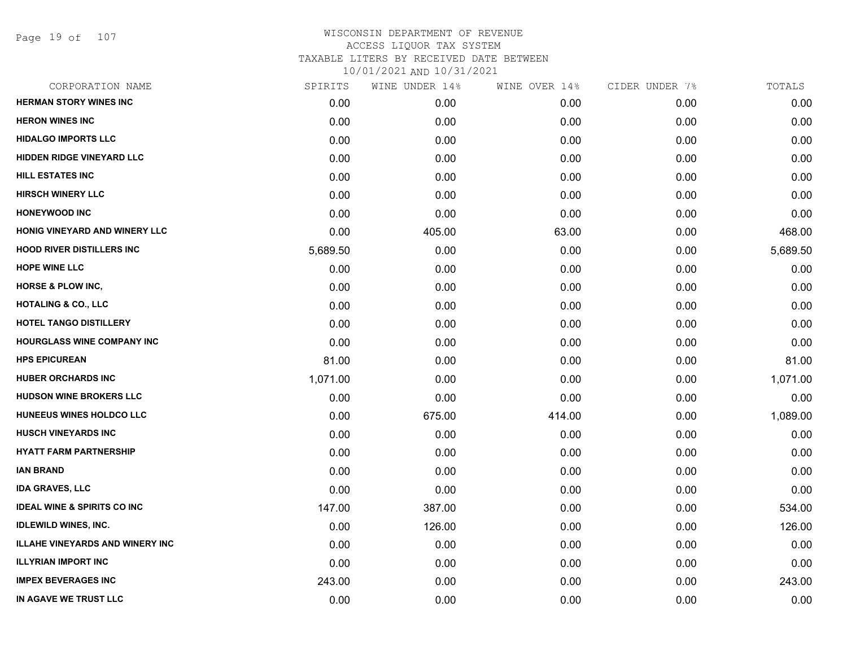Page 19 of 107

| CORPORATION NAME                       | SPIRITS  | WINE UNDER 14% | WINE OVER 14% | CIDER UNDER 7% | TOTALS   |
|----------------------------------------|----------|----------------|---------------|----------------|----------|
| <b>HERMAN STORY WINES INC</b>          | 0.00     | 0.00           | 0.00          | 0.00           | 0.00     |
| <b>HERON WINES INC</b>                 | 0.00     | 0.00           | 0.00          | 0.00           | 0.00     |
| <b>HIDALGO IMPORTS LLC</b>             | 0.00     | 0.00           | 0.00          | 0.00           | 0.00     |
| HIDDEN RIDGE VINEYARD LLC              | 0.00     | 0.00           | 0.00          | 0.00           | 0.00     |
| <b>HILL ESTATES INC</b>                | 0.00     | 0.00           | 0.00          | 0.00           | 0.00     |
| <b>HIRSCH WINERY LLC</b>               | 0.00     | 0.00           | 0.00          | 0.00           | 0.00     |
| <b>HONEYWOOD INC</b>                   | 0.00     | 0.00           | 0.00          | 0.00           | 0.00     |
| HONIG VINEYARD AND WINERY LLC          | 0.00     | 405.00         | 63.00         | 0.00           | 468.00   |
| <b>HOOD RIVER DISTILLERS INC</b>       | 5,689.50 | 0.00           | 0.00          | 0.00           | 5,689.50 |
| <b>HOPE WINE LLC</b>                   | 0.00     | 0.00           | 0.00          | 0.00           | 0.00     |
| <b>HORSE &amp; PLOW INC,</b>           | 0.00     | 0.00           | 0.00          | 0.00           | 0.00     |
| <b>HOTALING &amp; CO., LLC</b>         | 0.00     | 0.00           | 0.00          | 0.00           | 0.00     |
| <b>HOTEL TANGO DISTILLERY</b>          | 0.00     | 0.00           | 0.00          | 0.00           | 0.00     |
| HOURGLASS WINE COMPANY INC             | 0.00     | 0.00           | 0.00          | 0.00           | 0.00     |
| <b>HPS EPICUREAN</b>                   | 81.00    | 0.00           | 0.00          | 0.00           | 81.00    |
| <b>HUBER ORCHARDS INC</b>              | 1,071.00 | 0.00           | 0.00          | 0.00           | 1,071.00 |
| <b>HUDSON WINE BROKERS LLC</b>         | 0.00     | 0.00           | 0.00          | 0.00           | 0.00     |
| HUNEEUS WINES HOLDCO LLC               | 0.00     | 675.00         | 414.00        | 0.00           | 1,089.00 |
| <b>HUSCH VINEYARDS INC</b>             | 0.00     | 0.00           | 0.00          | 0.00           | 0.00     |
| <b>HYATT FARM PARTNERSHIP</b>          | 0.00     | 0.00           | 0.00          | 0.00           | 0.00     |
| <b>IAN BRAND</b>                       | 0.00     | 0.00           | 0.00          | 0.00           | 0.00     |
| <b>IDA GRAVES, LLC</b>                 | 0.00     | 0.00           | 0.00          | 0.00           | 0.00     |
| <b>IDEAL WINE &amp; SPIRITS CO INC</b> | 147.00   | 387.00         | 0.00          | 0.00           | 534.00   |
| <b>IDLEWILD WINES, INC.</b>            | 0.00     | 126.00         | 0.00          | 0.00           | 126.00   |
| <b>ILLAHE VINEYARDS AND WINERY INC</b> | 0.00     | 0.00           | 0.00          | 0.00           | 0.00     |
| <b>ILLYRIAN IMPORT INC</b>             | 0.00     | 0.00           | 0.00          | 0.00           | 0.00     |
| <b>IMPEX BEVERAGES INC</b>             | 243.00   | 0.00           | 0.00          | 0.00           | 243.00   |
| IN AGAVE WE TRUST LLC                  | 0.00     | 0.00           | 0.00          | 0.00           | 0.00     |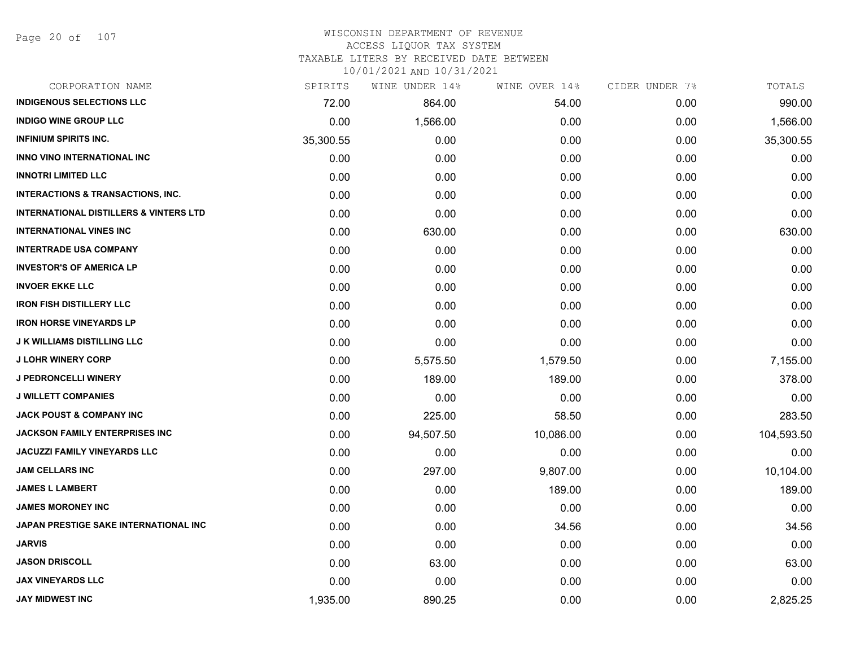#### WISCONSIN DEPARTMENT OF REVENUE ACCESS LIQUOR TAX SYSTEM

TAXABLE LITERS BY RECEIVED DATE BETWEEN

| CORPORATION NAME                                  | SPIRITS   | WINE UNDER 14% | WINE OVER 14% | CIDER UNDER 7% | TOTALS     |
|---------------------------------------------------|-----------|----------------|---------------|----------------|------------|
| <b>INDIGENOUS SELECTIONS LLC</b>                  | 72.00     | 864.00         | 54.00         | 0.00           | 990.00     |
| <b>INDIGO WINE GROUP LLC</b>                      | 0.00      | 1,566.00       | 0.00          | 0.00           | 1,566.00   |
| <b>INFINIUM SPIRITS INC.</b>                      | 35,300.55 | 0.00           | 0.00          | 0.00           | 35,300.55  |
| <b>INNO VINO INTERNATIONAL INC</b>                | 0.00      | 0.00           | 0.00          | 0.00           | 0.00       |
| <b>INNOTRI LIMITED LLC</b>                        | 0.00      | 0.00           | 0.00          | 0.00           | 0.00       |
| <b>INTERACTIONS &amp; TRANSACTIONS, INC.</b>      | 0.00      | 0.00           | 0.00          | 0.00           | 0.00       |
| <b>INTERNATIONAL DISTILLERS &amp; VINTERS LTD</b> | 0.00      | 0.00           | 0.00          | 0.00           | 0.00       |
| <b>INTERNATIONAL VINES INC</b>                    | 0.00      | 630.00         | 0.00          | 0.00           | 630.00     |
| <b>INTERTRADE USA COMPANY</b>                     | 0.00      | 0.00           | 0.00          | 0.00           | 0.00       |
| <b>INVESTOR'S OF AMERICA LP</b>                   | 0.00      | 0.00           | 0.00          | 0.00           | 0.00       |
| <b>INVOER EKKE LLC</b>                            | 0.00      | 0.00           | 0.00          | 0.00           | 0.00       |
| <b>IRON FISH DISTILLERY LLC</b>                   | 0.00      | 0.00           | 0.00          | 0.00           | 0.00       |
| <b>IRON HORSE VINEYARDS LP</b>                    | 0.00      | 0.00           | 0.00          | 0.00           | 0.00       |
| <b>J K WILLIAMS DISTILLING LLC</b>                | 0.00      | 0.00           | 0.00          | 0.00           | 0.00       |
| <b>J LOHR WINERY CORP</b>                         | 0.00      | 5,575.50       | 1,579.50      | 0.00           | 7,155.00   |
| <b>J PEDRONCELLI WINERY</b>                       | 0.00      | 189.00         | 189.00        | 0.00           | 378.00     |
| <b>J WILLETT COMPANIES</b>                        | 0.00      | 0.00           | 0.00          | 0.00           | 0.00       |
| <b>JACK POUST &amp; COMPANY INC</b>               | 0.00      | 225.00         | 58.50         | 0.00           | 283.50     |
| <b>JACKSON FAMILY ENTERPRISES INC</b>             | 0.00      | 94,507.50      | 10,086.00     | 0.00           | 104,593.50 |
| <b>JACUZZI FAMILY VINEYARDS LLC</b>               | 0.00      | 0.00           | 0.00          | 0.00           | 0.00       |
| JAM CELLARS INC                                   | 0.00      | 297.00         | 9,807.00      | 0.00           | 10,104.00  |
| <b>JAMES L LAMBERT</b>                            | 0.00      | 0.00           | 189.00        | 0.00           | 189.00     |
| <b>JAMES MORONEY INC</b>                          | 0.00      | 0.00           | 0.00          | 0.00           | 0.00       |
| JAPAN PRESTIGE SAKE INTERNATIONAL INC             | 0.00      | 0.00           | 34.56         | 0.00           | 34.56      |
| <b>JARVIS</b>                                     | 0.00      | 0.00           | 0.00          | 0.00           | 0.00       |
| <b>JASON DRISCOLL</b>                             | 0.00      | 63.00          | 0.00          | 0.00           | 63.00      |
| <b>JAX VINEYARDS LLC</b>                          | 0.00      | 0.00           | 0.00          | 0.00           | 0.00       |
| <b>JAY MIDWEST INC</b>                            | 1,935.00  | 890.25         | 0.00          | 0.00           | 2,825.25   |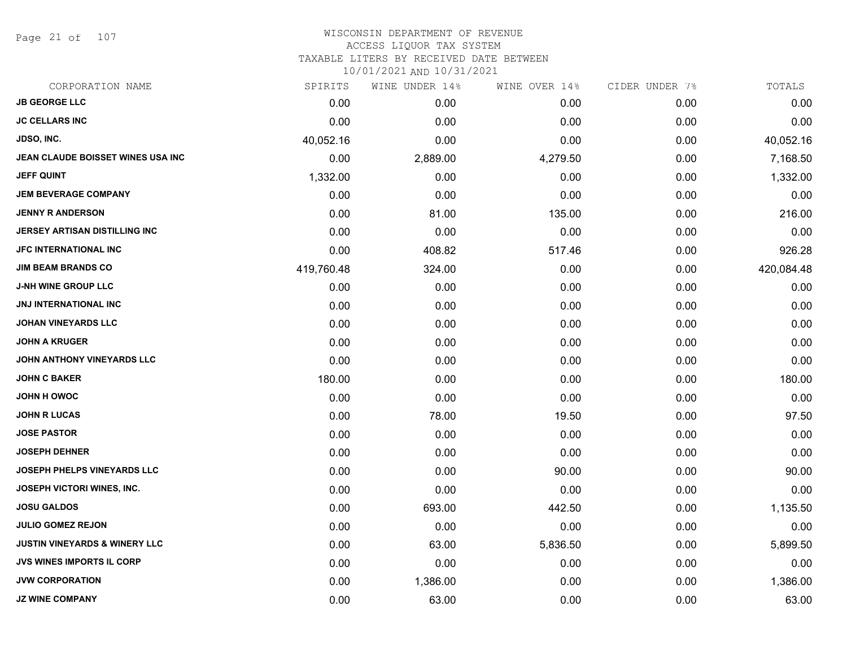Page 21 of 107

| CORPORATION NAME                         | SPIRITS    | WINE UNDER 14% | WINE OVER 14% | CIDER UNDER 7% | TOTALS     |
|------------------------------------------|------------|----------------|---------------|----------------|------------|
| <b>JB GEORGE LLC</b>                     | 0.00       | 0.00           | 0.00          | 0.00           | 0.00       |
| <b>JC CELLARS INC</b>                    | 0.00       | 0.00           | 0.00          | 0.00           | 0.00       |
| JDSO, INC.                               | 40,052.16  | 0.00           | 0.00          | 0.00           | 40,052.16  |
| JEAN CLAUDE BOISSET WINES USA INC        | 0.00       | 2,889.00       | 4,279.50      | 0.00           | 7,168.50   |
| JEFF QUINT                               | 1,332.00   | 0.00           | 0.00          | 0.00           | 1,332.00   |
| <b>JEM BEVERAGE COMPANY</b>              | 0.00       | 0.00           | 0.00          | 0.00           | 0.00       |
| <b>JENNY R ANDERSON</b>                  | 0.00       | 81.00          | 135.00        | 0.00           | 216.00     |
| JERSEY ARTISAN DISTILLING INC            | 0.00       | 0.00           | 0.00          | 0.00           | 0.00       |
| <b>JFC INTERNATIONAL INC</b>             | 0.00       | 408.82         | 517.46        | 0.00           | 926.28     |
| <b>JIM BEAM BRANDS CO</b>                | 419,760.48 | 324.00         | 0.00          | 0.00           | 420,084.48 |
| <b>J-NH WINE GROUP LLC</b>               | 0.00       | 0.00           | 0.00          | 0.00           | 0.00       |
| <b>JNJ INTERNATIONAL INC</b>             | 0.00       | 0.00           | 0.00          | 0.00           | 0.00       |
| <b>JOHAN VINEYARDS LLC</b>               | 0.00       | 0.00           | 0.00          | 0.00           | 0.00       |
| <b>JOHN A KRUGER</b>                     | 0.00       | 0.00           | 0.00          | 0.00           | 0.00       |
| JOHN ANTHONY VINEYARDS LLC               | 0.00       | 0.00           | 0.00          | 0.00           | 0.00       |
| <b>JOHN C BAKER</b>                      | 180.00     | 0.00           | 0.00          | 0.00           | 180.00     |
| <b>JOHN H OWOC</b>                       | 0.00       | 0.00           | 0.00          | 0.00           | 0.00       |
| <b>JOHN R LUCAS</b>                      | 0.00       | 78.00          | 19.50         | 0.00           | 97.50      |
| <b>JOSE PASTOR</b>                       | 0.00       | 0.00           | 0.00          | 0.00           | 0.00       |
| <b>JOSEPH DEHNER</b>                     | 0.00       | 0.00           | 0.00          | 0.00           | 0.00       |
| <b>JOSEPH PHELPS VINEYARDS LLC</b>       | 0.00       | 0.00           | 90.00         | 0.00           | 90.00      |
| JOSEPH VICTORI WINES, INC.               | 0.00       | 0.00           | 0.00          | 0.00           | 0.00       |
| <b>JOSU GALDOS</b>                       | 0.00       | 693.00         | 442.50        | 0.00           | 1,135.50   |
| <b>JULIO GOMEZ REJON</b>                 | 0.00       | 0.00           | 0.00          | 0.00           | 0.00       |
| <b>JUSTIN VINEYARDS &amp; WINERY LLC</b> | 0.00       | 63.00          | 5,836.50      | 0.00           | 5,899.50   |
| <b>JVS WINES IMPORTS IL CORP</b>         | 0.00       | 0.00           | 0.00          | 0.00           | 0.00       |
| <b>JVW CORPORATION</b>                   | 0.00       | 1,386.00       | 0.00          | 0.00           | 1,386.00   |
| <b>JZ WINE COMPANY</b>                   | 0.00       | 63.00          | 0.00          | 0.00           | 63.00      |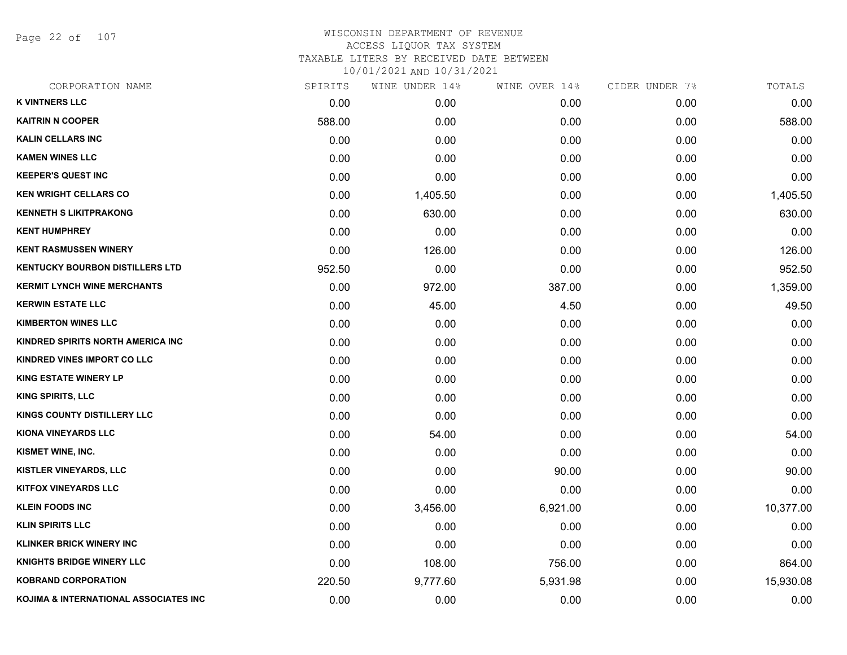Page 22 of 107

| CORPORATION NAME                       | SPIRITS | WINE UNDER 14% | WINE OVER 14% | CIDER UNDER 7% | TOTALS    |
|----------------------------------------|---------|----------------|---------------|----------------|-----------|
| <b>K VINTNERS LLC</b>                  | 0.00    | 0.00           | 0.00          | 0.00           | 0.00      |
| <b>KAITRIN N COOPER</b>                | 588.00  | 0.00           | 0.00          | 0.00           | 588.00    |
| <b>KALIN CELLARS INC</b>               | 0.00    | 0.00           | 0.00          | 0.00           | 0.00      |
| <b>KAMEN WINES LLC</b>                 | 0.00    | 0.00           | 0.00          | 0.00           | 0.00      |
| <b>KEEPER'S QUEST INC</b>              | 0.00    | 0.00           | 0.00          | 0.00           | 0.00      |
| <b>KEN WRIGHT CELLARS CO</b>           | 0.00    | 1,405.50       | 0.00          | 0.00           | 1,405.50  |
| <b>KENNETH S LIKITPRAKONG</b>          | 0.00    | 630.00         | 0.00          | 0.00           | 630.00    |
| <b>KENT HUMPHREY</b>                   | 0.00    | 0.00           | 0.00          | 0.00           | 0.00      |
| <b>KENT RASMUSSEN WINERY</b>           | 0.00    | 126.00         | 0.00          | 0.00           | 126.00    |
| <b>KENTUCKY BOURBON DISTILLERS LTD</b> | 952.50  | 0.00           | 0.00          | 0.00           | 952.50    |
| <b>KERMIT LYNCH WINE MERCHANTS</b>     | 0.00    | 972.00         | 387.00        | 0.00           | 1,359.00  |
| <b>KERWIN ESTATE LLC</b>               | 0.00    | 45.00          | 4.50          | 0.00           | 49.50     |
| <b>KIMBERTON WINES LLC</b>             | 0.00    | 0.00           | 0.00          | 0.00           | 0.00      |
| KINDRED SPIRITS NORTH AMERICA INC      | 0.00    | 0.00           | 0.00          | 0.00           | 0.00      |
| KINDRED VINES IMPORT CO LLC            | 0.00    | 0.00           | 0.00          | 0.00           | 0.00      |
| <b>KING ESTATE WINERY LP</b>           | 0.00    | 0.00           | 0.00          | 0.00           | 0.00      |
| <b>KING SPIRITS, LLC</b>               | 0.00    | 0.00           | 0.00          | 0.00           | 0.00      |
| <b>KINGS COUNTY DISTILLERY LLC</b>     | 0.00    | 0.00           | 0.00          | 0.00           | 0.00      |
| <b>KIONA VINEYARDS LLC</b>             | 0.00    | 54.00          | 0.00          | 0.00           | 54.00     |
| KISMET WINE, INC.                      | 0.00    | 0.00           | 0.00          | 0.00           | 0.00      |
| KISTLER VINEYARDS, LLC                 | 0.00    | 0.00           | 90.00         | 0.00           | 90.00     |
| <b>KITFOX VINEYARDS LLC</b>            | 0.00    | 0.00           | 0.00          | 0.00           | 0.00      |
| <b>KLEIN FOODS INC</b>                 | 0.00    | 3,456.00       | 6,921.00      | 0.00           | 10,377.00 |
| <b>KLIN SPIRITS LLC</b>                | 0.00    | 0.00           | 0.00          | 0.00           | 0.00      |
| <b>KLINKER BRICK WINERY INC</b>        | 0.00    | 0.00           | 0.00          | 0.00           | 0.00      |
| KNIGHTS BRIDGE WINERY LLC              | 0.00    | 108.00         | 756.00        | 0.00           | 864.00    |
| <b>KOBRAND CORPORATION</b>             | 220.50  | 9,777.60       | 5,931.98      | 0.00           | 15,930.08 |
| KOJIMA & INTERNATIONAL ASSOCIATES INC  | 0.00    | 0.00           | 0.00          | 0.00           | 0.00      |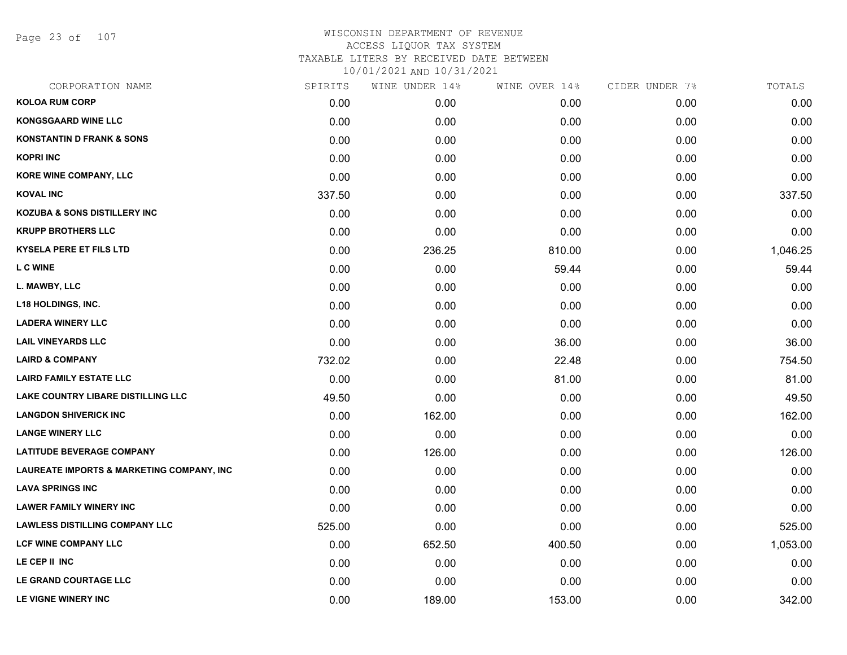Page 23 of 107

| CORPORATION NAME                                     | SPIRITS | WINE UNDER 14% | WINE OVER 14% | CIDER UNDER 7% | TOTALS   |
|------------------------------------------------------|---------|----------------|---------------|----------------|----------|
| <b>KOLOA RUM CORP</b>                                | 0.00    | 0.00           | 0.00          | 0.00           | 0.00     |
| <b>KONGSGAARD WINE LLC</b>                           | 0.00    | 0.00           | 0.00          | 0.00           | 0.00     |
| <b>KONSTANTIN D FRANK &amp; SONS</b>                 | 0.00    | 0.00           | 0.00          | 0.00           | 0.00     |
| <b>KOPRI INC</b>                                     | 0.00    | 0.00           | 0.00          | 0.00           | 0.00     |
| KORE WINE COMPANY, LLC                               | 0.00    | 0.00           | 0.00          | 0.00           | 0.00     |
| <b>KOVAL INC</b>                                     | 337.50  | 0.00           | 0.00          | 0.00           | 337.50   |
| <b>KOZUBA &amp; SONS DISTILLERY INC</b>              | 0.00    | 0.00           | 0.00          | 0.00           | 0.00     |
| <b>KRUPP BROTHERS LLC</b>                            | 0.00    | 0.00           | 0.00          | 0.00           | 0.00     |
| <b>KYSELA PERE ET FILS LTD</b>                       | 0.00    | 236.25         | 810.00        | 0.00           | 1,046.25 |
| <b>L C WINE</b>                                      | 0.00    | 0.00           | 59.44         | 0.00           | 59.44    |
| L. MAWBY, LLC                                        | 0.00    | 0.00           | 0.00          | 0.00           | 0.00     |
| <b>L18 HOLDINGS, INC.</b>                            | 0.00    | 0.00           | 0.00          | 0.00           | 0.00     |
| <b>LADERA WINERY LLC</b>                             | 0.00    | 0.00           | 0.00          | 0.00           | 0.00     |
| <b>LAIL VINEYARDS LLC</b>                            | 0.00    | 0.00           | 36.00         | 0.00           | 36.00    |
| <b>LAIRD &amp; COMPANY</b>                           | 732.02  | 0.00           | 22.48         | 0.00           | 754.50   |
| <b>LAIRD FAMILY ESTATE LLC</b>                       | 0.00    | 0.00           | 81.00         | 0.00           | 81.00    |
| LAKE COUNTRY LIBARE DISTILLING LLC                   | 49.50   | 0.00           | 0.00          | 0.00           | 49.50    |
| <b>LANGDON SHIVERICK INC</b>                         | 0.00    | 162.00         | 0.00          | 0.00           | 162.00   |
| <b>LANGE WINERY LLC</b>                              | 0.00    | 0.00           | 0.00          | 0.00           | 0.00     |
| <b>LATITUDE BEVERAGE COMPANY</b>                     | 0.00    | 126.00         | 0.00          | 0.00           | 126.00   |
| <b>LAUREATE IMPORTS &amp; MARKETING COMPANY, INC</b> | 0.00    | 0.00           | 0.00          | 0.00           | 0.00     |
| <b>LAVA SPRINGS INC</b>                              | 0.00    | 0.00           | 0.00          | 0.00           | 0.00     |
| <b>LAWER FAMILY WINERY INC</b>                       | 0.00    | 0.00           | 0.00          | 0.00           | 0.00     |
| <b>LAWLESS DISTILLING COMPANY LLC</b>                | 525.00  | 0.00           | 0.00          | 0.00           | 525.00   |
| LCF WINE COMPANY LLC                                 | 0.00    | 652.50         | 400.50        | 0.00           | 1,053.00 |
| LE CEP II INC                                        | 0.00    | 0.00           | 0.00          | 0.00           | 0.00     |
| LE GRAND COURTAGE LLC                                | 0.00    | 0.00           | 0.00          | 0.00           | 0.00     |
| LE VIGNE WINERY INC                                  | 0.00    | 189.00         | 153.00        | 0.00           | 342.00   |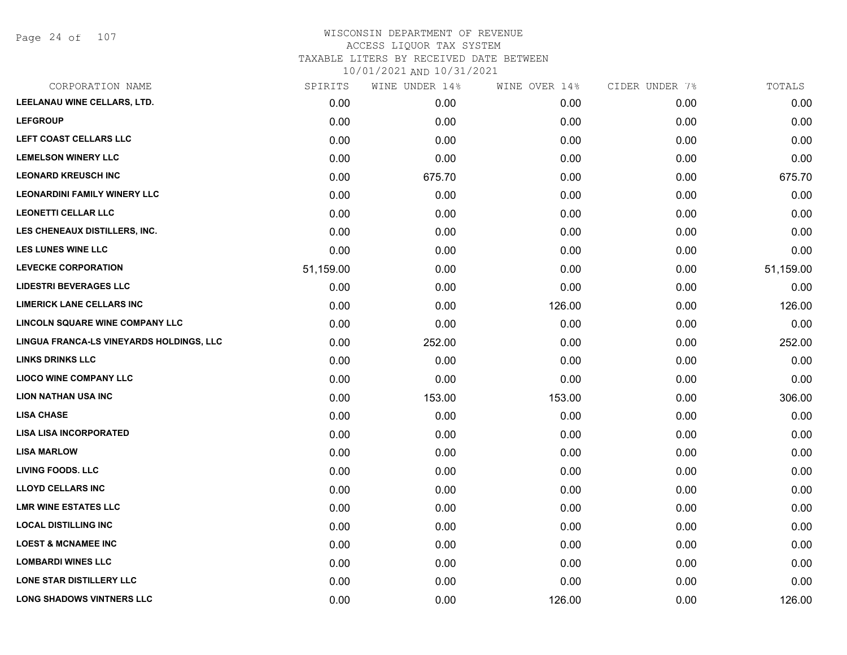## WISCONSIN DEPARTMENT OF REVENUE ACCESS LIQUOR TAX SYSTEM TAXABLE LITERS BY RECEIVED DATE BETWEEN

| CORPORATION NAME                         | SPIRITS   | WINE UNDER 14% | WINE OVER 14% | CIDER UNDER 7% | TOTALS    |
|------------------------------------------|-----------|----------------|---------------|----------------|-----------|
| LEELANAU WINE CELLARS, LTD.              | 0.00      | 0.00           | 0.00          | 0.00           | 0.00      |
| <b>LEFGROUP</b>                          | 0.00      | 0.00           | 0.00          | 0.00           | 0.00      |
| LEFT COAST CELLARS LLC                   | 0.00      | 0.00           | 0.00          | 0.00           | 0.00      |
| <b>LEMELSON WINERY LLC</b>               | 0.00      | 0.00           | 0.00          | 0.00           | 0.00      |
| <b>LEONARD KREUSCH INC</b>               | 0.00      | 675.70         | 0.00          | 0.00           | 675.70    |
| <b>LEONARDINI FAMILY WINERY LLC</b>      | 0.00      | 0.00           | 0.00          | 0.00           | 0.00      |
| <b>LEONETTI CELLAR LLC</b>               | 0.00      | 0.00           | 0.00          | 0.00           | 0.00      |
| LES CHENEAUX DISTILLERS, INC.            | 0.00      | 0.00           | 0.00          | 0.00           | 0.00      |
| <b>LES LUNES WINE LLC</b>                | 0.00      | 0.00           | 0.00          | 0.00           | 0.00      |
| <b>LEVECKE CORPORATION</b>               | 51,159.00 | 0.00           | 0.00          | 0.00           | 51,159.00 |
| <b>LIDESTRI BEVERAGES LLC</b>            | 0.00      | 0.00           | 0.00          | 0.00           | 0.00      |
| <b>LIMERICK LANE CELLARS INC</b>         | 0.00      | 0.00           | 126.00        | 0.00           | 126.00    |
| <b>LINCOLN SQUARE WINE COMPANY LLC</b>   | 0.00      | 0.00           | 0.00          | 0.00           | 0.00      |
| LINGUA FRANCA-LS VINEYARDS HOLDINGS, LLC | 0.00      | 252.00         | 0.00          | 0.00           | 252.00    |
| <b>LINKS DRINKS LLC</b>                  | 0.00      | 0.00           | 0.00          | 0.00           | 0.00      |
| <b>LIOCO WINE COMPANY LLC</b>            | 0.00      | 0.00           | 0.00          | 0.00           | 0.00      |
| <b>LION NATHAN USA INC</b>               | 0.00      | 153.00         | 153.00        | 0.00           | 306.00    |
| <b>LISA CHASE</b>                        | 0.00      | 0.00           | 0.00          | 0.00           | 0.00      |
| <b>LISA LISA INCORPORATED</b>            | 0.00      | 0.00           | 0.00          | 0.00           | 0.00      |
| <b>LISA MARLOW</b>                       | 0.00      | 0.00           | 0.00          | 0.00           | 0.00      |
| <b>LIVING FOODS. LLC</b>                 | 0.00      | 0.00           | 0.00          | 0.00           | 0.00      |
| <b>LLOYD CELLARS INC</b>                 | 0.00      | 0.00           | 0.00          | 0.00           | 0.00      |
| <b>LMR WINE ESTATES LLC</b>              | 0.00      | 0.00           | 0.00          | 0.00           | 0.00      |
| <b>LOCAL DISTILLING INC</b>              | 0.00      | 0.00           | 0.00          | 0.00           | 0.00      |
| <b>LOEST &amp; MCNAMEE INC</b>           | 0.00      | 0.00           | 0.00          | 0.00           | 0.00      |
| <b>LOMBARDI WINES LLC</b>                | 0.00      | 0.00           | 0.00          | 0.00           | 0.00      |
| <b>LONE STAR DISTILLERY LLC</b>          | 0.00      | 0.00           | 0.00          | 0.00           | 0.00      |
| <b>LONG SHADOWS VINTNERS LLC</b>         | 0.00      | 0.00           | 126.00        | 0.00           | 126.00    |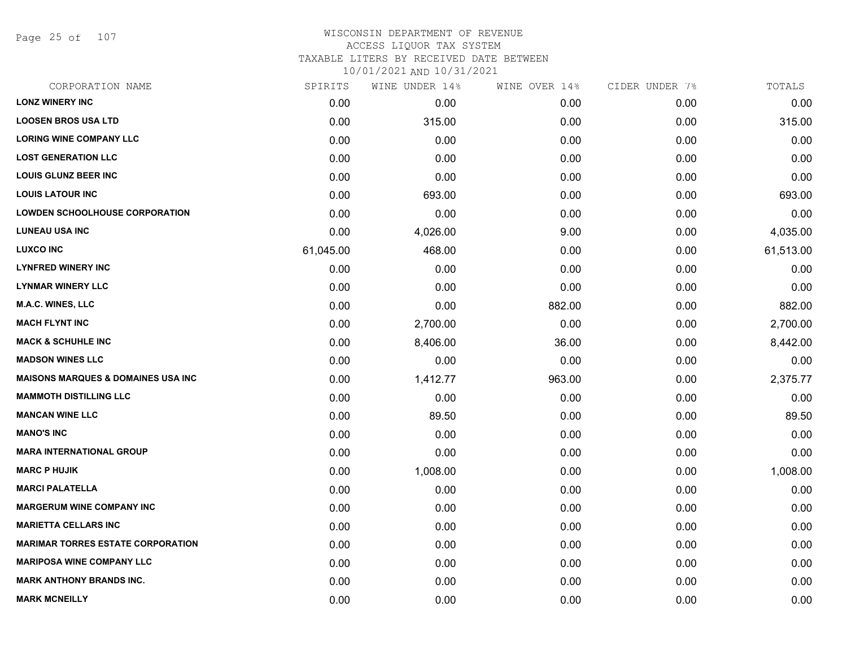Page 25 of 107

#### WISCONSIN DEPARTMENT OF REVENUE ACCESS LIQUOR TAX SYSTEM

TAXABLE LITERS BY RECEIVED DATE BETWEEN

| CORPORATION NAME                               | SPIRITS   | WINE UNDER 14% | WINE OVER 14% | CIDER UNDER 7% | TOTALS    |
|------------------------------------------------|-----------|----------------|---------------|----------------|-----------|
| <b>LONZ WINERY INC</b>                         | 0.00      | 0.00           | 0.00          | 0.00           | 0.00      |
| <b>LOOSEN BROS USA LTD</b>                     | 0.00      | 315.00         | 0.00          | 0.00           | 315.00    |
| <b>LORING WINE COMPANY LLC</b>                 | 0.00      | 0.00           | 0.00          | 0.00           | 0.00      |
| <b>LOST GENERATION LLC</b>                     | 0.00      | 0.00           | 0.00          | 0.00           | 0.00      |
| <b>LOUIS GLUNZ BEER INC</b>                    | 0.00      | 0.00           | 0.00          | 0.00           | 0.00      |
| <b>LOUIS LATOUR INC</b>                        | 0.00      | 693.00         | 0.00          | 0.00           | 693.00    |
| <b>LOWDEN SCHOOLHOUSE CORPORATION</b>          | 0.00      | 0.00           | 0.00          | 0.00           | 0.00      |
| <b>LUNEAU USA INC</b>                          | 0.00      | 4,026.00       | 9.00          | 0.00           | 4,035.00  |
| <b>LUXCO INC</b>                               | 61,045.00 | 468.00         | 0.00          | 0.00           | 61,513.00 |
| <b>LYNFRED WINERY INC</b>                      | 0.00      | 0.00           | 0.00          | 0.00           | 0.00      |
| <b>LYNMAR WINERY LLC</b>                       | 0.00      | 0.00           | 0.00          | 0.00           | 0.00      |
| <b>M.A.C. WINES, LLC</b>                       | 0.00      | 0.00           | 882.00        | 0.00           | 882.00    |
| <b>MACH FLYNT INC</b>                          | 0.00      | 2,700.00       | 0.00          | 0.00           | 2,700.00  |
| <b>MACK &amp; SCHUHLE INC</b>                  | 0.00      | 8,406.00       | 36.00         | 0.00           | 8,442.00  |
| <b>MADSON WINES LLC</b>                        | 0.00      | 0.00           | 0.00          | 0.00           | 0.00      |
| <b>MAISONS MARQUES &amp; DOMAINES USA INC.</b> | 0.00      | 1,412.77       | 963.00        | 0.00           | 2,375.77  |
| <b>MAMMOTH DISTILLING LLC</b>                  | 0.00      | 0.00           | 0.00          | 0.00           | 0.00      |
| <b>MANCAN WINE LLC</b>                         | 0.00      | 89.50          | 0.00          | 0.00           | 89.50     |
| <b>MANO'S INC</b>                              | 0.00      | 0.00           | 0.00          | 0.00           | 0.00      |
| <b>MARA INTERNATIONAL GROUP</b>                | 0.00      | 0.00           | 0.00          | 0.00           | 0.00      |
| <b>MARC P HUJIK</b>                            | 0.00      | 1,008.00       | 0.00          | 0.00           | 1,008.00  |
| <b>MARCI PALATELLA</b>                         | 0.00      | 0.00           | 0.00          | 0.00           | 0.00      |
| <b>MARGERUM WINE COMPANY INC</b>               | 0.00      | 0.00           | 0.00          | 0.00           | 0.00      |
| <b>MARIETTA CELLARS INC</b>                    | 0.00      | 0.00           | 0.00          | 0.00           | 0.00      |
| <b>MARIMAR TORRES ESTATE CORPORATION</b>       | 0.00      | 0.00           | 0.00          | 0.00           | 0.00      |
| <b>MARIPOSA WINE COMPANY LLC</b>               | 0.00      | 0.00           | 0.00          | 0.00           | 0.00      |
| <b>MARK ANTHONY BRANDS INC.</b>                | 0.00      | 0.00           | 0.00          | 0.00           | 0.00      |
| <b>MARK MCNEILLY</b>                           | 0.00      | 0.00           | 0.00          | 0.00           | 0.00      |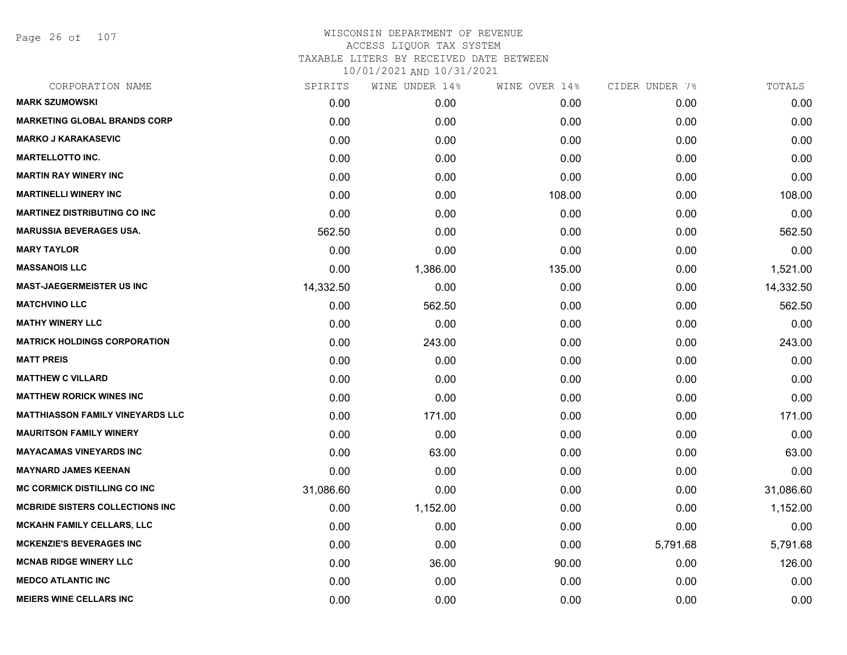Page 26 of 107

| CORPORATION NAME                        | SPIRITS   | WINE UNDER 14% | WINE OVER 14% | CIDER UNDER 7% | TOTALS    |
|-----------------------------------------|-----------|----------------|---------------|----------------|-----------|
| <b>MARK SZUMOWSKI</b>                   | 0.00      | 0.00           | 0.00          | 0.00           | 0.00      |
| <b>MARKETING GLOBAL BRANDS CORP</b>     | 0.00      | 0.00           | 0.00          | 0.00           | 0.00      |
| <b>MARKO J KARAKASEVIC</b>              | 0.00      | 0.00           | 0.00          | 0.00           | 0.00      |
| <b>MARTELLOTTO INC.</b>                 | 0.00      | 0.00           | 0.00          | 0.00           | 0.00      |
| <b>MARTIN RAY WINERY INC</b>            | 0.00      | 0.00           | 0.00          | 0.00           | 0.00      |
| <b>MARTINELLI WINERY INC</b>            | 0.00      | 0.00           | 108.00        | 0.00           | 108.00    |
| <b>MARTINEZ DISTRIBUTING CO INC</b>     | 0.00      | 0.00           | 0.00          | 0.00           | 0.00      |
| <b>MARUSSIA BEVERAGES USA.</b>          | 562.50    | 0.00           | 0.00          | 0.00           | 562.50    |
| <b>MARY TAYLOR</b>                      | 0.00      | 0.00           | 0.00          | 0.00           | 0.00      |
| <b>MASSANOIS LLC</b>                    | 0.00      | 1,386.00       | 135.00        | 0.00           | 1,521.00  |
| MAST-JAEGERMEISTER US INC               | 14,332.50 | 0.00           | 0.00          | 0.00           | 14,332.50 |
| <b>MATCHVINO LLC</b>                    | 0.00      | 562.50         | 0.00          | 0.00           | 562.50    |
| <b>MATHY WINERY LLC</b>                 | 0.00      | 0.00           | 0.00          | 0.00           | 0.00      |
| <b>MATRICK HOLDINGS CORPORATION</b>     | 0.00      | 243.00         | 0.00          | 0.00           | 243.00    |
| <b>MATT PREIS</b>                       | 0.00      | 0.00           | 0.00          | 0.00           | 0.00      |
| <b>MATTHEW C VILLARD</b>                | 0.00      | 0.00           | 0.00          | 0.00           | 0.00      |
| <b>MATTHEW RORICK WINES INC</b>         | 0.00      | 0.00           | 0.00          | 0.00           | 0.00      |
| <b>MATTHIASSON FAMILY VINEYARDS LLC</b> | 0.00      | 171.00         | 0.00          | 0.00           | 171.00    |
| <b>MAURITSON FAMILY WINERY</b>          | 0.00      | 0.00           | 0.00          | 0.00           | 0.00      |
| <b>MAYACAMAS VINEYARDS INC</b>          | 0.00      | 63.00          | 0.00          | 0.00           | 63.00     |
| <b>MAYNARD JAMES KEENAN</b>             | 0.00      | 0.00           | 0.00          | 0.00           | 0.00      |
| <b>MC CORMICK DISTILLING CO INC</b>     | 31,086.60 | 0.00           | 0.00          | 0.00           | 31,086.60 |
| <b>MCBRIDE SISTERS COLLECTIONS INC</b>  | 0.00      | 1,152.00       | 0.00          | 0.00           | 1,152.00  |
| <b>MCKAHN FAMILY CELLARS, LLC</b>       | 0.00      | 0.00           | 0.00          | 0.00           | 0.00      |
| <b>MCKENZIE'S BEVERAGES INC</b>         | 0.00      | 0.00           | 0.00          | 5,791.68       | 5,791.68  |
| <b>MCNAB RIDGE WINERY LLC</b>           | 0.00      | 36.00          | 90.00         | 0.00           | 126.00    |
| <b>MEDCO ATLANTIC INC</b>               | 0.00      | 0.00           | 0.00          | 0.00           | 0.00      |
| <b>MEIERS WINE CELLARS INC</b>          | 0.00      | 0.00           | 0.00          | 0.00           | 0.00      |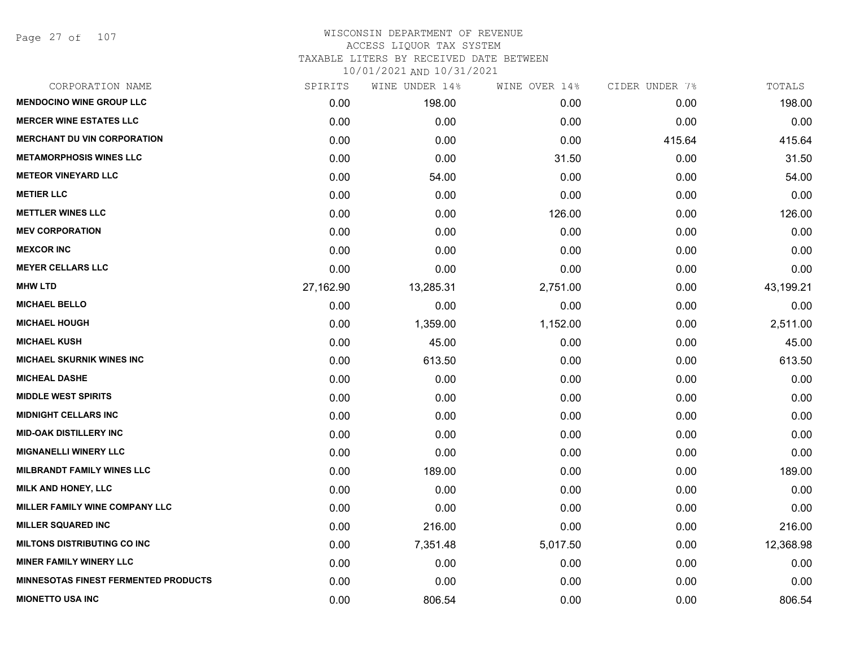Page 27 of 107

# WISCONSIN DEPARTMENT OF REVENUE ACCESS LIQUOR TAX SYSTEM TAXABLE LITERS BY RECEIVED DATE BETWEEN

| CORPORATION NAME                            | SPIRITS   | WINE UNDER 14% | WINE OVER 14% | CIDER UNDER 7% | TOTALS    |
|---------------------------------------------|-----------|----------------|---------------|----------------|-----------|
| <b>MENDOCINO WINE GROUP LLC</b>             | 0.00      | 198.00         | 0.00          | 0.00           | 198.00    |
| <b>MERCER WINE ESTATES LLC</b>              | 0.00      | 0.00           | 0.00          | 0.00           | 0.00      |
| <b>MERCHANT DU VIN CORPORATION</b>          | 0.00      | 0.00           | 0.00          | 415.64         | 415.64    |
| <b>METAMORPHOSIS WINES LLC</b>              | 0.00      | 0.00           | 31.50         | 0.00           | 31.50     |
| <b>METEOR VINEYARD LLC</b>                  | 0.00      | 54.00          | 0.00          | 0.00           | 54.00     |
| <b>METIER LLC</b>                           | 0.00      | 0.00           | 0.00          | 0.00           | 0.00      |
| <b>METTLER WINES LLC</b>                    | 0.00      | 0.00           | 126.00        | 0.00           | 126.00    |
| <b>MEV CORPORATION</b>                      | 0.00      | 0.00           | 0.00          | 0.00           | 0.00      |
| <b>MEXCOR INC</b>                           | 0.00      | 0.00           | 0.00          | 0.00           | 0.00      |
| <b>MEYER CELLARS LLC</b>                    | 0.00      | 0.00           | 0.00          | 0.00           | 0.00      |
| <b>MHW LTD</b>                              | 27,162.90 | 13,285.31      | 2,751.00      | 0.00           | 43,199.21 |
| <b>MICHAEL BELLO</b>                        | 0.00      | 0.00           | 0.00          | 0.00           | 0.00      |
| <b>MICHAEL HOUGH</b>                        | 0.00      | 1,359.00       | 1,152.00      | 0.00           | 2,511.00  |
| <b>MICHAEL KUSH</b>                         | 0.00      | 45.00          | 0.00          | 0.00           | 45.00     |
| <b>MICHAEL SKURNIK WINES INC</b>            | 0.00      | 613.50         | 0.00          | 0.00           | 613.50    |
| <b>MICHEAL DASHE</b>                        | 0.00      | 0.00           | 0.00          | 0.00           | 0.00      |
| <b>MIDDLE WEST SPIRITS</b>                  | 0.00      | 0.00           | 0.00          | 0.00           | 0.00      |
| <b>MIDNIGHT CELLARS INC</b>                 | 0.00      | 0.00           | 0.00          | 0.00           | 0.00      |
| <b>MID-OAK DISTILLERY INC</b>               | 0.00      | 0.00           | 0.00          | 0.00           | 0.00      |
| <b>MIGNANELLI WINERY LLC</b>                | 0.00      | 0.00           | 0.00          | 0.00           | 0.00      |
| <b>MILBRANDT FAMILY WINES LLC</b>           | 0.00      | 189.00         | 0.00          | 0.00           | 189.00    |
| <b>MILK AND HONEY, LLC</b>                  | 0.00      | 0.00           | 0.00          | 0.00           | 0.00      |
| MILLER FAMILY WINE COMPANY LLC              | 0.00      | 0.00           | 0.00          | 0.00           | 0.00      |
| <b>MILLER SQUARED INC</b>                   | 0.00      | 216.00         | 0.00          | 0.00           | 216.00    |
| <b>MILTONS DISTRIBUTING CO INC</b>          | 0.00      | 7,351.48       | 5,017.50      | 0.00           | 12,368.98 |
| <b>MINER FAMILY WINERY LLC</b>              | 0.00      | 0.00           | 0.00          | 0.00           | 0.00      |
| <b>MINNESOTAS FINEST FERMENTED PRODUCTS</b> | 0.00      | 0.00           | 0.00          | 0.00           | 0.00      |
| <b>MIONETTO USA INC</b>                     | 0.00      | 806.54         | 0.00          | 0.00           | 806.54    |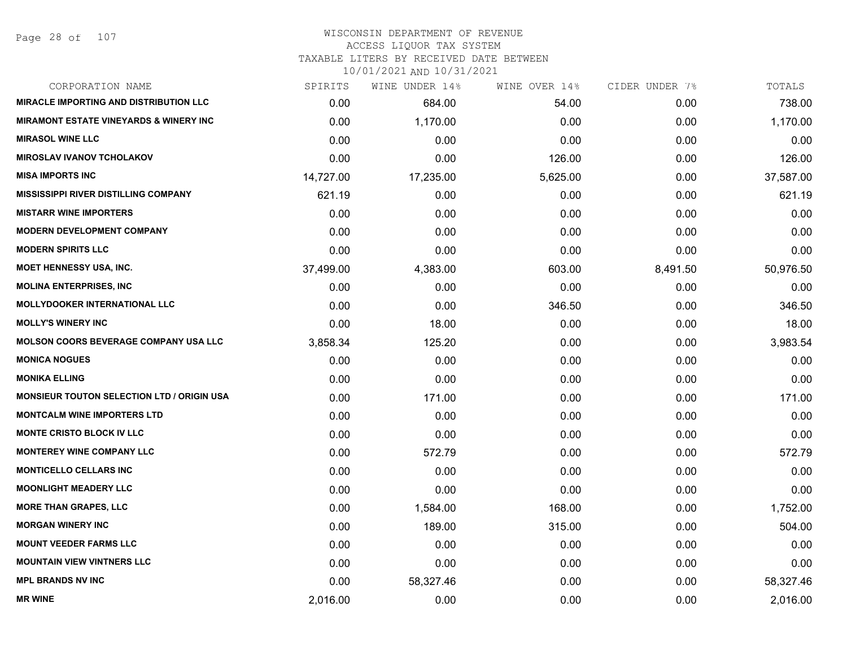#### WISCONSIN DEPARTMENT OF REVENUE ACCESS LIQUOR TAX SYSTEM

TAXABLE LITERS BY RECEIVED DATE BETWEEN

| CORPORATION NAME                                   | SPIRITS   | WINE UNDER 14% | WINE OVER 14% | CIDER UNDER 7% | TOTALS    |
|----------------------------------------------------|-----------|----------------|---------------|----------------|-----------|
| <b>MIRACLE IMPORTING AND DISTRIBUTION LLC</b>      | 0.00      | 684.00         | 54.00         | 0.00           | 738.00    |
| <b>MIRAMONT ESTATE VINEYARDS &amp; WINERY INC.</b> | 0.00      | 1,170.00       | 0.00          | 0.00           | 1,170.00  |
| <b>MIRASOL WINE LLC</b>                            | 0.00      | 0.00           | 0.00          | 0.00           | 0.00      |
| <b>MIROSLAV IVANOV TCHOLAKOV</b>                   | 0.00      | 0.00           | 126.00        | 0.00           | 126.00    |
| <b>MISA IMPORTS INC</b>                            | 14,727.00 | 17,235.00      | 5,625.00      | 0.00           | 37,587.00 |
| <b>MISSISSIPPI RIVER DISTILLING COMPANY</b>        | 621.19    | 0.00           | 0.00          | 0.00           | 621.19    |
| <b>MISTARR WINE IMPORTERS</b>                      | 0.00      | 0.00           | 0.00          | 0.00           | 0.00      |
| <b>MODERN DEVELOPMENT COMPANY</b>                  | 0.00      | 0.00           | 0.00          | 0.00           | 0.00      |
| <b>MODERN SPIRITS LLC</b>                          | 0.00      | 0.00           | 0.00          | 0.00           | 0.00      |
| <b>MOET HENNESSY USA, INC.</b>                     | 37,499.00 | 4,383.00       | 603.00        | 8,491.50       | 50,976.50 |
| <b>MOLINA ENTERPRISES, INC.</b>                    | 0.00      | 0.00           | 0.00          | 0.00           | 0.00      |
| <b>MOLLYDOOKER INTERNATIONAL LLC</b>               | 0.00      | 0.00           | 346.50        | 0.00           | 346.50    |
| <b>MOLLY'S WINERY INC</b>                          | 0.00      | 18.00          | 0.00          | 0.00           | 18.00     |
| <b>MOLSON COORS BEVERAGE COMPANY USA LLC</b>       | 3,858.34  | 125.20         | 0.00          | 0.00           | 3,983.54  |
| <b>MONICA NOGUES</b>                               | 0.00      | 0.00           | 0.00          | 0.00           | 0.00      |
| <b>MONIKA ELLING</b>                               | 0.00      | 0.00           | 0.00          | 0.00           | 0.00      |
| <b>MONSIEUR TOUTON SELECTION LTD / ORIGIN USA</b>  | 0.00      | 171.00         | 0.00          | 0.00           | 171.00    |
| <b>MONTCALM WINE IMPORTERS LTD</b>                 | 0.00      | 0.00           | 0.00          | 0.00           | 0.00      |
| MONTE CRISTO BLOCK IV LLC                          | 0.00      | 0.00           | 0.00          | 0.00           | 0.00      |
| <b>MONTEREY WINE COMPANY LLC</b>                   | 0.00      | 572.79         | 0.00          | 0.00           | 572.79    |
| <b>MONTICELLO CELLARS INC</b>                      | 0.00      | 0.00           | 0.00          | 0.00           | 0.00      |
| <b>MOONLIGHT MEADERY LLC</b>                       | 0.00      | 0.00           | 0.00          | 0.00           | 0.00      |
| <b>MORE THAN GRAPES, LLC</b>                       | 0.00      | 1,584.00       | 168.00        | 0.00           | 1,752.00  |
| <b>MORGAN WINERY INC</b>                           | 0.00      | 189.00         | 315.00        | 0.00           | 504.00    |
| <b>MOUNT VEEDER FARMS LLC</b>                      | 0.00      | 0.00           | 0.00          | 0.00           | 0.00      |
| <b>MOUNTAIN VIEW VINTNERS LLC</b>                  | 0.00      | 0.00           | 0.00          | 0.00           | 0.00      |
| <b>MPL BRANDS NV INC</b>                           | 0.00      | 58,327.46      | 0.00          | 0.00           | 58,327.46 |
| <b>MR WINE</b>                                     | 2,016.00  | 0.00           | 0.00          | 0.00           | 2,016.00  |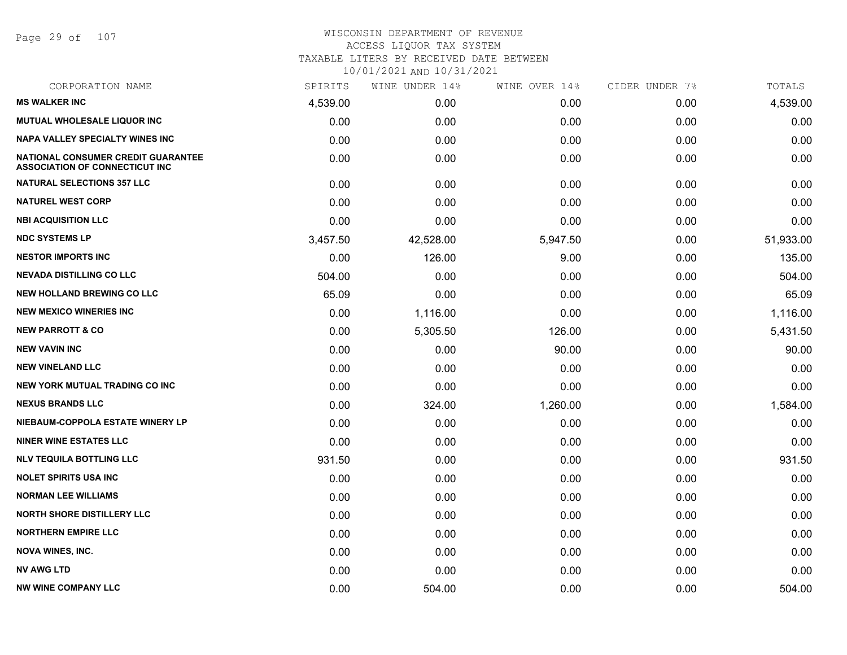Page 29 of 107

| CORPORATION NAME                                                            | SPIRITS  | WINE UNDER 14% | WINE OVER 14% | CIDER UNDER 7% | TOTALS    |
|-----------------------------------------------------------------------------|----------|----------------|---------------|----------------|-----------|
| <b>MS WALKER INC</b>                                                        | 4,539.00 | 0.00           | 0.00          | 0.00           | 4,539.00  |
| MUTUAL WHOLESALE LIQUOR INC                                                 | 0.00     | 0.00           | 0.00          | 0.00           | 0.00      |
| <b>NAPA VALLEY SPECIALTY WINES INC</b>                                      | 0.00     | 0.00           | 0.00          | 0.00           | 0.00      |
| NATIONAL CONSUMER CREDIT GUARANTEE<br><b>ASSOCIATION OF CONNECTICUT INC</b> | 0.00     | 0.00           | 0.00          | 0.00           | 0.00      |
| <b>NATURAL SELECTIONS 357 LLC</b>                                           | 0.00     | 0.00           | 0.00          | 0.00           | 0.00      |
| <b>NATUREL WEST CORP</b>                                                    | 0.00     | 0.00           | 0.00          | 0.00           | 0.00      |
| <b>NBI ACQUISITION LLC</b>                                                  | 0.00     | 0.00           | 0.00          | 0.00           | 0.00      |
| <b>NDC SYSTEMS LP</b>                                                       | 3,457.50 | 42,528.00      | 5,947.50      | 0.00           | 51,933.00 |
| <b>NESTOR IMPORTS INC</b>                                                   | 0.00     | 126.00         | 9.00          | 0.00           | 135.00    |
| <b>NEVADA DISTILLING CO LLC</b>                                             | 504.00   | 0.00           | 0.00          | 0.00           | 504.00    |
| <b>NEW HOLLAND BREWING CO LLC</b>                                           | 65.09    | 0.00           | 0.00          | 0.00           | 65.09     |
| <b>NEW MEXICO WINERIES INC</b>                                              | 0.00     | 1,116.00       | 0.00          | 0.00           | 1,116.00  |
| <b>NEW PARROTT &amp; CO</b>                                                 | 0.00     | 5,305.50       | 126.00        | 0.00           | 5,431.50  |
| <b>NEW VAVIN INC</b>                                                        | 0.00     | 0.00           | 90.00         | 0.00           | 90.00     |
| <b>NEW VINELAND LLC</b>                                                     | 0.00     | 0.00           | 0.00          | 0.00           | 0.00      |
| <b>NEW YORK MUTUAL TRADING CO INC</b>                                       | 0.00     | 0.00           | 0.00          | 0.00           | 0.00      |
| <b>NEXUS BRANDS LLC</b>                                                     | 0.00     | 324.00         | 1,260.00      | 0.00           | 1,584.00  |
| NIEBAUM-COPPOLA ESTATE WINERY LP                                            | 0.00     | 0.00           | 0.00          | 0.00           | 0.00      |
| <b>NINER WINE ESTATES LLC</b>                                               | 0.00     | 0.00           | 0.00          | 0.00           | 0.00      |
| <b>NLV TEQUILA BOTTLING LLC</b>                                             | 931.50   | 0.00           | 0.00          | 0.00           | 931.50    |
| <b>NOLET SPIRITS USA INC</b>                                                | 0.00     | 0.00           | 0.00          | 0.00           | 0.00      |
| <b>NORMAN LEE WILLIAMS</b>                                                  | 0.00     | 0.00           | 0.00          | 0.00           | 0.00      |
| <b>NORTH SHORE DISTILLERY LLC</b>                                           | 0.00     | 0.00           | 0.00          | 0.00           | 0.00      |
| <b>NORTHERN EMPIRE LLC</b>                                                  | 0.00     | 0.00           | 0.00          | 0.00           | 0.00      |
| <b>NOVA WINES, INC.</b>                                                     | 0.00     | 0.00           | 0.00          | 0.00           | 0.00      |
| <b>NV AWG LTD</b>                                                           | 0.00     | 0.00           | 0.00          | 0.00           | 0.00      |
| <b>NW WINE COMPANY LLC</b>                                                  | 0.00     | 504.00         | 0.00          | 0.00           | 504.00    |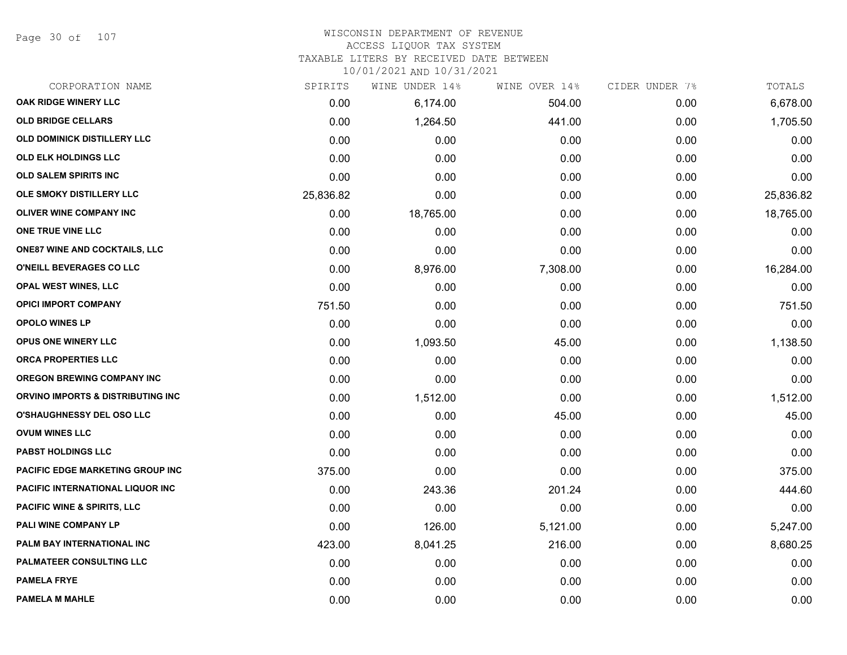Page 30 of 107

#### WISCONSIN DEPARTMENT OF REVENUE ACCESS LIQUOR TAX SYSTEM

TAXABLE LITERS BY RECEIVED DATE BETWEEN

| CORPORATION NAME                        | SPIRITS   | WINE UNDER 14% | WINE OVER 14% | CIDER UNDER 7% | TOTALS    |
|-----------------------------------------|-----------|----------------|---------------|----------------|-----------|
| OAK RIDGE WINERY LLC                    | 0.00      | 6,174.00       | 504.00        | 0.00           | 6,678.00  |
| <b>OLD BRIDGE CELLARS</b>               | 0.00      | 1,264.50       | 441.00        | 0.00           | 1,705.50  |
| <b>OLD DOMINICK DISTILLERY LLC</b>      | 0.00      | 0.00           | 0.00          | 0.00           | 0.00      |
| <b>OLD ELK HOLDINGS LLC</b>             | 0.00      | 0.00           | 0.00          | 0.00           | 0.00      |
| OLD SALEM SPIRITS INC                   | 0.00      | 0.00           | 0.00          | 0.00           | 0.00      |
| OLE SMOKY DISTILLERY LLC                | 25,836.82 | 0.00           | 0.00          | 0.00           | 25,836.82 |
| OLIVER WINE COMPANY INC                 | 0.00      | 18,765.00      | 0.00          | 0.00           | 18,765.00 |
| ONE TRUE VINE LLC                       | 0.00      | 0.00           | 0.00          | 0.00           | 0.00      |
| <b>ONE87 WINE AND COCKTAILS, LLC</b>    | 0.00      | 0.00           | 0.00          | 0.00           | 0.00      |
| O'NEILL BEVERAGES CO LLC                | 0.00      | 8,976.00       | 7,308.00      | 0.00           | 16,284.00 |
| <b>OPAL WEST WINES, LLC</b>             | 0.00      | 0.00           | 0.00          | 0.00           | 0.00      |
| <b>OPICI IMPORT COMPANY</b>             | 751.50    | 0.00           | 0.00          | 0.00           | 751.50    |
| <b>OPOLO WINES LP</b>                   | 0.00      | 0.00           | 0.00          | 0.00           | 0.00      |
| <b>OPUS ONE WINERY LLC</b>              | 0.00      | 1,093.50       | 45.00         | 0.00           | 1,138.50  |
| <b>ORCA PROPERTIES LLC</b>              | 0.00      | 0.00           | 0.00          | 0.00           | 0.00      |
| <b>OREGON BREWING COMPANY INC</b>       | 0.00      | 0.00           | 0.00          | 0.00           | 0.00      |
| ORVINO IMPORTS & DISTRIBUTING INC       | 0.00      | 1,512.00       | 0.00          | 0.00           | 1,512.00  |
| <b>O'SHAUGHNESSY DEL OSO LLC</b>        | 0.00      | 0.00           | 45.00         | 0.00           | 45.00     |
| <b>OVUM WINES LLC</b>                   | 0.00      | 0.00           | 0.00          | 0.00           | 0.00      |
| <b>PABST HOLDINGS LLC</b>               | 0.00      | 0.00           | 0.00          | 0.00           | 0.00      |
| <b>PACIFIC EDGE MARKETING GROUP INC</b> | 375.00    | 0.00           | 0.00          | 0.00           | 375.00    |
| PACIFIC INTERNATIONAL LIQUOR INC        | 0.00      | 243.36         | 201.24        | 0.00           | 444.60    |
| <b>PACIFIC WINE &amp; SPIRITS, LLC</b>  | 0.00      | 0.00           | 0.00          | 0.00           | 0.00      |
| PALI WINE COMPANY LP                    | 0.00      | 126.00         | 5,121.00      | 0.00           | 5,247.00  |
| PALM BAY INTERNATIONAL INC              | 423.00    | 8,041.25       | 216.00        | 0.00           | 8,680.25  |
| <b>PALMATEER CONSULTING LLC</b>         | 0.00      | 0.00           | 0.00          | 0.00           | 0.00      |
| <b>PAMELA FRYE</b>                      | 0.00      | 0.00           | 0.00          | 0.00           | 0.00      |
| <b>PAMELA M MAHLE</b>                   | 0.00      | 0.00           | 0.00          | 0.00           | 0.00      |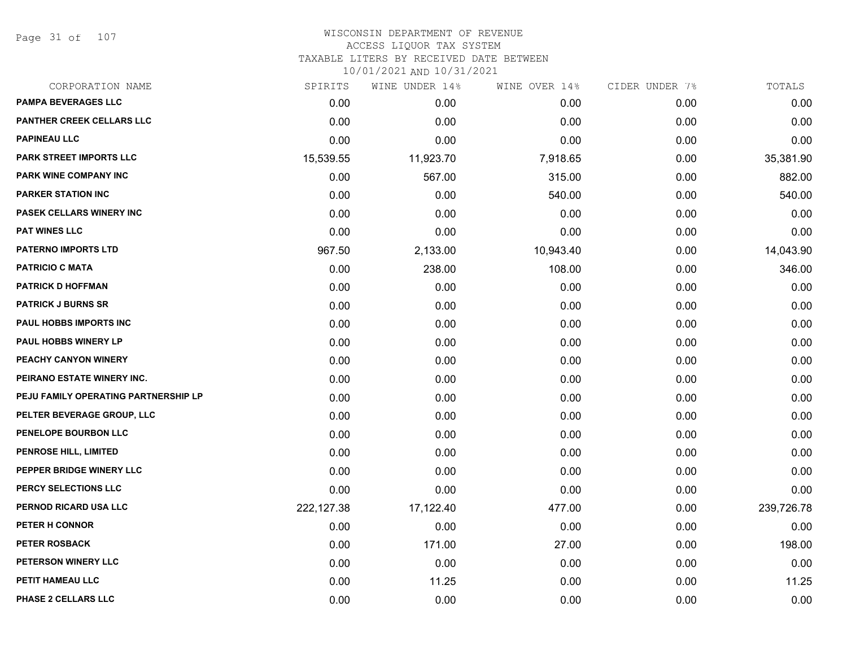Page 31 of 107

| CORPORATION NAME                     | SPIRITS    | WINE UNDER 14% | WINE OVER 14% | CIDER UNDER 7% | TOTALS     |
|--------------------------------------|------------|----------------|---------------|----------------|------------|
| <b>PAMPA BEVERAGES LLC</b>           | 0.00       | 0.00           | 0.00          | 0.00           | 0.00       |
| <b>PANTHER CREEK CELLARS LLC</b>     | 0.00       | 0.00           | 0.00          | 0.00           | 0.00       |
| <b>PAPINEAU LLC</b>                  | 0.00       | 0.00           | 0.00          | 0.00           | 0.00       |
| <b>PARK STREET IMPORTS LLC</b>       | 15,539.55  | 11,923.70      | 7,918.65      | 0.00           | 35,381.90  |
| PARK WINE COMPANY INC                | 0.00       | 567.00         | 315.00        | 0.00           | 882.00     |
| <b>PARKER STATION INC</b>            | 0.00       | 0.00           | 540.00        | 0.00           | 540.00     |
| PASEK CELLARS WINERY INC             | 0.00       | 0.00           | 0.00          | 0.00           | 0.00       |
| <b>PAT WINES LLC</b>                 | 0.00       | 0.00           | 0.00          | 0.00           | 0.00       |
| <b>PATERNO IMPORTS LTD</b>           | 967.50     | 2,133.00       | 10,943.40     | 0.00           | 14,043.90  |
| <b>PATRICIO C MATA</b>               | 0.00       | 238.00         | 108.00        | 0.00           | 346.00     |
| <b>PATRICK D HOFFMAN</b>             | 0.00       | 0.00           | 0.00          | 0.00           | 0.00       |
| <b>PATRICK J BURNS SR</b>            | 0.00       | 0.00           | 0.00          | 0.00           | 0.00       |
| <b>PAUL HOBBS IMPORTS INC</b>        | 0.00       | 0.00           | 0.00          | 0.00           | 0.00       |
| <b>PAUL HOBBS WINERY LP</b>          | 0.00       | 0.00           | 0.00          | 0.00           | 0.00       |
| PEACHY CANYON WINERY                 | 0.00       | 0.00           | 0.00          | 0.00           | 0.00       |
| PEIRANO ESTATE WINERY INC.           | 0.00       | 0.00           | 0.00          | 0.00           | 0.00       |
| PEJU FAMILY OPERATING PARTNERSHIP LP | 0.00       | 0.00           | 0.00          | 0.00           | 0.00       |
| PELTER BEVERAGE GROUP, LLC           | 0.00       | 0.00           | 0.00          | 0.00           | 0.00       |
| PENELOPE BOURBON LLC                 | 0.00       | 0.00           | 0.00          | 0.00           | 0.00       |
| PENROSE HILL, LIMITED                | 0.00       | 0.00           | 0.00          | 0.00           | 0.00       |
| PEPPER BRIDGE WINERY LLC             | 0.00       | 0.00           | 0.00          | 0.00           | 0.00       |
| PERCY SELECTIONS LLC                 | 0.00       | 0.00           | 0.00          | 0.00           | 0.00       |
| PERNOD RICARD USA LLC                | 222,127.38 | 17,122.40      | 477.00        | 0.00           | 239,726.78 |
| PETER H CONNOR                       | 0.00       | 0.00           | 0.00          | 0.00           | 0.00       |
| <b>PETER ROSBACK</b>                 | 0.00       | 171.00         | 27.00         | 0.00           | 198.00     |
| PETERSON WINERY LLC                  | 0.00       | 0.00           | 0.00          | 0.00           | 0.00       |
| PETIT HAMEAU LLC                     | 0.00       | 11.25          | 0.00          | 0.00           | 11.25      |
| PHASE 2 CELLARS LLC                  | 0.00       | 0.00           | 0.00          | 0.00           | 0.00       |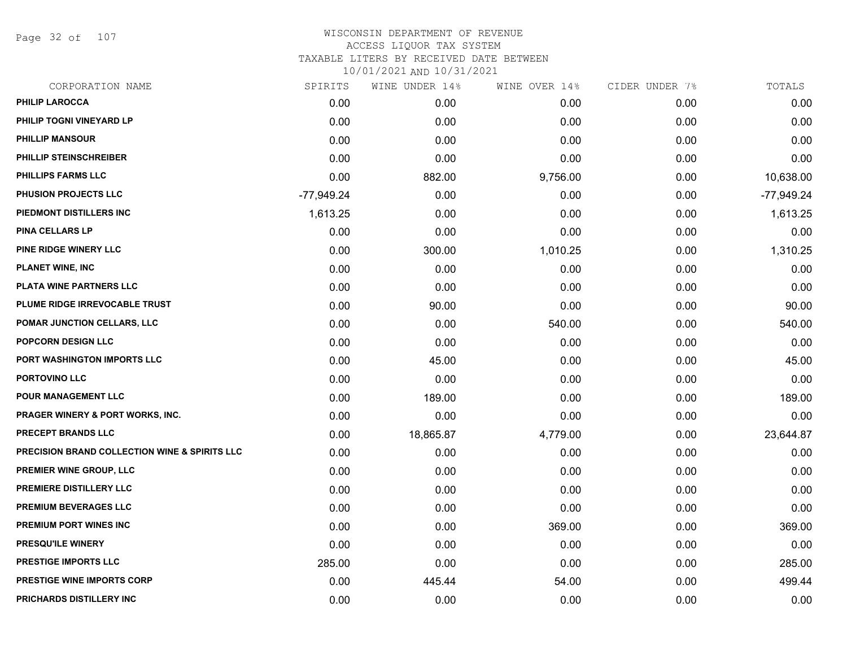Page 32 of 107

| CORPORATION NAME                                         | SPIRITS    | WINE UNDER 14% | WINE OVER 14% | CIDER UNDER 7% | TOTALS       |
|----------------------------------------------------------|------------|----------------|---------------|----------------|--------------|
| <b>PHILIP LAROCCA</b>                                    | 0.00       | 0.00           | 0.00          | 0.00           | 0.00         |
| PHILIP TOGNI VINEYARD LP                                 | 0.00       | 0.00           | 0.00          | 0.00           | 0.00         |
| <b>PHILLIP MANSOUR</b>                                   | 0.00       | 0.00           | 0.00          | 0.00           | 0.00         |
| PHILLIP STEINSCHREIBER                                   | 0.00       | 0.00           | 0.00          | 0.00           | 0.00         |
| <b>PHILLIPS FARMS LLC</b>                                | 0.00       | 882.00         | 9,756.00      | 0.00           | 10,638.00    |
| PHUSION PROJECTS LLC                                     | -77,949.24 | 0.00           | 0.00          | 0.00           | $-77,949.24$ |
| PIEDMONT DISTILLERS INC                                  | 1,613.25   | 0.00           | 0.00          | 0.00           | 1,613.25     |
| <b>PINA CELLARS LP</b>                                   | 0.00       | 0.00           | 0.00          | 0.00           | 0.00         |
| PINE RIDGE WINERY LLC                                    | 0.00       | 300.00         | 1,010.25      | 0.00           | 1,310.25     |
| <b>PLANET WINE, INC</b>                                  | 0.00       | 0.00           | 0.00          | 0.00           | 0.00         |
| PLATA WINE PARTNERS LLC                                  | 0.00       | 0.00           | 0.00          | 0.00           | 0.00         |
| PLUME RIDGE IRREVOCABLE TRUST                            | 0.00       | 90.00          | 0.00          | 0.00           | 90.00        |
| POMAR JUNCTION CELLARS, LLC                              | 0.00       | 0.00           | 540.00        | 0.00           | 540.00       |
| POPCORN DESIGN LLC                                       | 0.00       | 0.00           | 0.00          | 0.00           | 0.00         |
| PORT WASHINGTON IMPORTS LLC                              | 0.00       | 45.00          | 0.00          | 0.00           | 45.00        |
| PORTOVINO LLC                                            | 0.00       | 0.00           | 0.00          | 0.00           | 0.00         |
| <b>POUR MANAGEMENT LLC</b>                               | 0.00       | 189.00         | 0.00          | 0.00           | 189.00       |
| PRAGER WINERY & PORT WORKS, INC.                         | 0.00       | 0.00           | 0.00          | 0.00           | 0.00         |
| PRECEPT BRANDS LLC                                       | 0.00       | 18,865.87      | 4,779.00      | 0.00           | 23,644.87    |
| <b>PRECISION BRAND COLLECTION WINE &amp; SPIRITS LLC</b> | 0.00       | 0.00           | 0.00          | 0.00           | 0.00         |
| PREMIER WINE GROUP, LLC                                  | 0.00       | 0.00           | 0.00          | 0.00           | 0.00         |
| PREMIERE DISTILLERY LLC                                  | 0.00       | 0.00           | 0.00          | 0.00           | 0.00         |
| PREMIUM BEVERAGES LLC                                    | 0.00       | 0.00           | 0.00          | 0.00           | 0.00         |
| <b>PREMIUM PORT WINES INC</b>                            | 0.00       | 0.00           | 369.00        | 0.00           | 369.00       |
| <b>PRESQU'ILE WINERY</b>                                 | 0.00       | 0.00           | 0.00          | 0.00           | 0.00         |
| <b>PRESTIGE IMPORTS LLC</b>                              | 285.00     | 0.00           | 0.00          | 0.00           | 285.00       |
| <b>PRESTIGE WINE IMPORTS CORP</b>                        | 0.00       | 445.44         | 54.00         | 0.00           | 499.44       |
| PRICHARDS DISTILLERY INC                                 | 0.00       | 0.00           | 0.00          | 0.00           | 0.00         |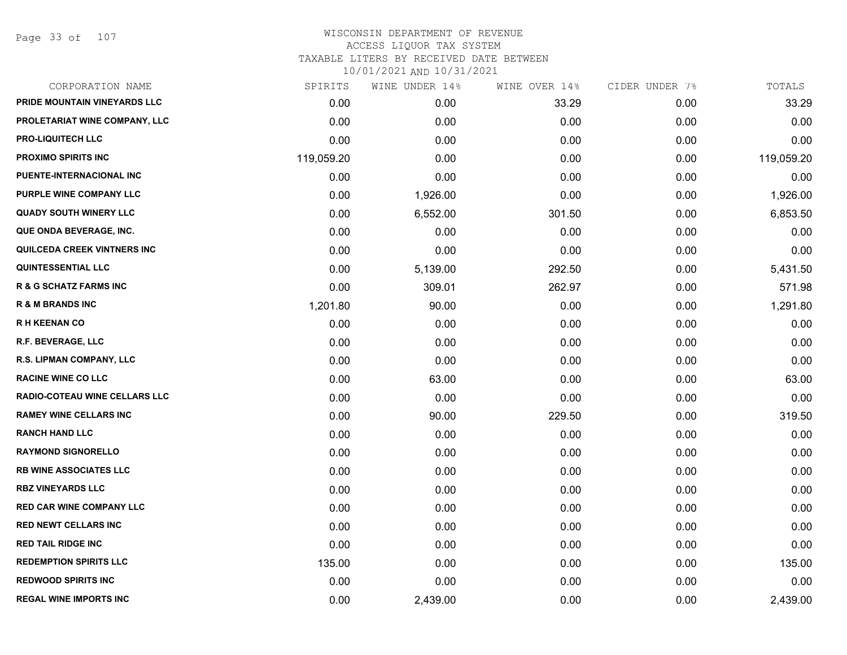Page 33 of 107

## WISCONSIN DEPARTMENT OF REVENUE ACCESS LIQUOR TAX SYSTEM TAXABLE LITERS BY RECEIVED DATE BETWEEN

| CORPORATION NAME                     | SPIRITS    | WINE UNDER 14% | WINE OVER 14% | CIDER UNDER 7% | TOTALS     |
|--------------------------------------|------------|----------------|---------------|----------------|------------|
| PRIDE MOUNTAIN VINEYARDS LLC         | 0.00       | 0.00           | 33.29         | 0.00           | 33.29      |
| PROLETARIAT WINE COMPANY, LLC        | 0.00       | 0.00           | 0.00          | 0.00           | 0.00       |
| <b>PRO-LIQUITECH LLC</b>             | 0.00       | 0.00           | 0.00          | 0.00           | 0.00       |
| <b>PROXIMO SPIRITS INC</b>           | 119,059.20 | 0.00           | 0.00          | 0.00           | 119,059.20 |
| PUENTE-INTERNACIONAL INC             | 0.00       | 0.00           | 0.00          | 0.00           | 0.00       |
| PURPLE WINE COMPANY LLC              | 0.00       | 1,926.00       | 0.00          | 0.00           | 1,926.00   |
| <b>QUADY SOUTH WINERY LLC</b>        | 0.00       | 6,552.00       | 301.50        | 0.00           | 6,853.50   |
| QUE ONDA BEVERAGE, INC.              | 0.00       | 0.00           | 0.00          | 0.00           | 0.00       |
| QUILCEDA CREEK VINTNERS INC          | 0.00       | 0.00           | 0.00          | 0.00           | 0.00       |
| <b>QUINTESSENTIAL LLC</b>            | 0.00       | 5,139.00       | 292.50        | 0.00           | 5,431.50   |
| <b>R &amp; G SCHATZ FARMS INC</b>    | 0.00       | 309.01         | 262.97        | 0.00           | 571.98     |
| <b>R &amp; M BRANDS INC</b>          | 1,201.80   | 90.00          | 0.00          | 0.00           | 1,291.80   |
| <b>RH KEENAN CO</b>                  | 0.00       | 0.00           | 0.00          | 0.00           | 0.00       |
| R.F. BEVERAGE, LLC                   | 0.00       | 0.00           | 0.00          | 0.00           | 0.00       |
| R.S. LIPMAN COMPANY, LLC             | 0.00       | 0.00           | 0.00          | 0.00           | 0.00       |
| <b>RACINE WINE CO LLC</b>            | 0.00       | 63.00          | 0.00          | 0.00           | 63.00      |
| <b>RADIO-COTEAU WINE CELLARS LLC</b> | 0.00       | 0.00           | 0.00          | 0.00           | 0.00       |
| <b>RAMEY WINE CELLARS INC</b>        | 0.00       | 90.00          | 229.50        | 0.00           | 319.50     |
| <b>RANCH HAND LLC</b>                | 0.00       | 0.00           | 0.00          | 0.00           | 0.00       |
| <b>RAYMOND SIGNORELLO</b>            | 0.00       | 0.00           | 0.00          | 0.00           | 0.00       |
| <b>RB WINE ASSOCIATES LLC</b>        | 0.00       | 0.00           | 0.00          | 0.00           | 0.00       |
| <b>RBZ VINEYARDS LLC</b>             | 0.00       | 0.00           | 0.00          | 0.00           | 0.00       |
| <b>RED CAR WINE COMPANY LLC</b>      | 0.00       | 0.00           | 0.00          | 0.00           | 0.00       |
| <b>RED NEWT CELLARS INC</b>          | 0.00       | 0.00           | 0.00          | 0.00           | 0.00       |
| <b>RED TAIL RIDGE INC</b>            | 0.00       | 0.00           | 0.00          | 0.00           | 0.00       |
| <b>REDEMPTION SPIRITS LLC</b>        | 135.00     | 0.00           | 0.00          | 0.00           | 135.00     |
| <b>REDWOOD SPIRITS INC</b>           | 0.00       | 0.00           | 0.00          | 0.00           | 0.00       |
| <b>REGAL WINE IMPORTS INC</b>        | 0.00       | 2,439.00       | 0.00          | 0.00           | 2,439.00   |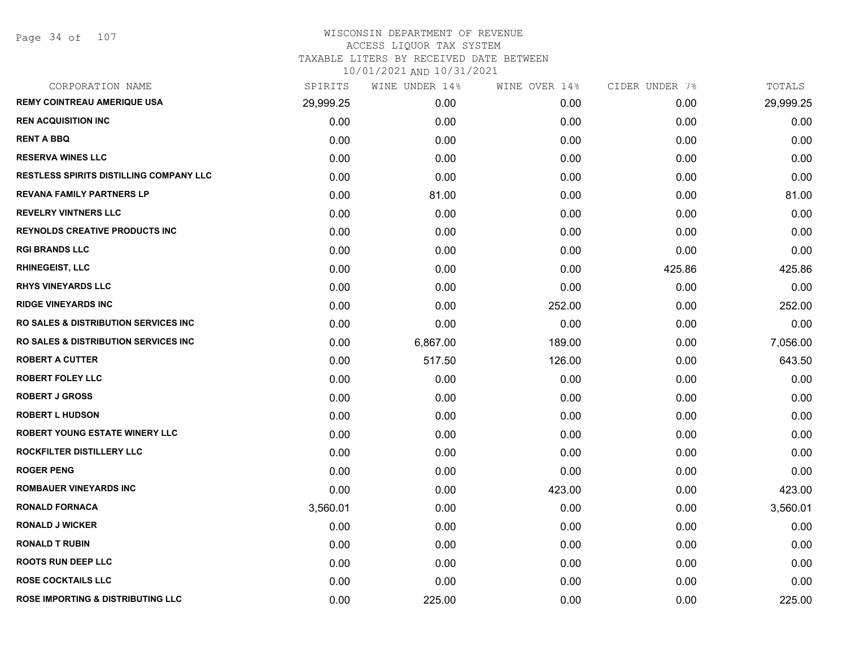# WISCONSIN DEPARTMENT OF REVENUE ACCESS LIQUOR TAX SYSTEM TAXABLE LITERS BY RECEIVED DATE BETWEEN

| CORPORATION NAME                                 | SPIRITS   | WINE UNDER 14% | WINE OVER 14% | CIDER UNDER 7% | TOTALS    |
|--------------------------------------------------|-----------|----------------|---------------|----------------|-----------|
| <b>REMY COINTREAU AMERIQUE USA</b>               | 29,999.25 | 0.00           | 0.00          | 0.00           | 29,999.25 |
| <b>REN ACQUISITION INC</b>                       | 0.00      | 0.00           | 0.00          | 0.00           | 0.00      |
| <b>RENT A BBQ</b>                                | 0.00      | 0.00           | 0.00          | 0.00           | 0.00      |
| <b>RESERVA WINES LLC</b>                         | 0.00      | 0.00           | 0.00          | 0.00           | 0.00      |
| <b>RESTLESS SPIRITS DISTILLING COMPANY LLC</b>   | 0.00      | 0.00           | 0.00          | 0.00           | 0.00      |
| <b>REVANA FAMILY PARTNERS LP</b>                 | 0.00      | 81.00          | 0.00          | 0.00           | 81.00     |
| <b>REVELRY VINTNERS LLC</b>                      | 0.00      | 0.00           | 0.00          | 0.00           | 0.00      |
| <b>REYNOLDS CREATIVE PRODUCTS INC</b>            | 0.00      | 0.00           | 0.00          | 0.00           | 0.00      |
| <b>RGI BRANDS LLC</b>                            | 0.00      | 0.00           | 0.00          | 0.00           | 0.00      |
| <b>RHINEGEIST, LLC</b>                           | 0.00      | 0.00           | 0.00          | 425.86         | 425.86    |
| <b>RHYS VINEYARDS LLC</b>                        | 0.00      | 0.00           | 0.00          | 0.00           | 0.00      |
| <b>RIDGE VINEYARDS INC</b>                       | 0.00      | 0.00           | 252.00        | 0.00           | 252.00    |
| <b>RO SALES &amp; DISTRIBUTION SERVICES INC.</b> | 0.00      | 0.00           | 0.00          | 0.00           | 0.00      |
| <b>RO SALES &amp; DISTRIBUTION SERVICES INC.</b> | 0.00      | 6,867.00       | 189.00        | 0.00           | 7,056.00  |
| <b>ROBERT A CUTTER</b>                           | 0.00      | 517.50         | 126.00        | 0.00           | 643.50    |
| <b>ROBERT FOLEY LLC</b>                          | 0.00      | 0.00           | 0.00          | 0.00           | 0.00      |
| <b>ROBERT J GROSS</b>                            | 0.00      | 0.00           | 0.00          | 0.00           | 0.00      |
| <b>ROBERT L HUDSON</b>                           | 0.00      | 0.00           | 0.00          | 0.00           | 0.00      |
| <b>ROBERT YOUNG ESTATE WINERY LLC</b>            | 0.00      | 0.00           | 0.00          | 0.00           | 0.00      |
| ROCKFILTER DISTILLERY LLC                        | 0.00      | 0.00           | 0.00          | 0.00           | 0.00      |
| <b>ROGER PENG</b>                                | 0.00      | 0.00           | 0.00          | 0.00           | 0.00      |
| <b>ROMBAUER VINEYARDS INC</b>                    | 0.00      | 0.00           | 423.00        | 0.00           | 423.00    |
| <b>RONALD FORNACA</b>                            | 3,560.01  | 0.00           | 0.00          | 0.00           | 3,560.01  |
| <b>RONALD J WICKER</b>                           | 0.00      | 0.00           | 0.00          | 0.00           | 0.00      |
| <b>RONALD T RUBIN</b>                            | 0.00      | 0.00           | 0.00          | 0.00           | 0.00      |
| <b>ROOTS RUN DEEP LLC</b>                        | 0.00      | 0.00           | 0.00          | 0.00           | 0.00      |
| <b>ROSE COCKTAILS LLC</b>                        | 0.00      | 0.00           | 0.00          | 0.00           | 0.00      |
| <b>ROSE IMPORTING &amp; DISTRIBUTING LLC</b>     | 0.00      | 225.00         | 0.00          | 0.00           | 225.00    |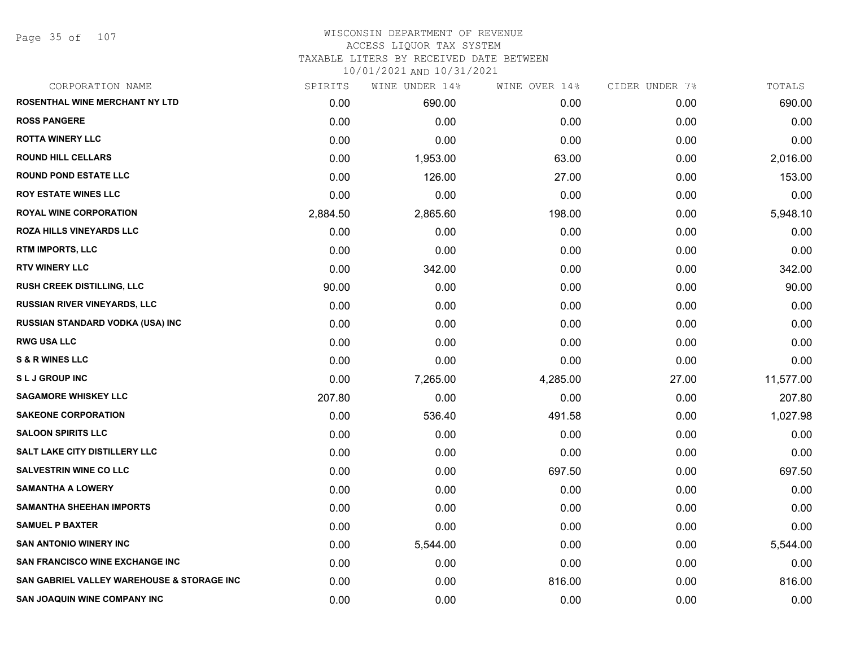Page 35 of 107

# WISCONSIN DEPARTMENT OF REVENUE ACCESS LIQUOR TAX SYSTEM TAXABLE LITERS BY RECEIVED DATE BETWEEN

| CORPORATION NAME                           | SPIRITS  | WINE UNDER 14% | WINE OVER 14% | CIDER UNDER 7% | TOTALS    |
|--------------------------------------------|----------|----------------|---------------|----------------|-----------|
| ROSENTHAL WINE MERCHANT NY LTD             | 0.00     | 690.00         | 0.00          | 0.00           | 690.00    |
| <b>ROSS PANGERE</b>                        | 0.00     | 0.00           | 0.00          | 0.00           | 0.00      |
| <b>ROTTA WINERY LLC</b>                    | 0.00     | 0.00           | 0.00          | 0.00           | 0.00      |
| <b>ROUND HILL CELLARS</b>                  | 0.00     | 1,953.00       | 63.00         | 0.00           | 2,016.00  |
| <b>ROUND POND ESTATE LLC</b>               | 0.00     | 126.00         | 27.00         | 0.00           | 153.00    |
| <b>ROY ESTATE WINES LLC</b>                | 0.00     | 0.00           | 0.00          | 0.00           | 0.00      |
| <b>ROYAL WINE CORPORATION</b>              | 2,884.50 | 2,865.60       | 198.00        | 0.00           | 5,948.10  |
| <b>ROZA HILLS VINEYARDS LLC</b>            | 0.00     | 0.00           | 0.00          | 0.00           | 0.00      |
| RTM IMPORTS, LLC                           | 0.00     | 0.00           | 0.00          | 0.00           | 0.00      |
| <b>RTV WINERY LLC</b>                      | 0.00     | 342.00         | 0.00          | 0.00           | 342.00    |
| RUSH CREEK DISTILLING, LLC                 | 90.00    | 0.00           | 0.00          | 0.00           | 90.00     |
| RUSSIAN RIVER VINEYARDS, LLC               | 0.00     | 0.00           | 0.00          | 0.00           | 0.00      |
| <b>RUSSIAN STANDARD VODKA (USA) INC</b>    | 0.00     | 0.00           | 0.00          | 0.00           | 0.00      |
| <b>RWG USA LLC</b>                         | 0.00     | 0.00           | 0.00          | 0.00           | 0.00      |
| <b>S &amp; R WINES LLC</b>                 | 0.00     | 0.00           | 0.00          | 0.00           | 0.00      |
| <b>SLJ GROUP INC</b>                       | 0.00     | 7,265.00       | 4,285.00      | 27.00          | 11,577.00 |
| <b>SAGAMORE WHISKEY LLC</b>                | 207.80   | 0.00           | 0.00          | 0.00           | 207.80    |
| <b>SAKEONE CORPORATION</b>                 | 0.00     | 536.40         | 491.58        | 0.00           | 1,027.98  |
| <b>SALOON SPIRITS LLC</b>                  | 0.00     | 0.00           | 0.00          | 0.00           | 0.00      |
| <b>SALT LAKE CITY DISTILLERY LLC</b>       | 0.00     | 0.00           | 0.00          | 0.00           | 0.00      |
| <b>SALVESTRIN WINE CO LLC</b>              | 0.00     | 0.00           | 697.50        | 0.00           | 697.50    |
| <b>SAMANTHA A LOWERY</b>                   | 0.00     | 0.00           | 0.00          | 0.00           | 0.00      |
| <b>SAMANTHA SHEEHAN IMPORTS</b>            | 0.00     | 0.00           | 0.00          | 0.00           | 0.00      |
| <b>SAMUEL P BAXTER</b>                     | 0.00     | 0.00           | 0.00          | 0.00           | 0.00      |
| <b>SAN ANTONIO WINERY INC</b>              | 0.00     | 5,544.00       | 0.00          | 0.00           | 5,544.00  |
| <b>SAN FRANCISCO WINE EXCHANGE INC</b>     | 0.00     | 0.00           | 0.00          | 0.00           | 0.00      |
| SAN GABRIEL VALLEY WAREHOUSE & STORAGE INC | 0.00     | 0.00           | 816.00        | 0.00           | 816.00    |
| <b>SAN JOAQUIN WINE COMPANY INC</b>        | 0.00     | 0.00           | 0.00          | 0.00           | 0.00      |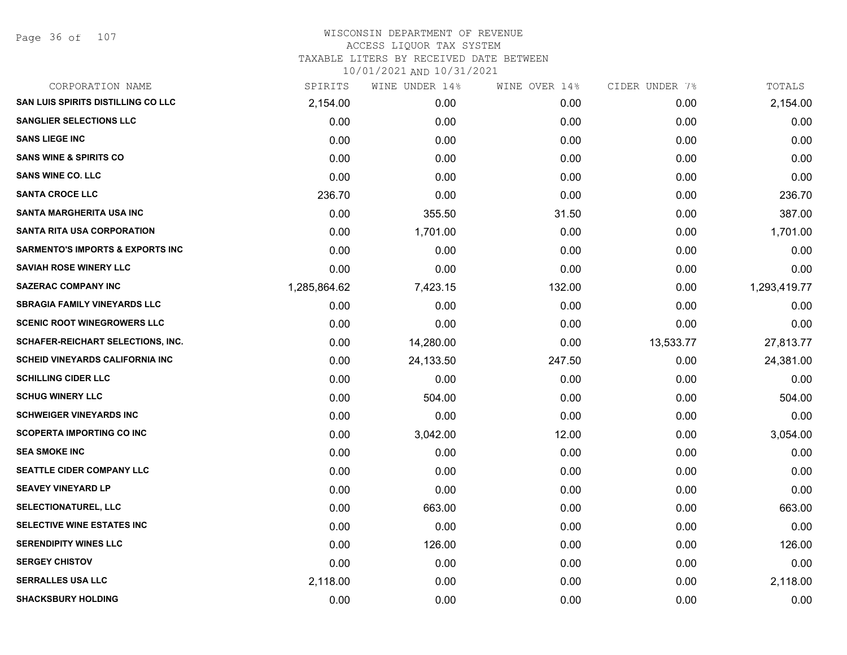Page 36 of 107

| CORPORATION NAME                            | SPIRITS      | WINE UNDER 14% | WINE OVER 14% | CIDER UNDER 7% | TOTALS       |
|---------------------------------------------|--------------|----------------|---------------|----------------|--------------|
| <b>SAN LUIS SPIRITS DISTILLING CO LLC</b>   | 2,154.00     | 0.00           | 0.00          | 0.00           | 2,154.00     |
| <b>SANGLIER SELECTIONS LLC</b>              | 0.00         | 0.00           | 0.00          | 0.00           | 0.00         |
| <b>SANS LIEGE INC</b>                       | 0.00         | 0.00           | 0.00          | 0.00           | 0.00         |
| <b>SANS WINE &amp; SPIRITS CO</b>           | 0.00         | 0.00           | 0.00          | 0.00           | 0.00         |
| <b>SANS WINE CO. LLC</b>                    | 0.00         | 0.00           | 0.00          | 0.00           | 0.00         |
| <b>SANTA CROCE LLC</b>                      | 236.70       | 0.00           | 0.00          | 0.00           | 236.70       |
| <b>SANTA MARGHERITA USA INC</b>             | 0.00         | 355.50         | 31.50         | 0.00           | 387.00       |
| <b>SANTA RITA USA CORPORATION</b>           | 0.00         | 1,701.00       | 0.00          | 0.00           | 1,701.00     |
| <b>SARMENTO'S IMPORTS &amp; EXPORTS INC</b> | 0.00         | 0.00           | 0.00          | 0.00           | 0.00         |
| <b>SAVIAH ROSE WINERY LLC</b>               | 0.00         | 0.00           | 0.00          | 0.00           | 0.00         |
| <b>SAZERAC COMPANY INC</b>                  | 1,285,864.62 | 7,423.15       | 132.00        | 0.00           | 1,293,419.77 |
| <b>SBRAGIA FAMILY VINEYARDS LLC</b>         | 0.00         | 0.00           | 0.00          | 0.00           | 0.00         |
| <b>SCENIC ROOT WINEGROWERS LLC</b>          | 0.00         | 0.00           | 0.00          | 0.00           | 0.00         |
| <b>SCHAFER-REICHART SELECTIONS, INC.</b>    | 0.00         | 14,280.00      | 0.00          | 13,533.77      | 27,813.77    |
| <b>SCHEID VINEYARDS CALIFORNIA INC</b>      | 0.00         | 24,133.50      | 247.50        | 0.00           | 24,381.00    |
| <b>SCHILLING CIDER LLC</b>                  | 0.00         | 0.00           | 0.00          | 0.00           | 0.00         |
| <b>SCHUG WINERY LLC</b>                     | 0.00         | 504.00         | 0.00          | 0.00           | 504.00       |
| <b>SCHWEIGER VINEYARDS INC</b>              | 0.00         | 0.00           | 0.00          | 0.00           | 0.00         |
| <b>SCOPERTA IMPORTING CO INC</b>            | 0.00         | 3,042.00       | 12.00         | 0.00           | 3,054.00     |
| <b>SEA SMOKE INC</b>                        | 0.00         | 0.00           | 0.00          | 0.00           | 0.00         |
| SEATTLE CIDER COMPANY LLC                   | 0.00         | 0.00           | 0.00          | 0.00           | 0.00         |
| <b>SEAVEY VINEYARD LP</b>                   | 0.00         | 0.00           | 0.00          | 0.00           | 0.00         |
| <b>SELECTIONATUREL, LLC</b>                 | 0.00         | 663.00         | 0.00          | 0.00           | 663.00       |
| SELECTIVE WINE ESTATES INC                  | 0.00         | 0.00           | 0.00          | 0.00           | 0.00         |
| <b>SERENDIPITY WINES LLC</b>                | 0.00         | 126.00         | 0.00          | 0.00           | 126.00       |
| <b>SERGEY CHISTOV</b>                       | 0.00         | 0.00           | 0.00          | 0.00           | 0.00         |
| <b>SERRALLES USA LLC</b>                    | 2,118.00     | 0.00           | 0.00          | 0.00           | 2,118.00     |
| <b>SHACKSBURY HOLDING</b>                   | 0.00         | 0.00           | 0.00          | 0.00           | 0.00         |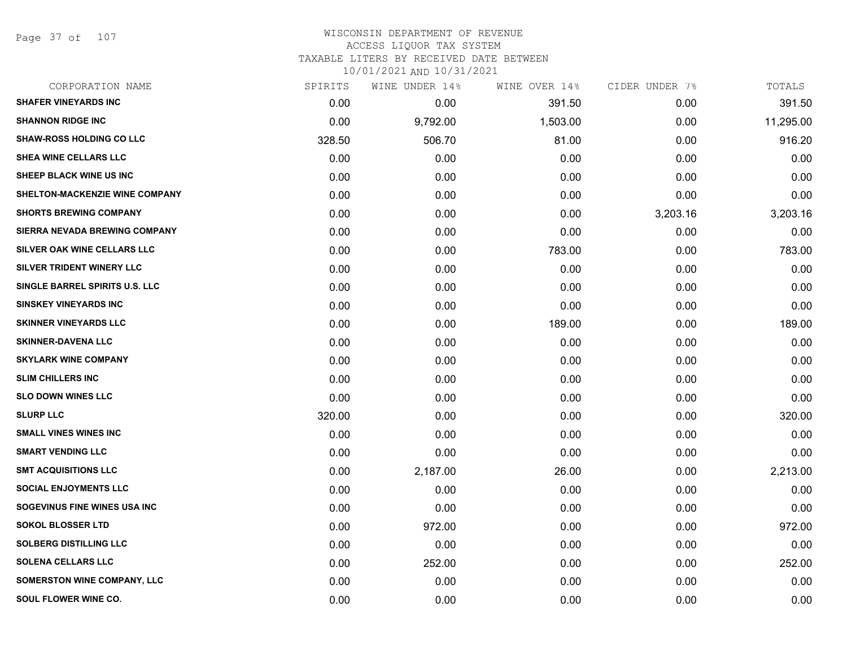Page 37 of 107

| CORPORATION NAME                     | SPIRITS | WINE UNDER 14% | WINE OVER 14% | CIDER UNDER 7% | TOTALS    |
|--------------------------------------|---------|----------------|---------------|----------------|-----------|
| <b>SHAFER VINEYARDS INC</b>          | 0.00    | 0.00           | 391.50        | 0.00           | 391.50    |
| <b>SHANNON RIDGE INC</b>             | 0.00    | 9,792.00       | 1,503.00      | 0.00           | 11,295.00 |
| <b>SHAW-ROSS HOLDING CO LLC</b>      | 328.50  | 506.70         | 81.00         | 0.00           | 916.20    |
| <b>SHEA WINE CELLARS LLC</b>         | 0.00    | 0.00           | 0.00          | 0.00           | 0.00      |
| SHEEP BLACK WINE US INC              | 0.00    | 0.00           | 0.00          | 0.00           | 0.00      |
| SHELTON-MACKENZIE WINE COMPANY       | 0.00    | 0.00           | 0.00          | 0.00           | 0.00      |
| <b>SHORTS BREWING COMPANY</b>        | 0.00    | 0.00           | 0.00          | 3,203.16       | 3,203.16  |
| <b>SIERRA NEVADA BREWING COMPANY</b> | 0.00    | 0.00           | 0.00          | 0.00           | 0.00      |
| SILVER OAK WINE CELLARS LLC          | 0.00    | 0.00           | 783.00        | 0.00           | 783.00    |
| <b>SILVER TRIDENT WINERY LLC</b>     | 0.00    | 0.00           | 0.00          | 0.00           | 0.00      |
| SINGLE BARREL SPIRITS U.S. LLC       | 0.00    | 0.00           | 0.00          | 0.00           | 0.00      |
| <b>SINSKEY VINEYARDS INC</b>         | 0.00    | 0.00           | 0.00          | 0.00           | 0.00      |
| <b>SKINNER VINEYARDS LLC</b>         | 0.00    | 0.00           | 189.00        | 0.00           | 189.00    |
| <b>SKINNER-DAVENA LLC</b>            | 0.00    | 0.00           | 0.00          | 0.00           | 0.00      |
| <b>SKYLARK WINE COMPANY</b>          | 0.00    | 0.00           | 0.00          | 0.00           | 0.00      |
| <b>SLIM CHILLERS INC</b>             | 0.00    | 0.00           | 0.00          | 0.00           | 0.00      |
| <b>SLO DOWN WINES LLC</b>            | 0.00    | 0.00           | 0.00          | 0.00           | 0.00      |
| <b>SLURP LLC</b>                     | 320.00  | 0.00           | 0.00          | 0.00           | 320.00    |
| <b>SMALL VINES WINES INC</b>         | 0.00    | 0.00           | 0.00          | 0.00           | 0.00      |
| <b>SMART VENDING LLC</b>             | 0.00    | 0.00           | 0.00          | 0.00           | 0.00      |
| <b>SMT ACQUISITIONS LLC</b>          | 0.00    | 2,187.00       | 26.00         | 0.00           | 2,213.00  |
| <b>SOCIAL ENJOYMENTS LLC</b>         | 0.00    | 0.00           | 0.00          | 0.00           | 0.00      |
| SOGEVINUS FINE WINES USA INC         | 0.00    | 0.00           | 0.00          | 0.00           | 0.00      |
| <b>SOKOL BLOSSER LTD</b>             | 0.00    | 972.00         | 0.00          | 0.00           | 972.00    |
| <b>SOLBERG DISTILLING LLC</b>        | 0.00    | 0.00           | 0.00          | 0.00           | 0.00      |
| <b>SOLENA CELLARS LLC</b>            | 0.00    | 252.00         | 0.00          | 0.00           | 252.00    |
| SOMERSTON WINE COMPANY, LLC          | 0.00    | 0.00           | 0.00          | 0.00           | 0.00      |
| <b>SOUL FLOWER WINE CO.</b>          | 0.00    | 0.00           | 0.00          | 0.00           | 0.00      |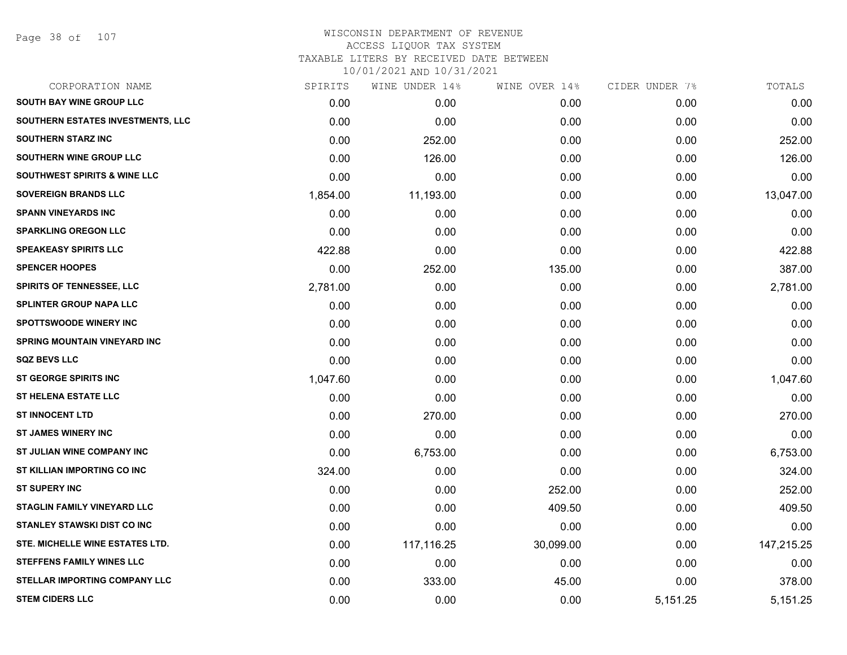| CORPORATION NAME                        | SPIRITS  | WINE UNDER 14% | WINE OVER 14% | CIDER UNDER 7% | TOTALS     |
|-----------------------------------------|----------|----------------|---------------|----------------|------------|
| <b>SOUTH BAY WINE GROUP LLC</b>         | 0.00     | 0.00           | 0.00          | 0.00           | 0.00       |
| SOUTHERN ESTATES INVESTMENTS, LLC       | 0.00     | 0.00           | 0.00          | 0.00           | 0.00       |
| <b>SOUTHERN STARZ INC</b>               | 0.00     | 252.00         | 0.00          | 0.00           | 252.00     |
| SOUTHERN WINE GROUP LLC                 | 0.00     | 126.00         | 0.00          | 0.00           | 126.00     |
| <b>SOUTHWEST SPIRITS &amp; WINE LLC</b> | 0.00     | 0.00           | 0.00          | 0.00           | 0.00       |
| <b>SOVEREIGN BRANDS LLC</b>             | 1,854.00 | 11,193.00      | 0.00          | 0.00           | 13,047.00  |
| <b>SPANN VINEYARDS INC</b>              | 0.00     | 0.00           | 0.00          | 0.00           | 0.00       |
| <b>SPARKLING OREGON LLC</b>             | 0.00     | 0.00           | 0.00          | 0.00           | 0.00       |
| <b>SPEAKEASY SPIRITS LLC</b>            | 422.88   | 0.00           | 0.00          | 0.00           | 422.88     |
| <b>SPENCER HOOPES</b>                   | 0.00     | 252.00         | 135.00        | 0.00           | 387.00     |
| <b>SPIRITS OF TENNESSEE, LLC</b>        | 2,781.00 | 0.00           | 0.00          | 0.00           | 2,781.00   |
| <b>SPLINTER GROUP NAPA LLC</b>          | 0.00     | 0.00           | 0.00          | 0.00           | 0.00       |
| <b>SPOTTSWOODE WINERY INC</b>           | 0.00     | 0.00           | 0.00          | 0.00           | 0.00       |
| <b>SPRING MOUNTAIN VINEYARD INC</b>     | 0.00     | 0.00           | 0.00          | 0.00           | 0.00       |
| <b>SQZ BEVS LLC</b>                     | 0.00     | 0.00           | 0.00          | 0.00           | 0.00       |
| ST GEORGE SPIRITS INC                   | 1,047.60 | 0.00           | 0.00          | 0.00           | 1,047.60   |
| <b>ST HELENA ESTATE LLC</b>             | 0.00     | 0.00           | 0.00          | 0.00           | 0.00       |
| <b>ST INNOCENT LTD</b>                  | 0.00     | 270.00         | 0.00          | 0.00           | 270.00     |
| <b>ST JAMES WINERY INC</b>              | 0.00     | 0.00           | 0.00          | 0.00           | 0.00       |
| ST JULIAN WINE COMPANY INC              | 0.00     | 6,753.00       | 0.00          | 0.00           | 6,753.00   |
| ST KILLIAN IMPORTING CO INC             | 324.00   | 0.00           | 0.00          | 0.00           | 324.00     |
| <b>ST SUPERY INC</b>                    | 0.00     | 0.00           | 252.00        | 0.00           | 252.00     |
| STAGLIN FAMILY VINEYARD LLC             | 0.00     | 0.00           | 409.50        | 0.00           | 409.50     |
| <b>STANLEY STAWSKI DIST CO INC</b>      | 0.00     | 0.00           | 0.00          | 0.00           | 0.00       |
| STE. MICHELLE WINE ESTATES LTD.         | 0.00     | 117,116.25     | 30,099.00     | 0.00           | 147,215.25 |
| <b>STEFFENS FAMILY WINES LLC</b>        | 0.00     | 0.00           | 0.00          | 0.00           | 0.00       |
| <b>STELLAR IMPORTING COMPANY LLC</b>    | 0.00     | 333.00         | 45.00         | 0.00           | 378.00     |
| <b>STEM CIDERS LLC</b>                  | 0.00     | 0.00           | 0.00          | 5,151.25       | 5,151.25   |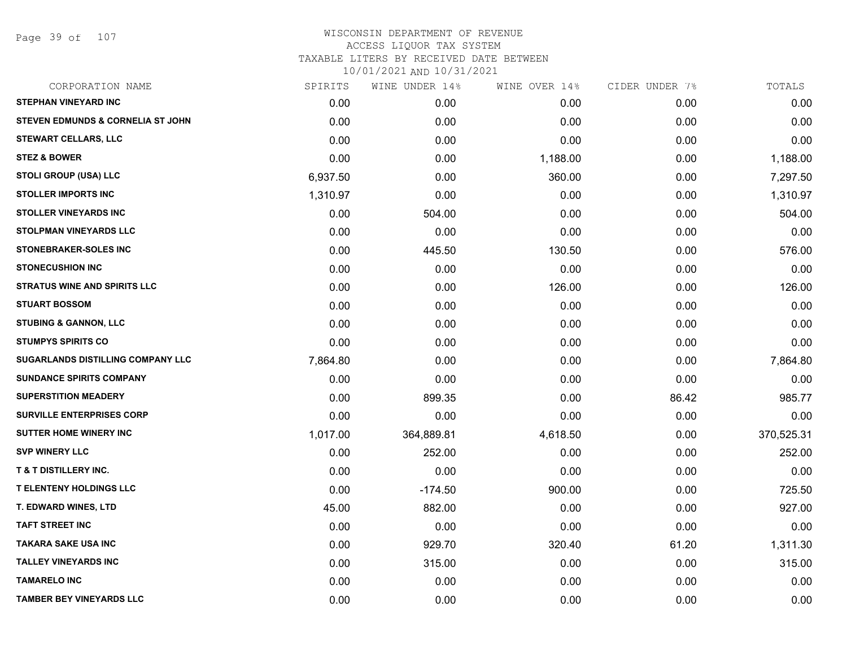Page 39 of 107

| CORPORATION NAME                         | SPIRITS  | WINE UNDER 14% | WINE OVER 14% | CIDER UNDER 7% | TOTALS     |
|------------------------------------------|----------|----------------|---------------|----------------|------------|
| <b>STEPHAN VINEYARD INC</b>              | 0.00     | 0.00           | 0.00          | 0.00           | 0.00       |
| STEVEN EDMUNDS & CORNELIA ST JOHN        | 0.00     | 0.00           | 0.00          | 0.00           | 0.00       |
| <b>STEWART CELLARS, LLC</b>              | 0.00     | 0.00           | 0.00          | 0.00           | 0.00       |
| <b>STEZ &amp; BOWER</b>                  | 0.00     | 0.00           | 1,188.00      | 0.00           | 1,188.00   |
| <b>STOLI GROUP (USA) LLC</b>             | 6,937.50 | 0.00           | 360.00        | 0.00           | 7,297.50   |
| <b>STOLLER IMPORTS INC</b>               | 1,310.97 | 0.00           | 0.00          | 0.00           | 1,310.97   |
| <b>STOLLER VINEYARDS INC</b>             | 0.00     | 504.00         | 0.00          | 0.00           | 504.00     |
| <b>STOLPMAN VINEYARDS LLC</b>            | 0.00     | 0.00           | 0.00          | 0.00           | 0.00       |
| <b>STONEBRAKER-SOLES INC</b>             | 0.00     | 445.50         | 130.50        | 0.00           | 576.00     |
| <b>STONECUSHION INC</b>                  | 0.00     | 0.00           | 0.00          | 0.00           | 0.00       |
| <b>STRATUS WINE AND SPIRITS LLC</b>      | 0.00     | 0.00           | 126.00        | 0.00           | 126.00     |
| <b>STUART BOSSOM</b>                     | 0.00     | 0.00           | 0.00          | 0.00           | 0.00       |
| <b>STUBING &amp; GANNON, LLC</b>         | 0.00     | 0.00           | 0.00          | 0.00           | 0.00       |
| <b>STUMPYS SPIRITS CO</b>                | 0.00     | 0.00           | 0.00          | 0.00           | 0.00       |
| <b>SUGARLANDS DISTILLING COMPANY LLC</b> | 7,864.80 | 0.00           | 0.00          | 0.00           | 7,864.80   |
| <b>SUNDANCE SPIRITS COMPANY</b>          | 0.00     | 0.00           | 0.00          | 0.00           | 0.00       |
| <b>SUPERSTITION MEADERY</b>              | 0.00     | 899.35         | 0.00          | 86.42          | 985.77     |
| <b>SURVILLE ENTERPRISES CORP</b>         | 0.00     | 0.00           | 0.00          | 0.00           | 0.00       |
| <b>SUTTER HOME WINERY INC</b>            | 1,017.00 | 364,889.81     | 4,618.50      | 0.00           | 370,525.31 |
| <b>SVP WINERY LLC</b>                    | 0.00     | 252.00         | 0.00          | 0.00           | 252.00     |
| <b>T &amp; T DISTILLERY INC.</b>         | 0.00     | 0.00           | 0.00          | 0.00           | 0.00       |
| <b>T ELENTENY HOLDINGS LLC</b>           | 0.00     | $-174.50$      | 900.00        | 0.00           | 725.50     |
| <b>T. EDWARD WINES, LTD</b>              | 45.00    | 882.00         | 0.00          | 0.00           | 927.00     |
| <b>TAFT STREET INC</b>                   | 0.00     | 0.00           | 0.00          | 0.00           | 0.00       |
| <b>TAKARA SAKE USA INC</b>               | 0.00     | 929.70         | 320.40        | 61.20          | 1,311.30   |
| <b>TALLEY VINEYARDS INC</b>              | 0.00     | 315.00         | 0.00          | 0.00           | 315.00     |
| <b>TAMARELO INC</b>                      | 0.00     | 0.00           | 0.00          | 0.00           | 0.00       |
| <b>TAMBER BEY VINEYARDS LLC</b>          | 0.00     | 0.00           | 0.00          | 0.00           | 0.00       |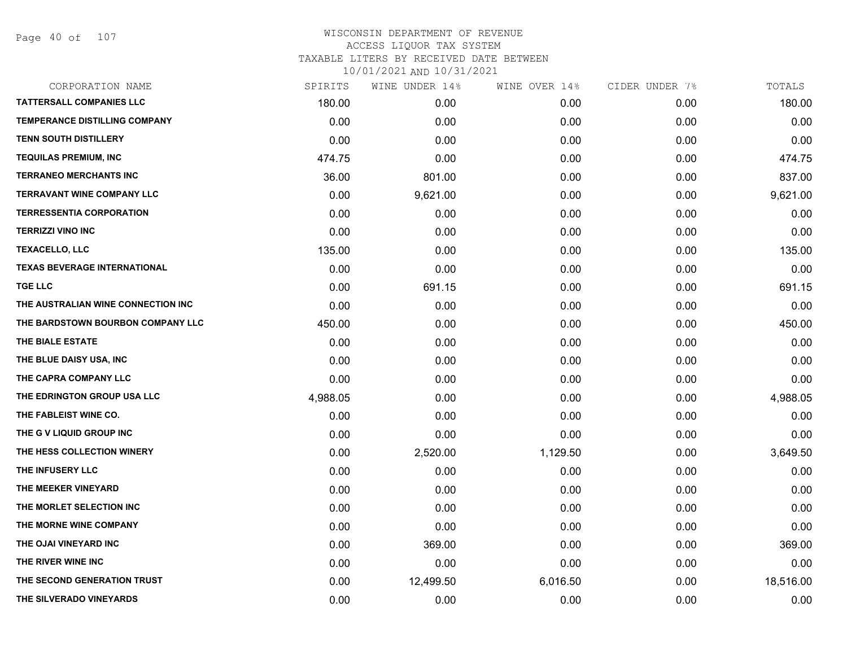| CORPORATION NAME                    | SPIRITS  | WINE UNDER 14% | WINE OVER 14% | CIDER UNDER 7% | TOTALS    |
|-------------------------------------|----------|----------------|---------------|----------------|-----------|
| <b>TATTERSALL COMPANIES LLC</b>     | 180.00   | 0.00           | 0.00          | 0.00           | 180.00    |
| TEMPERANCE DISTILLING COMPANY       | 0.00     | 0.00           | 0.00          | 0.00           | 0.00      |
| <b>TENN SOUTH DISTILLERY</b>        | 0.00     | 0.00           | 0.00          | 0.00           | 0.00      |
| <b>TEQUILAS PREMIUM, INC</b>        | 474.75   | 0.00           | 0.00          | 0.00           | 474.75    |
| <b>TERRANEO MERCHANTS INC</b>       | 36.00    | 801.00         | 0.00          | 0.00           | 837.00    |
| <b>TERRAVANT WINE COMPANY LLC</b>   | 0.00     | 9,621.00       | 0.00          | 0.00           | 9,621.00  |
| <b>TERRESSENTIA CORPORATION</b>     | 0.00     | 0.00           | 0.00          | 0.00           | 0.00      |
| <b>TERRIZZI VINO INC</b>            | 0.00     | 0.00           | 0.00          | 0.00           | 0.00      |
| <b>TEXACELLO, LLC</b>               | 135.00   | 0.00           | 0.00          | 0.00           | 135.00    |
| <b>TEXAS BEVERAGE INTERNATIONAL</b> | 0.00     | 0.00           | 0.00          | 0.00           | 0.00      |
| <b>TGE LLC</b>                      | 0.00     | 691.15         | 0.00          | 0.00           | 691.15    |
| THE AUSTRALIAN WINE CONNECTION INC  | 0.00     | 0.00           | 0.00          | 0.00           | 0.00      |
| THE BARDSTOWN BOURBON COMPANY LLC   | 450.00   | 0.00           | 0.00          | 0.00           | 450.00    |
| THE BIALE ESTATE                    | 0.00     | 0.00           | 0.00          | 0.00           | 0.00      |
| THE BLUE DAISY USA, INC             | 0.00     | 0.00           | 0.00          | 0.00           | 0.00      |
| THE CAPRA COMPANY LLC               | 0.00     | 0.00           | 0.00          | 0.00           | 0.00      |
| THE EDRINGTON GROUP USA LLC         | 4,988.05 | 0.00           | 0.00          | 0.00           | 4,988.05  |
| THE FABLEIST WINE CO.               | 0.00     | 0.00           | 0.00          | 0.00           | 0.00      |
| THE G V LIQUID GROUP INC            | 0.00     | 0.00           | 0.00          | 0.00           | 0.00      |
| THE HESS COLLECTION WINERY          | 0.00     | 2,520.00       | 1,129.50      | 0.00           | 3,649.50  |
| THE INFUSERY LLC                    | 0.00     | 0.00           | 0.00          | 0.00           | 0.00      |
| THE MEEKER VINEYARD                 | 0.00     | 0.00           | 0.00          | 0.00           | 0.00      |
| THE MORLET SELECTION INC            | 0.00     | 0.00           | 0.00          | 0.00           | 0.00      |
| THE MORNE WINE COMPANY              | 0.00     | 0.00           | 0.00          | 0.00           | 0.00      |
| THE OJAI VINEYARD INC               | 0.00     | 369.00         | 0.00          | 0.00           | 369.00    |
| THE RIVER WINE INC                  | 0.00     | 0.00           | 0.00          | 0.00           | 0.00      |
| THE SECOND GENERATION TRUST         | 0.00     | 12,499.50      | 6,016.50      | 0.00           | 18,516.00 |
| THE SILVERADO VINEYARDS             | 0.00     | 0.00           | 0.00          | 0.00           | 0.00      |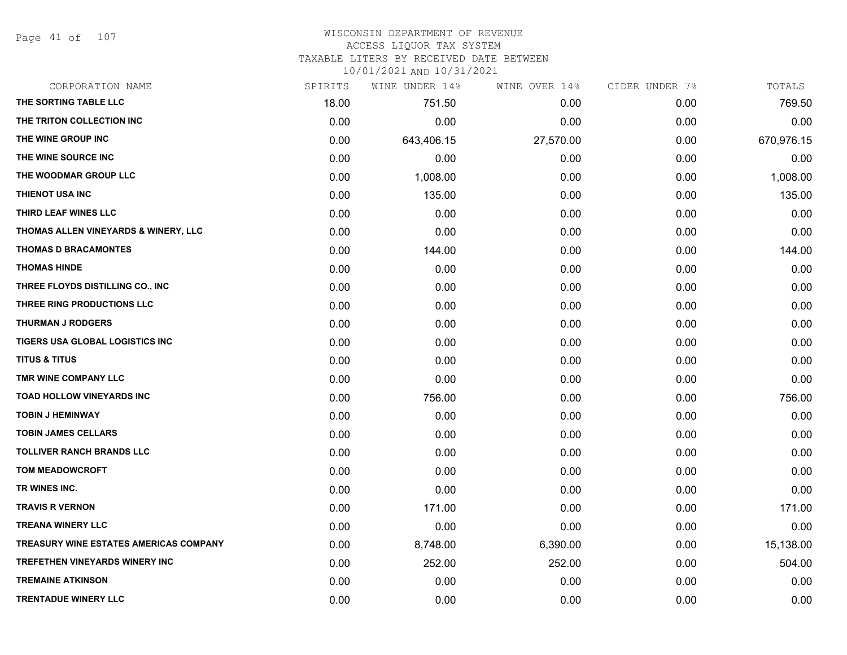Page 41 of 107

# WISCONSIN DEPARTMENT OF REVENUE ACCESS LIQUOR TAX SYSTEM

TAXABLE LITERS BY RECEIVED DATE BETWEEN

| CORPORATION NAME                       | SPIRITS | WINE UNDER 14% | WINE OVER 14% | CIDER UNDER 7% | TOTALS     |
|----------------------------------------|---------|----------------|---------------|----------------|------------|
| THE SORTING TABLE LLC                  | 18.00   | 751.50         | 0.00          | 0.00           | 769.50     |
| THE TRITON COLLECTION INC              | 0.00    | 0.00           | 0.00          | 0.00           | 0.00       |
| THE WINE GROUP INC                     | 0.00    | 643,406.15     | 27,570.00     | 0.00           | 670,976.15 |
| THE WINE SOURCE INC                    | 0.00    | 0.00           | 0.00          | 0.00           | 0.00       |
| THE WOODMAR GROUP LLC                  | 0.00    | 1,008.00       | 0.00          | 0.00           | 1,008.00   |
| THIENOT USA INC                        | 0.00    | 135.00         | 0.00          | 0.00           | 135.00     |
| THIRD LEAF WINES LLC                   | 0.00    | 0.00           | 0.00          | 0.00           | 0.00       |
| THOMAS ALLEN VINEYARDS & WINERY, LLC   | 0.00    | 0.00           | 0.00          | 0.00           | 0.00       |
| <b>THOMAS D BRACAMONTES</b>            | 0.00    | 144.00         | 0.00          | 0.00           | 144.00     |
| <b>THOMAS HINDE</b>                    | 0.00    | 0.00           | 0.00          | 0.00           | 0.00       |
| THREE FLOYDS DISTILLING CO., INC       | 0.00    | 0.00           | 0.00          | 0.00           | 0.00       |
| THREE RING PRODUCTIONS LLC             | 0.00    | 0.00           | 0.00          | 0.00           | 0.00       |
| <b>THURMAN J RODGERS</b>               | 0.00    | 0.00           | 0.00          | 0.00           | 0.00       |
| TIGERS USA GLOBAL LOGISTICS INC        | 0.00    | 0.00           | 0.00          | 0.00           | 0.00       |
| <b>TITUS &amp; TITUS</b>               | 0.00    | 0.00           | 0.00          | 0.00           | 0.00       |
| TMR WINE COMPANY LLC                   | 0.00    | 0.00           | 0.00          | 0.00           | 0.00       |
| TOAD HOLLOW VINEYARDS INC              | 0.00    | 756.00         | 0.00          | 0.00           | 756.00     |
| <b>TOBIN J HEMINWAY</b>                | 0.00    | 0.00           | 0.00          | 0.00           | 0.00       |
| <b>TOBIN JAMES CELLARS</b>             | 0.00    | 0.00           | 0.00          | 0.00           | 0.00       |
| <b>TOLLIVER RANCH BRANDS LLC</b>       | 0.00    | 0.00           | 0.00          | 0.00           | 0.00       |
| <b>TOM MEADOWCROFT</b>                 | 0.00    | 0.00           | 0.00          | 0.00           | 0.00       |
| TR WINES INC.                          | 0.00    | 0.00           | 0.00          | 0.00           | 0.00       |
| <b>TRAVIS R VERNON</b>                 | 0.00    | 171.00         | 0.00          | 0.00           | 171.00     |
| <b>TREANA WINERY LLC</b>               | 0.00    | 0.00           | 0.00          | 0.00           | 0.00       |
| TREASURY WINE ESTATES AMERICAS COMPANY | 0.00    | 8,748.00       | 6,390.00      | 0.00           | 15,138.00  |
| <b>TREFETHEN VINEYARDS WINERY INC</b>  | 0.00    | 252.00         | 252.00        | 0.00           | 504.00     |
| <b>TREMAINE ATKINSON</b>               | 0.00    | 0.00           | 0.00          | 0.00           | 0.00       |
| <b>TRENTADUE WINERY LLC</b>            | 0.00    | 0.00           | 0.00          | 0.00           | 0.00       |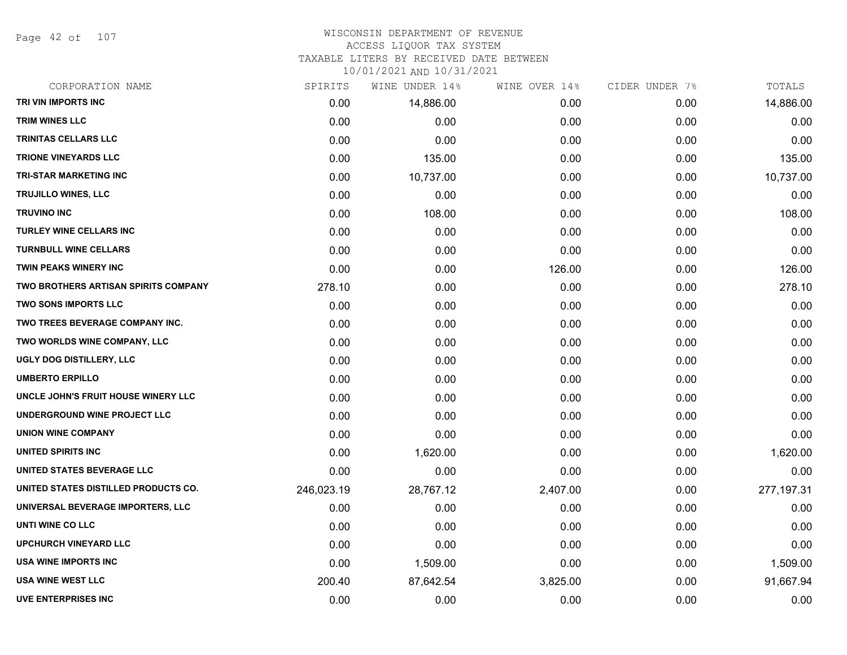Page 42 of 107

#### WISCONSIN DEPARTMENT OF REVENUE ACCESS LIQUOR TAX SYSTEM

TAXABLE LITERS BY RECEIVED DATE BETWEEN

| CORPORATION NAME                            | SPIRITS    | WINE UNDER 14% | WINE OVER 14% | CIDER UNDER 7% | TOTALS      |
|---------------------------------------------|------------|----------------|---------------|----------------|-------------|
| TRI VIN IMPORTS INC                         | 0.00       | 14,886.00      | 0.00          | 0.00           | 14,886.00   |
| <b>TRIM WINES LLC</b>                       | 0.00       | 0.00           | 0.00          | 0.00           | 0.00        |
| <b>TRINITAS CELLARS LLC</b>                 | 0.00       | 0.00           | 0.00          | 0.00           | 0.00        |
| <b>TRIONE VINEYARDS LLC</b>                 | 0.00       | 135.00         | 0.00          | 0.00           | 135.00      |
| <b>TRI-STAR MARKETING INC</b>               | 0.00       | 10,737.00      | 0.00          | 0.00           | 10,737.00   |
| <b>TRUJILLO WINES, LLC</b>                  | 0.00       | 0.00           | 0.00          | 0.00           | 0.00        |
| <b>TRUVINO INC</b>                          | 0.00       | 108.00         | 0.00          | 0.00           | 108.00      |
| TURLEY WINE CELLARS INC                     | 0.00       | 0.00           | 0.00          | 0.00           | 0.00        |
| <b>TURNBULL WINE CELLARS</b>                | 0.00       | 0.00           | 0.00          | 0.00           | 0.00        |
| TWIN PEAKS WINERY INC                       | 0.00       | 0.00           | 126.00        | 0.00           | 126.00      |
| <b>TWO BROTHERS ARTISAN SPIRITS COMPANY</b> | 278.10     | 0.00           | 0.00          | 0.00           | 278.10      |
| <b>TWO SONS IMPORTS LLC</b>                 | 0.00       | 0.00           | 0.00          | 0.00           | 0.00        |
| TWO TREES BEVERAGE COMPANY INC.             | 0.00       | 0.00           | 0.00          | 0.00           | 0.00        |
| TWO WORLDS WINE COMPANY, LLC                | 0.00       | 0.00           | 0.00          | 0.00           | 0.00        |
| UGLY DOG DISTILLERY, LLC                    | 0.00       | 0.00           | 0.00          | 0.00           | 0.00        |
| <b>UMBERTO ERPILLO</b>                      | 0.00       | 0.00           | 0.00          | 0.00           | 0.00        |
| UNCLE JOHN'S FRUIT HOUSE WINERY LLC         | 0.00       | 0.00           | 0.00          | 0.00           | 0.00        |
| UNDERGROUND WINE PROJECT LLC                | 0.00       | 0.00           | 0.00          | 0.00           | 0.00        |
| <b>UNION WINE COMPANY</b>                   | 0.00       | 0.00           | 0.00          | 0.00           | 0.00        |
| <b>UNITED SPIRITS INC</b>                   | 0.00       | 1,620.00       | 0.00          | 0.00           | 1,620.00    |
| UNITED STATES BEVERAGE LLC                  | 0.00       | 0.00           | 0.00          | 0.00           | 0.00        |
| UNITED STATES DISTILLED PRODUCTS CO.        | 246,023.19 | 28,767.12      | 2,407.00      | 0.00           | 277, 197.31 |
| UNIVERSAL BEVERAGE IMPORTERS, LLC           | 0.00       | 0.00           | 0.00          | 0.00           | 0.00        |
| UNTI WINE CO LLC                            | 0.00       | 0.00           | 0.00          | 0.00           | 0.00        |
| <b>UPCHURCH VINEYARD LLC</b>                | 0.00       | 0.00           | 0.00          | 0.00           | 0.00        |
| <b>USA WINE IMPORTS INC</b>                 | 0.00       | 1,509.00       | 0.00          | 0.00           | 1,509.00    |
| <b>USA WINE WEST LLC</b>                    | 200.40     | 87,642.54      | 3,825.00      | 0.00           | 91,667.94   |
| <b>UVE ENTERPRISES INC</b>                  | 0.00       | 0.00           | 0.00          | 0.00           | 0.00        |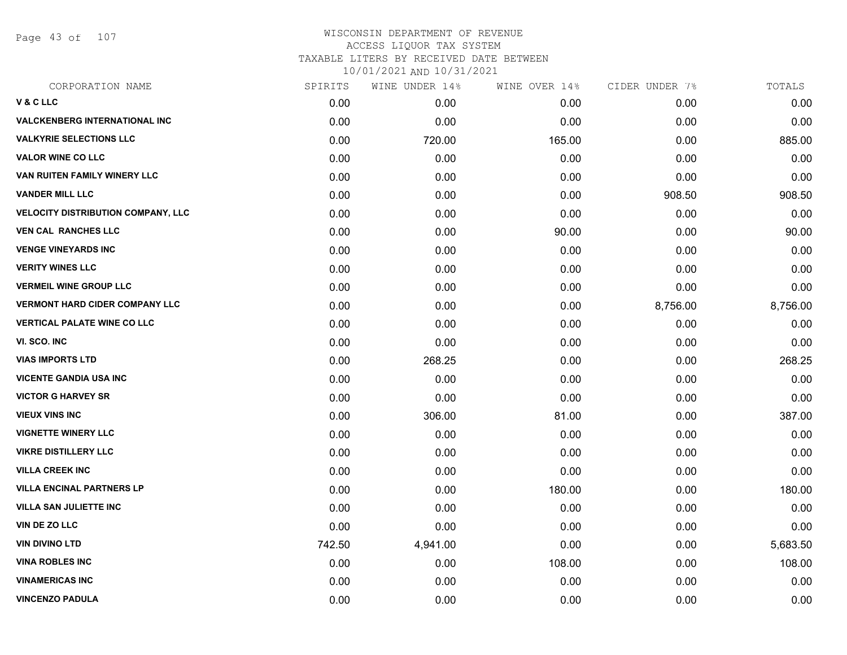Page 43 of 107

| CORPORATION NAME                          | SPIRITS | WINE UNDER 14% | WINE OVER 14% | CIDER UNDER 7% | TOTALS   |
|-------------------------------------------|---------|----------------|---------------|----------------|----------|
| V & C LLC                                 | 0.00    | 0.00           | 0.00          | 0.00           | 0.00     |
| <b>VALCKENBERG INTERNATIONAL INC</b>      | 0.00    | 0.00           | 0.00          | 0.00           | 0.00     |
| <b>VALKYRIE SELECTIONS LLC</b>            | 0.00    | 720.00         | 165.00        | 0.00           | 885.00   |
| <b>VALOR WINE CO LLC</b>                  | 0.00    | 0.00           | 0.00          | 0.00           | 0.00     |
| VAN RUITEN FAMILY WINERY LLC              | 0.00    | 0.00           | 0.00          | 0.00           | 0.00     |
| <b>VANDER MILL LLC</b>                    | 0.00    | 0.00           | 0.00          | 908.50         | 908.50   |
| <b>VELOCITY DISTRIBUTION COMPANY, LLC</b> | 0.00    | 0.00           | 0.00          | 0.00           | 0.00     |
| <b>VEN CAL RANCHES LLC</b>                | 0.00    | 0.00           | 90.00         | 0.00           | 90.00    |
| <b>VENGE VINEYARDS INC</b>                | 0.00    | 0.00           | 0.00          | 0.00           | 0.00     |
| <b>VERITY WINES LLC</b>                   | 0.00    | 0.00           | 0.00          | 0.00           | 0.00     |
| <b>VERMEIL WINE GROUP LLC</b>             | 0.00    | 0.00           | 0.00          | 0.00           | 0.00     |
| <b>VERMONT HARD CIDER COMPANY LLC</b>     | 0.00    | 0.00           | 0.00          | 8,756.00       | 8,756.00 |
| <b>VERTICAL PALATE WINE CO LLC</b>        | 0.00    | 0.00           | 0.00          | 0.00           | 0.00     |
| VI. SCO. INC                              | 0.00    | 0.00           | 0.00          | 0.00           | 0.00     |
| <b>VIAS IMPORTS LTD</b>                   | 0.00    | 268.25         | 0.00          | 0.00           | 268.25   |
| <b>VICENTE GANDIA USA INC</b>             | 0.00    | 0.00           | 0.00          | 0.00           | 0.00     |
| <b>VICTOR G HARVEY SR</b>                 | 0.00    | 0.00           | 0.00          | 0.00           | 0.00     |
| <b>VIEUX VINS INC</b>                     | 0.00    | 306.00         | 81.00         | 0.00           | 387.00   |
| <b>VIGNETTE WINERY LLC</b>                | 0.00    | 0.00           | 0.00          | 0.00           | 0.00     |
| <b>VIKRE DISTILLERY LLC</b>               | 0.00    | 0.00           | 0.00          | 0.00           | 0.00     |
| <b>VILLA CREEK INC</b>                    | 0.00    | 0.00           | 0.00          | 0.00           | 0.00     |
| <b>VILLA ENCINAL PARTNERS LP</b>          | 0.00    | 0.00           | 180.00        | 0.00           | 180.00   |
| <b>VILLA SAN JULIETTE INC</b>             | 0.00    | 0.00           | 0.00          | 0.00           | 0.00     |
| VIN DE ZO LLC                             | 0.00    | 0.00           | 0.00          | 0.00           | 0.00     |
| <b>VIN DIVINO LTD</b>                     | 742.50  | 4,941.00       | 0.00          | 0.00           | 5,683.50 |
| <b>VINA ROBLES INC</b>                    | 0.00    | 0.00           | 108.00        | 0.00           | 108.00   |
| <b>VINAMERICAS INC</b>                    | 0.00    | 0.00           | 0.00          | 0.00           | 0.00     |
| <b>VINCENZO PADULA</b>                    | 0.00    | 0.00           | 0.00          | 0.00           | 0.00     |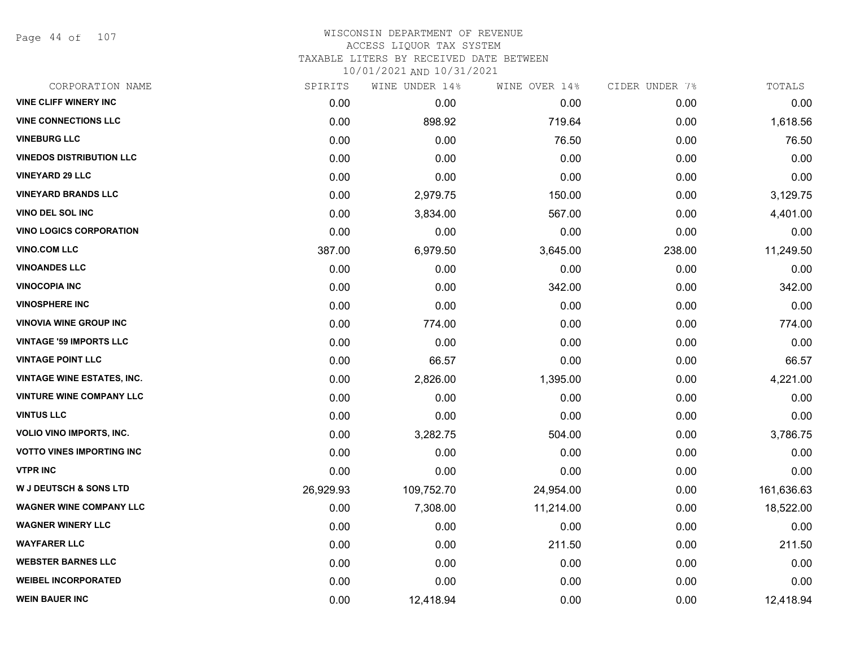Page 44 of 107

# WISCONSIN DEPARTMENT OF REVENUE ACCESS LIQUOR TAX SYSTEM

TAXABLE LITERS BY RECEIVED DATE BETWEEN

| CORPORATION NAME                  | SPIRITS   | WINE UNDER 14% | WINE OVER 14% | CIDER UNDER 7% | TOTALS     |
|-----------------------------------|-----------|----------------|---------------|----------------|------------|
| <b>VINE CLIFF WINERY INC</b>      | 0.00      | 0.00           | 0.00          | 0.00           | 0.00       |
| <b>VINE CONNECTIONS LLC</b>       | 0.00      | 898.92         | 719.64        | 0.00           | 1,618.56   |
| <b>VINEBURG LLC</b>               | 0.00      | 0.00           | 76.50         | 0.00           | 76.50      |
| <b>VINEDOS DISTRIBUTION LLC</b>   | 0.00      | 0.00           | 0.00          | 0.00           | 0.00       |
| <b>VINEYARD 29 LLC</b>            | 0.00      | 0.00           | 0.00          | 0.00           | 0.00       |
| <b>VINEYARD BRANDS LLC</b>        | 0.00      | 2,979.75       | 150.00        | 0.00           | 3,129.75   |
| VINO DEL SOL INC                  | 0.00      | 3,834.00       | 567.00        | 0.00           | 4,401.00   |
| <b>VINO LOGICS CORPORATION</b>    | 0.00      | 0.00           | 0.00          | 0.00           | 0.00       |
| <b>VINO.COM LLC</b>               | 387.00    | 6,979.50       | 3,645.00      | 238.00         | 11,249.50  |
| <b>VINOANDES LLC</b>              | 0.00      | 0.00           | 0.00          | 0.00           | 0.00       |
| <b>VINOCOPIA INC</b>              | 0.00      | 0.00           | 342.00        | 0.00           | 342.00     |
| <b>VINOSPHERE INC</b>             | 0.00      | 0.00           | 0.00          | 0.00           | 0.00       |
| <b>VINOVIA WINE GROUP INC</b>     | 0.00      | 774.00         | 0.00          | 0.00           | 774.00     |
| <b>VINTAGE '59 IMPORTS LLC</b>    | 0.00      | 0.00           | 0.00          | 0.00           | 0.00       |
| <b>VINTAGE POINT LLC</b>          | 0.00      | 66.57          | 0.00          | 0.00           | 66.57      |
| <b>VINTAGE WINE ESTATES, INC.</b> | 0.00      | 2,826.00       | 1,395.00      | 0.00           | 4,221.00   |
| <b>VINTURE WINE COMPANY LLC</b>   | 0.00      | 0.00           | 0.00          | 0.00           | 0.00       |
| <b>VINTUS LLC</b>                 | 0.00      | 0.00           | 0.00          | 0.00           | 0.00       |
| <b>VOLIO VINO IMPORTS, INC.</b>   | 0.00      | 3,282.75       | 504.00        | 0.00           | 3,786.75   |
| <b>VOTTO VINES IMPORTING INC</b>  | 0.00      | 0.00           | 0.00          | 0.00           | 0.00       |
| <b>VTPR INC</b>                   | 0.00      | 0.00           | 0.00          | 0.00           | 0.00       |
| <b>W J DEUTSCH &amp; SONS LTD</b> | 26,929.93 | 109,752.70     | 24,954.00     | 0.00           | 161,636.63 |
| <b>WAGNER WINE COMPANY LLC</b>    | 0.00      | 7,308.00       | 11,214.00     | 0.00           | 18,522.00  |
| <b>WAGNER WINERY LLC</b>          | 0.00      | 0.00           | 0.00          | 0.00           | 0.00       |
| <b>WAYFARER LLC</b>               | 0.00      | 0.00           | 211.50        | 0.00           | 211.50     |
| <b>WEBSTER BARNES LLC</b>         | 0.00      | 0.00           | 0.00          | 0.00           | 0.00       |
| <b>WEIBEL INCORPORATED</b>        | 0.00      | 0.00           | 0.00          | 0.00           | 0.00       |
| <b>WEIN BAUER INC</b>             | 0.00      | 12,418.94      | 0.00          | 0.00           | 12,418.94  |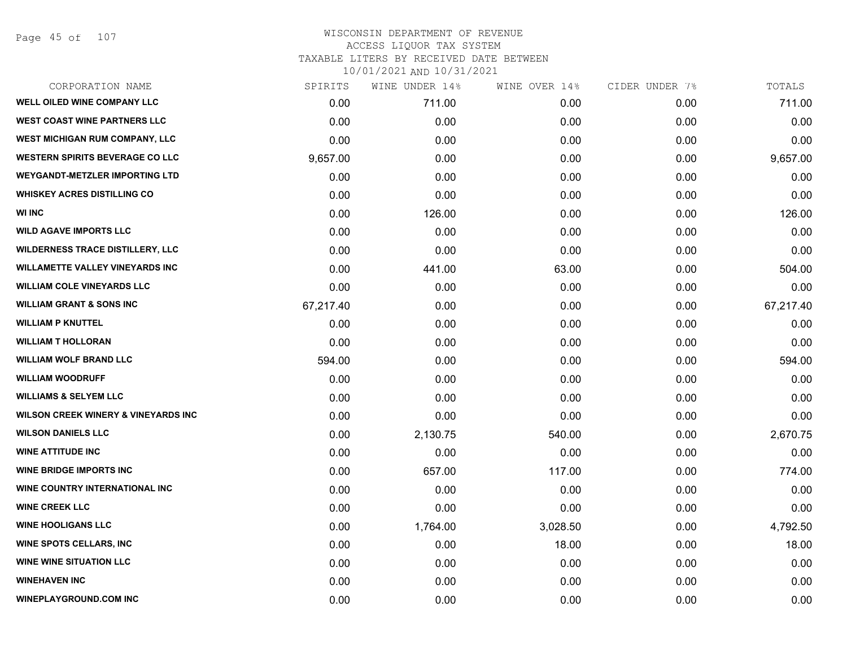Page 45 of 107

| CORPORATION NAME                               | SPIRITS   | WINE UNDER 14% | WINE OVER 14% | CIDER UNDER 7% | TOTALS    |
|------------------------------------------------|-----------|----------------|---------------|----------------|-----------|
| <b>WELL OILED WINE COMPANY LLC</b>             | 0.00      | 711.00         | 0.00          | 0.00           | 711.00    |
| <b>WEST COAST WINE PARTNERS LLC</b>            | 0.00      | 0.00           | 0.00          | 0.00           | 0.00      |
| WEST MICHIGAN RUM COMPANY, LLC                 | 0.00      | 0.00           | 0.00          | 0.00           | 0.00      |
| <b>WESTERN SPIRITS BEVERAGE CO LLC</b>         | 9,657.00  | 0.00           | 0.00          | 0.00           | 9,657.00  |
| <b>WEYGANDT-METZLER IMPORTING LTD</b>          | 0.00      | 0.00           | 0.00          | 0.00           | 0.00      |
| <b>WHISKEY ACRES DISTILLING CO</b>             | 0.00      | 0.00           | 0.00          | 0.00           | 0.00      |
| <b>WI INC</b>                                  | 0.00      | 126.00         | 0.00          | 0.00           | 126.00    |
| <b>WILD AGAVE IMPORTS LLC</b>                  | 0.00      | 0.00           | 0.00          | 0.00           | 0.00      |
| <b>WILDERNESS TRACE DISTILLERY, LLC</b>        | 0.00      | 0.00           | 0.00          | 0.00           | 0.00      |
| <b>WILLAMETTE VALLEY VINEYARDS INC</b>         | 0.00      | 441.00         | 63.00         | 0.00           | 504.00    |
| <b>WILLIAM COLE VINEYARDS LLC</b>              | 0.00      | 0.00           | 0.00          | 0.00           | 0.00      |
| <b>WILLIAM GRANT &amp; SONS INC</b>            | 67,217.40 | 0.00           | 0.00          | 0.00           | 67,217.40 |
| <b>WILLIAM P KNUTTEL</b>                       | 0.00      | 0.00           | 0.00          | 0.00           | 0.00      |
| <b>WILLIAM T HOLLORAN</b>                      | 0.00      | 0.00           | 0.00          | 0.00           | 0.00      |
| <b>WILLIAM WOLF BRAND LLC</b>                  | 594.00    | 0.00           | 0.00          | 0.00           | 594.00    |
| <b>WILLIAM WOODRUFF</b>                        | 0.00      | 0.00           | 0.00          | 0.00           | 0.00      |
| <b>WILLIAMS &amp; SELYEM LLC</b>               | 0.00      | 0.00           | 0.00          | 0.00           | 0.00      |
| <b>WILSON CREEK WINERY &amp; VINEYARDS INC</b> | 0.00      | 0.00           | 0.00          | 0.00           | 0.00      |
| <b>WILSON DANIELS LLC</b>                      | 0.00      | 2,130.75       | 540.00        | 0.00           | 2,670.75  |
| <b>WINE ATTITUDE INC</b>                       | 0.00      | 0.00           | 0.00          | 0.00           | 0.00      |
| <b>WINE BRIDGE IMPORTS INC</b>                 | 0.00      | 657.00         | 117.00        | 0.00           | 774.00    |
| WINE COUNTRY INTERNATIONAL INC                 | 0.00      | 0.00           | 0.00          | 0.00           | 0.00      |
| <b>WINE CREEK LLC</b>                          | 0.00      | 0.00           | 0.00          | 0.00           | 0.00      |
| <b>WINE HOOLIGANS LLC</b>                      | 0.00      | 1,764.00       | 3,028.50      | 0.00           | 4,792.50  |
| <b>WINE SPOTS CELLARS, INC.</b>                | 0.00      | 0.00           | 18.00         | 0.00           | 18.00     |
| <b>WINE WINE SITUATION LLC</b>                 | 0.00      | 0.00           | 0.00          | 0.00           | 0.00      |
| <b>WINEHAVEN INC</b>                           | 0.00      | 0.00           | 0.00          | 0.00           | 0.00      |
| <b>WINEPLAYGROUND.COM INC</b>                  | 0.00      | 0.00           | 0.00          | 0.00           | 0.00      |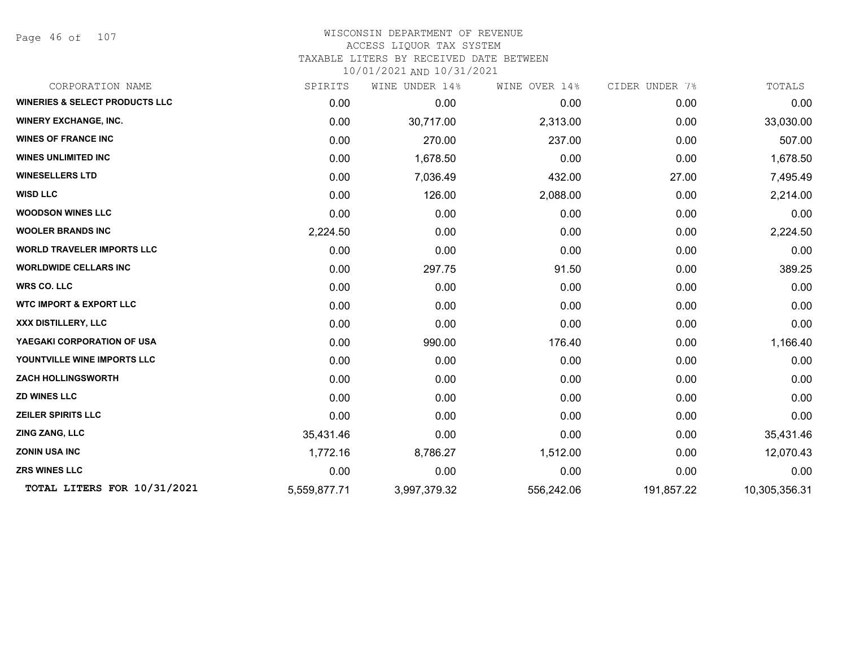Page 46 of 107

| CORPORATION NAME                          | SPIRITS      | WINE UNDER 14% | WINE OVER 14% | CIDER UNDER 7% | TOTALS        |
|-------------------------------------------|--------------|----------------|---------------|----------------|---------------|
| <b>WINERIES &amp; SELECT PRODUCTS LLC</b> | 0.00         | 0.00           | 0.00          | 0.00           | 0.00          |
| <b>WINERY EXCHANGE, INC.</b>              | 0.00         | 30,717.00      | 2,313.00      | 0.00           | 33,030.00     |
| <b>WINES OF FRANCE INC</b>                | 0.00         | 270.00         | 237.00        | 0.00           | 507.00        |
| <b>WINES UNLIMITED INC</b>                | 0.00         | 1,678.50       | 0.00          | 0.00           | 1,678.50      |
| <b>WINESELLERS LTD</b>                    | 0.00         | 7,036.49       | 432.00        | 27.00          | 7,495.49      |
| <b>WISD LLC</b>                           | 0.00         | 126.00         | 2,088.00      | 0.00           | 2,214.00      |
| <b>WOODSON WINES LLC</b>                  | 0.00         | 0.00           | 0.00          | 0.00           | 0.00          |
| <b>WOOLER BRANDS INC</b>                  | 2,224.50     | 0.00           | 0.00          | 0.00           | 2,224.50      |
| <b>WORLD TRAVELER IMPORTS LLC</b>         | 0.00         | 0.00           | 0.00          | 0.00           | 0.00          |
| <b>WORLDWIDE CELLARS INC</b>              | 0.00         | 297.75         | 91.50         | 0.00           | 389.25        |
| <b>WRS CO. LLC</b>                        | 0.00         | 0.00           | 0.00          | 0.00           | 0.00          |
| <b>WTC IMPORT &amp; EXPORT LLC</b>        | 0.00         | 0.00           | 0.00          | 0.00           | 0.00          |
| XXX DISTILLERY, LLC                       | 0.00         | 0.00           | 0.00          | 0.00           | 0.00          |
| YAEGAKI CORPORATION OF USA                | 0.00         | 990.00         | 176.40        | 0.00           | 1,166.40      |
| YOUNTVILLE WINE IMPORTS LLC               | 0.00         | 0.00           | 0.00          | 0.00           | 0.00          |
| <b>ZACH HOLLINGSWORTH</b>                 | 0.00         | 0.00           | 0.00          | 0.00           | 0.00          |
| <b>ZD WINES LLC</b>                       | 0.00         | 0.00           | 0.00          | 0.00           | 0.00          |
| <b>ZEILER SPIRITS LLC</b>                 | 0.00         | 0.00           | 0.00          | 0.00           | 0.00          |
| ZING ZANG, LLC                            | 35,431.46    | 0.00           | 0.00          | 0.00           | 35,431.46     |
| <b>ZONIN USA INC</b>                      | 1,772.16     | 8,786.27       | 1,512.00      | 0.00           | 12,070.43     |
| <b>ZRS WINES LLC</b>                      | 0.00         | 0.00           | 0.00          | 0.00           | 0.00          |
| TOTAL LITERS FOR 10/31/2021               | 5,559,877.71 | 3,997,379.32   | 556,242.06    | 191,857.22     | 10,305,356.31 |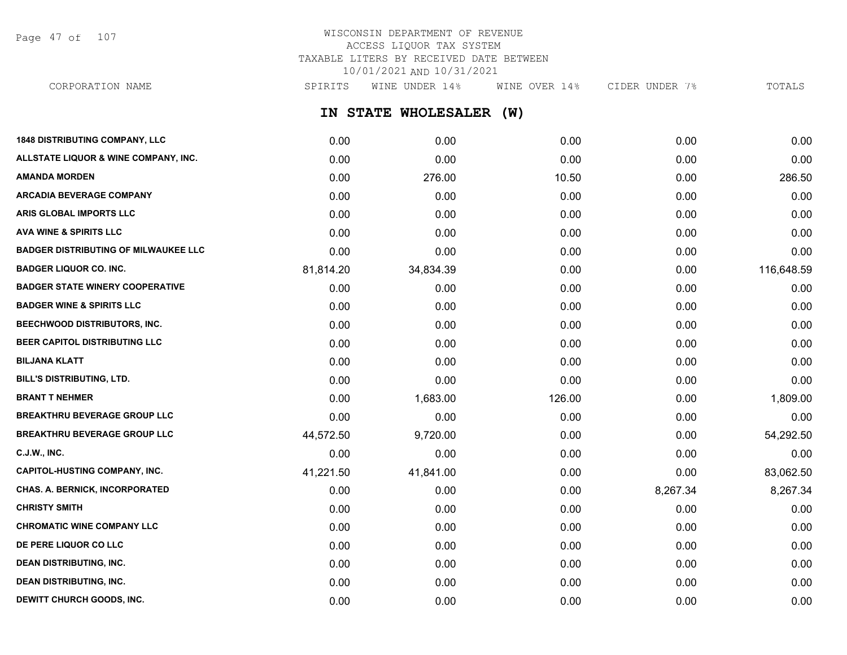Page 47 of 107

# WISCONSIN DEPARTMENT OF REVENUE ACCESS LIQUOR TAX SYSTEM TAXABLE LITERS BY RECEIVED DATE BETWEEN 10/01/2021 AND 10/31/2021

**IN STATE WHOLESALER (W) 1848 DISTRIBUTING COMPANY, LLC** 0.00 0.00 0.00 0.00 0.00 **ALLSTATE LIQUOR & WINE COMPANY, INC.** 0.00 0.00 0.00 0.00 0.00 **AMANDA MORDEN** 0.00 276.00 10.50 0.00 286.50 **ARCADIA BEVERAGE COMPANY**  $0.00$   $0.00$   $0.00$   $0.00$   $0.00$   $0.00$   $0.00$   $0.00$   $0.00$   $0.00$   $0.00$   $0.00$   $0.00$   $0.00$   $0.00$   $0.00$   $0.00$   $0.00$   $0.00$   $0.00$   $0.00$   $0.00$   $0.00$   $0.00$   $0.00$   $0.00$   $0.00$   $0.00$ **ARIS GLOBAL IMPORTS LLC** 0.00 0.00 0.00 0.00 0.00 **AVA WINE & SPIRITS LLC** 0.00 0.00 0.00 0.00 0.00 **BADGER DISTRIBUTING OF MILWAUKEE LLC** 0.00 0.00 0.00 0.00 0.00 **BADGER LIQUOR CO. INC.** 81,814.20 34,834.39 0.00 0.00 116,648.59 **BADGER STATE WINERY COOPERATIVE** 0.00 0.00 0.00 0.00 0.00 **BADGER WINE & SPIRITS LLC** 0.00 0.00 0.00 0.00 0.00 **BEECHWOOD DISTRIBUTORS, INC.** 0.00 0.00 0.00 0.00 0.00 **BEER CAPITOL DISTRIBUTING LLC** 0.00 0.00 0.00 0.00 0.00 **BILJANA KLATT** 0.00 0.00 0.00 0.00 0.00 **BILL'S DISTRIBUTING, LTD.** 0.00 0.00 0.00 0.00 0.00 **BRANT T NEHMER** 0.00 1,683.00 126.00 0.00 1,809.00 **BREAKTHRU BEVERAGE GROUP LLC** 0.00 0.00 0.00 0.00 0.00 **BREAKTHRU BEVERAGE GROUP LLC**  $44,572.50$   $9,720.00$   $0.00$   $0.00$   $0.00$   $54,292.50$ **C.J.W., INC.** 6.00 **0.00 0.00 0.00 0.00 0.00 0.00 0.00 0.00 0.00 0.00 0.00 0.00 0.00 CAPITOL-HUSTING COMPANY, INC.** 41,221.50 41,841.00 0.00 0.00 83,062.50 **CHAS. A. BERNICK, INCORPORATED** 0.00 0.00 0.00 0.00 0.00 8.267.34 8,267.34 8,267.34 **CHRISTY SMITH** 0.00 0.00 0.00 0.00 0.00 **CHROMATIC WINE COMPANY LLC** 0.00 0.00 0.00 0.00 0.00 **DE PERE LIQUOR CO LLC** 0.00 0.00 0.00 0.00 0.00 **DEAN DISTRIBUTING, INC.** 0.00 0.00 0.00 0.00 0.00 **DEAN DISTRIBUTING, INC.** 0.00 0.00 0.00 0.00 0.00 CORPORATION NAME SPIRITS WINE UNDER 14% WINE OVER 14% CIDER UNDER 7% TOTALS

**DEWITT CHURCH GOODS, INC.** 0.00 0.00 0.00 0.00 0.00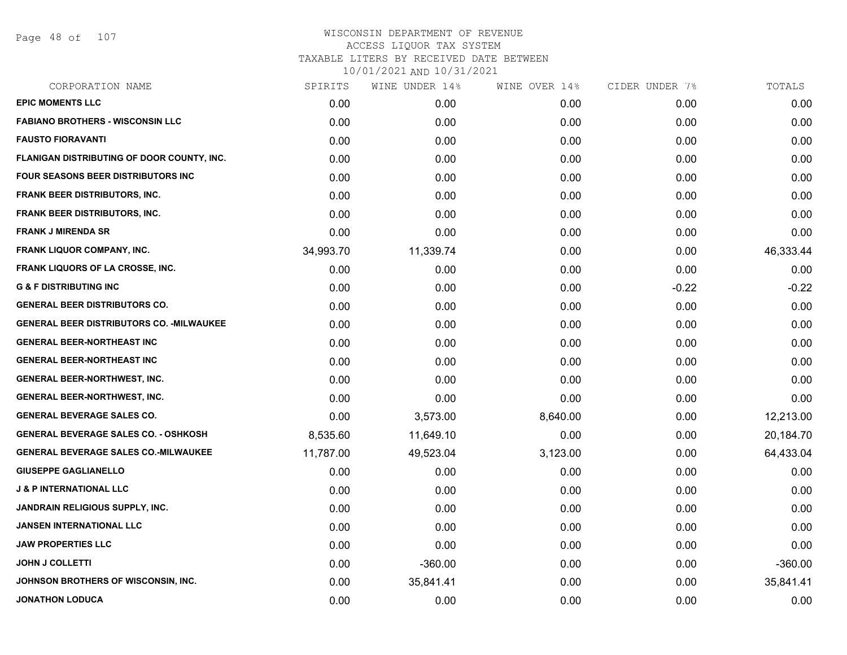Page 48 of 107

| SPIRITS   | WINE UNDER 14% | WINE OVER 14% | CIDER UNDER 7% | TOTALS    |
|-----------|----------------|---------------|----------------|-----------|
| 0.00      | 0.00           | 0.00          | 0.00           | 0.00      |
| 0.00      | 0.00           | 0.00          | 0.00           | 0.00      |
| 0.00      | 0.00           | 0.00          | 0.00           | 0.00      |
| 0.00      | 0.00           | 0.00          | 0.00           | 0.00      |
| 0.00      | 0.00           | 0.00          | 0.00           | 0.00      |
| 0.00      | 0.00           | 0.00          | 0.00           | 0.00      |
| 0.00      | 0.00           | 0.00          | 0.00           | 0.00      |
| 0.00      | 0.00           | 0.00          | 0.00           | 0.00      |
| 34,993.70 | 11,339.74      | 0.00          | 0.00           | 46,333.44 |
| 0.00      | 0.00           | 0.00          | 0.00           | 0.00      |
| 0.00      | 0.00           | 0.00          | $-0.22$        | $-0.22$   |
| 0.00      | 0.00           | 0.00          | 0.00           | 0.00      |
| 0.00      | 0.00           | 0.00          | 0.00           | 0.00      |
| 0.00      | 0.00           | 0.00          | 0.00           | 0.00      |
| 0.00      | 0.00           | 0.00          | 0.00           | 0.00      |
| 0.00      | 0.00           | 0.00          | 0.00           | 0.00      |
| 0.00      | 0.00           | 0.00          | 0.00           | 0.00      |
| 0.00      | 3,573.00       | 8,640.00      | 0.00           | 12,213.00 |
| 8,535.60  | 11,649.10      | 0.00          | 0.00           | 20,184.70 |
| 11,787.00 | 49,523.04      | 3,123.00      | 0.00           | 64,433.04 |
| 0.00      | 0.00           | 0.00          | 0.00           | 0.00      |
| 0.00      | 0.00           | 0.00          | 0.00           | 0.00      |
| 0.00      | 0.00           | 0.00          | 0.00           | 0.00      |
| 0.00      | 0.00           | 0.00          | 0.00           | 0.00      |
| 0.00      | 0.00           | 0.00          | 0.00           | 0.00      |
| 0.00      | $-360.00$      | 0.00          | 0.00           | $-360.00$ |
| 0.00      | 35,841.41      | 0.00          | 0.00           | 35,841.41 |
| 0.00      | 0.00           | 0.00          | 0.00           | 0.00      |
|           |                |               |                |           |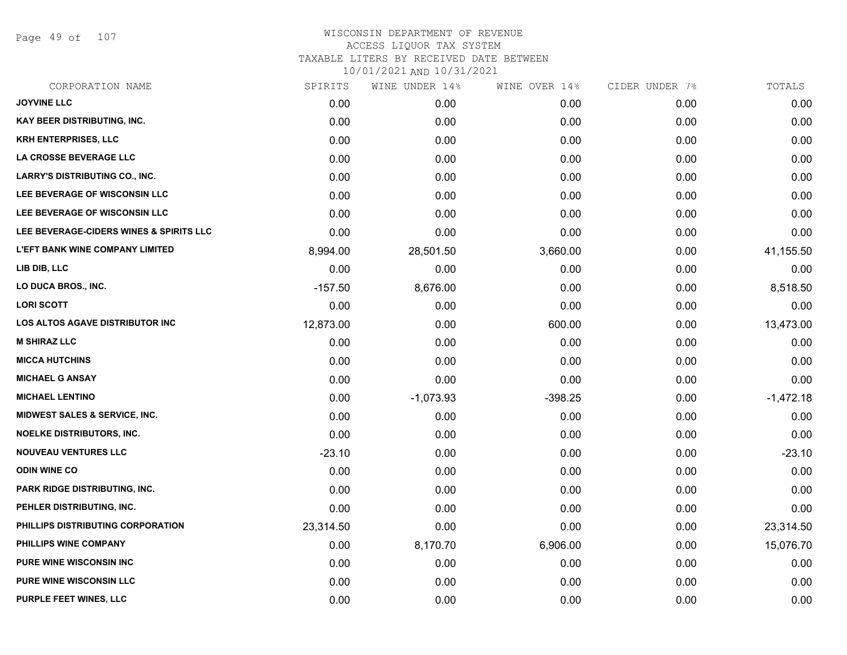Page 49 of 107

| CORPORATION NAME                         | SPIRITS   | WINE UNDER 14% | WINE OVER 14% | CIDER UNDER 7% | TOTALS      |
|------------------------------------------|-----------|----------------|---------------|----------------|-------------|
| <b>JOYVINE LLC</b>                       | 0.00      | 0.00           | 0.00          | 0.00           | 0.00        |
| KAY BEER DISTRIBUTING, INC.              | 0.00      | 0.00           | 0.00          | 0.00           | 0.00        |
| <b>KRH ENTERPRISES, LLC</b>              | 0.00      | 0.00           | 0.00          | 0.00           | 0.00        |
| <b>LA CROSSE BEVERAGE LLC</b>            | 0.00      | 0.00           | 0.00          | 0.00           | 0.00        |
| <b>LARRY'S DISTRIBUTING CO., INC.</b>    | 0.00      | 0.00           | 0.00          | 0.00           | 0.00        |
| LEE BEVERAGE OF WISCONSIN LLC            | 0.00      | 0.00           | 0.00          | 0.00           | 0.00        |
| <b>LEE BEVERAGE OF WISCONSIN LLC</b>     | 0.00      | 0.00           | 0.00          | 0.00           | 0.00        |
| LEE BEVERAGE-CIDERS WINES & SPIRITS LLC  | 0.00      | 0.00           | 0.00          | 0.00           | 0.00        |
| <b>L'EFT BANK WINE COMPANY LIMITED</b>   | 8,994.00  | 28,501.50      | 3,660.00      | 0.00           | 41,155.50   |
| LIB DIB, LLC                             | 0.00      | 0.00           | 0.00          | 0.00           | 0.00        |
| LO DUCA BROS., INC.                      | $-157.50$ | 8,676.00       | 0.00          | 0.00           | 8,518.50    |
| <b>LORI SCOTT</b>                        | 0.00      | 0.00           | 0.00          | 0.00           | 0.00        |
| LOS ALTOS AGAVE DISTRIBUTOR INC          | 12,873.00 | 0.00           | 600.00        | 0.00           | 13,473.00   |
| <b>M SHIRAZ LLC</b>                      | 0.00      | 0.00           | 0.00          | 0.00           | 0.00        |
| <b>MICCA HUTCHINS</b>                    | 0.00      | 0.00           | 0.00          | 0.00           | 0.00        |
| <b>MICHAEL G ANSAY</b>                   | 0.00      | 0.00           | 0.00          | 0.00           | 0.00        |
| <b>MICHAEL LENTINO</b>                   | 0.00      | $-1,073.93$    | $-398.25$     | 0.00           | $-1,472.18$ |
| <b>MIDWEST SALES &amp; SERVICE, INC.</b> | 0.00      | 0.00           | 0.00          | 0.00           | 0.00        |
| <b>NOELKE DISTRIBUTORS, INC.</b>         | 0.00      | 0.00           | 0.00          | 0.00           | 0.00        |
| <b>NOUVEAU VENTURES LLC</b>              | $-23.10$  | 0.00           | 0.00          | 0.00           | $-23.10$    |
| <b>ODIN WINE CO</b>                      | 0.00      | 0.00           | 0.00          | 0.00           | 0.00        |
| <b>PARK RIDGE DISTRIBUTING, INC.</b>     | 0.00      | 0.00           | 0.00          | 0.00           | 0.00        |
| PEHLER DISTRIBUTING, INC.                | 0.00      | 0.00           | 0.00          | 0.00           | 0.00        |
| PHILLIPS DISTRIBUTING CORPORATION        | 23,314.50 | 0.00           | 0.00          | 0.00           | 23,314.50   |
| PHILLIPS WINE COMPANY                    | 0.00      | 8,170.70       | 6,906.00      | 0.00           | 15,076.70   |
| <b>PURE WINE WISCONSIN INC</b>           | 0.00      | 0.00           | 0.00          | 0.00           | 0.00        |
| <b>PURE WINE WISCONSIN LLC</b>           | 0.00      | 0.00           | 0.00          | 0.00           | 0.00        |
| PURPLE FEET WINES, LLC                   | 0.00      | 0.00           | 0.00          | 0.00           | 0.00        |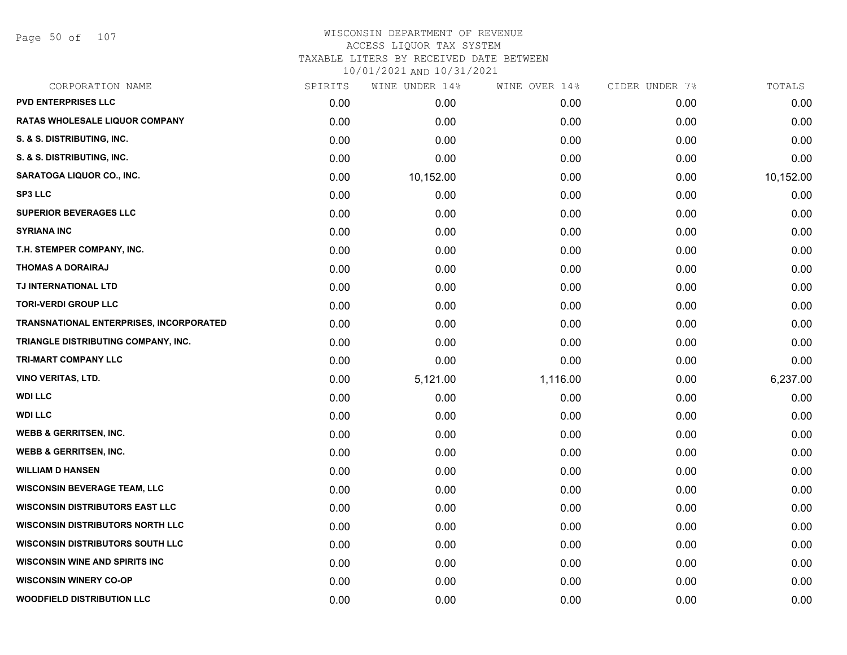Page 50 of 107

# WISCONSIN DEPARTMENT OF REVENUE ACCESS LIQUOR TAX SYSTEM TAXABLE LITERS BY RECEIVED DATE BETWEEN

| CORPORATION NAME                        | SPIRITS | WINE UNDER 14% | WINE OVER 14% | CIDER UNDER 7% | TOTALS    |
|-----------------------------------------|---------|----------------|---------------|----------------|-----------|
| <b>PVD ENTERPRISES LLC</b>              | 0.00    | 0.00           | 0.00          | 0.00           | 0.00      |
| <b>RATAS WHOLESALE LIQUOR COMPANY</b>   | 0.00    | 0.00           | 0.00          | 0.00           | 0.00      |
| S. & S. DISTRIBUTING, INC.              | 0.00    | 0.00           | 0.00          | 0.00           | 0.00      |
| S. & S. DISTRIBUTING, INC.              | 0.00    | 0.00           | 0.00          | 0.00           | 0.00      |
| SARATOGA LIQUOR CO., INC.               | 0.00    | 10,152.00      | 0.00          | 0.00           | 10,152.00 |
| <b>SP3 LLC</b>                          | 0.00    | 0.00           | 0.00          | 0.00           | 0.00      |
| <b>SUPERIOR BEVERAGES LLC</b>           | 0.00    | 0.00           | 0.00          | 0.00           | 0.00      |
| <b>SYRIANA INC</b>                      | 0.00    | 0.00           | 0.00          | 0.00           | 0.00      |
| T.H. STEMPER COMPANY, INC.              | 0.00    | 0.00           | 0.00          | 0.00           | 0.00      |
| <b>THOMAS A DORAIRAJ</b>                | 0.00    | 0.00           | 0.00          | 0.00           | 0.00      |
| TJ INTERNATIONAL LTD                    | 0.00    | 0.00           | 0.00          | 0.00           | 0.00      |
| <b>TORI-VERDI GROUP LLC</b>             | 0.00    | 0.00           | 0.00          | 0.00           | 0.00      |
| TRANSNATIONAL ENTERPRISES, INCORPORATED | 0.00    | 0.00           | 0.00          | 0.00           | 0.00      |
| TRIANGLE DISTRIBUTING COMPANY, INC.     | 0.00    | 0.00           | 0.00          | 0.00           | 0.00      |
| TRI-MART COMPANY LLC                    | 0.00    | 0.00           | 0.00          | 0.00           | 0.00      |
| VINO VERITAS, LTD.                      | 0.00    | 5,121.00       | 1,116.00      | 0.00           | 6,237.00  |
| <b>WDI LLC</b>                          | 0.00    | 0.00           | 0.00          | 0.00           | 0.00      |
| <b>WDI LLC</b>                          | 0.00    | 0.00           | 0.00          | 0.00           | 0.00      |
| <b>WEBB &amp; GERRITSEN, INC.</b>       | 0.00    | 0.00           | 0.00          | 0.00           | 0.00      |
| <b>WEBB &amp; GERRITSEN, INC.</b>       | 0.00    | 0.00           | 0.00          | 0.00           | 0.00      |
| <b>WILLIAM D HANSEN</b>                 | 0.00    | 0.00           | 0.00          | 0.00           | 0.00      |
| <b>WISCONSIN BEVERAGE TEAM, LLC</b>     | 0.00    | 0.00           | 0.00          | 0.00           | 0.00      |
| <b>WISCONSIN DISTRIBUTORS EAST LLC</b>  | 0.00    | 0.00           | 0.00          | 0.00           | 0.00      |
| <b>WISCONSIN DISTRIBUTORS NORTH LLC</b> | 0.00    | 0.00           | 0.00          | 0.00           | 0.00      |
| <b>WISCONSIN DISTRIBUTORS SOUTH LLC</b> | 0.00    | 0.00           | 0.00          | 0.00           | 0.00      |
| <b>WISCONSIN WINE AND SPIRITS INC</b>   | 0.00    | 0.00           | 0.00          | 0.00           | 0.00      |
| <b>WISCONSIN WINERY CO-OP</b>           | 0.00    | 0.00           | 0.00          | 0.00           | 0.00      |
| <b>WOODFIELD DISTRIBUTION LLC</b>       | 0.00    | 0.00           | 0.00          | 0.00           | 0.00      |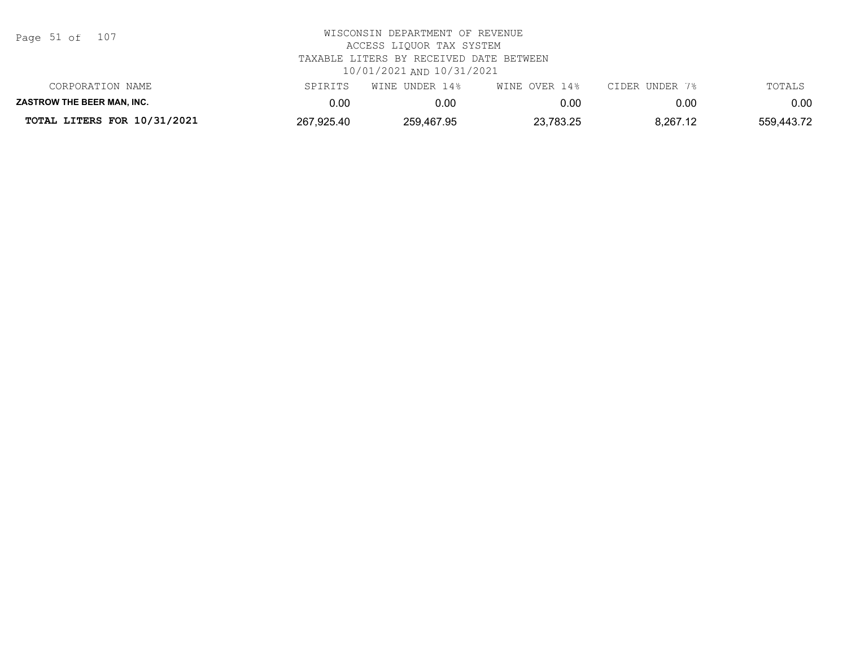| Page 51 of |  |  | 107 |
|------------|--|--|-----|
|------------|--|--|-----|

| TOTAL LITERS FOR 10/31/2021       | 267,925.40 | 259,467.95     | 23,783.25     | 8,267.12       | 559,443.72 |
|-----------------------------------|------------|----------------|---------------|----------------|------------|
| <b>ZASTROW THE BEER MAN. INC.</b> | 0.00       | 0.00           | 0.00          | 0.00           | 0.00       |
| CORPORATION NAME                  | SPIRITS    | WINE UNDER 14% | WINE OVER 14% | CIDER UNDER 7% | TOTALS     |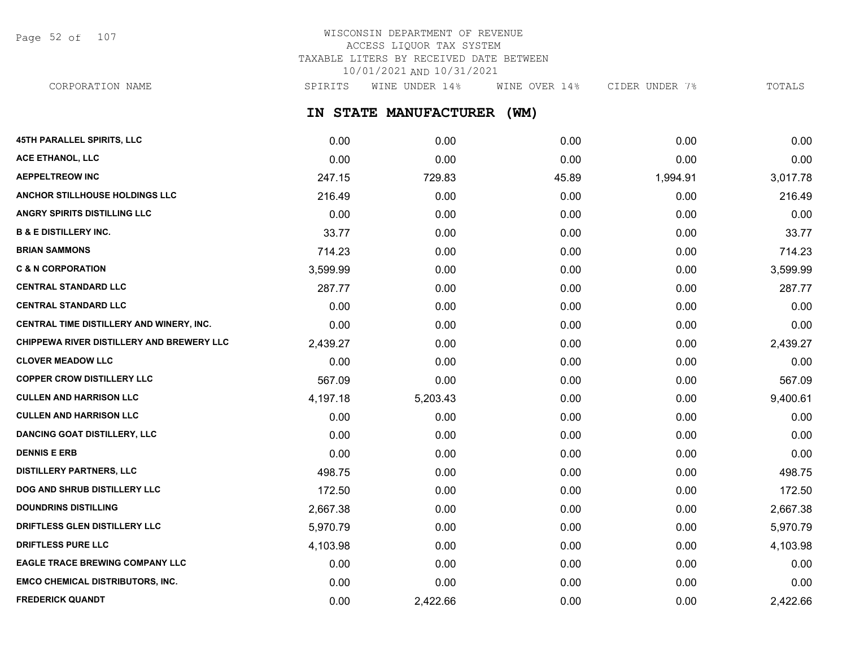Page 52 of 107

# WISCONSIN DEPARTMENT OF REVENUE ACCESS LIQUOR TAX SYSTEM TAXABLE LITERS BY RECEIVED DATE BETWEEN 10/01/2021 AND 10/31/2021

**IN STATE MANUFACTURER (WM)** CORPORATION NAME SPIRITS WINE UNDER 14% WINE OVER 14% CIDER UNDER 7% TOTALS

| <b>45TH PARALLEL SPIRITS, LLC</b>         | 0.00     | 0.00     | 0.00  | 0.00     | 0.00     |
|-------------------------------------------|----------|----------|-------|----------|----------|
| ACE ETHANOL, LLC                          | 0.00     | 0.00     | 0.00  | 0.00     | 0.00     |
| <b>AEPPELTREOW INC</b>                    | 247.15   | 729.83   | 45.89 | 1,994.91 | 3,017.78 |
| <b>ANCHOR STILLHOUSE HOLDINGS LLC</b>     | 216.49   | 0.00     | 0.00  | 0.00     | 216.49   |
| ANGRY SPIRITS DISTILLING LLC              | 0.00     | 0.00     | 0.00  | 0.00     | 0.00     |
| <b>B &amp; E DISTILLERY INC.</b>          | 33.77    | 0.00     | 0.00  | 0.00     | 33.77    |
| <b>BRIAN SAMMONS</b>                      | 714.23   | 0.00     | 0.00  | 0.00     | 714.23   |
| <b>C &amp; N CORPORATION</b>              | 3,599.99 | 0.00     | 0.00  | 0.00     | 3,599.99 |
| <b>CENTRAL STANDARD LLC</b>               | 287.77   | 0.00     | 0.00  | 0.00     | 287.77   |
| <b>CENTRAL STANDARD LLC</b>               | 0.00     | 0.00     | 0.00  | 0.00     | 0.00     |
| CENTRAL TIME DISTILLERY AND WINERY, INC.  | 0.00     | 0.00     | 0.00  | 0.00     | 0.00     |
| CHIPPEWA RIVER DISTILLERY AND BREWERY LLC | 2,439.27 | 0.00     | 0.00  | 0.00     | 2,439.27 |
| <b>CLOVER MEADOW LLC</b>                  | 0.00     | 0.00     | 0.00  | 0.00     | 0.00     |
| <b>COPPER CROW DISTILLERY LLC</b>         | 567.09   | 0.00     | 0.00  | 0.00     | 567.09   |
| <b>CULLEN AND HARRISON LLC</b>            | 4,197.18 | 5,203.43 | 0.00  | 0.00     | 9,400.61 |
| <b>CULLEN AND HARRISON LLC</b>            | 0.00     | 0.00     | 0.00  | 0.00     | 0.00     |
| <b>DANCING GOAT DISTILLERY, LLC</b>       | 0.00     | 0.00     | 0.00  | 0.00     | 0.00     |
| <b>DENNIS E ERB</b>                       | 0.00     | 0.00     | 0.00  | 0.00     | 0.00     |
| <b>DISTILLERY PARTNERS, LLC</b>           | 498.75   | 0.00     | 0.00  | 0.00     | 498.75   |
| DOG AND SHRUB DISTILLERY LLC              | 172.50   | 0.00     | 0.00  | 0.00     | 172.50   |
| <b>DOUNDRINS DISTILLING</b>               | 2,667.38 | 0.00     | 0.00  | 0.00     | 2,667.38 |
| DRIFTLESS GLEN DISTILLERY LLC             | 5,970.79 | 0.00     | 0.00  | 0.00     | 5,970.79 |
| <b>DRIFTLESS PURE LLC</b>                 | 4,103.98 | 0.00     | 0.00  | 0.00     | 4,103.98 |
| EAGLE TRACE BREWING COMPANY LLC           | 0.00     | 0.00     | 0.00  | 0.00     | 0.00     |
| <b>EMCO CHEMICAL DISTRIBUTORS, INC.</b>   | 0.00     | 0.00     | 0.00  | 0.00     | 0.00     |
| <b>FREDERICK QUANDT</b>                   | 0.00     | 2,422.66 | 0.00  | 0.00     | 2,422.66 |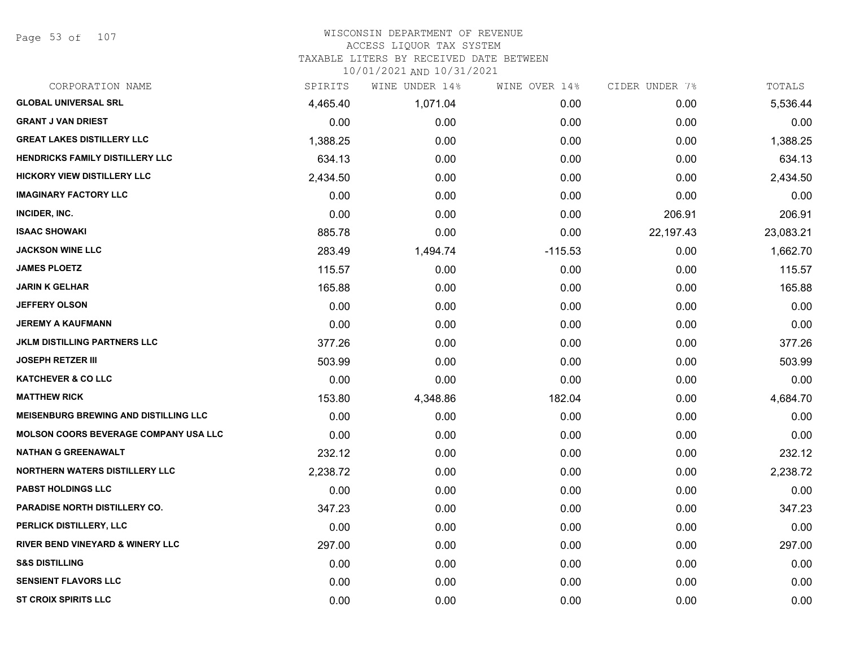Page 53 of 107

#### WISCONSIN DEPARTMENT OF REVENUE ACCESS LIQUOR TAX SYSTEM TAXABLE LITERS BY RECEIVED DATE BETWEEN

| CORPORATION NAME                             | SPIRITS  | WINE UNDER 14% | WINE OVER 14% | CIDER UNDER 7% | TOTALS    |
|----------------------------------------------|----------|----------------|---------------|----------------|-----------|
| <b>GLOBAL UNIVERSAL SRL</b>                  | 4,465.40 | 1,071.04       | 0.00          | 0.00           | 5,536.44  |
| <b>GRANT J VAN DRIEST</b>                    | 0.00     | 0.00           | 0.00          | 0.00           | 0.00      |
| <b>GREAT LAKES DISTILLERY LLC</b>            | 1,388.25 | 0.00           | 0.00          | 0.00           | 1,388.25  |
| <b>HENDRICKS FAMILY DISTILLERY LLC</b>       | 634.13   | 0.00           | 0.00          | 0.00           | 634.13    |
| <b>HICKORY VIEW DISTILLERY LLC</b>           | 2,434.50 | 0.00           | 0.00          | 0.00           | 2,434.50  |
| <b>IMAGINARY FACTORY LLC</b>                 | 0.00     | 0.00           | 0.00          | 0.00           | 0.00      |
| INCIDER, INC.                                | 0.00     | 0.00           | 0.00          | 206.91         | 206.91    |
| <b>ISAAC SHOWAKI</b>                         | 885.78   | 0.00           | 0.00          | 22,197.43      | 23,083.21 |
| <b>JACKSON WINE LLC</b>                      | 283.49   | 1,494.74       | $-115.53$     | 0.00           | 1,662.70  |
| <b>JAMES PLOETZ</b>                          | 115.57   | 0.00           | 0.00          | 0.00           | 115.57    |
| <b>JARIN K GELHAR</b>                        | 165.88   | 0.00           | 0.00          | 0.00           | 165.88    |
| <b>JEFFERY OLSON</b>                         | 0.00     | 0.00           | 0.00          | 0.00           | 0.00      |
| <b>JEREMY A KAUFMANN</b>                     | 0.00     | 0.00           | 0.00          | 0.00           | 0.00      |
| <b>JKLM DISTILLING PARTNERS LLC</b>          | 377.26   | 0.00           | 0.00          | 0.00           | 377.26    |
| <b>JOSEPH RETZER III</b>                     | 503.99   | 0.00           | 0.00          | 0.00           | 503.99    |
| <b>KATCHEVER &amp; CO LLC</b>                | 0.00     | 0.00           | 0.00          | 0.00           | 0.00      |
| <b>MATTHEW RICK</b>                          | 153.80   | 4,348.86       | 182.04        | 0.00           | 4,684.70  |
| <b>MEISENBURG BREWING AND DISTILLING LLC</b> | 0.00     | 0.00           | 0.00          | 0.00           | 0.00      |
| <b>MOLSON COORS BEVERAGE COMPANY USA LLC</b> | 0.00     | 0.00           | 0.00          | 0.00           | 0.00      |
| <b>NATHAN G GREENAWALT</b>                   | 232.12   | 0.00           | 0.00          | 0.00           | 232.12    |
| <b>NORTHERN WATERS DISTILLERY LLC</b>        | 2,238.72 | 0.00           | 0.00          | 0.00           | 2,238.72  |
| <b>PABST HOLDINGS LLC</b>                    | 0.00     | 0.00           | 0.00          | 0.00           | 0.00      |
| PARADISE NORTH DISTILLERY CO.                | 347.23   | 0.00           | 0.00          | 0.00           | 347.23    |
| PERLICK DISTILLERY, LLC                      | 0.00     | 0.00           | 0.00          | 0.00           | 0.00      |
| RIVER BEND VINEYARD & WINERY LLC             | 297.00   | 0.00           | 0.00          | 0.00           | 297.00    |
| <b>S&amp;S DISTILLING</b>                    | 0.00     | 0.00           | 0.00          | 0.00           | 0.00      |
| <b>SENSIENT FLAVORS LLC</b>                  | 0.00     | 0.00           | 0.00          | 0.00           | 0.00      |
| <b>ST CROIX SPIRITS LLC</b>                  | 0.00     | 0.00           | 0.00          | 0.00           | 0.00      |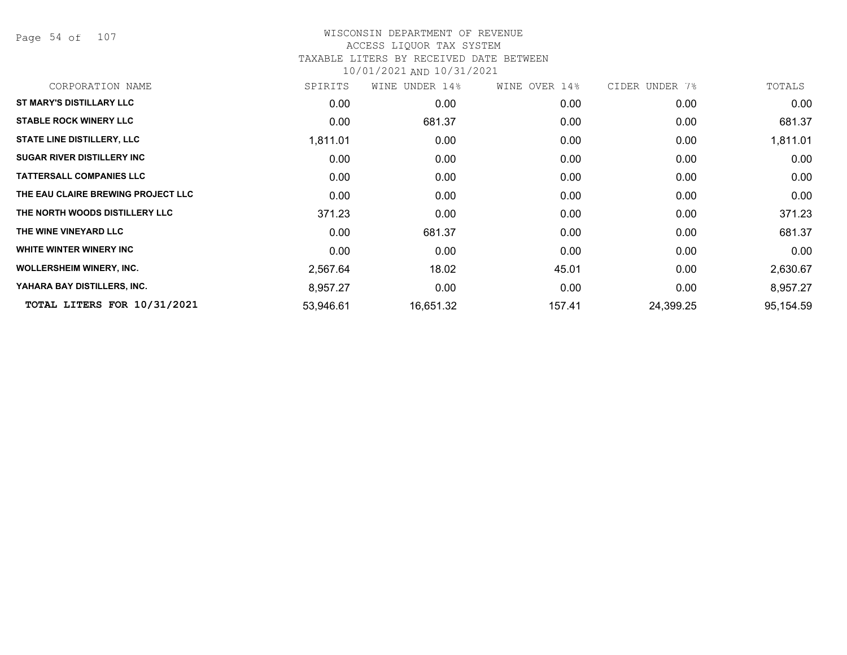Page 54 of 107

### WISCONSIN DEPARTMENT OF REVENUE ACCESS LIQUOR TAX SYSTEM TAXABLE LITERS BY RECEIVED DATE BETWEEN

| CORPORATION NAME                   | SPIRITS   | WINE UNDER 14% | WINE OVER 14% | CIDER UNDER 7% | TOTALS    |
|------------------------------------|-----------|----------------|---------------|----------------|-----------|
| <b>ST MARY'S DISTILLARY LLC</b>    | 0.00      | 0.00           | 0.00          | 0.00           | 0.00      |
| <b>STABLE ROCK WINERY LLC</b>      | 0.00      | 681.37         | 0.00          | 0.00           | 681.37    |
| <b>STATE LINE DISTILLERY, LLC</b>  | 1,811.01  | 0.00           | 0.00          | 0.00           | 1,811.01  |
| <b>SUGAR RIVER DISTILLERY INC</b>  | 0.00      | 0.00           | 0.00          | 0.00           | 0.00      |
| <b>TATTERSALL COMPANIES LLC</b>    | 0.00      | 0.00           | 0.00          | 0.00           | 0.00      |
| THE EAU CLAIRE BREWING PROJECT LLC | 0.00      | 0.00           | 0.00          | 0.00           | 0.00      |
| THE NORTH WOODS DISTILLERY LLC     | 371.23    | 0.00           | 0.00          | 0.00           | 371.23    |
| THE WINE VINEYARD LLC              | 0.00      | 681.37         | 0.00          | 0.00           | 681.37    |
| WHITE WINTER WINERY INC            | 0.00      | 0.00           | 0.00          | 0.00           | 0.00      |
| <b>WOLLERSHEIM WINERY, INC.</b>    | 2,567.64  | 18.02          | 45.01         | 0.00           | 2,630.67  |
| YAHARA BAY DISTILLERS, INC.        | 8,957.27  | 0.00           | 0.00          | 0.00           | 8,957.27  |
| TOTAL LITERS FOR 10/31/2021        | 53,946.61 | 16,651.32      | 157.41        | 24,399.25      | 95,154.59 |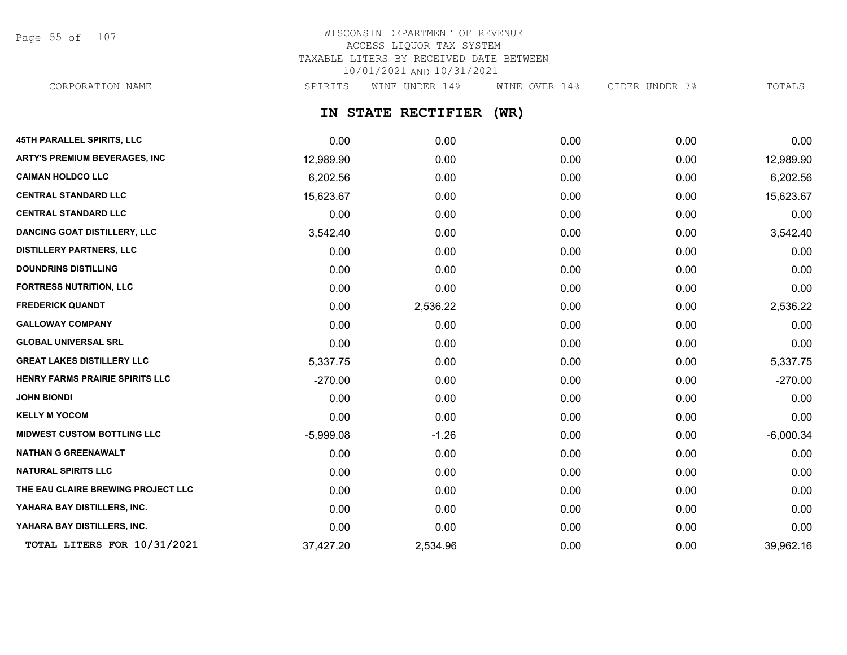Page 55 of 107

# WISCONSIN DEPARTMENT OF REVENUE ACCESS LIQUOR TAX SYSTEM TAXABLE LITERS BY RECEIVED DATE BETWEEN 10/01/2021 AND 10/31/2021

CORPORATION NAME SPIRITS WINE UNDER 14% WINE OVER 14% CIDER UNDER 7% TOTALS

# **IN STATE RECTIFIER (WR)**

| <b>45TH PARALLEL SPIRITS, LLC</b>    | 0.00        | 0.00     | 0.00 | 0.00 | 0.00        |
|--------------------------------------|-------------|----------|------|------|-------------|
| <b>ARTY'S PREMIUM BEVERAGES, INC</b> | 12,989.90   | 0.00     | 0.00 | 0.00 | 12,989.90   |
| <b>CAIMAN HOLDCO LLC</b>             | 6,202.56    | 0.00     | 0.00 | 0.00 | 6,202.56    |
| <b>CENTRAL STANDARD LLC</b>          | 15,623.67   | 0.00     | 0.00 | 0.00 | 15,623.67   |
| <b>CENTRAL STANDARD LLC</b>          | 0.00        | 0.00     | 0.00 | 0.00 | 0.00        |
| <b>DANCING GOAT DISTILLERY, LLC</b>  | 3,542.40    | 0.00     | 0.00 | 0.00 | 3,542.40    |
| <b>DISTILLERY PARTNERS, LLC</b>      | 0.00        | 0.00     | 0.00 | 0.00 | 0.00        |
| <b>DOUNDRINS DISTILLING</b>          | 0.00        | 0.00     | 0.00 | 0.00 | 0.00        |
| <b>FORTRESS NUTRITION, LLC</b>       | 0.00        | 0.00     | 0.00 | 0.00 | 0.00        |
| <b>FREDERICK QUANDT</b>              | 0.00        | 2,536.22 | 0.00 | 0.00 | 2,536.22    |
| <b>GALLOWAY COMPANY</b>              | 0.00        | 0.00     | 0.00 | 0.00 | 0.00        |
| <b>GLOBAL UNIVERSAL SRL</b>          | 0.00        | 0.00     | 0.00 | 0.00 | 0.00        |
| <b>GREAT LAKES DISTILLERY LLC</b>    | 5,337.75    | 0.00     | 0.00 | 0.00 | 5,337.75    |
| HENRY FARMS PRAIRIE SPIRITS LLC      | $-270.00$   | 0.00     | 0.00 | 0.00 | $-270.00$   |
| <b>JOHN BIONDI</b>                   | 0.00        | 0.00     | 0.00 | 0.00 | 0.00        |
| <b>KELLY M YOCOM</b>                 | 0.00        | 0.00     | 0.00 | 0.00 | 0.00        |
| <b>MIDWEST CUSTOM BOTTLING LLC</b>   | $-5,999.08$ | $-1.26$  | 0.00 | 0.00 | $-6,000.34$ |
| <b>NATHAN G GREENAWALT</b>           | 0.00        | 0.00     | 0.00 | 0.00 | 0.00        |
| <b>NATURAL SPIRITS LLC</b>           | 0.00        | 0.00     | 0.00 | 0.00 | 0.00        |
| THE EAU CLAIRE BREWING PROJECT LLC   | 0.00        | 0.00     | 0.00 | 0.00 | 0.00        |
| YAHARA BAY DISTILLERS, INC.          | 0.00        | 0.00     | 0.00 | 0.00 | 0.00        |
| YAHARA BAY DISTILLERS, INC.          | 0.00        | 0.00     | 0.00 | 0.00 | 0.00        |
| TOTAL LITERS FOR 10/31/2021          | 37,427.20   | 2,534.96 | 0.00 | 0.00 | 39,962.16   |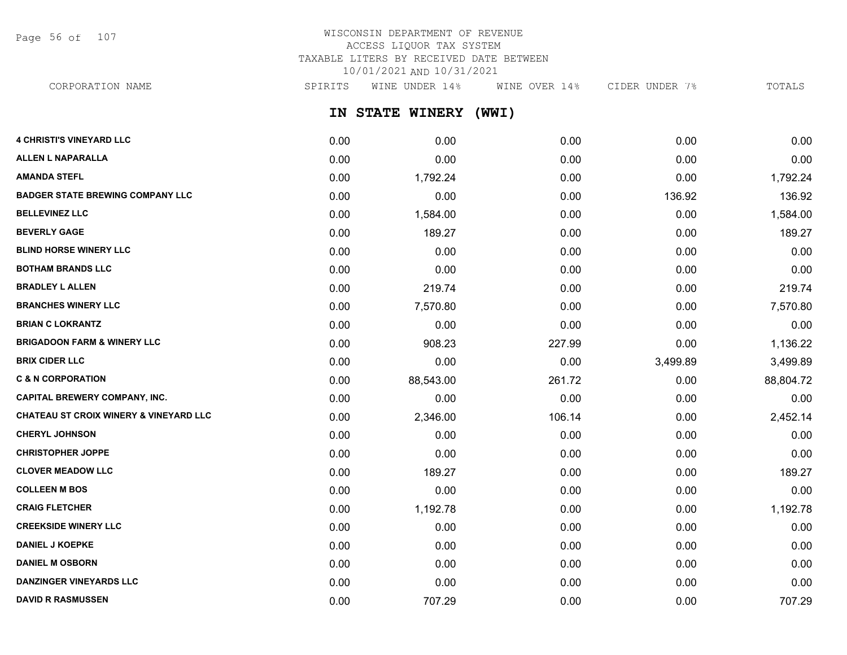Page 56 of 107

# WISCONSIN DEPARTMENT OF REVENUE ACCESS LIQUOR TAX SYSTEM TAXABLE LITERS BY RECEIVED DATE BETWEEN 10/01/2021 AND 10/31/2021

CORPORATION NAME SPIRITS WINE UNDER 14% WINE OVER 14% CIDER UNDER 7% TOTALS

**IN STATE WINERY (WWI)**

| <b>4 CHRISTI'S VINEYARD LLC</b>                   | 0.00 | 0.00      | 0.00   | 0.00     | 0.00      |
|---------------------------------------------------|------|-----------|--------|----------|-----------|
| <b>ALLEN L NAPARALLA</b>                          | 0.00 | 0.00      | 0.00   | 0.00     | 0.00      |
| <b>AMANDA STEFL</b>                               | 0.00 | 1,792.24  | 0.00   | 0.00     | 1,792.24  |
| <b>BADGER STATE BREWING COMPANY LLC</b>           | 0.00 | 0.00      | 0.00   | 136.92   | 136.92    |
| <b>BELLEVINEZ LLC</b>                             | 0.00 | 1,584.00  | 0.00   | 0.00     | 1,584.00  |
| <b>BEVERLY GAGE</b>                               | 0.00 | 189.27    | 0.00   | 0.00     | 189.27    |
| <b>BLIND HORSE WINERY LLC</b>                     | 0.00 | 0.00      | 0.00   | 0.00     | 0.00      |
| <b>BOTHAM BRANDS LLC</b>                          | 0.00 | 0.00      | 0.00   | 0.00     | 0.00      |
| <b>BRADLEY L ALLEN</b>                            | 0.00 | 219.74    | 0.00   | 0.00     | 219.74    |
| <b>BRANCHES WINERY LLC</b>                        | 0.00 | 7,570.80  | 0.00   | 0.00     | 7,570.80  |
| <b>BRIAN C LOKRANTZ</b>                           | 0.00 | 0.00      | 0.00   | 0.00     | 0.00      |
| <b>BRIGADOON FARM &amp; WINERY LLC</b>            | 0.00 | 908.23    | 227.99 | 0.00     | 1,136.22  |
| <b>BRIX CIDER LLC</b>                             | 0.00 | 0.00      | 0.00   | 3,499.89 | 3,499.89  |
| <b>C &amp; N CORPORATION</b>                      | 0.00 | 88,543.00 | 261.72 | 0.00     | 88,804.72 |
| <b>CAPITAL BREWERY COMPANY, INC.</b>              | 0.00 | 0.00      | 0.00   | 0.00     | 0.00      |
| <b>CHATEAU ST CROIX WINERY &amp; VINEYARD LLC</b> | 0.00 | 2,346.00  | 106.14 | 0.00     | 2,452.14  |
| <b>CHERYL JOHNSON</b>                             | 0.00 | 0.00      | 0.00   | 0.00     | 0.00      |
| <b>CHRISTOPHER JOPPE</b>                          | 0.00 | 0.00      | 0.00   | 0.00     | 0.00      |
| <b>CLOVER MEADOW LLC</b>                          | 0.00 | 189.27    | 0.00   | 0.00     | 189.27    |
| <b>COLLEEN M BOS</b>                              | 0.00 | 0.00      | 0.00   | 0.00     | 0.00      |
| <b>CRAIG FLETCHER</b>                             | 0.00 | 1,192.78  | 0.00   | 0.00     | 1,192.78  |
| <b>CREEKSIDE WINERY LLC</b>                       | 0.00 | 0.00      | 0.00   | 0.00     | 0.00      |
| <b>DANIEL J KOEPKE</b>                            | 0.00 | 0.00      | 0.00   | 0.00     | 0.00      |
| <b>DANIEL M OSBORN</b>                            | 0.00 | 0.00      | 0.00   | 0.00     | 0.00      |
| <b>DANZINGER VINEYARDS LLC</b>                    | 0.00 | 0.00      | 0.00   | 0.00     | 0.00      |
| <b>DAVID R RASMUSSEN</b>                          | 0.00 | 707.29    | 0.00   | 0.00     | 707.29    |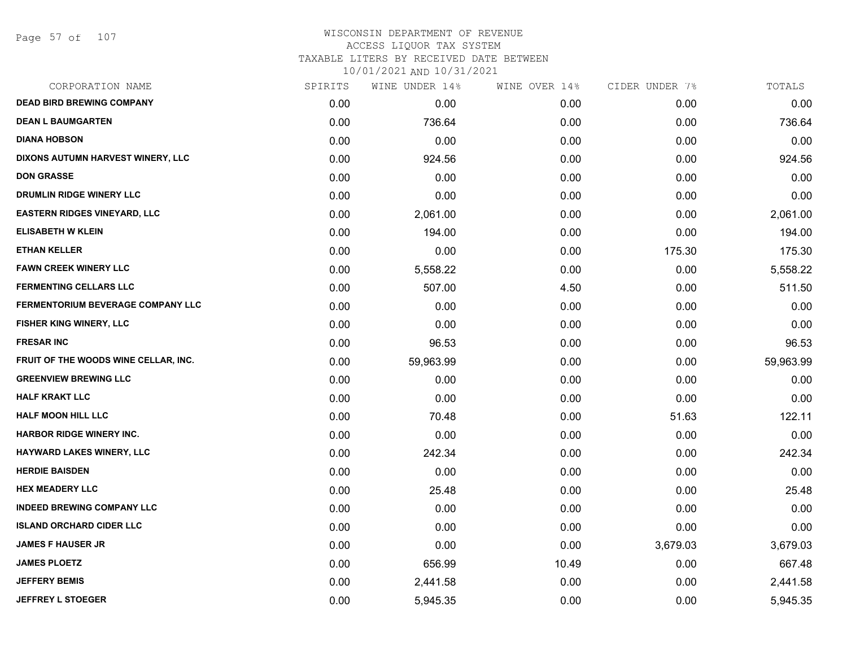#### WISCONSIN DEPARTMENT OF REVENUE ACCESS LIQUOR TAX SYSTEM TAXABLE LITERS BY RECEIVED DATE BETWEEN

| CORPORATION NAME                     | SPIRITS | WINE UNDER 14% | WINE OVER 14% | CIDER UNDER 7% | TOTALS    |
|--------------------------------------|---------|----------------|---------------|----------------|-----------|
| <b>DEAD BIRD BREWING COMPANY</b>     | 0.00    | 0.00           | 0.00          | 0.00           | 0.00      |
| <b>DEAN L BAUMGARTEN</b>             | 0.00    | 736.64         | 0.00          | 0.00           | 736.64    |
| <b>DIANA HOBSON</b>                  | 0.00    | 0.00           | 0.00          | 0.00           | 0.00      |
| DIXONS AUTUMN HARVEST WINERY, LLC    | 0.00    | 924.56         | 0.00          | 0.00           | 924.56    |
| <b>DON GRASSE</b>                    | 0.00    | 0.00           | 0.00          | 0.00           | 0.00      |
| DRUMLIN RIDGE WINERY LLC             | 0.00    | 0.00           | 0.00          | 0.00           | 0.00      |
| <b>EASTERN RIDGES VINEYARD, LLC</b>  | 0.00    | 2,061.00       | 0.00          | 0.00           | 2,061.00  |
| <b>ELISABETH W KLEIN</b>             | 0.00    | 194.00         | 0.00          | 0.00           | 194.00    |
| <b>ETHAN KELLER</b>                  | 0.00    | 0.00           | 0.00          | 175.30         | 175.30    |
| <b>FAWN CREEK WINERY LLC</b>         | 0.00    | 5,558.22       | 0.00          | 0.00           | 5,558.22  |
| <b>FERMENTING CELLARS LLC</b>        | 0.00    | 507.00         | 4.50          | 0.00           | 511.50    |
| FERMENTORIUM BEVERAGE COMPANY LLC    | 0.00    | 0.00           | 0.00          | 0.00           | 0.00      |
| FISHER KING WINERY, LLC              | 0.00    | 0.00           | 0.00          | 0.00           | 0.00      |
| <b>FRESAR INC</b>                    | 0.00    | 96.53          | 0.00          | 0.00           | 96.53     |
| FRUIT OF THE WOODS WINE CELLAR, INC. | 0.00    | 59,963.99      | 0.00          | 0.00           | 59,963.99 |
| <b>GREENVIEW BREWING LLC</b>         | 0.00    | 0.00           | 0.00          | 0.00           | 0.00      |
| <b>HALF KRAKT LLC</b>                | 0.00    | 0.00           | 0.00          | 0.00           | 0.00      |
| <b>HALF MOON HILL LLC</b>            | 0.00    | 70.48          | 0.00          | 51.63          | 122.11    |
| <b>HARBOR RIDGE WINERY INC.</b>      | 0.00    | 0.00           | 0.00          | 0.00           | 0.00      |
| HAYWARD LAKES WINERY, LLC            | 0.00    | 242.34         | 0.00          | 0.00           | 242.34    |
| <b>HERDIE BAISDEN</b>                | 0.00    | 0.00           | 0.00          | 0.00           | 0.00      |
| <b>HEX MEADERY LLC</b>               | 0.00    | 25.48          | 0.00          | 0.00           | 25.48     |
| <b>INDEED BREWING COMPANY LLC</b>    | 0.00    | 0.00           | 0.00          | 0.00           | 0.00      |
| <b>ISLAND ORCHARD CIDER LLC</b>      | 0.00    | 0.00           | 0.00          | 0.00           | 0.00      |
| <b>JAMES F HAUSER JR</b>             | 0.00    | 0.00           | 0.00          | 3,679.03       | 3,679.03  |
| <b>JAMES PLOETZ</b>                  | 0.00    | 656.99         | 10.49         | 0.00           | 667.48    |
| <b>JEFFERY BEMIS</b>                 | 0.00    | 2,441.58       | 0.00          | 0.00           | 2,441.58  |
| <b>JEFFREY L STOEGER</b>             | 0.00    | 5,945.35       | 0.00          | 0.00           | 5,945.35  |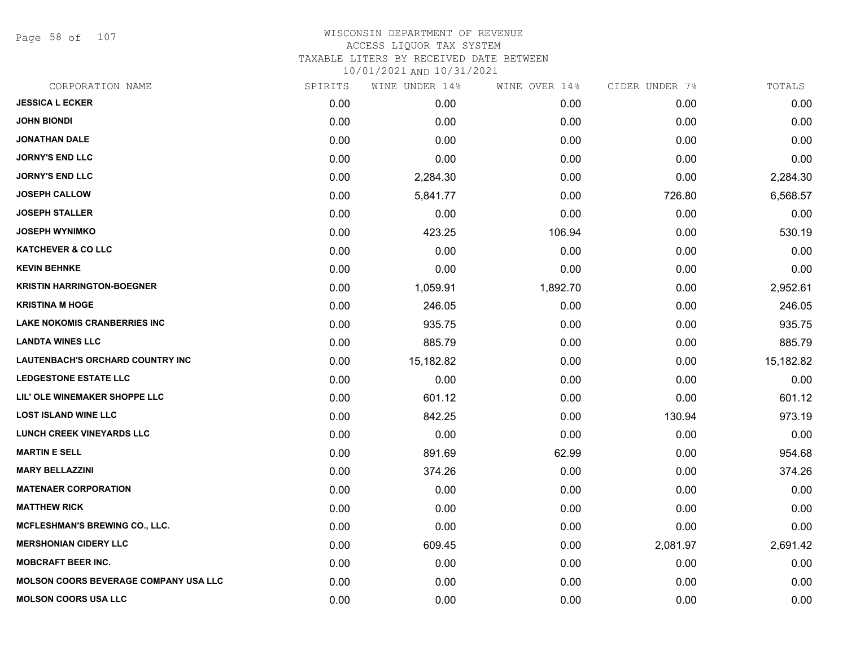Page 58 of 107

### WISCONSIN DEPARTMENT OF REVENUE ACCESS LIQUOR TAX SYSTEM

TAXABLE LITERS BY RECEIVED DATE BETWEEN

| CORPORATION NAME                             | SPIRITS | WINE UNDER 14% | WINE OVER 14% | CIDER UNDER 7% | TOTALS    |
|----------------------------------------------|---------|----------------|---------------|----------------|-----------|
| <b>JESSICA L ECKER</b>                       | 0.00    | 0.00           | 0.00          | 0.00           | 0.00      |
| <b>JOHN BIONDI</b>                           | 0.00    | 0.00           | 0.00          | 0.00           | 0.00      |
| <b>JONATHAN DALE</b>                         | 0.00    | 0.00           | 0.00          | 0.00           | 0.00      |
| <b>JORNY'S END LLC</b>                       | 0.00    | 0.00           | 0.00          | 0.00           | 0.00      |
| <b>JORNY'S END LLC</b>                       | 0.00    | 2,284.30       | 0.00          | 0.00           | 2,284.30  |
| <b>JOSEPH CALLOW</b>                         | 0.00    | 5,841.77       | 0.00          | 726.80         | 6,568.57  |
| <b>JOSEPH STALLER</b>                        | 0.00    | 0.00           | 0.00          | 0.00           | 0.00      |
| <b>JOSEPH WYNIMKO</b>                        | 0.00    | 423.25         | 106.94        | 0.00           | 530.19    |
| <b>KATCHEVER &amp; CO LLC</b>                | 0.00    | 0.00           | 0.00          | 0.00           | 0.00      |
| <b>KEVIN BEHNKE</b>                          | 0.00    | 0.00           | 0.00          | 0.00           | 0.00      |
| <b>KRISTIN HARRINGTON-BOEGNER</b>            | 0.00    | 1,059.91       | 1,892.70      | 0.00           | 2,952.61  |
| <b>KRISTINA M HOGE</b>                       | 0.00    | 246.05         | 0.00          | 0.00           | 246.05    |
| <b>LAKE NOKOMIS CRANBERRIES INC</b>          | 0.00    | 935.75         | 0.00          | 0.00           | 935.75    |
| <b>LANDTA WINES LLC</b>                      | 0.00    | 885.79         | 0.00          | 0.00           | 885.79    |
| LAUTENBACH'S ORCHARD COUNTRY INC             | 0.00    | 15,182.82      | 0.00          | 0.00           | 15,182.82 |
| <b>LEDGESTONE ESTATE LLC</b>                 | 0.00    | 0.00           | 0.00          | 0.00           | 0.00      |
| LIL' OLE WINEMAKER SHOPPE LLC                | 0.00    | 601.12         | 0.00          | 0.00           | 601.12    |
| <b>LOST ISLAND WINE LLC</b>                  | 0.00    | 842.25         | 0.00          | 130.94         | 973.19    |
| <b>LUNCH CREEK VINEYARDS LLC</b>             | 0.00    | 0.00           | 0.00          | 0.00           | 0.00      |
| <b>MARTIN E SELL</b>                         | 0.00    | 891.69         | 62.99         | 0.00           | 954.68    |
| <b>MARY BELLAZZINI</b>                       | 0.00    | 374.26         | 0.00          | 0.00           | 374.26    |
| <b>MATENAER CORPORATION</b>                  | 0.00    | 0.00           | 0.00          | 0.00           | 0.00      |
| <b>MATTHEW RICK</b>                          | 0.00    | 0.00           | 0.00          | 0.00           | 0.00      |
| MCFLESHMAN'S BREWING CO., LLC.               | 0.00    | 0.00           | 0.00          | 0.00           | 0.00      |
| <b>MERSHONIAN CIDERY LLC</b>                 | 0.00    | 609.45         | 0.00          | 2,081.97       | 2,691.42  |
| <b>MOBCRAFT BEER INC.</b>                    | 0.00    | 0.00           | 0.00          | 0.00           | 0.00      |
| <b>MOLSON COORS BEVERAGE COMPANY USA LLC</b> | 0.00    | 0.00           | 0.00          | 0.00           | 0.00      |
| <b>MOLSON COORS USA LLC</b>                  | 0.00    | 0.00           | 0.00          | 0.00           | 0.00      |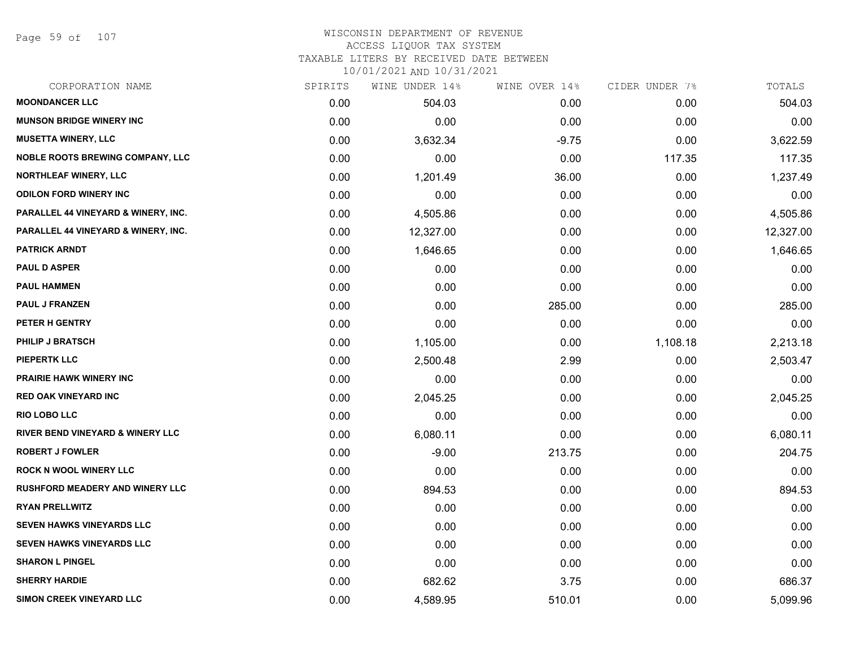Page 59 of 107

#### WISCONSIN DEPARTMENT OF REVENUE ACCESS LIQUOR TAX SYSTEM TAXABLE LITERS BY RECEIVED DATE BETWEEN

| CORPORATION NAME                               | SPIRITS | WINE UNDER 14% | WINE OVER 14% | CIDER UNDER 7% | TOTALS    |
|------------------------------------------------|---------|----------------|---------------|----------------|-----------|
| <b>MOONDANCER LLC</b>                          | 0.00    | 504.03         | 0.00          | 0.00           | 504.03    |
| <b>MUNSON BRIDGE WINERY INC</b>                | 0.00    | 0.00           | 0.00          | 0.00           | 0.00      |
| <b>MUSETTA WINERY, LLC</b>                     | 0.00    | 3,632.34       | $-9.75$       | 0.00           | 3,622.59  |
| <b>NOBLE ROOTS BREWING COMPANY, LLC</b>        | 0.00    | 0.00           | 0.00          | 117.35         | 117.35    |
| <b>NORTHLEAF WINERY, LLC</b>                   | 0.00    | 1,201.49       | 36.00         | 0.00           | 1,237.49  |
| <b>ODILON FORD WINERY INC</b>                  | 0.00    | 0.00           | 0.00          | 0.00           | 0.00      |
| PARALLEL 44 VINEYARD & WINERY, INC.            | 0.00    | 4,505.86       | 0.00          | 0.00           | 4,505.86  |
| <b>PARALLEL 44 VINEYARD &amp; WINERY, INC.</b> | 0.00    | 12,327.00      | 0.00          | 0.00           | 12,327.00 |
| <b>PATRICK ARNDT</b>                           | 0.00    | 1,646.65       | 0.00          | 0.00           | 1,646.65  |
| <b>PAUL D ASPER</b>                            | 0.00    | 0.00           | 0.00          | 0.00           | 0.00      |
| <b>PAUL HAMMEN</b>                             | 0.00    | 0.00           | 0.00          | 0.00           | 0.00      |
| <b>PAUL J FRANZEN</b>                          | 0.00    | 0.00           | 285.00        | 0.00           | 285.00    |
| PETER H GENTRY                                 | 0.00    | 0.00           | 0.00          | 0.00           | 0.00      |
| <b>PHILIP J BRATSCH</b>                        | 0.00    | 1,105.00       | 0.00          | 1,108.18       | 2,213.18  |
| <b>PIEPERTK LLC</b>                            | 0.00    | 2,500.48       | 2.99          | 0.00           | 2,503.47  |
| <b>PRAIRIE HAWK WINERY INC</b>                 | 0.00    | 0.00           | 0.00          | 0.00           | 0.00      |
| <b>RED OAK VINEYARD INC</b>                    | 0.00    | 2,045.25       | 0.00          | 0.00           | 2,045.25  |
| <b>RIO LOBO LLC</b>                            | 0.00    | 0.00           | 0.00          | 0.00           | 0.00      |
| <b>RIVER BEND VINEYARD &amp; WINERY LLC</b>    | 0.00    | 6,080.11       | 0.00          | 0.00           | 6,080.11  |
| <b>ROBERT J FOWLER</b>                         | 0.00    | $-9.00$        | 213.75        | 0.00           | 204.75    |
| <b>ROCK N WOOL WINERY LLC</b>                  | 0.00    | 0.00           | 0.00          | 0.00           | 0.00      |
| <b>RUSHFORD MEADERY AND WINERY LLC</b>         | 0.00    | 894.53         | 0.00          | 0.00           | 894.53    |
| <b>RYAN PRELLWITZ</b>                          | 0.00    | 0.00           | 0.00          | 0.00           | 0.00      |
| <b>SEVEN HAWKS VINEYARDS LLC</b>               | 0.00    | 0.00           | 0.00          | 0.00           | 0.00      |
| SEVEN HAWKS VINEYARDS LLC                      | 0.00    | 0.00           | 0.00          | 0.00           | 0.00      |
| <b>SHARON L PINGEL</b>                         | 0.00    | 0.00           | 0.00          | 0.00           | 0.00      |
| <b>SHERRY HARDIE</b>                           | 0.00    | 682.62         | 3.75          | 0.00           | 686.37    |
| SIMON CREEK VINEYARD LLC                       | 0.00    | 4,589.95       | 510.01        | 0.00           | 5,099.96  |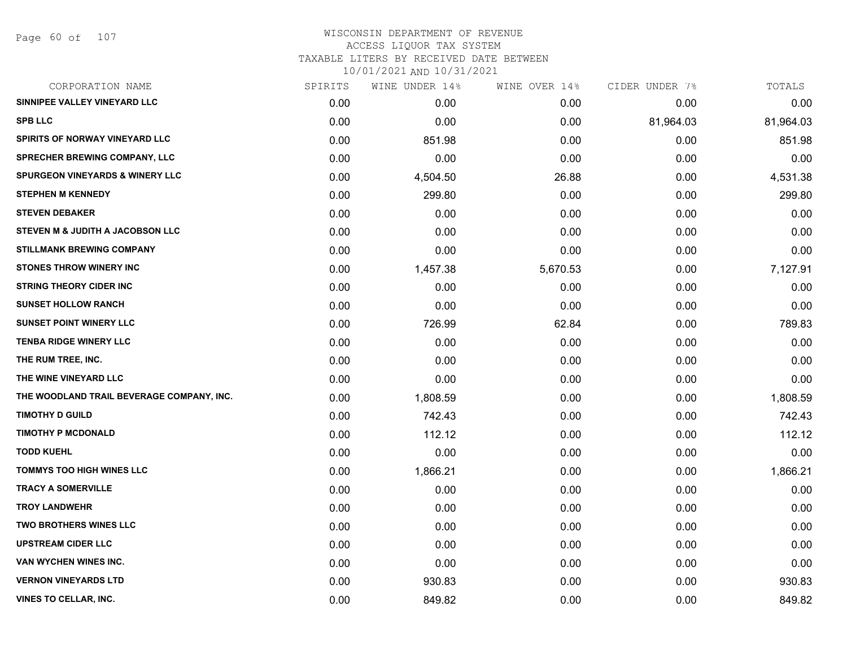# WISCONSIN DEPARTMENT OF REVENUE ACCESS LIQUOR TAX SYSTEM TAXABLE LITERS BY RECEIVED DATE BETWEEN

| CORPORATION NAME                           | SPIRITS | WINE UNDER 14% | WINE OVER 14% | CIDER UNDER 7% | TOTALS    |
|--------------------------------------------|---------|----------------|---------------|----------------|-----------|
| SINNIPEE VALLEY VINEYARD LLC               | 0.00    | 0.00           | 0.00          | 0.00           | 0.00      |
| <b>SPB LLC</b>                             | 0.00    | 0.00           | 0.00          | 81,964.03      | 81,964.03 |
| SPIRITS OF NORWAY VINEYARD LLC             | 0.00    | 851.98         | 0.00          | 0.00           | 851.98    |
| <b>SPRECHER BREWING COMPANY, LLC</b>       | 0.00    | 0.00           | 0.00          | 0.00           | 0.00      |
| <b>SPURGEON VINEYARDS &amp; WINERY LLC</b> | 0.00    | 4,504.50       | 26.88         | 0.00           | 4,531.38  |
| <b>STEPHEN M KENNEDY</b>                   | 0.00    | 299.80         | 0.00          | 0.00           | 299.80    |
| <b>STEVEN DEBAKER</b>                      | 0.00    | 0.00           | 0.00          | 0.00           | 0.00      |
| STEVEN M & JUDITH A JACOBSON LLC           | 0.00    | 0.00           | 0.00          | 0.00           | 0.00      |
| <b>STILLMANK BREWING COMPANY</b>           | 0.00    | 0.00           | 0.00          | 0.00           | 0.00      |
| <b>STONES THROW WINERY INC</b>             | 0.00    | 1,457.38       | 5,670.53      | 0.00           | 7,127.91  |
| <b>STRING THEORY CIDER INC</b>             | 0.00    | 0.00           | 0.00          | 0.00           | 0.00      |
| <b>SUNSET HOLLOW RANCH</b>                 | 0.00    | 0.00           | 0.00          | 0.00           | 0.00      |
| <b>SUNSET POINT WINERY LLC</b>             | 0.00    | 726.99         | 62.84         | 0.00           | 789.83    |
| <b>TENBA RIDGE WINERY LLC</b>              | 0.00    | 0.00           | 0.00          | 0.00           | 0.00      |
| THE RUM TREE, INC.                         | 0.00    | 0.00           | 0.00          | 0.00           | 0.00      |
| THE WINE VINEYARD LLC                      | 0.00    | 0.00           | 0.00          | 0.00           | 0.00      |
| THE WOODLAND TRAIL BEVERAGE COMPANY, INC.  | 0.00    | 1,808.59       | 0.00          | 0.00           | 1,808.59  |
| <b>TIMOTHY D GUILD</b>                     | 0.00    | 742.43         | 0.00          | 0.00           | 742.43    |
| <b>TIMOTHY P MCDONALD</b>                  | 0.00    | 112.12         | 0.00          | 0.00           | 112.12    |
| <b>TODD KUEHL</b>                          | 0.00    | 0.00           | 0.00          | 0.00           | 0.00      |
| <b>TOMMYS TOO HIGH WINES LLC</b>           | 0.00    | 1,866.21       | 0.00          | 0.00           | 1,866.21  |
| <b>TRACY A SOMERVILLE</b>                  | 0.00    | 0.00           | 0.00          | 0.00           | 0.00      |
| <b>TROY LANDWEHR</b>                       | 0.00    | 0.00           | 0.00          | 0.00           | 0.00      |
| <b>TWO BROTHERS WINES LLC</b>              | 0.00    | 0.00           | 0.00          | 0.00           | 0.00      |
| <b>UPSTREAM CIDER LLC</b>                  | 0.00    | 0.00           | 0.00          | 0.00           | 0.00      |
| VAN WYCHEN WINES INC.                      | 0.00    | 0.00           | 0.00          | 0.00           | 0.00      |
| <b>VERNON VINEYARDS LTD</b>                | 0.00    | 930.83         | 0.00          | 0.00           | 930.83    |
| <b>VINES TO CELLAR, INC.</b>               | 0.00    | 849.82         | 0.00          | 0.00           | 849.82    |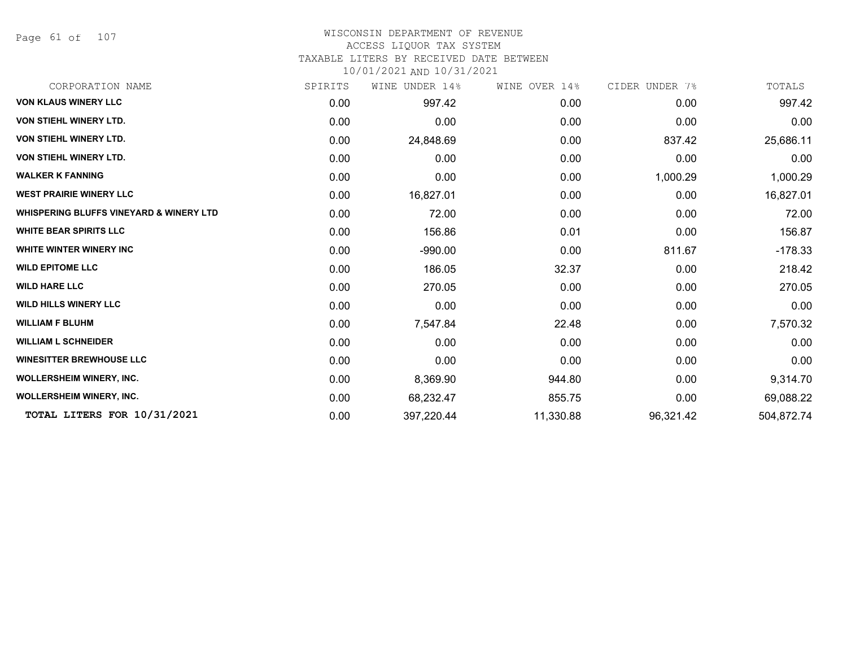Page 61 of 107

# WISCONSIN DEPARTMENT OF REVENUE

## ACCESS LIQUOR TAX SYSTEM

TAXABLE LITERS BY RECEIVED DATE BETWEEN

| CORPORATION NAME                                   | SPIRITS | WINE UNDER 14% | WINE OVER 14% | CIDER UNDER 7% | TOTALS     |
|----------------------------------------------------|---------|----------------|---------------|----------------|------------|
| <b>VON KLAUS WINERY LLC</b>                        | 0.00    | 997.42         | 0.00          | 0.00           | 997.42     |
| VON STIEHL WINERY LTD.                             | 0.00    | 0.00           | 0.00          | 0.00           | 0.00       |
| VON STIEHL WINERY LTD.                             | 0.00    | 24,848.69      | 0.00          | 837.42         | 25,686.11  |
| VON STIEHL WINERY LTD.                             | 0.00    | 0.00           | 0.00          | 0.00           | 0.00       |
| <b>WALKER K FANNING</b>                            | 0.00    | 0.00           | 0.00          | 1,000.29       | 1,000.29   |
| <b>WEST PRAIRIE WINERY LLC</b>                     | 0.00    | 16,827.01      | 0.00          | 0.00           | 16,827.01  |
| <b>WHISPERING BLUFFS VINEYARD &amp; WINERY LTD</b> | 0.00    | 72.00          | 0.00          | 0.00           | 72.00      |
| <b>WHITE BEAR SPIRITS LLC</b>                      | 0.00    | 156.86         | 0.01          | 0.00           | 156.87     |
| <b>WHITE WINTER WINERY INC</b>                     | 0.00    | $-990.00$      | 0.00          | 811.67         | $-178.33$  |
| <b>WILD EPITOME LLC</b>                            | 0.00    | 186.05         | 32.37         | 0.00           | 218.42     |
| <b>WILD HARE LLC</b>                               | 0.00    | 270.05         | 0.00          | 0.00           | 270.05     |
| <b>WILD HILLS WINERY LLC</b>                       | 0.00    | 0.00           | 0.00          | 0.00           | 0.00       |
| <b>WILLIAM F BLUHM</b>                             | 0.00    | 7,547.84       | 22.48         | 0.00           | 7,570.32   |
| <b>WILLIAM L SCHNEIDER</b>                         | 0.00    | 0.00           | 0.00          | 0.00           | 0.00       |
| <b>WINESITTER BREWHOUSE LLC</b>                    | 0.00    | 0.00           | 0.00          | 0.00           | 0.00       |
| <b>WOLLERSHEIM WINERY, INC.</b>                    | 0.00    | 8,369.90       | 944.80        | 0.00           | 9,314.70   |
| <b>WOLLERSHEIM WINERY, INC.</b>                    | 0.00    | 68,232.47      | 855.75        | 0.00           | 69,088.22  |
| TOTAL LITERS FOR 10/31/2021                        | 0.00    | 397,220.44     | 11,330.88     | 96,321.42      | 504,872.74 |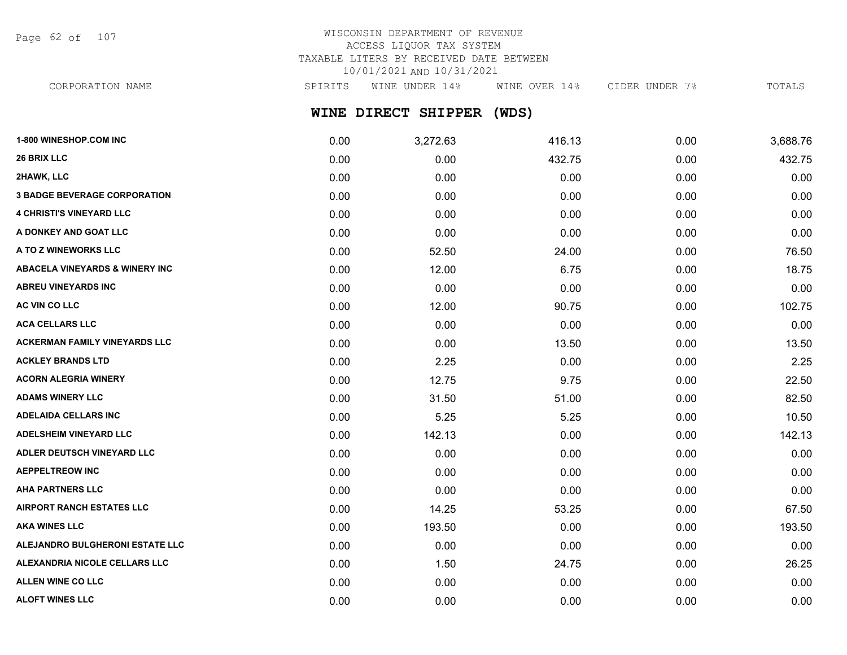Page 62 of 107

# WISCONSIN DEPARTMENT OF REVENUE ACCESS LIQUOR TAX SYSTEM TAXABLE LITERS BY RECEIVED DATE BETWEEN 10/01/2021 AND 10/31/2021

CORPORATION NAME SPIRITS WINE UNDER 14% WINE OVER 14% CIDER UNDER 7% TOTALS

**WINE DIRECT SHIPPER (WDS)**

| 1-800 WINESHOP.COM INC                    | 0.00 | 3,272.63 | 416.13 | 0.00 | 3,688.76 |
|-------------------------------------------|------|----------|--------|------|----------|
| <b>26 BRIX LLC</b>                        | 0.00 | 0.00     | 432.75 | 0.00 | 432.75   |
| 2HAWK, LLC                                | 0.00 | 0.00     | 0.00   | 0.00 | 0.00     |
| <b>3 BADGE BEVERAGE CORPORATION</b>       | 0.00 | 0.00     | 0.00   | 0.00 | 0.00     |
| <b>4 CHRISTI'S VINEYARD LLC</b>           | 0.00 | 0.00     | 0.00   | 0.00 | 0.00     |
| A DONKEY AND GOAT LLC                     | 0.00 | 0.00     | 0.00   | 0.00 | 0.00     |
| A TO Z WINEWORKS LLC                      | 0.00 | 52.50    | 24.00  | 0.00 | 76.50    |
| <b>ABACELA VINEYARDS &amp; WINERY INC</b> | 0.00 | 12.00    | 6.75   | 0.00 | 18.75    |
| ABREU VINEYARDS INC                       | 0.00 | 0.00     | 0.00   | 0.00 | 0.00     |
| <b>AC VIN CO LLC</b>                      | 0.00 | 12.00    | 90.75  | 0.00 | 102.75   |
| <b>ACA CELLARS LLC</b>                    | 0.00 | 0.00     | 0.00   | 0.00 | 0.00     |
| <b>ACKERMAN FAMILY VINEYARDS LLC</b>      | 0.00 | 0.00     | 13.50  | 0.00 | 13.50    |
| <b>ACKLEY BRANDS LTD</b>                  | 0.00 | 2.25     | 0.00   | 0.00 | 2.25     |
| <b>ACORN ALEGRIA WINERY</b>               | 0.00 | 12.75    | 9.75   | 0.00 | 22.50    |
| <b>ADAMS WINERY LLC</b>                   | 0.00 | 31.50    | 51.00  | 0.00 | 82.50    |
| <b>ADELAIDA CELLARS INC</b>               | 0.00 | 5.25     | 5.25   | 0.00 | 10.50    |
| <b>ADELSHEIM VINEYARD LLC</b>             | 0.00 | 142.13   | 0.00   | 0.00 | 142.13   |
| ADLER DEUTSCH VINEYARD LLC                | 0.00 | 0.00     | 0.00   | 0.00 | 0.00     |
| <b>AEPPELTREOW INC</b>                    | 0.00 | 0.00     | 0.00   | 0.00 | 0.00     |
| <b>AHA PARTNERS LLC</b>                   | 0.00 | 0.00     | 0.00   | 0.00 | 0.00     |
| <b>AIRPORT RANCH ESTATES LLC</b>          | 0.00 | 14.25    | 53.25  | 0.00 | 67.50    |
| <b>AKA WINES LLC</b>                      | 0.00 | 193.50   | 0.00   | 0.00 | 193.50   |
| ALEJANDRO BULGHERONI ESTATE LLC           | 0.00 | 0.00     | 0.00   | 0.00 | 0.00     |
| ALEXANDRIA NICOLE CELLARS LLC             | 0.00 | 1.50     | 24.75  | 0.00 | 26.25    |
| <b>ALLEN WINE CO LLC</b>                  | 0.00 | 0.00     | 0.00   | 0.00 | 0.00     |
| <b>ALOFT WINES LLC</b>                    | 0.00 | 0.00     | 0.00   | 0.00 | 0.00     |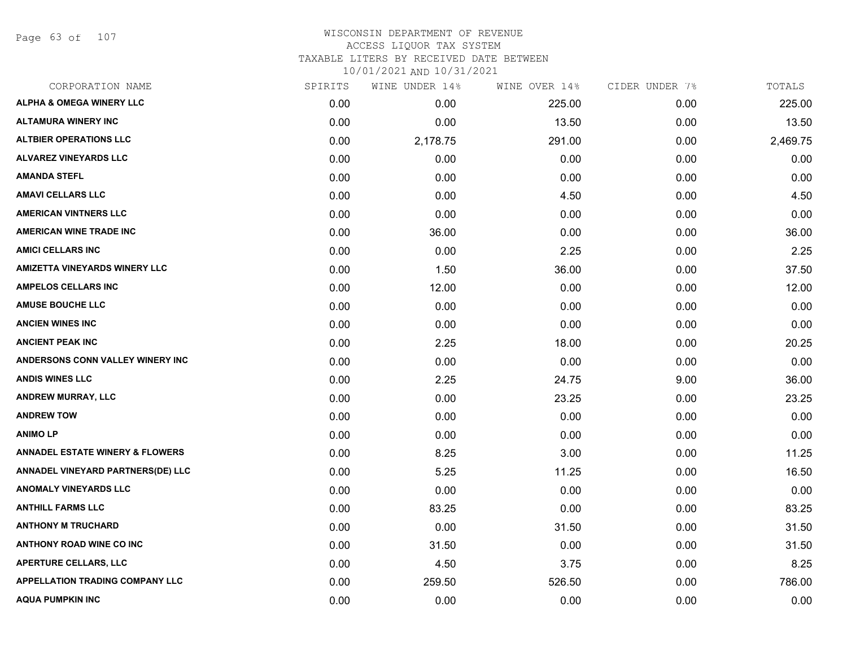Page 63 of 107

#### WISCONSIN DEPARTMENT OF REVENUE ACCESS LIQUOR TAX SYSTEM TAXABLE LITERS BY RECEIVED DATE BETWEEN

| CORPORATION NAME                           | SPIRITS | WINE UNDER 14% | WINE OVER 14% | CIDER UNDER 7% | TOTALS   |
|--------------------------------------------|---------|----------------|---------------|----------------|----------|
| <b>ALPHA &amp; OMEGA WINERY LLC</b>        | 0.00    | 0.00           | 225.00        | 0.00           | 225.00   |
| <b>ALTAMURA WINERY INC</b>                 | 0.00    | 0.00           | 13.50         | 0.00           | 13.50    |
| <b>ALTBIER OPERATIONS LLC</b>              | 0.00    | 2,178.75       | 291.00        | 0.00           | 2,469.75 |
| <b>ALVAREZ VINEYARDS LLC</b>               | 0.00    | 0.00           | 0.00          | 0.00           | 0.00     |
| <b>AMANDA STEFL</b>                        | 0.00    | 0.00           | 0.00          | 0.00           | 0.00     |
| <b>AMAVI CELLARS LLC</b>                   | 0.00    | 0.00           | 4.50          | 0.00           | 4.50     |
| <b>AMERICAN VINTNERS LLC</b>               | 0.00    | 0.00           | 0.00          | 0.00           | 0.00     |
| <b>AMERICAN WINE TRADE INC</b>             | 0.00    | 36.00          | 0.00          | 0.00           | 36.00    |
| <b>AMICI CELLARS INC</b>                   | 0.00    | 0.00           | 2.25          | 0.00           | 2.25     |
| <b>AMIZETTA VINEYARDS WINERY LLC</b>       | 0.00    | 1.50           | 36.00         | 0.00           | 37.50    |
| <b>AMPELOS CELLARS INC</b>                 | 0.00    | 12.00          | 0.00          | 0.00           | 12.00    |
| <b>AMUSE BOUCHE LLC</b>                    | 0.00    | 0.00           | 0.00          | 0.00           | 0.00     |
| <b>ANCIEN WINES INC</b>                    | 0.00    | 0.00           | 0.00          | 0.00           | 0.00     |
| <b>ANCIENT PEAK INC</b>                    | 0.00    | 2.25           | 18.00         | 0.00           | 20.25    |
| ANDERSONS CONN VALLEY WINERY INC           | 0.00    | 0.00           | 0.00          | 0.00           | 0.00     |
| <b>ANDIS WINES LLC</b>                     | 0.00    | 2.25           | 24.75         | 9.00           | 36.00    |
| <b>ANDREW MURRAY, LLC</b>                  | 0.00    | 0.00           | 23.25         | 0.00           | 23.25    |
| <b>ANDREW TOW</b>                          | 0.00    | 0.00           | 0.00          | 0.00           | 0.00     |
| <b>ANIMOLP</b>                             | 0.00    | 0.00           | 0.00          | 0.00           | 0.00     |
| <b>ANNADEL ESTATE WINERY &amp; FLOWERS</b> | 0.00    | 8.25           | 3.00          | 0.00           | 11.25    |
| <b>ANNADEL VINEYARD PARTNERS(DE) LLC</b>   | 0.00    | 5.25           | 11.25         | 0.00           | 16.50    |
| <b>ANOMALY VINEYARDS LLC</b>               | 0.00    | 0.00           | 0.00          | 0.00           | 0.00     |
| <b>ANTHILL FARMS LLC</b>                   | 0.00    | 83.25          | 0.00          | 0.00           | 83.25    |
| <b>ANTHONY M TRUCHARD</b>                  | 0.00    | 0.00           | 31.50         | 0.00           | 31.50    |
| <b>ANTHONY ROAD WINE CO INC</b>            | 0.00    | 31.50          | 0.00          | 0.00           | 31.50    |
| <b>APERTURE CELLARS, LLC</b>               | 0.00    | 4.50           | 3.75          | 0.00           | 8.25     |
| <b>APPELLATION TRADING COMPANY LLC</b>     | 0.00    | 259.50         | 526.50        | 0.00           | 786.00   |
| <b>AQUA PUMPKIN INC</b>                    | 0.00    | 0.00           | 0.00          | 0.00           | 0.00     |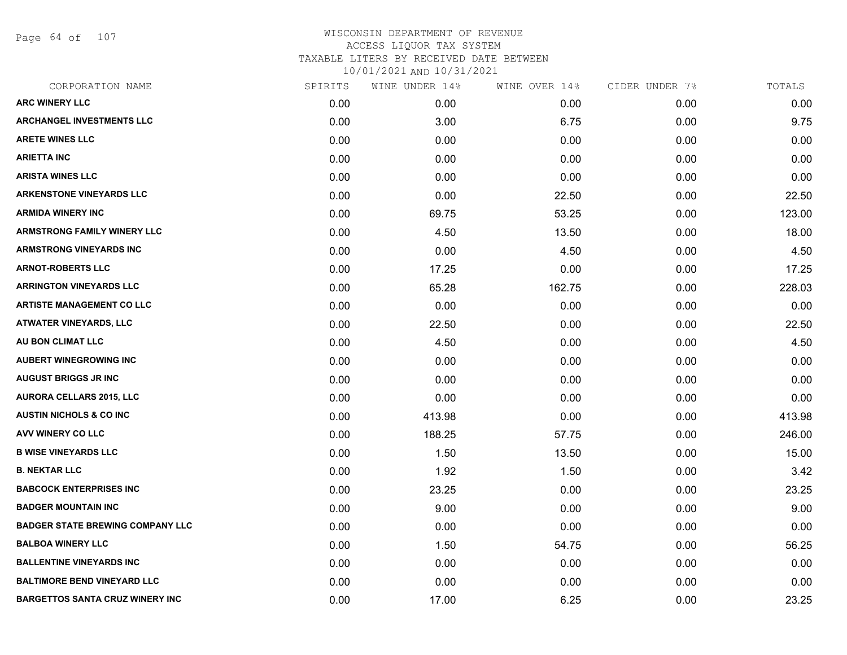Page 64 of 107

| CORPORATION NAME                        | SPIRITS | WINE UNDER 14% | WINE OVER 14% | CIDER UNDER 7% | TOTALS |
|-----------------------------------------|---------|----------------|---------------|----------------|--------|
| <b>ARC WINERY LLC</b>                   | 0.00    | 0.00           | 0.00          | 0.00           | 0.00   |
| <b>ARCHANGEL INVESTMENTS LLC</b>        | 0.00    | 3.00           | 6.75          | 0.00           | 9.75   |
| <b>ARETE WINES LLC</b>                  | 0.00    | 0.00           | 0.00          | 0.00           | 0.00   |
| <b>ARIETTA INC</b>                      | 0.00    | 0.00           | 0.00          | 0.00           | 0.00   |
| <b>ARISTA WINES LLC</b>                 | 0.00    | 0.00           | 0.00          | 0.00           | 0.00   |
| <b>ARKENSTONE VINEYARDS LLC</b>         | 0.00    | 0.00           | 22.50         | 0.00           | 22.50  |
| <b>ARMIDA WINERY INC</b>                | 0.00    | 69.75          | 53.25         | 0.00           | 123.00 |
| <b>ARMSTRONG FAMILY WINERY LLC</b>      | 0.00    | 4.50           | 13.50         | 0.00           | 18.00  |
| <b>ARMSTRONG VINEYARDS INC</b>          | 0.00    | 0.00           | 4.50          | 0.00           | 4.50   |
| <b>ARNOT-ROBERTS LLC</b>                | 0.00    | 17.25          | 0.00          | 0.00           | 17.25  |
| <b>ARRINGTON VINEYARDS LLC</b>          | 0.00    | 65.28          | 162.75        | 0.00           | 228.03 |
| <b>ARTISTE MANAGEMENT CO LLC</b>        | 0.00    | 0.00           | 0.00          | 0.00           | 0.00   |
| <b>ATWATER VINEYARDS, LLC</b>           | 0.00    | 22.50          | 0.00          | 0.00           | 22.50  |
| AU BON CLIMAT LLC                       | 0.00    | 4.50           | 0.00          | 0.00           | 4.50   |
| <b>AUBERT WINEGROWING INC</b>           | 0.00    | 0.00           | 0.00          | 0.00           | 0.00   |
| <b>AUGUST BRIGGS JR INC</b>             | 0.00    | 0.00           | 0.00          | 0.00           | 0.00   |
| <b>AURORA CELLARS 2015, LLC</b>         | 0.00    | 0.00           | 0.00          | 0.00           | 0.00   |
| <b>AUSTIN NICHOLS &amp; CO INC</b>      | 0.00    | 413.98         | 0.00          | 0.00           | 413.98 |
| <b>AVV WINERY CO LLC</b>                | 0.00    | 188.25         | 57.75         | 0.00           | 246.00 |
| <b>B WISE VINEYARDS LLC</b>             | 0.00    | 1.50           | 13.50         | 0.00           | 15.00  |
| <b>B. NEKTAR LLC</b>                    | 0.00    | 1.92           | 1.50          | 0.00           | 3.42   |
| <b>BABCOCK ENTERPRISES INC</b>          | 0.00    | 23.25          | 0.00          | 0.00           | 23.25  |
| <b>BADGER MOUNTAIN INC</b>              | 0.00    | 9.00           | 0.00          | 0.00           | 9.00   |
| <b>BADGER STATE BREWING COMPANY LLC</b> | 0.00    | 0.00           | 0.00          | 0.00           | 0.00   |
| <b>BALBOA WINERY LLC</b>                | 0.00    | 1.50           | 54.75         | 0.00           | 56.25  |
| <b>BALLENTINE VINEYARDS INC</b>         | 0.00    | 0.00           | 0.00          | 0.00           | 0.00   |
| <b>BALTIMORE BEND VINEYARD LLC</b>      | 0.00    | 0.00           | 0.00          | 0.00           | 0.00   |
| <b>BARGETTOS SANTA CRUZ WINERY INC</b>  | 0.00    | 17.00          | 6.25          | 0.00           | 23.25  |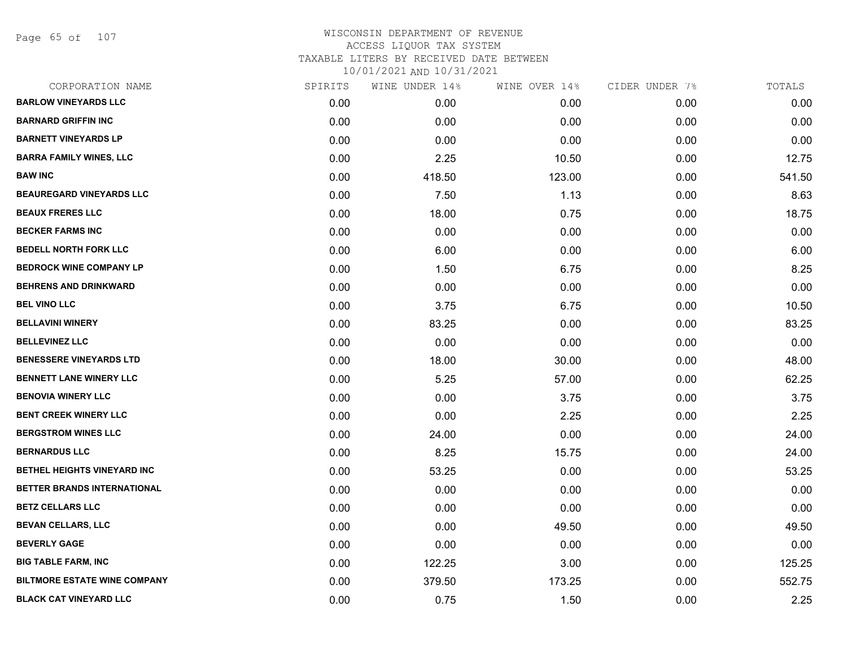Page 65 of 107

# WISCONSIN DEPARTMENT OF REVENUE ACCESS LIQUOR TAX SYSTEM TAXABLE LITERS BY RECEIVED DATE BETWEEN

| CORPORATION NAME                    | SPIRITS | WINE UNDER 14% | WINE OVER 14% | CIDER UNDER 7% | TOTALS |
|-------------------------------------|---------|----------------|---------------|----------------|--------|
| <b>BARLOW VINEYARDS LLC</b>         | 0.00    | 0.00           | 0.00          | 0.00           | 0.00   |
| <b>BARNARD GRIFFIN INC</b>          | 0.00    | 0.00           | 0.00          | 0.00           | 0.00   |
| <b>BARNETT VINEYARDS LP</b>         | 0.00    | 0.00           | 0.00          | 0.00           | 0.00   |
| <b>BARRA FAMILY WINES, LLC</b>      | 0.00    | 2.25           | 10.50         | 0.00           | 12.75  |
| <b>BAW INC</b>                      | 0.00    | 418.50         | 123.00        | 0.00           | 541.50 |
| <b>BEAUREGARD VINEYARDS LLC</b>     | 0.00    | 7.50           | 1.13          | 0.00           | 8.63   |
| <b>BEAUX FRERES LLC</b>             | 0.00    | 18.00          | 0.75          | 0.00           | 18.75  |
| <b>BECKER FARMS INC</b>             | 0.00    | 0.00           | 0.00          | 0.00           | 0.00   |
| <b>BEDELL NORTH FORK LLC</b>        | 0.00    | 6.00           | 0.00          | 0.00           | 6.00   |
| <b>BEDROCK WINE COMPANY LP</b>      | 0.00    | 1.50           | 6.75          | 0.00           | 8.25   |
| <b>BEHRENS AND DRINKWARD</b>        | 0.00    | 0.00           | 0.00          | 0.00           | 0.00   |
| <b>BEL VINO LLC</b>                 | 0.00    | 3.75           | 6.75          | 0.00           | 10.50  |
| <b>BELLAVINI WINERY</b>             | 0.00    | 83.25          | 0.00          | 0.00           | 83.25  |
| <b>BELLEVINEZ LLC</b>               | 0.00    | 0.00           | 0.00          | 0.00           | 0.00   |
| <b>BENESSERE VINEYARDS LTD</b>      | 0.00    | 18.00          | 30.00         | 0.00           | 48.00  |
| <b>BENNETT LANE WINERY LLC</b>      | 0.00    | 5.25           | 57.00         | 0.00           | 62.25  |
| <b>BENOVIA WINERY LLC</b>           | 0.00    | 0.00           | 3.75          | 0.00           | 3.75   |
| <b>BENT CREEK WINERY LLC</b>        | 0.00    | 0.00           | 2.25          | 0.00           | 2.25   |
| <b>BERGSTROM WINES LLC</b>          | 0.00    | 24.00          | 0.00          | 0.00           | 24.00  |
| <b>BERNARDUS LLC</b>                | 0.00    | 8.25           | 15.75         | 0.00           | 24.00  |
| <b>BETHEL HEIGHTS VINEYARD INC</b>  | 0.00    | 53.25          | 0.00          | 0.00           | 53.25  |
| BETTER BRANDS INTERNATIONAL         | 0.00    | 0.00           | 0.00          | 0.00           | 0.00   |
| <b>BETZ CELLARS LLC</b>             | 0.00    | 0.00           | 0.00          | 0.00           | 0.00   |
| <b>BEVAN CELLARS, LLC</b>           | 0.00    | 0.00           | 49.50         | 0.00           | 49.50  |
| <b>BEVERLY GAGE</b>                 | 0.00    | 0.00           | 0.00          | 0.00           | 0.00   |
| <b>BIG TABLE FARM, INC</b>          | 0.00    | 122.25         | 3.00          | 0.00           | 125.25 |
| <b>BILTMORE ESTATE WINE COMPANY</b> | 0.00    | 379.50         | 173.25        | 0.00           | 552.75 |
| <b>BLACK CAT VINEYARD LLC</b>       | 0.00    | 0.75           | 1.50          | 0.00           | 2.25   |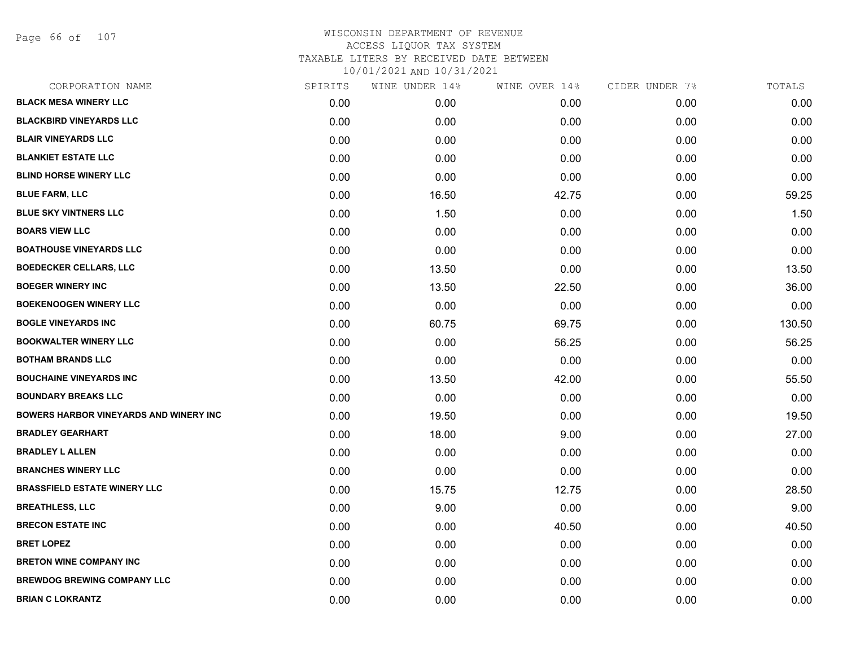Page 66 of 107

| CORPORATION NAME                              | SPIRITS | WINE UNDER 14% | WINE OVER 14% | CIDER UNDER 7% | TOTALS |
|-----------------------------------------------|---------|----------------|---------------|----------------|--------|
| <b>BLACK MESA WINERY LLC</b>                  | 0.00    | 0.00           | 0.00          | 0.00           | 0.00   |
| <b>BLACKBIRD VINEYARDS LLC</b>                | 0.00    | 0.00           | 0.00          | 0.00           | 0.00   |
| <b>BLAIR VINEYARDS LLC</b>                    | 0.00    | 0.00           | 0.00          | 0.00           | 0.00   |
| <b>BLANKIET ESTATE LLC</b>                    | 0.00    | 0.00           | 0.00          | 0.00           | 0.00   |
| <b>BLIND HORSE WINERY LLC</b>                 | 0.00    | 0.00           | 0.00          | 0.00           | 0.00   |
| <b>BLUE FARM, LLC</b>                         | 0.00    | 16.50          | 42.75         | 0.00           | 59.25  |
| <b>BLUE SKY VINTNERS LLC</b>                  | 0.00    | 1.50           | 0.00          | 0.00           | 1.50   |
| <b>BOARS VIEW LLC</b>                         | 0.00    | 0.00           | 0.00          | 0.00           | 0.00   |
| <b>BOATHOUSE VINEYARDS LLC</b>                | 0.00    | 0.00           | 0.00          | 0.00           | 0.00   |
| <b>BOEDECKER CELLARS, LLC</b>                 | 0.00    | 13.50          | 0.00          | 0.00           | 13.50  |
| <b>BOEGER WINERY INC</b>                      | 0.00    | 13.50          | 22.50         | 0.00           | 36.00  |
| <b>BOEKENOOGEN WINERY LLC</b>                 | 0.00    | 0.00           | 0.00          | 0.00           | 0.00   |
| <b>BOGLE VINEYARDS INC</b>                    | 0.00    | 60.75          | 69.75         | 0.00           | 130.50 |
| <b>BOOKWALTER WINERY LLC</b>                  | 0.00    | 0.00           | 56.25         | 0.00           | 56.25  |
| <b>BOTHAM BRANDS LLC</b>                      | 0.00    | 0.00           | 0.00          | 0.00           | 0.00   |
| <b>BOUCHAINE VINEYARDS INC</b>                | 0.00    | 13.50          | 42.00         | 0.00           | 55.50  |
| <b>BOUNDARY BREAKS LLC</b>                    | 0.00    | 0.00           | 0.00          | 0.00           | 0.00   |
| <b>BOWERS HARBOR VINEYARDS AND WINERY INC</b> | 0.00    | 19.50          | 0.00          | 0.00           | 19.50  |
| <b>BRADLEY GEARHART</b>                       | 0.00    | 18.00          | 9.00          | 0.00           | 27.00  |
| <b>BRADLEY L ALLEN</b>                        | 0.00    | 0.00           | 0.00          | 0.00           | 0.00   |
| <b>BRANCHES WINERY LLC</b>                    | 0.00    | 0.00           | 0.00          | 0.00           | 0.00   |
| <b>BRASSFIELD ESTATE WINERY LLC</b>           | 0.00    | 15.75          | 12.75         | 0.00           | 28.50  |
| <b>BREATHLESS, LLC</b>                        | 0.00    | 9.00           | 0.00          | 0.00           | 9.00   |
| <b>BRECON ESTATE INC</b>                      | 0.00    | 0.00           | 40.50         | 0.00           | 40.50  |
| <b>BRET LOPEZ</b>                             | 0.00    | 0.00           | 0.00          | 0.00           | 0.00   |
| <b>BRETON WINE COMPANY INC</b>                | 0.00    | 0.00           | 0.00          | 0.00           | 0.00   |
| <b>BREWDOG BREWING COMPANY LLC</b>            | 0.00    | 0.00           | 0.00          | 0.00           | 0.00   |
| <b>BRIAN C LOKRANTZ</b>                       | 0.00    | 0.00           | 0.00          | 0.00           | 0.00   |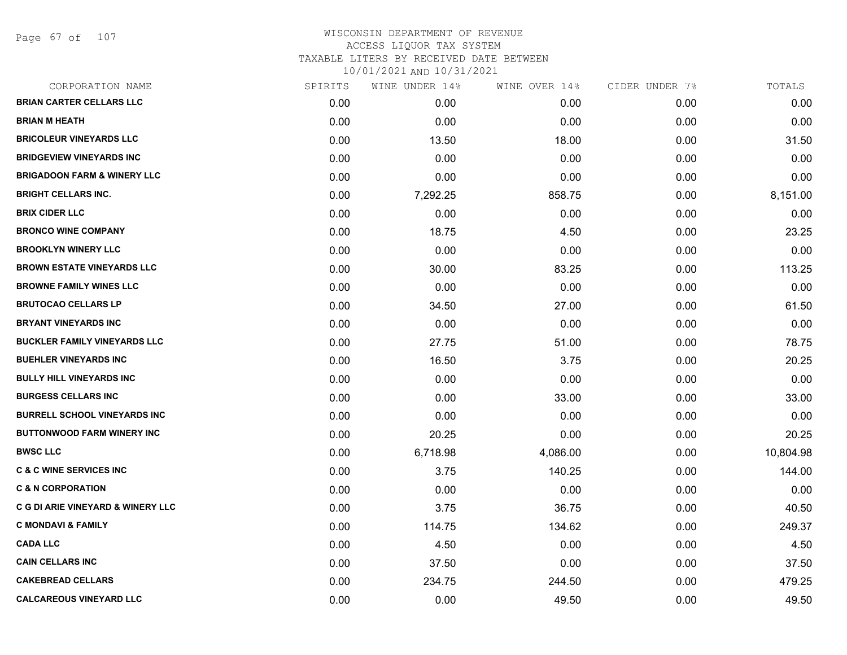Page 67 of 107

| CORPORATION NAME                             | SPIRITS | WINE UNDER 14% | WINE OVER 14% | CIDER UNDER 7% | TOTALS    |
|----------------------------------------------|---------|----------------|---------------|----------------|-----------|
| <b>BRIAN CARTER CELLARS LLC</b>              | 0.00    | 0.00           | 0.00          | 0.00           | 0.00      |
| <b>BRIAN M HEATH</b>                         | 0.00    | 0.00           | 0.00          | 0.00           | 0.00      |
| <b>BRICOLEUR VINEYARDS LLC</b>               | 0.00    | 13.50          | 18.00         | 0.00           | 31.50     |
| <b>BRIDGEVIEW VINEYARDS INC</b>              | 0.00    | 0.00           | 0.00          | 0.00           | 0.00      |
| <b>BRIGADOON FARM &amp; WINERY LLC</b>       | 0.00    | 0.00           | 0.00          | 0.00           | 0.00      |
| <b>BRIGHT CELLARS INC.</b>                   | 0.00    | 7,292.25       | 858.75        | 0.00           | 8,151.00  |
| <b>BRIX CIDER LLC</b>                        | 0.00    | 0.00           | 0.00          | 0.00           | 0.00      |
| <b>BRONCO WINE COMPANY</b>                   | 0.00    | 18.75          | 4.50          | 0.00           | 23.25     |
| <b>BROOKLYN WINERY LLC</b>                   | 0.00    | 0.00           | 0.00          | 0.00           | 0.00      |
| <b>BROWN ESTATE VINEYARDS LLC</b>            | 0.00    | 30.00          | 83.25         | 0.00           | 113.25    |
| <b>BROWNE FAMILY WINES LLC</b>               | 0.00    | 0.00           | 0.00          | 0.00           | 0.00      |
| <b>BRUTOCAO CELLARS LP</b>                   | 0.00    | 34.50          | 27.00         | 0.00           | 61.50     |
| <b>BRYANT VINEYARDS INC</b>                  | 0.00    | 0.00           | 0.00          | 0.00           | 0.00      |
| <b>BUCKLER FAMILY VINEYARDS LLC</b>          | 0.00    | 27.75          | 51.00         | 0.00           | 78.75     |
| <b>BUEHLER VINEYARDS INC</b>                 | 0.00    | 16.50          | 3.75          | 0.00           | 20.25     |
| <b>BULLY HILL VINEYARDS INC</b>              | 0.00    | 0.00           | 0.00          | 0.00           | 0.00      |
| <b>BURGESS CELLARS INC</b>                   | 0.00    | 0.00           | 33.00         | 0.00           | 33.00     |
| <b>BURRELL SCHOOL VINEYARDS INC</b>          | 0.00    | 0.00           | 0.00          | 0.00           | 0.00      |
| <b>BUTTONWOOD FARM WINERY INC</b>            | 0.00    | 20.25          | 0.00          | 0.00           | 20.25     |
| <b>BWSC LLC</b>                              | 0.00    | 6,718.98       | 4,086.00      | 0.00           | 10,804.98 |
| <b>C &amp; C WINE SERVICES INC</b>           | 0.00    | 3.75           | 140.25        | 0.00           | 144.00    |
| <b>C &amp; N CORPORATION</b>                 | 0.00    | 0.00           | 0.00          | 0.00           | 0.00      |
| <b>C G DI ARIE VINEYARD &amp; WINERY LLC</b> | 0.00    | 3.75           | 36.75         | 0.00           | 40.50     |
| <b>C MONDAVI &amp; FAMILY</b>                | 0.00    | 114.75         | 134.62        | 0.00           | 249.37    |
| <b>CADA LLC</b>                              | 0.00    | 4.50           | 0.00          | 0.00           | 4.50      |
| <b>CAIN CELLARS INC</b>                      | 0.00    | 37.50          | 0.00          | 0.00           | 37.50     |
| <b>CAKEBREAD CELLARS</b>                     | 0.00    | 234.75         | 244.50        | 0.00           | 479.25    |
| <b>CALCAREOUS VINEYARD LLC</b>               | 0.00    | 0.00           | 49.50         | 0.00           | 49.50     |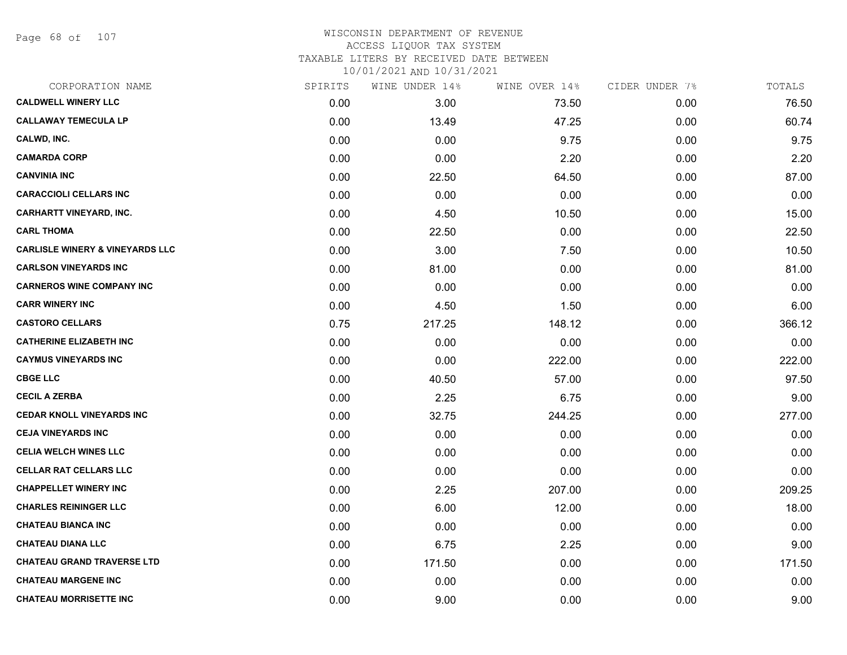Page 68 of 107

| CORPORATION NAME                           | SPIRITS | WINE UNDER 14% | WINE OVER 14% | CIDER UNDER 7% | TOTALS |
|--------------------------------------------|---------|----------------|---------------|----------------|--------|
| <b>CALDWELL WINERY LLC</b>                 | 0.00    | 3.00           | 73.50         | 0.00           | 76.50  |
| <b>CALLAWAY TEMECULA LP</b>                | 0.00    | 13.49          | 47.25         | 0.00           | 60.74  |
| CALWD, INC.                                | 0.00    | 0.00           | 9.75          | 0.00           | 9.75   |
| <b>CAMARDA CORP</b>                        | 0.00    | 0.00           | 2.20          | 0.00           | 2.20   |
| <b>CANVINIA INC</b>                        | 0.00    | 22.50          | 64.50         | 0.00           | 87.00  |
| <b>CARACCIOLI CELLARS INC</b>              | 0.00    | 0.00           | 0.00          | 0.00           | 0.00   |
| <b>CARHARTT VINEYARD, INC.</b>             | 0.00    | 4.50           | 10.50         | 0.00           | 15.00  |
| <b>CARL THOMA</b>                          | 0.00    | 22.50          | 0.00          | 0.00           | 22.50  |
| <b>CARLISLE WINERY &amp; VINEYARDS LLC</b> | 0.00    | 3.00           | 7.50          | 0.00           | 10.50  |
| <b>CARLSON VINEYARDS INC</b>               | 0.00    | 81.00          | 0.00          | 0.00           | 81.00  |
| <b>CARNEROS WINE COMPANY INC</b>           | 0.00    | 0.00           | 0.00          | 0.00           | 0.00   |
| <b>CARR WINERY INC</b>                     | 0.00    | 4.50           | 1.50          | 0.00           | 6.00   |
| <b>CASTORO CELLARS</b>                     | 0.75    | 217.25         | 148.12        | 0.00           | 366.12 |
| <b>CATHERINE ELIZABETH INC</b>             | 0.00    | 0.00           | 0.00          | 0.00           | 0.00   |
| <b>CAYMUS VINEYARDS INC</b>                | 0.00    | 0.00           | 222.00        | 0.00           | 222.00 |
| <b>CBGE LLC</b>                            | 0.00    | 40.50          | 57.00         | 0.00           | 97.50  |
| <b>CECIL A ZERBA</b>                       | 0.00    | 2.25           | 6.75          | 0.00           | 9.00   |
| <b>CEDAR KNOLL VINEYARDS INC</b>           | 0.00    | 32.75          | 244.25        | 0.00           | 277.00 |
| <b>CEJA VINEYARDS INC</b>                  | 0.00    | 0.00           | 0.00          | 0.00           | 0.00   |
| <b>CELIA WELCH WINES LLC</b>               | 0.00    | 0.00           | 0.00          | 0.00           | 0.00   |
| <b>CELLAR RAT CELLARS LLC</b>              | 0.00    | 0.00           | 0.00          | 0.00           | 0.00   |
| <b>CHAPPELLET WINERY INC</b>               | 0.00    | 2.25           | 207.00        | 0.00           | 209.25 |
| <b>CHARLES REININGER LLC</b>               | 0.00    | 6.00           | 12.00         | 0.00           | 18.00  |
| <b>CHATEAU BIANCA INC</b>                  | 0.00    | 0.00           | 0.00          | 0.00           | 0.00   |
| <b>CHATEAU DIANA LLC</b>                   | 0.00    | 6.75           | 2.25          | 0.00           | 9.00   |
| <b>CHATEAU GRAND TRAVERSE LTD</b>          | 0.00    | 171.50         | 0.00          | 0.00           | 171.50 |
| <b>CHATEAU MARGENE INC</b>                 | 0.00    | 0.00           | 0.00          | 0.00           | 0.00   |
| <b>CHATEAU MORRISETTE INC</b>              | 0.00    | 9.00           | 0.00          | 0.00           | 9.00   |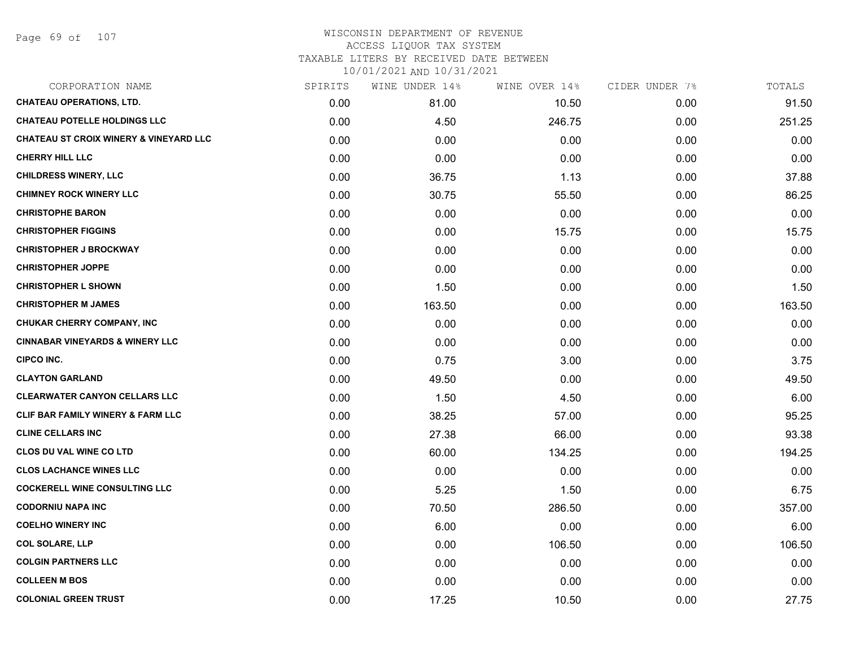| CORPORATION NAME                                  | SPIRITS | WINE UNDER 14% | WINE OVER 14% | CIDER UNDER 7% | TOTALS |
|---------------------------------------------------|---------|----------------|---------------|----------------|--------|
| <b>CHATEAU OPERATIONS, LTD.</b>                   | 0.00    | 81.00          | 10.50         | 0.00           | 91.50  |
| <b>CHATEAU POTELLE HOLDINGS LLC</b>               | 0.00    | 4.50           | 246.75        | 0.00           | 251.25 |
| <b>CHATEAU ST CROIX WINERY &amp; VINEYARD LLC</b> | 0.00    | 0.00           | 0.00          | 0.00           | 0.00   |
| <b>CHERRY HILL LLC</b>                            | 0.00    | 0.00           | 0.00          | 0.00           | 0.00   |
| <b>CHILDRESS WINERY, LLC</b>                      | 0.00    | 36.75          | 1.13          | 0.00           | 37.88  |
| <b>CHIMNEY ROCK WINERY LLC</b>                    | 0.00    | 30.75          | 55.50         | 0.00           | 86.25  |
| <b>CHRISTOPHE BARON</b>                           | 0.00    | 0.00           | 0.00          | 0.00           | 0.00   |
| <b>CHRISTOPHER FIGGINS</b>                        | 0.00    | 0.00           | 15.75         | 0.00           | 15.75  |
| <b>CHRISTOPHER J BROCKWAY</b>                     | 0.00    | 0.00           | 0.00          | 0.00           | 0.00   |
| <b>CHRISTOPHER JOPPE</b>                          | 0.00    | 0.00           | 0.00          | 0.00           | 0.00   |
| <b>CHRISTOPHER L SHOWN</b>                        | 0.00    | 1.50           | 0.00          | 0.00           | 1.50   |
| <b>CHRISTOPHER M JAMES</b>                        | 0.00    | 163.50         | 0.00          | 0.00           | 163.50 |
| <b>CHUKAR CHERRY COMPANY, INC</b>                 | 0.00    | 0.00           | 0.00          | 0.00           | 0.00   |
| <b>CINNABAR VINEYARDS &amp; WINERY LLC</b>        | 0.00    | 0.00           | 0.00          | 0.00           | 0.00   |
| CIPCO INC.                                        | 0.00    | 0.75           | 3.00          | 0.00           | 3.75   |
| <b>CLAYTON GARLAND</b>                            | 0.00    | 49.50          | 0.00          | 0.00           | 49.50  |
| <b>CLEARWATER CANYON CELLARS LLC</b>              | 0.00    | 1.50           | 4.50          | 0.00           | 6.00   |
| CLIF BAR FAMILY WINERY & FARM LLC                 | 0.00    | 38.25          | 57.00         | 0.00           | 95.25  |
| <b>CLINE CELLARS INC</b>                          | 0.00    | 27.38          | 66.00         | 0.00           | 93.38  |
| <b>CLOS DU VAL WINE CO LTD</b>                    | 0.00    | 60.00          | 134.25        | 0.00           | 194.25 |
| <b>CLOS LACHANCE WINES LLC</b>                    | 0.00    | 0.00           | 0.00          | 0.00           | 0.00   |
| <b>COCKERELL WINE CONSULTING LLC</b>              | 0.00    | 5.25           | 1.50          | 0.00           | 6.75   |
| <b>CODORNIU NAPA INC</b>                          | 0.00    | 70.50          | 286.50        | 0.00           | 357.00 |
| <b>COELHO WINERY INC</b>                          | 0.00    | 6.00           | 0.00          | 0.00           | 6.00   |
| <b>COL SOLARE, LLP</b>                            | 0.00    | 0.00           | 106.50        | 0.00           | 106.50 |
| <b>COLGIN PARTNERS LLC</b>                        | 0.00    | 0.00           | 0.00          | 0.00           | 0.00   |
| <b>COLLEEN M BOS</b>                              | 0.00    | 0.00           | 0.00          | 0.00           | 0.00   |
| <b>COLONIAL GREEN TRUST</b>                       | 0.00    | 17.25          | 10.50         | 0.00           | 27.75  |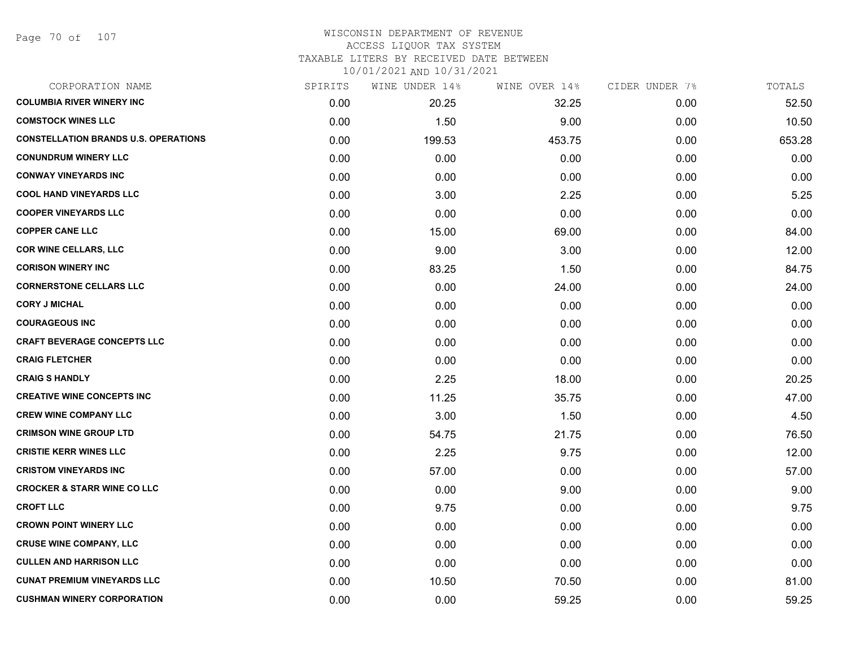#### WISCONSIN DEPARTMENT OF REVENUE ACCESS LIQUOR TAX SYSTEM TAXABLE LITERS BY RECEIVED DATE BETWEEN

| CORPORATION NAME                            | SPIRITS | WINE UNDER 14% | WINE OVER 14% | CIDER UNDER 7% | TOTALS |
|---------------------------------------------|---------|----------------|---------------|----------------|--------|
| <b>COLUMBIA RIVER WINERY INC</b>            | 0.00    | 20.25          | 32.25         | 0.00           | 52.50  |
| <b>COMSTOCK WINES LLC</b>                   | 0.00    | 1.50           | 9.00          | 0.00           | 10.50  |
| <b>CONSTELLATION BRANDS U.S. OPERATIONS</b> | 0.00    | 199.53         | 453.75        | 0.00           | 653.28 |
| <b>CONUNDRUM WINERY LLC</b>                 | 0.00    | 0.00           | 0.00          | 0.00           | 0.00   |
| <b>CONWAY VINEYARDS INC</b>                 | 0.00    | 0.00           | 0.00          | 0.00           | 0.00   |
| <b>COOL HAND VINEYARDS LLC</b>              | 0.00    | 3.00           | 2.25          | 0.00           | 5.25   |
| <b>COOPER VINEYARDS LLC</b>                 | 0.00    | 0.00           | 0.00          | 0.00           | 0.00   |
| <b>COPPER CANE LLC</b>                      | 0.00    | 15.00          | 69.00         | 0.00           | 84.00  |
| <b>COR WINE CELLARS, LLC</b>                | 0.00    | 9.00           | 3.00          | 0.00           | 12.00  |
| <b>CORISON WINERY INC</b>                   | 0.00    | 83.25          | 1.50          | 0.00           | 84.75  |
| <b>CORNERSTONE CELLARS LLC</b>              | 0.00    | 0.00           | 24.00         | 0.00           | 24.00  |
| <b>CORY J MICHAL</b>                        | 0.00    | 0.00           | 0.00          | 0.00           | 0.00   |
| <b>COURAGEOUS INC</b>                       | 0.00    | 0.00           | 0.00          | 0.00           | 0.00   |
| <b>CRAFT BEVERAGE CONCEPTS LLC</b>          | 0.00    | 0.00           | 0.00          | 0.00           | 0.00   |
| <b>CRAIG FLETCHER</b>                       | 0.00    | 0.00           | 0.00          | 0.00           | 0.00   |
| <b>CRAIG S HANDLY</b>                       | 0.00    | 2.25           | 18.00         | 0.00           | 20.25  |
| <b>CREATIVE WINE CONCEPTS INC</b>           | 0.00    | 11.25          | 35.75         | 0.00           | 47.00  |
| <b>CREW WINE COMPANY LLC</b>                | 0.00    | 3.00           | 1.50          | 0.00           | 4.50   |
| <b>CRIMSON WINE GROUP LTD</b>               | 0.00    | 54.75          | 21.75         | 0.00           | 76.50  |
| <b>CRISTIE KERR WINES LLC</b>               | 0.00    | 2.25           | 9.75          | 0.00           | 12.00  |
| <b>CRISTOM VINEYARDS INC</b>                | 0.00    | 57.00          | 0.00          | 0.00           | 57.00  |
| <b>CROCKER &amp; STARR WINE CO LLC</b>      | 0.00    | 0.00           | 9.00          | 0.00           | 9.00   |
| <b>CROFT LLC</b>                            | 0.00    | 9.75           | 0.00          | 0.00           | 9.75   |
| <b>CROWN POINT WINERY LLC</b>               | 0.00    | 0.00           | 0.00          | 0.00           | 0.00   |
| <b>CRUSE WINE COMPANY, LLC</b>              | 0.00    | 0.00           | 0.00          | 0.00           | 0.00   |
| <b>CULLEN AND HARRISON LLC</b>              | 0.00    | 0.00           | 0.00          | 0.00           | 0.00   |
| <b>CUNAT PREMIUM VINEYARDS LLC</b>          | 0.00    | 10.50          | 70.50         | 0.00           | 81.00  |
| <b>CUSHMAN WINERY CORPORATION</b>           | 0.00    | 0.00           | 59.25         | 0.00           | 59.25  |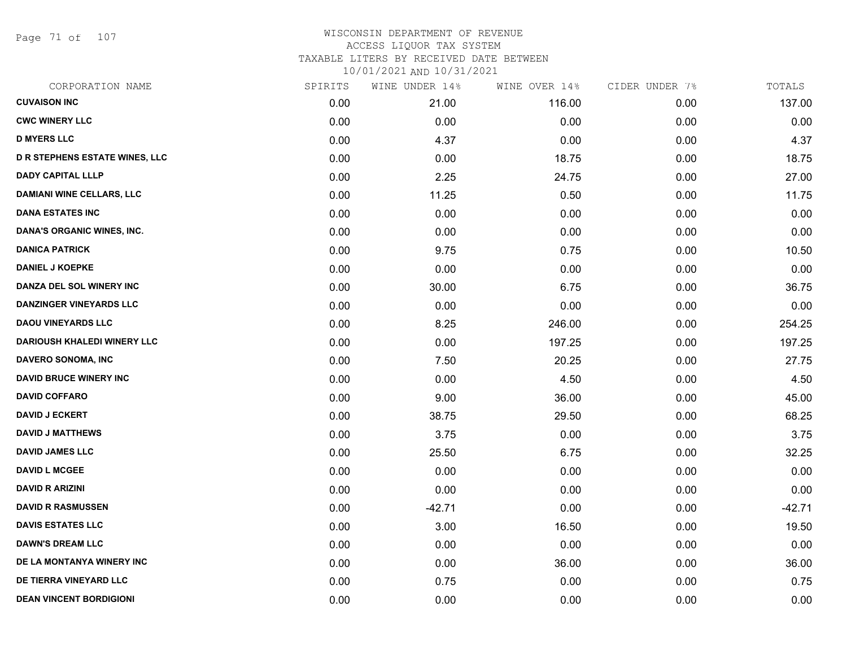Page 71 of 107

| CORPORATION NAME                      | SPIRITS | WINE UNDER 14% | WINE OVER 14% | CIDER UNDER 7% | TOTALS   |
|---------------------------------------|---------|----------------|---------------|----------------|----------|
| <b>CUVAISON INC</b>                   | 0.00    | 21.00          | 116.00        | 0.00           | 137.00   |
| <b>CWC WINERY LLC</b>                 | 0.00    | 0.00           | 0.00          | 0.00           | 0.00     |
| <b>D MYERS LLC</b>                    | 0.00    | 4.37           | 0.00          | 0.00           | 4.37     |
| <b>D R STEPHENS ESTATE WINES, LLC</b> | 0.00    | 0.00           | 18.75         | 0.00           | 18.75    |
| <b>DADY CAPITAL LLLP</b>              | 0.00    | 2.25           | 24.75         | 0.00           | 27.00    |
| <b>DAMIANI WINE CELLARS, LLC</b>      | 0.00    | 11.25          | 0.50          | 0.00           | 11.75    |
| <b>DANA ESTATES INC</b>               | 0.00    | 0.00           | 0.00          | 0.00           | 0.00     |
| DANA'S ORGANIC WINES, INC.            | 0.00    | 0.00           | 0.00          | 0.00           | 0.00     |
| <b>DANICA PATRICK</b>                 | 0.00    | 9.75           | 0.75          | 0.00           | 10.50    |
| <b>DANIEL J KOEPKE</b>                | 0.00    | 0.00           | 0.00          | 0.00           | 0.00     |
| DANZA DEL SOL WINERY INC              | 0.00    | 30.00          | 6.75          | 0.00           | 36.75    |
| <b>DANZINGER VINEYARDS LLC</b>        | 0.00    | 0.00           | 0.00          | 0.00           | 0.00     |
| <b>DAOU VINEYARDS LLC</b>             | 0.00    | 8.25           | 246.00        | 0.00           | 254.25   |
| <b>DARIOUSH KHALEDI WINERY LLC</b>    | 0.00    | 0.00           | 197.25        | 0.00           | 197.25   |
| <b>DAVERO SONOMA, INC</b>             | 0.00    | 7.50           | 20.25         | 0.00           | 27.75    |
| <b>DAVID BRUCE WINERY INC</b>         | 0.00    | 0.00           | 4.50          | 0.00           | 4.50     |
| <b>DAVID COFFARO</b>                  | 0.00    | 9.00           | 36.00         | 0.00           | 45.00    |
| <b>DAVID J ECKERT</b>                 | 0.00    | 38.75          | 29.50         | 0.00           | 68.25    |
| <b>DAVID J MATTHEWS</b>               | 0.00    | 3.75           | 0.00          | 0.00           | 3.75     |
| <b>DAVID JAMES LLC</b>                | 0.00    | 25.50          | 6.75          | 0.00           | 32.25    |
| <b>DAVID L MCGEE</b>                  | 0.00    | 0.00           | 0.00          | 0.00           | 0.00     |
| <b>DAVID R ARIZINI</b>                | 0.00    | 0.00           | 0.00          | 0.00           | 0.00     |
| <b>DAVID R RASMUSSEN</b>              | 0.00    | $-42.71$       | 0.00          | 0.00           | $-42.71$ |
| <b>DAVIS ESTATES LLC</b>              | 0.00    | 3.00           | 16.50         | 0.00           | 19.50    |
| <b>DAWN'S DREAM LLC</b>               | 0.00    | 0.00           | 0.00          | 0.00           | 0.00     |
| DE LA MONTANYA WINERY INC             | 0.00    | 0.00           | 36.00         | 0.00           | 36.00    |
| DE TIERRA VINEYARD LLC                | 0.00    | 0.75           | 0.00          | 0.00           | 0.75     |
| <b>DEAN VINCENT BORDIGIONI</b>        | 0.00    | 0.00           | 0.00          | 0.00           | 0.00     |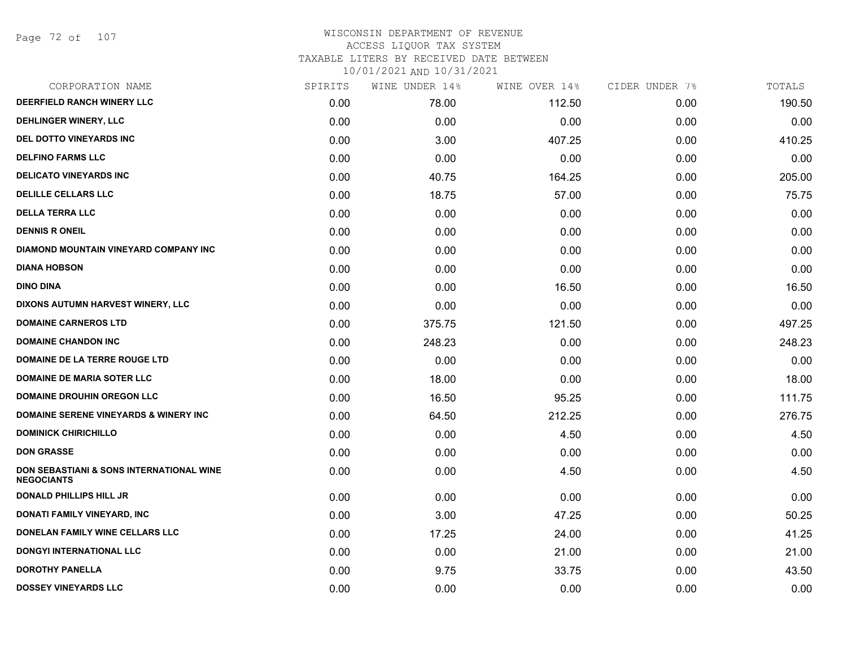Page 72 of 107

# WISCONSIN DEPARTMENT OF REVENUE ACCESS LIQUOR TAX SYSTEM TAXABLE LITERS BY RECEIVED DATE BETWEEN

| CORPORATION NAME                                              | SPIRITS | WINE UNDER 14% | WINE OVER 14% | CIDER UNDER 7% | TOTALS |
|---------------------------------------------------------------|---------|----------------|---------------|----------------|--------|
| DEERFIELD RANCH WINERY LLC                                    | 0.00    | 78.00          | 112.50        | 0.00           | 190.50 |
| <b>DEHLINGER WINERY, LLC</b>                                  | 0.00    | 0.00           | 0.00          | 0.00           | 0.00   |
| DEL DOTTO VINEYARDS INC                                       | 0.00    | 3.00           | 407.25        | 0.00           | 410.25 |
| <b>DELFINO FARMS LLC</b>                                      | 0.00    | 0.00           | 0.00          | 0.00           | 0.00   |
| <b>DELICATO VINEYARDS INC</b>                                 | 0.00    | 40.75          | 164.25        | 0.00           | 205.00 |
| <b>DELILLE CELLARS LLC</b>                                    | 0.00    | 18.75          | 57.00         | 0.00           | 75.75  |
| <b>DELLA TERRA LLC</b>                                        | 0.00    | 0.00           | 0.00          | 0.00           | 0.00   |
| <b>DENNIS R ONEIL</b>                                         | 0.00    | 0.00           | 0.00          | 0.00           | 0.00   |
| DIAMOND MOUNTAIN VINEYARD COMPANY INC                         | 0.00    | 0.00           | 0.00          | 0.00           | 0.00   |
| <b>DIANA HOBSON</b>                                           | 0.00    | 0.00           | 0.00          | 0.00           | 0.00   |
| <b>DINO DINA</b>                                              | 0.00    | 0.00           | 16.50         | 0.00           | 16.50  |
| DIXONS AUTUMN HARVEST WINERY, LLC                             | 0.00    | 0.00           | 0.00          | 0.00           | 0.00   |
| <b>DOMAINE CARNEROS LTD</b>                                   | 0.00    | 375.75         | 121.50        | 0.00           | 497.25 |
| <b>DOMAINE CHANDON INC</b>                                    | 0.00    | 248.23         | 0.00          | 0.00           | 248.23 |
| DOMAINE DE LA TERRE ROUGE LTD                                 | 0.00    | 0.00           | 0.00          | 0.00           | 0.00   |
| <b>DOMAINE DE MARIA SOTER LLC</b>                             | 0.00    | 18.00          | 0.00          | 0.00           | 18.00  |
| <b>DOMAINE DROUHIN OREGON LLC</b>                             | 0.00    | 16.50          | 95.25         | 0.00           | 111.75 |
| <b>DOMAINE SERENE VINEYARDS &amp; WINERY INC</b>              | 0.00    | 64.50          | 212.25        | 0.00           | 276.75 |
| <b>DOMINICK CHIRICHILLO</b>                                   | 0.00    | 0.00           | 4.50          | 0.00           | 4.50   |
| <b>DON GRASSE</b>                                             | 0.00    | 0.00           | 0.00          | 0.00           | 0.00   |
| DON SEBASTIANI & SONS INTERNATIONAL WINE<br><b>NEGOCIANTS</b> | 0.00    | 0.00           | 4.50          | 0.00           | 4.50   |
| <b>DONALD PHILLIPS HILL JR</b>                                | 0.00    | 0.00           | 0.00          | 0.00           | 0.00   |
| <b>DONATI FAMILY VINEYARD, INC</b>                            | 0.00    | 3.00           | 47.25         | 0.00           | 50.25  |
| DONELAN FAMILY WINE CELLARS LLC                               | 0.00    | 17.25          | 24.00         | 0.00           | 41.25  |
| <b>DONGYI INTERNATIONAL LLC</b>                               | 0.00    | 0.00           | 21.00         | 0.00           | 21.00  |
| <b>DOROTHY PANELLA</b>                                        | 0.00    | 9.75           | 33.75         | 0.00           | 43.50  |
| <b>DOSSEY VINEYARDS LLC</b>                                   | 0.00    | 0.00           | 0.00          | 0.00           | 0.00   |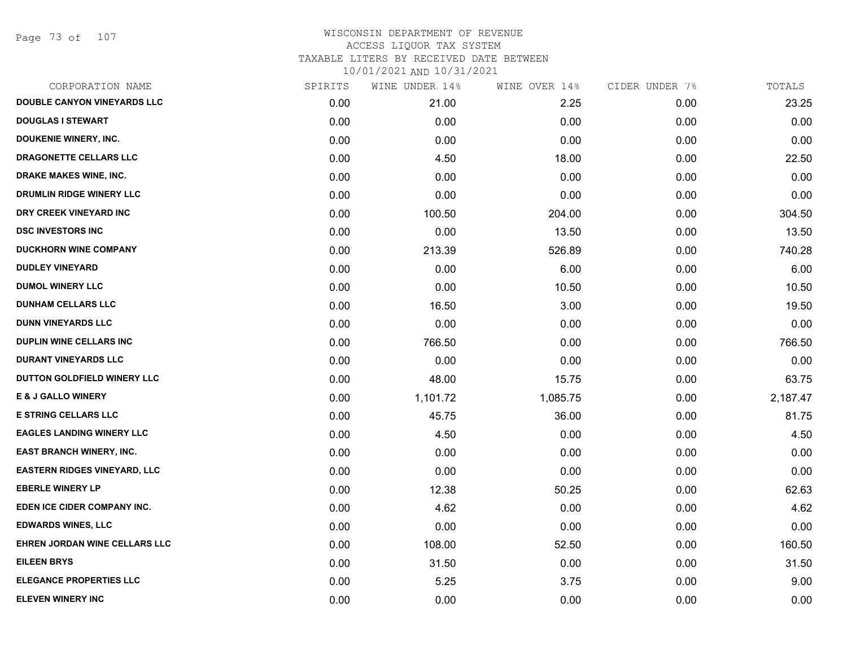Page 73 of 107

| CORPORATION NAME                    | SPIRITS | WINE UNDER 14% | WINE OVER 14% | CIDER UNDER 7% | TOTALS   |
|-------------------------------------|---------|----------------|---------------|----------------|----------|
| DOUBLE CANYON VINEYARDS LLC         | 0.00    | 21.00          | 2.25          | 0.00           | 23.25    |
| <b>DOUGLAS I STEWART</b>            | 0.00    | 0.00           | 0.00          | 0.00           | 0.00     |
| <b>DOUKENIE WINERY, INC.</b>        | 0.00    | 0.00           | 0.00          | 0.00           | 0.00     |
| DRAGONETTE CELLARS LLC              | 0.00    | 4.50           | 18.00         | 0.00           | 22.50    |
| <b>DRAKE MAKES WINE, INC.</b>       | 0.00    | 0.00           | 0.00          | 0.00           | 0.00     |
| DRUMLIN RIDGE WINERY LLC            | 0.00    | 0.00           | 0.00          | 0.00           | 0.00     |
| DRY CREEK VINEYARD INC              | 0.00    | 100.50         | 204.00        | 0.00           | 304.50   |
| <b>DSC INVESTORS INC</b>            | 0.00    | 0.00           | 13.50         | 0.00           | 13.50    |
| <b>DUCKHORN WINE COMPANY</b>        | 0.00    | 213.39         | 526.89        | 0.00           | 740.28   |
| <b>DUDLEY VINEYARD</b>              | 0.00    | 0.00           | 6.00          | 0.00           | 6.00     |
| <b>DUMOL WINERY LLC</b>             | 0.00    | 0.00           | 10.50         | 0.00           | 10.50    |
| <b>DUNHAM CELLARS LLC</b>           | 0.00    | 16.50          | 3.00          | 0.00           | 19.50    |
| <b>DUNN VINEYARDS LLC</b>           | 0.00    | 0.00           | 0.00          | 0.00           | 0.00     |
| <b>DUPLIN WINE CELLARS INC</b>      | 0.00    | 766.50         | 0.00          | 0.00           | 766.50   |
| <b>DURANT VINEYARDS LLC</b>         | 0.00    | 0.00           | 0.00          | 0.00           | 0.00     |
| DUTTON GOLDFIELD WINERY LLC         | 0.00    | 48.00          | 15.75         | 0.00           | 63.75    |
| <b>E &amp; J GALLO WINERY</b>       | 0.00    | 1,101.72       | 1,085.75      | 0.00           | 2,187.47 |
| <b>E STRING CELLARS LLC</b>         | 0.00    | 45.75          | 36.00         | 0.00           | 81.75    |
| <b>EAGLES LANDING WINERY LLC</b>    | 0.00    | 4.50           | 0.00          | 0.00           | 4.50     |
| <b>EAST BRANCH WINERY, INC.</b>     | 0.00    | 0.00           | 0.00          | 0.00           | 0.00     |
| <b>EASTERN RIDGES VINEYARD, LLC</b> | 0.00    | 0.00           | 0.00          | 0.00           | 0.00     |
| <b>EBERLE WINERY LP</b>             | 0.00    | 12.38          | 50.25         | 0.00           | 62.63    |
| EDEN ICE CIDER COMPANY INC.         | 0.00    | 4.62           | 0.00          | 0.00           | 4.62     |
| <b>EDWARDS WINES, LLC</b>           | 0.00    | 0.00           | 0.00          | 0.00           | 0.00     |
| EHREN JORDAN WINE CELLARS LLC       | 0.00    | 108.00         | 52.50         | 0.00           | 160.50   |
| <b>EILEEN BRYS</b>                  | 0.00    | 31.50          | 0.00          | 0.00           | 31.50    |
| <b>ELEGANCE PROPERTIES LLC</b>      | 0.00    | 5.25           | 3.75          | 0.00           | 9.00     |
| <b>ELEVEN WINERY INC</b>            | 0.00    | 0.00           | 0.00          | 0.00           | 0.00     |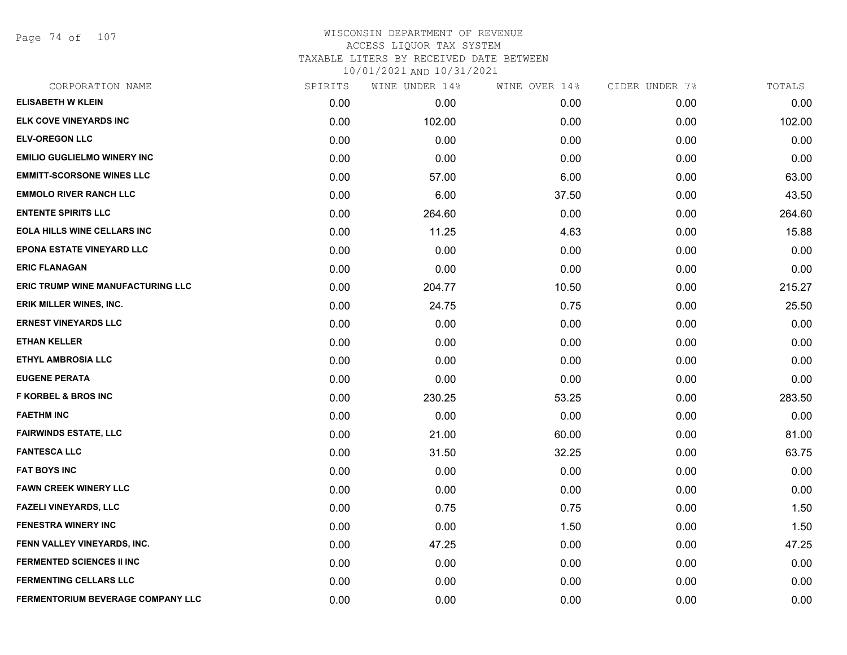Page 74 of 107

| CORPORATION NAME                   | SPIRITS | WINE UNDER 14% | WINE OVER 14% | CIDER UNDER 7% | TOTALS |
|------------------------------------|---------|----------------|---------------|----------------|--------|
| <b>ELISABETH W KLEIN</b>           | 0.00    | 0.00           | 0.00          | 0.00           | 0.00   |
| <b>ELK COVE VINEYARDS INC</b>      | 0.00    | 102.00         | 0.00          | 0.00           | 102.00 |
| <b>ELV-OREGON LLC</b>              | 0.00    | 0.00           | 0.00          | 0.00           | 0.00   |
| <b>EMILIO GUGLIELMO WINERY INC</b> | 0.00    | 0.00           | 0.00          | 0.00           | 0.00   |
| <b>EMMITT-SCORSONE WINES LLC</b>   | 0.00    | 57.00          | 6.00          | 0.00           | 63.00  |
| <b>EMMOLO RIVER RANCH LLC</b>      | 0.00    | 6.00           | 37.50         | 0.00           | 43.50  |
| <b>ENTENTE SPIRITS LLC</b>         | 0.00    | 264.60         | 0.00          | 0.00           | 264.60 |
| <b>EOLA HILLS WINE CELLARS INC</b> | 0.00    | 11.25          | 4.63          | 0.00           | 15.88  |
| <b>EPONA ESTATE VINEYARD LLC</b>   | 0.00    | 0.00           | 0.00          | 0.00           | 0.00   |
| <b>ERIC FLANAGAN</b>               | 0.00    | 0.00           | 0.00          | 0.00           | 0.00   |
| ERIC TRUMP WINE MANUFACTURING LLC  | 0.00    | 204.77         | 10.50         | 0.00           | 215.27 |
| ERIK MILLER WINES, INC.            | 0.00    | 24.75          | 0.75          | 0.00           | 25.50  |
| <b>ERNEST VINEYARDS LLC</b>        | 0.00    | 0.00           | 0.00          | 0.00           | 0.00   |
| <b>ETHAN KELLER</b>                | 0.00    | 0.00           | 0.00          | 0.00           | 0.00   |
| <b>ETHYL AMBROSIA LLC</b>          | 0.00    | 0.00           | 0.00          | 0.00           | 0.00   |
| <b>EUGENE PERATA</b>               | 0.00    | 0.00           | 0.00          | 0.00           | 0.00   |
| <b>F KORBEL &amp; BROS INC</b>     | 0.00    | 230.25         | 53.25         | 0.00           | 283.50 |
| <b>FAETHM INC</b>                  | 0.00    | 0.00           | 0.00          | 0.00           | 0.00   |
| <b>FAIRWINDS ESTATE, LLC</b>       | 0.00    | 21.00          | 60.00         | 0.00           | 81.00  |
| <b>FANTESCA LLC</b>                | 0.00    | 31.50          | 32.25         | 0.00           | 63.75  |
| <b>FAT BOYS INC</b>                | 0.00    | 0.00           | 0.00          | 0.00           | 0.00   |
| <b>FAWN CREEK WINERY LLC</b>       | 0.00    | 0.00           | 0.00          | 0.00           | 0.00   |
| <b>FAZELI VINEYARDS, LLC</b>       | 0.00    | 0.75           | 0.75          | 0.00           | 1.50   |
| <b>FENESTRA WINERY INC</b>         | 0.00    | 0.00           | 1.50          | 0.00           | 1.50   |
| FENN VALLEY VINEYARDS, INC.        | 0.00    | 47.25          | 0.00          | 0.00           | 47.25  |
| <b>FERMENTED SCIENCES II INC</b>   | 0.00    | 0.00           | 0.00          | 0.00           | 0.00   |
| <b>FERMENTING CELLARS LLC</b>      | 0.00    | 0.00           | 0.00          | 0.00           | 0.00   |
| FERMENTORIUM BEVERAGE COMPANY LLC  | 0.00    | 0.00           | 0.00          | 0.00           | 0.00   |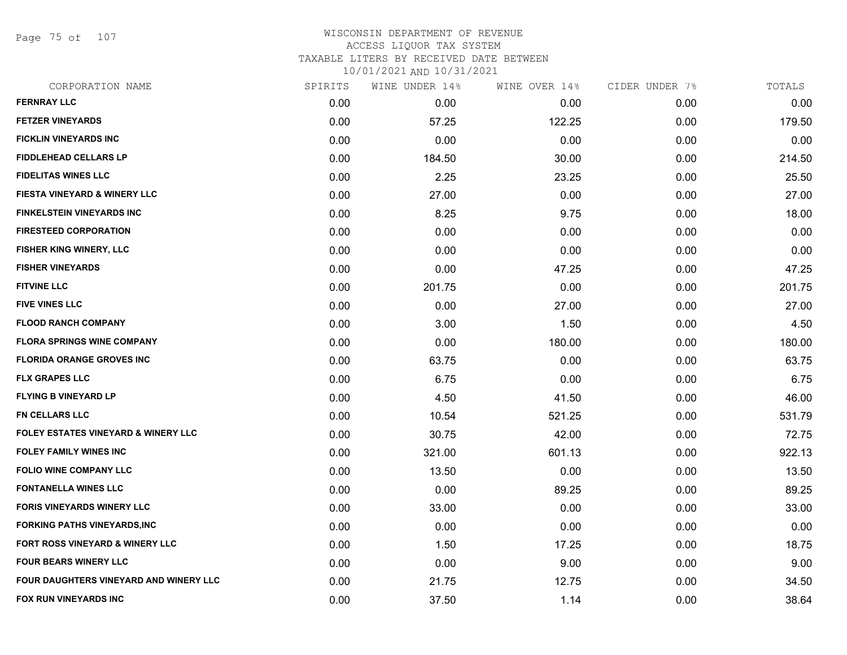Page 75 of 107

### WISCONSIN DEPARTMENT OF REVENUE ACCESS LIQUOR TAX SYSTEM TAXABLE LITERS BY RECEIVED DATE BETWEEN 10/01/2021 AND 10/31/2021

| CORPORATION NAME                               | SPIRITS | WINE UNDER 14% | WINE OVER 14% | CIDER UNDER 7% | TOTALS |
|------------------------------------------------|---------|----------------|---------------|----------------|--------|
| <b>FERNRAY LLC</b>                             | 0.00    | 0.00           | 0.00          | 0.00           | 0.00   |
| <b>FETZER VINEYARDS</b>                        | 0.00    | 57.25          | 122.25        | 0.00           | 179.50 |
| FICKLIN VINEYARDS INC                          | 0.00    | 0.00           | 0.00          | 0.00           | 0.00   |
| <b>FIDDLEHEAD CELLARS LP</b>                   | 0.00    | 184.50         | 30.00         | 0.00           | 214.50 |
| <b>FIDELITAS WINES LLC</b>                     | 0.00    | 2.25           | 23.25         | 0.00           | 25.50  |
| <b>FIESTA VINEYARD &amp; WINERY LLC</b>        | 0.00    | 27.00          | 0.00          | 0.00           | 27.00  |
| <b>FINKELSTEIN VINEYARDS INC</b>               | 0.00    | 8.25           | 9.75          | 0.00           | 18.00  |
| <b>FIRESTEED CORPORATION</b>                   | 0.00    | 0.00           | 0.00          | 0.00           | 0.00   |
| FISHER KING WINERY, LLC                        | 0.00    | 0.00           | 0.00          | 0.00           | 0.00   |
| <b>FISHER VINEYARDS</b>                        | 0.00    | 0.00           | 47.25         | 0.00           | 47.25  |
| <b>FITVINE LLC</b>                             | 0.00    | 201.75         | 0.00          | 0.00           | 201.75 |
| <b>FIVE VINES LLC</b>                          | 0.00    | 0.00           | 27.00         | 0.00           | 27.00  |
| <b>FLOOD RANCH COMPANY</b>                     | 0.00    | 3.00           | 1.50          | 0.00           | 4.50   |
| <b>FLORA SPRINGS WINE COMPANY</b>              | 0.00    | 0.00           | 180.00        | 0.00           | 180.00 |
| <b>FLORIDA ORANGE GROVES INC</b>               | 0.00    | 63.75          | 0.00          | 0.00           | 63.75  |
| <b>FLX GRAPES LLC</b>                          | 0.00    | 6.75           | 0.00          | 0.00           | 6.75   |
| FLYING B VINEYARD LP                           | 0.00    | 4.50           | 41.50         | 0.00           | 46.00  |
| FN CELLARS LLC                                 | 0.00    | 10.54          | 521.25        | 0.00           | 531.79 |
| <b>FOLEY ESTATES VINEYARD &amp; WINERY LLC</b> | 0.00    | 30.75          | 42.00         | 0.00           | 72.75  |
| <b>FOLEY FAMILY WINES INC</b>                  | 0.00    | 321.00         | 601.13        | 0.00           | 922.13 |
| <b>FOLIO WINE COMPANY LLC</b>                  | 0.00    | 13.50          | 0.00          | 0.00           | 13.50  |
| <b>FONTANELLA WINES LLC</b>                    | 0.00    | 0.00           | 89.25         | 0.00           | 89.25  |
| FORIS VINEYARDS WINERY LLC                     | 0.00    | 33.00          | 0.00          | 0.00           | 33.00  |
| FORKING PATHS VINEYARDS, INC                   | 0.00    | 0.00           | 0.00          | 0.00           | 0.00   |
| FORT ROSS VINEYARD & WINERY LLC                | 0.00    | 1.50           | 17.25         | 0.00           | 18.75  |
| <b>FOUR BEARS WINERY LLC</b>                   | 0.00    | 0.00           | 9.00          | 0.00           | 9.00   |
| FOUR DAUGHTERS VINEYARD AND WINERY LLC         | 0.00    | 21.75          | 12.75         | 0.00           | 34.50  |

**FOX RUN VINEYARDS INC** 0.00 37.50 1.14 0.00 38.64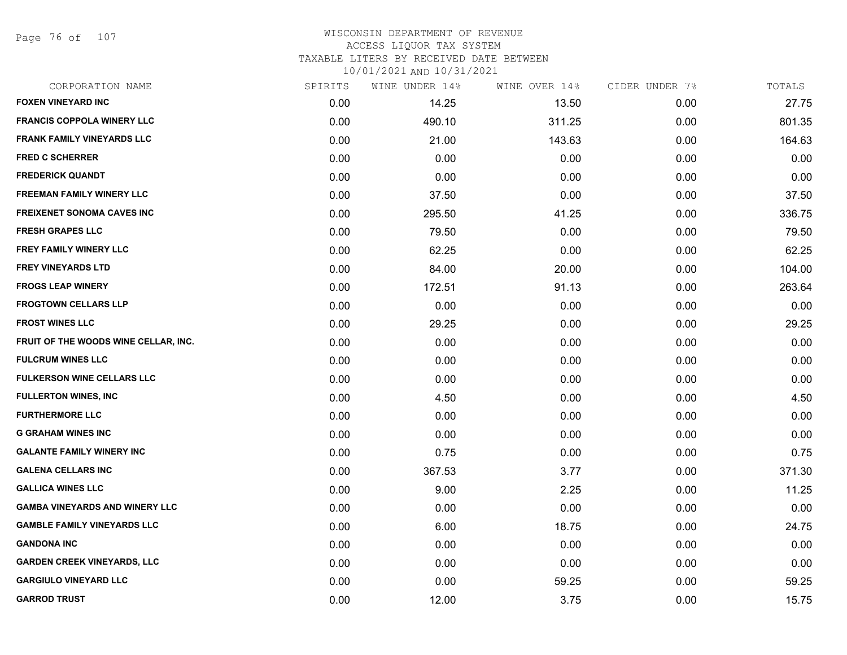Page 76 of 107

### WISCONSIN DEPARTMENT OF REVENUE ACCESS LIQUOR TAX SYSTEM TAXABLE LITERS BY RECEIVED DATE BETWEEN

| CORPORATION NAME                      | SPIRITS | WINE UNDER 14% | WINE OVER 14% | CIDER UNDER 7% | TOTALS |
|---------------------------------------|---------|----------------|---------------|----------------|--------|
| <b>FOXEN VINEYARD INC</b>             | 0.00    | 14.25          | 13.50         | 0.00           | 27.75  |
| <b>FRANCIS COPPOLA WINERY LLC</b>     | 0.00    | 490.10         | 311.25        | 0.00           | 801.35 |
| <b>FRANK FAMILY VINEYARDS LLC</b>     | 0.00    | 21.00          | 143.63        | 0.00           | 164.63 |
| <b>FRED C SCHERRER</b>                | 0.00    | 0.00           | 0.00          | 0.00           | 0.00   |
| <b>FREDERICK QUANDT</b>               | 0.00    | 0.00           | 0.00          | 0.00           | 0.00   |
| <b>FREEMAN FAMILY WINERY LLC</b>      | 0.00    | 37.50          | 0.00          | 0.00           | 37.50  |
| <b>FREIXENET SONOMA CAVES INC</b>     | 0.00    | 295.50         | 41.25         | 0.00           | 336.75 |
| <b>FRESH GRAPES LLC</b>               | 0.00    | 79.50          | 0.00          | 0.00           | 79.50  |
| FREY FAMILY WINERY LLC                | 0.00    | 62.25          | 0.00          | 0.00           | 62.25  |
| <b>FREY VINEYARDS LTD</b>             | 0.00    | 84.00          | 20.00         | 0.00           | 104.00 |
| <b>FROGS LEAP WINERY</b>              | 0.00    | 172.51         | 91.13         | 0.00           | 263.64 |
| <b>FROGTOWN CELLARS LLP</b>           | 0.00    | 0.00           | 0.00          | 0.00           | 0.00   |
| <b>FROST WINES LLC</b>                | 0.00    | 29.25          | 0.00          | 0.00           | 29.25  |
| FRUIT OF THE WOODS WINE CELLAR, INC.  | 0.00    | 0.00           | 0.00          | 0.00           | 0.00   |
| <b>FULCRUM WINES LLC</b>              | 0.00    | 0.00           | 0.00          | 0.00           | 0.00   |
| <b>FULKERSON WINE CELLARS LLC</b>     | 0.00    | 0.00           | 0.00          | 0.00           | 0.00   |
| <b>FULLERTON WINES, INC</b>           | 0.00    | 4.50           | 0.00          | 0.00           | 4.50   |
| <b>FURTHERMORE LLC</b>                | 0.00    | 0.00           | 0.00          | 0.00           | 0.00   |
| <b>G GRAHAM WINES INC</b>             | 0.00    | 0.00           | 0.00          | 0.00           | 0.00   |
| <b>GALANTE FAMILY WINERY INC</b>      | 0.00    | 0.75           | 0.00          | 0.00           | 0.75   |
| <b>GALENA CELLARS INC</b>             | 0.00    | 367.53         | 3.77          | 0.00           | 371.30 |
| <b>GALLICA WINES LLC</b>              | 0.00    | 9.00           | 2.25          | 0.00           | 11.25  |
| <b>GAMBA VINEYARDS AND WINERY LLC</b> | 0.00    | 0.00           | 0.00          | 0.00           | 0.00   |
| <b>GAMBLE FAMILY VINEYARDS LLC</b>    | 0.00    | 6.00           | 18.75         | 0.00           | 24.75  |
| <b>GANDONA INC</b>                    | 0.00    | 0.00           | 0.00          | 0.00           | 0.00   |
| <b>GARDEN CREEK VINEYARDS, LLC</b>    | 0.00    | 0.00           | 0.00          | 0.00           | 0.00   |
| <b>GARGIULO VINEYARD LLC</b>          | 0.00    | 0.00           | 59.25         | 0.00           | 59.25  |
| <b>GARROD TRUST</b>                   | 0.00    | 12.00          | 3.75          | 0.00           | 15.75  |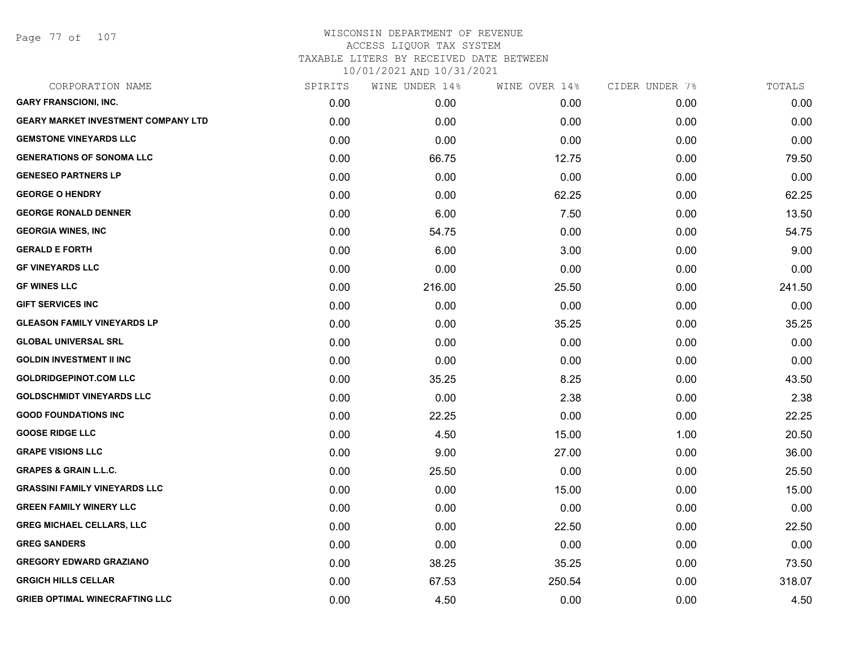Page 77 of 107

| CORPORATION NAME                           | SPIRITS | WINE UNDER 14% | WINE OVER 14% | CIDER UNDER 7% | TOTALS |
|--------------------------------------------|---------|----------------|---------------|----------------|--------|
| <b>GARY FRANSCIONI, INC.</b>               | 0.00    | 0.00           | 0.00          | 0.00           | 0.00   |
| <b>GEARY MARKET INVESTMENT COMPANY LTD</b> | 0.00    | 0.00           | 0.00          | 0.00           | 0.00   |
| <b>GEMSTONE VINEYARDS LLC</b>              | 0.00    | 0.00           | 0.00          | 0.00           | 0.00   |
| <b>GENERATIONS OF SONOMA LLC</b>           | 0.00    | 66.75          | 12.75         | 0.00           | 79.50  |
| <b>GENESEO PARTNERS LP</b>                 | 0.00    | 0.00           | 0.00          | 0.00           | 0.00   |
| <b>GEORGE O HENDRY</b>                     | 0.00    | 0.00           | 62.25         | 0.00           | 62.25  |
| <b>GEORGE RONALD DENNER</b>                | 0.00    | 6.00           | 7.50          | 0.00           | 13.50  |
| <b>GEORGIA WINES, INC</b>                  | 0.00    | 54.75          | 0.00          | 0.00           | 54.75  |
| <b>GERALD E FORTH</b>                      | 0.00    | 6.00           | 3.00          | 0.00           | 9.00   |
| <b>GF VINEYARDS LLC</b>                    | 0.00    | 0.00           | 0.00          | 0.00           | 0.00   |
| <b>GF WINES LLC</b>                        | 0.00    | 216.00         | 25.50         | 0.00           | 241.50 |
| <b>GIFT SERVICES INC</b>                   | 0.00    | 0.00           | 0.00          | 0.00           | 0.00   |
| <b>GLEASON FAMILY VINEYARDS LP</b>         | 0.00    | 0.00           | 35.25         | 0.00           | 35.25  |
| <b>GLOBAL UNIVERSAL SRL</b>                | 0.00    | 0.00           | 0.00          | 0.00           | 0.00   |
| <b>GOLDIN INVESTMENT II INC</b>            | 0.00    | 0.00           | 0.00          | 0.00           | 0.00   |
| <b>GOLDRIDGEPINOT.COM LLC</b>              | 0.00    | 35.25          | 8.25          | 0.00           | 43.50  |
| <b>GOLDSCHMIDT VINEYARDS LLC</b>           | 0.00    | 0.00           | 2.38          | 0.00           | 2.38   |
| <b>GOOD FOUNDATIONS INC</b>                | 0.00    | 22.25          | 0.00          | 0.00           | 22.25  |
| <b>GOOSE RIDGE LLC</b>                     | 0.00    | 4.50           | 15.00         | 1.00           | 20.50  |
| <b>GRAPE VISIONS LLC</b>                   | 0.00    | 9.00           | 27.00         | 0.00           | 36.00  |
| <b>GRAPES &amp; GRAIN L.L.C.</b>           | 0.00    | 25.50          | 0.00          | 0.00           | 25.50  |
| <b>GRASSINI FAMILY VINEYARDS LLC</b>       | 0.00    | 0.00           | 15.00         | 0.00           | 15.00  |
| <b>GREEN FAMILY WINERY LLC</b>             | 0.00    | 0.00           | 0.00          | 0.00           | 0.00   |
| <b>GREG MICHAEL CELLARS, LLC</b>           | 0.00    | 0.00           | 22.50         | 0.00           | 22.50  |
| <b>GREG SANDERS</b>                        | 0.00    | 0.00           | 0.00          | 0.00           | 0.00   |
| <b>GREGORY EDWARD GRAZIANO</b>             | 0.00    | 38.25          | 35.25         | 0.00           | 73.50  |
| <b>GRGICH HILLS CELLAR</b>                 | 0.00    | 67.53          | 250.54        | 0.00           | 318.07 |
| <b>GRIEB OPTIMAL WINECRAFTING LLC</b>      | 0.00    | 4.50           | 0.00          | 0.00           | 4.50   |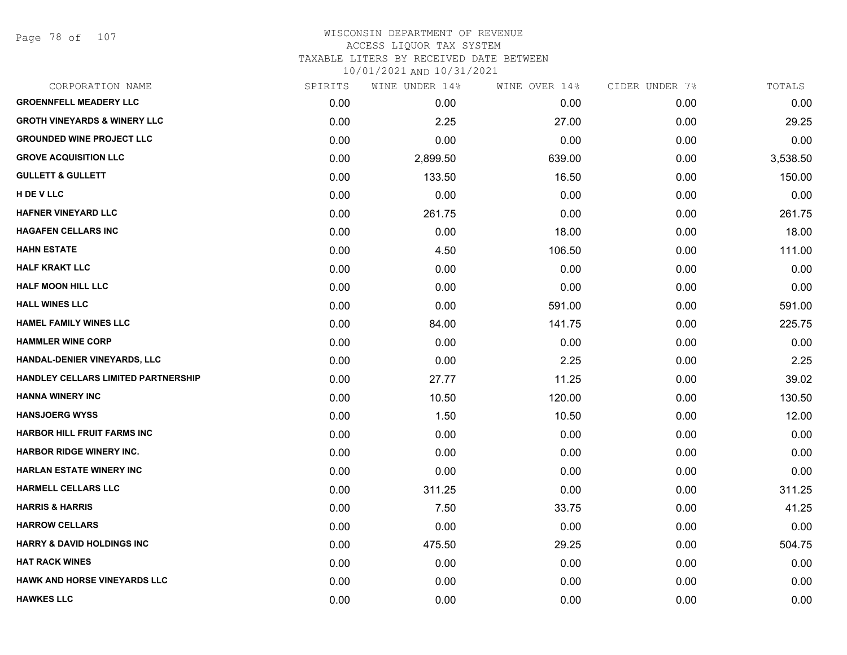Page 78 of 107

| CORPORATION NAME                        | SPIRITS | WINE UNDER 14% | WINE OVER 14% | CIDER UNDER 7% | TOTALS   |
|-----------------------------------------|---------|----------------|---------------|----------------|----------|
| <b>GROENNFELL MEADERY LLC</b>           | 0.00    | 0.00           | 0.00          | 0.00           | 0.00     |
| <b>GROTH VINEYARDS &amp; WINERY LLC</b> | 0.00    | 2.25           | 27.00         | 0.00           | 29.25    |
| <b>GROUNDED WINE PROJECT LLC</b>        | 0.00    | 0.00           | 0.00          | 0.00           | 0.00     |
| <b>GROVE ACQUISITION LLC</b>            | 0.00    | 2,899.50       | 639.00        | 0.00           | 3,538.50 |
| <b>GULLETT &amp; GULLETT</b>            | 0.00    | 133.50         | 16.50         | 0.00           | 150.00   |
| <b>H DE V LLC</b>                       | 0.00    | 0.00           | 0.00          | 0.00           | 0.00     |
| <b>HAFNER VINEYARD LLC</b>              | 0.00    | 261.75         | 0.00          | 0.00           | 261.75   |
| <b>HAGAFEN CELLARS INC</b>              | 0.00    | 0.00           | 18.00         | 0.00           | 18.00    |
| <b>HAHN ESTATE</b>                      | 0.00    | 4.50           | 106.50        | 0.00           | 111.00   |
| <b>HALF KRAKT LLC</b>                   | 0.00    | 0.00           | 0.00          | 0.00           | 0.00     |
| <b>HALF MOON HILL LLC</b>               | 0.00    | 0.00           | 0.00          | 0.00           | 0.00     |
| <b>HALL WINES LLC</b>                   | 0.00    | 0.00           | 591.00        | 0.00           | 591.00   |
| <b>HAMEL FAMILY WINES LLC</b>           | 0.00    | 84.00          | 141.75        | 0.00           | 225.75   |
| <b>HAMMLER WINE CORP</b>                | 0.00    | 0.00           | 0.00          | 0.00           | 0.00     |
| HANDAL-DENIER VINEYARDS, LLC            | 0.00    | 0.00           | 2.25          | 0.00           | 2.25     |
| HANDLEY CELLARS LIMITED PARTNERSHIP     | 0.00    | 27.77          | 11.25         | 0.00           | 39.02    |
| <b>HANNA WINERY INC</b>                 | 0.00    | 10.50          | 120.00        | 0.00           | 130.50   |
| <b>HANSJOERG WYSS</b>                   | 0.00    | 1.50           | 10.50         | 0.00           | 12.00    |
| <b>HARBOR HILL FRUIT FARMS INC</b>      | 0.00    | 0.00           | 0.00          | 0.00           | 0.00     |
| <b>HARBOR RIDGE WINERY INC.</b>         | 0.00    | 0.00           | 0.00          | 0.00           | 0.00     |
| <b>HARLAN ESTATE WINERY INC</b>         | 0.00    | 0.00           | 0.00          | 0.00           | 0.00     |
| <b>HARMELL CELLARS LLC</b>              | 0.00    | 311.25         | 0.00          | 0.00           | 311.25   |
| <b>HARRIS &amp; HARRIS</b>              | 0.00    | 7.50           | 33.75         | 0.00           | 41.25    |
| <b>HARROW CELLARS</b>                   | 0.00    | 0.00           | 0.00          | 0.00           | 0.00     |
| <b>HARRY &amp; DAVID HOLDINGS INC</b>   | 0.00    | 475.50         | 29.25         | 0.00           | 504.75   |
| <b>HAT RACK WINES</b>                   | 0.00    | 0.00           | 0.00          | 0.00           | 0.00     |
| <b>HAWK AND HORSE VINEYARDS LLC</b>     | 0.00    | 0.00           | 0.00          | 0.00           | 0.00     |
| <b>HAWKES LLC</b>                       | 0.00    | 0.00           | 0.00          | 0.00           | 0.00     |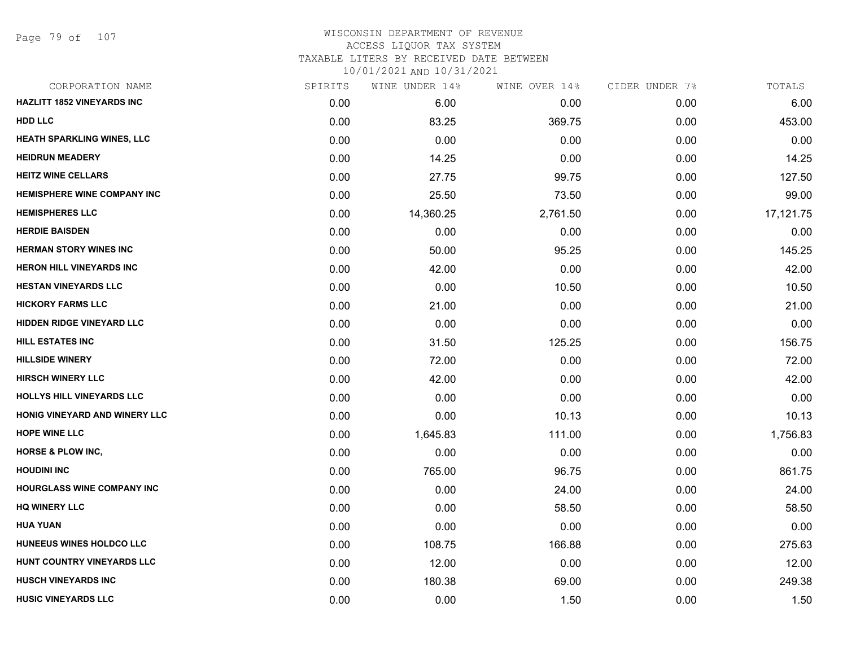Page 79 of 107

### WISCONSIN DEPARTMENT OF REVENUE ACCESS LIQUOR TAX SYSTEM TAXABLE LITERS BY RECEIVED DATE BETWEEN

| CORPORATION NAME                  | SPIRITS | WINE UNDER 14% | WINE OVER 14% | CIDER UNDER 7% | TOTALS    |
|-----------------------------------|---------|----------------|---------------|----------------|-----------|
| <b>HAZLITT 1852 VINEYARDS INC</b> | 0.00    | 6.00           | 0.00          | 0.00           | 6.00      |
| <b>HDD LLC</b>                    | 0.00    | 83.25          | 369.75        | 0.00           | 453.00    |
| HEATH SPARKLING WINES, LLC        | 0.00    | 0.00           | 0.00          | 0.00           | 0.00      |
| <b>HEIDRUN MEADERY</b>            | 0.00    | 14.25          | 0.00          | 0.00           | 14.25     |
| <b>HEITZ WINE CELLARS</b>         | 0.00    | 27.75          | 99.75         | 0.00           | 127.50    |
| HEMISPHERE WINE COMPANY INC       | 0.00    | 25.50          | 73.50         | 0.00           | 99.00     |
| <b>HEMISPHERES LLC</b>            | 0.00    | 14,360.25      | 2,761.50      | 0.00           | 17,121.75 |
| <b>HERDIE BAISDEN</b>             | 0.00    | 0.00           | 0.00          | 0.00           | 0.00      |
| <b>HERMAN STORY WINES INC</b>     | 0.00    | 50.00          | 95.25         | 0.00           | 145.25    |
| <b>HERON HILL VINEYARDS INC</b>   | 0.00    | 42.00          | 0.00          | 0.00           | 42.00     |
| <b>HESTAN VINEYARDS LLC</b>       | 0.00    | 0.00           | 10.50         | 0.00           | 10.50     |
| <b>HICKORY FARMS LLC</b>          | 0.00    | 21.00          | 0.00          | 0.00           | 21.00     |
| <b>HIDDEN RIDGE VINEYARD LLC</b>  | 0.00    | 0.00           | 0.00          | 0.00           | 0.00      |
| <b>HILL ESTATES INC</b>           | 0.00    | 31.50          | 125.25        | 0.00           | 156.75    |
| <b>HILLSIDE WINERY</b>            | 0.00    | 72.00          | 0.00          | 0.00           | 72.00     |
| <b>HIRSCH WINERY LLC</b>          | 0.00    | 42.00          | 0.00          | 0.00           | 42.00     |
| <b>HOLLYS HILL VINEYARDS LLC</b>  | 0.00    | 0.00           | 0.00          | 0.00           | 0.00      |
| HONIG VINEYARD AND WINERY LLC     | 0.00    | 0.00           | 10.13         | 0.00           | 10.13     |
| <b>HOPE WINE LLC</b>              | 0.00    | 1,645.83       | 111.00        | 0.00           | 1,756.83  |
| <b>HORSE &amp; PLOW INC,</b>      | 0.00    | 0.00           | 0.00          | 0.00           | 0.00      |
| <b>HOUDINI INC</b>                | 0.00    | 765.00         | 96.75         | 0.00           | 861.75    |
| <b>HOURGLASS WINE COMPANY INC</b> | 0.00    | 0.00           | 24.00         | 0.00           | 24.00     |
| <b>HQ WINERY LLC</b>              | 0.00    | 0.00           | 58.50         | 0.00           | 58.50     |
| <b>HUA YUAN</b>                   | 0.00    | 0.00           | 0.00          | 0.00           | 0.00      |
| HUNEEUS WINES HOLDCO LLC          | 0.00    | 108.75         | 166.88        | 0.00           | 275.63    |
| HUNT COUNTRY VINEYARDS LLC        | 0.00    | 12.00          | 0.00          | 0.00           | 12.00     |
| <b>HUSCH VINEYARDS INC</b>        | 0.00    | 180.38         | 69.00         | 0.00           | 249.38    |
| <b>HUSIC VINEYARDS LLC</b>        | 0.00    | 0.00           | 1.50          | 0.00           | 1.50      |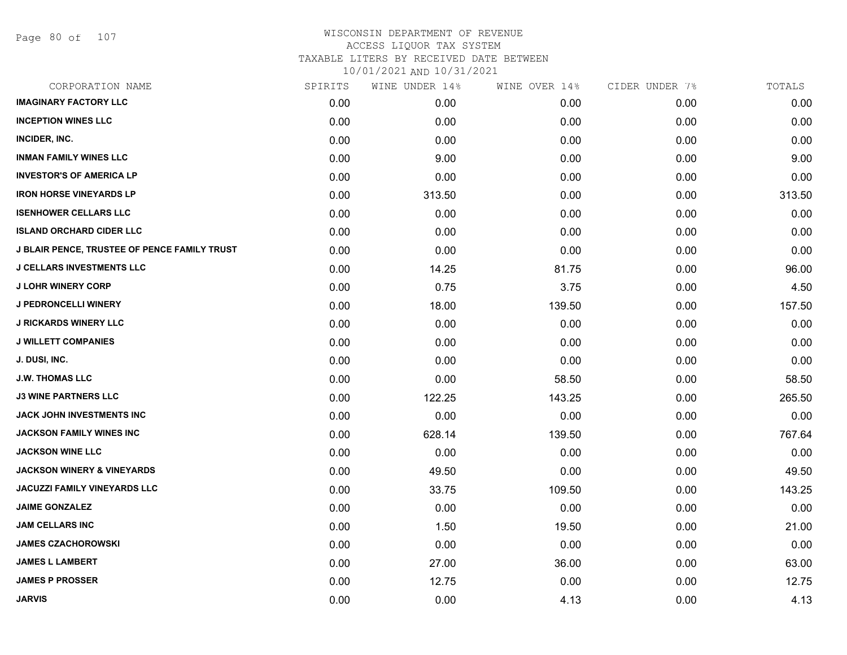Page 80 of 107

| CORPORATION NAME                             | SPIRITS | WINE UNDER 14% | WINE OVER 14% | CIDER UNDER 7% | TOTALS |
|----------------------------------------------|---------|----------------|---------------|----------------|--------|
| <b>IMAGINARY FACTORY LLC</b>                 | 0.00    | 0.00           | 0.00          | 0.00           | 0.00   |
| <b>INCEPTION WINES LLC</b>                   | 0.00    | 0.00           | 0.00          | 0.00           | 0.00   |
| INCIDER, INC.                                | 0.00    | 0.00           | 0.00          | 0.00           | 0.00   |
| <b>INMAN FAMILY WINES LLC</b>                | 0.00    | 9.00           | 0.00          | 0.00           | 9.00   |
| <b>INVESTOR'S OF AMERICA LP</b>              | 0.00    | 0.00           | 0.00          | 0.00           | 0.00   |
| <b>IRON HORSE VINEYARDS LP</b>               | 0.00    | 313.50         | 0.00          | 0.00           | 313.50 |
| <b>ISENHOWER CELLARS LLC</b>                 | 0.00    | 0.00           | 0.00          | 0.00           | 0.00   |
| <b>ISLAND ORCHARD CIDER LLC</b>              | 0.00    | 0.00           | 0.00          | 0.00           | 0.00   |
| J BLAIR PENCE, TRUSTEE OF PENCE FAMILY TRUST | 0.00    | 0.00           | 0.00          | 0.00           | 0.00   |
| <b>J CELLARS INVESTMENTS LLC</b>             | 0.00    | 14.25          | 81.75         | 0.00           | 96.00  |
| <b>J LOHR WINERY CORP</b>                    | 0.00    | 0.75           | 3.75          | 0.00           | 4.50   |
| <b>J PEDRONCELLI WINERY</b>                  | 0.00    | 18.00          | 139.50        | 0.00           | 157.50 |
| <b>J RICKARDS WINERY LLC</b>                 | 0.00    | 0.00           | 0.00          | 0.00           | 0.00   |
| <b>J WILLETT COMPANIES</b>                   | 0.00    | 0.00           | 0.00          | 0.00           | 0.00   |
| J. DUSI, INC.                                | 0.00    | 0.00           | 0.00          | 0.00           | 0.00   |
| <b>J.W. THOMAS LLC</b>                       | 0.00    | 0.00           | 58.50         | 0.00           | 58.50  |
| <b>J3 WINE PARTNERS LLC</b>                  | 0.00    | 122.25         | 143.25        | 0.00           | 265.50 |
| JACK JOHN INVESTMENTS INC                    | 0.00    | 0.00           | 0.00          | 0.00           | 0.00   |
| <b>JACKSON FAMILY WINES INC</b>              | 0.00    | 628.14         | 139.50        | 0.00           | 767.64 |
| <b>JACKSON WINE LLC</b>                      | 0.00    | 0.00           | 0.00          | 0.00           | 0.00   |
| <b>JACKSON WINERY &amp; VINEYARDS</b>        | 0.00    | 49.50          | 0.00          | 0.00           | 49.50  |
| <b>JACUZZI FAMILY VINEYARDS LLC</b>          | 0.00    | 33.75          | 109.50        | 0.00           | 143.25 |
| <b>JAIME GONZALEZ</b>                        | 0.00    | 0.00           | 0.00          | 0.00           | 0.00   |
| <b>JAM CELLARS INC</b>                       | 0.00    | 1.50           | 19.50         | 0.00           | 21.00  |
| <b>JAMES CZACHOROWSKI</b>                    | 0.00    | 0.00           | 0.00          | 0.00           | 0.00   |
| <b>JAMES L LAMBERT</b>                       | 0.00    | 27.00          | 36.00         | 0.00           | 63.00  |
| <b>JAMES P PROSSER</b>                       | 0.00    | 12.75          | 0.00          | 0.00           | 12.75  |
| <b>JARVIS</b>                                | 0.00    | 0.00           | 4.13          | 0.00           | 4.13   |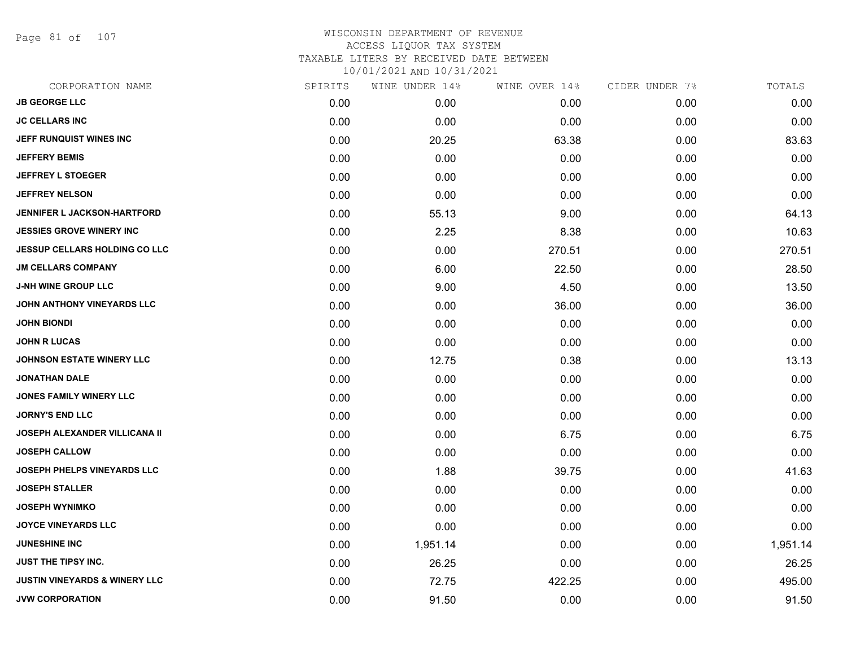Page 81 of 107

| 0.00<br>0.00 | 0.00   | 0.00 | 0.00     |
|--------------|--------|------|----------|
|              |        |      |          |
|              | 0.00   | 0.00 | 0.00     |
| 20.25        | 63.38  | 0.00 | 83.63    |
| 0.00         | 0.00   | 0.00 | 0.00     |
| 0.00         | 0.00   | 0.00 | 0.00     |
| 0.00         | 0.00   | 0.00 | 0.00     |
| 55.13        | 9.00   | 0.00 | 64.13    |
| 2.25         | 8.38   | 0.00 | 10.63    |
| 0.00         | 270.51 | 0.00 | 270.51   |
| 6.00         | 22.50  | 0.00 | 28.50    |
| 9.00         | 4.50   | 0.00 | 13.50    |
| 0.00         | 36.00  | 0.00 | 36.00    |
| 0.00         | 0.00   | 0.00 | 0.00     |
| 0.00         | 0.00   | 0.00 | 0.00     |
| 12.75        | 0.38   | 0.00 | 13.13    |
| 0.00         | 0.00   | 0.00 | 0.00     |
| 0.00         | 0.00   | 0.00 | 0.00     |
| 0.00         | 0.00   | 0.00 | 0.00     |
| 0.00         | 6.75   | 0.00 | 6.75     |
| 0.00         | 0.00   | 0.00 | 0.00     |
| 1.88         | 39.75  | 0.00 | 41.63    |
| 0.00         | 0.00   | 0.00 | 0.00     |
| 0.00         | 0.00   | 0.00 | 0.00     |
| 0.00         | 0.00   | 0.00 | 0.00     |
| 1,951.14     | 0.00   | 0.00 | 1,951.14 |
| 26.25        | 0.00   | 0.00 | 26.25    |
| 72.75        | 422.25 | 0.00 | 495.00   |
| 91.50        | 0.00   | 0.00 | 91.50    |
|              |        |      |          |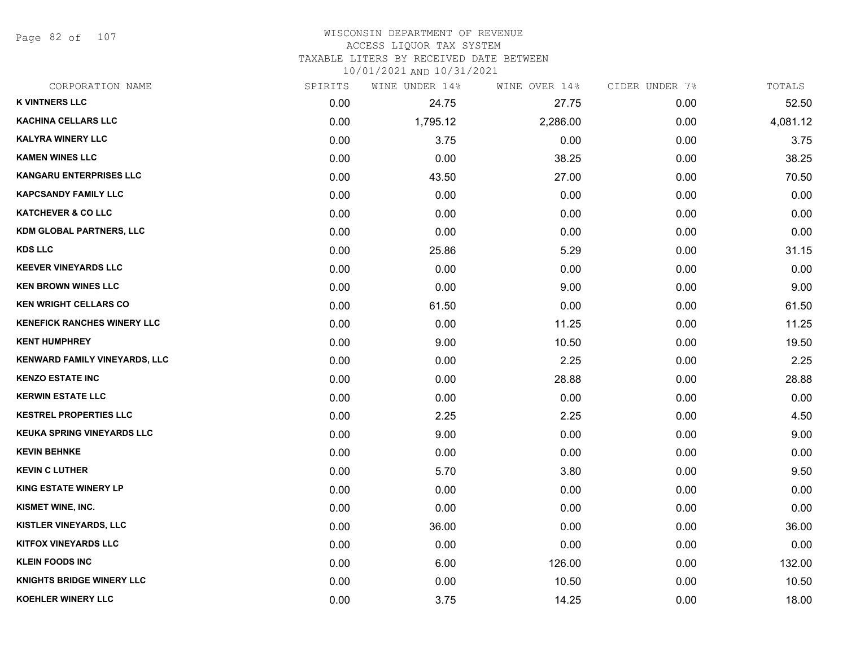Page 82 of 107

### WISCONSIN DEPARTMENT OF REVENUE ACCESS LIQUOR TAX SYSTEM

TAXABLE LITERS BY RECEIVED DATE BETWEEN

| CORPORATION NAME                   | SPIRITS | WINE UNDER 14% | WINE OVER 14% | CIDER UNDER 7% | TOTALS   |
|------------------------------------|---------|----------------|---------------|----------------|----------|
| <b>K VINTNERS LLC</b>              | 0.00    | 24.75          | 27.75         | 0.00           | 52.50    |
| <b>KACHINA CELLARS LLC</b>         | 0.00    | 1,795.12       | 2,286.00      | 0.00           | 4,081.12 |
| <b>KALYRA WINERY LLC</b>           | 0.00    | 3.75           | 0.00          | 0.00           | 3.75     |
| <b>KAMEN WINES LLC</b>             | 0.00    | 0.00           | 38.25         | 0.00           | 38.25    |
| KANGARU ENTERPRISES LLC            | 0.00    | 43.50          | 27.00         | 0.00           | 70.50    |
| <b>KAPCSANDY FAMILY LLC</b>        | 0.00    | 0.00           | 0.00          | 0.00           | 0.00     |
| <b>KATCHEVER &amp; CO LLC</b>      | 0.00    | 0.00           | 0.00          | 0.00           | 0.00     |
| <b>KDM GLOBAL PARTNERS, LLC</b>    | 0.00    | 0.00           | 0.00          | 0.00           | 0.00     |
| <b>KDS LLC</b>                     | 0.00    | 25.86          | 5.29          | 0.00           | 31.15    |
| <b>KEEVER VINEYARDS LLC</b>        | 0.00    | 0.00           | 0.00          | 0.00           | 0.00     |
| <b>KEN BROWN WINES LLC</b>         | 0.00    | 0.00           | 9.00          | 0.00           | 9.00     |
| <b>KEN WRIGHT CELLARS CO</b>       | 0.00    | 61.50          | 0.00          | 0.00           | 61.50    |
| <b>KENEFICK RANCHES WINERY LLC</b> | 0.00    | 0.00           | 11.25         | 0.00           | 11.25    |
| <b>KENT HUMPHREY</b>               | 0.00    | 9.00           | 10.50         | 0.00           | 19.50    |
| KENWARD FAMILY VINEYARDS, LLC      | 0.00    | 0.00           | 2.25          | 0.00           | 2.25     |
| <b>KENZO ESTATE INC</b>            | 0.00    | 0.00           | 28.88         | 0.00           | 28.88    |
| <b>KERWIN ESTATE LLC</b>           | 0.00    | 0.00           | 0.00          | 0.00           | 0.00     |
| <b>KESTREL PROPERTIES LLC</b>      | 0.00    | 2.25           | 2.25          | 0.00           | 4.50     |
| <b>KEUKA SPRING VINEYARDS LLC</b>  | 0.00    | 9.00           | 0.00          | 0.00           | 9.00     |
| <b>KEVIN BEHNKE</b>                | 0.00    | 0.00           | 0.00          | 0.00           | 0.00     |
| <b>KEVIN C LUTHER</b>              | 0.00    | 5.70           | 3.80          | 0.00           | 9.50     |
| <b>KING ESTATE WINERY LP</b>       | 0.00    | 0.00           | 0.00          | 0.00           | 0.00     |
| KISMET WINE, INC.                  | 0.00    | 0.00           | 0.00          | 0.00           | 0.00     |
| KISTLER VINEYARDS, LLC             | 0.00    | 36.00          | 0.00          | 0.00           | 36.00    |
| <b>KITFOX VINEYARDS LLC</b>        | 0.00    | 0.00           | 0.00          | 0.00           | 0.00     |
| <b>KLEIN FOODS INC</b>             | 0.00    | 6.00           | 126.00        | 0.00           | 132.00   |
| <b>KNIGHTS BRIDGE WINERY LLC</b>   | 0.00    | 0.00           | 10.50         | 0.00           | 10.50    |
| <b>KOEHLER WINERY LLC</b>          | 0.00    | 3.75           | 14.25         | 0.00           | 18.00    |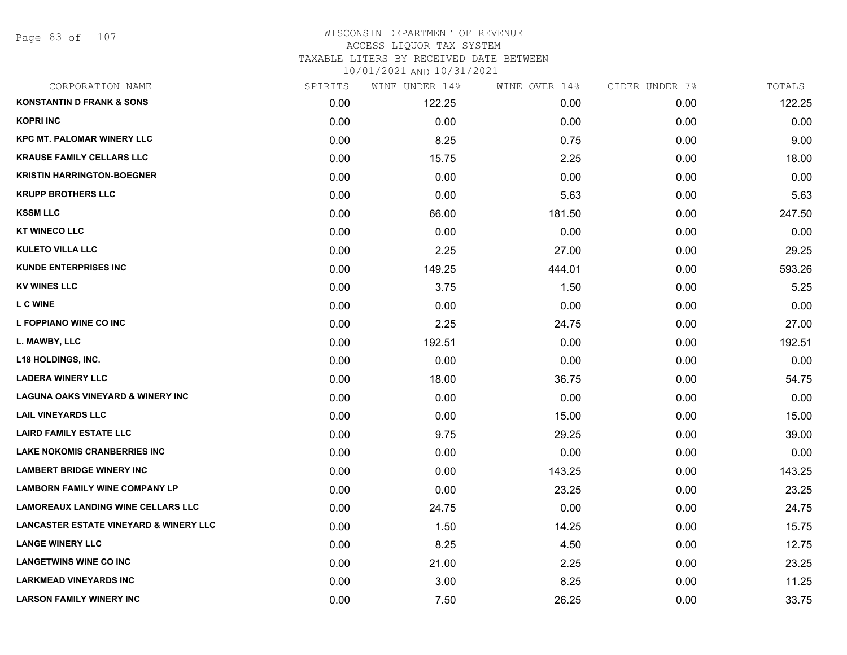Page 83 of 107

### WISCONSIN DEPARTMENT OF REVENUE ACCESS LIQUOR TAX SYSTEM TAXABLE LITERS BY RECEIVED DATE BETWEEN

| CORPORATION NAME                                  | SPIRITS | WINE UNDER 14% | WINE OVER 14% | CIDER UNDER 7% | TOTALS |
|---------------------------------------------------|---------|----------------|---------------|----------------|--------|
| <b>KONSTANTIN D FRANK &amp; SONS</b>              | 0.00    | 122.25         | 0.00          | 0.00           | 122.25 |
| <b>KOPRI INC</b>                                  | 0.00    | 0.00           | 0.00          | 0.00           | 0.00   |
| <b>KPC MT. PALOMAR WINERY LLC</b>                 | 0.00    | 8.25           | 0.75          | 0.00           | 9.00   |
| <b>KRAUSE FAMILY CELLARS LLC</b>                  | 0.00    | 15.75          | 2.25          | 0.00           | 18.00  |
| <b>KRISTIN HARRINGTON-BOEGNER</b>                 | 0.00    | 0.00           | 0.00          | 0.00           | 0.00   |
| <b>KRUPP BROTHERS LLC</b>                         | 0.00    | 0.00           | 5.63          | 0.00           | 5.63   |
| <b>KSSM LLC</b>                                   | 0.00    | 66.00          | 181.50        | 0.00           | 247.50 |
| <b>KT WINECO LLC</b>                              | 0.00    | 0.00           | 0.00          | 0.00           | 0.00   |
| <b>KULETO VILLA LLC</b>                           | 0.00    | 2.25           | 27.00         | 0.00           | 29.25  |
| <b>KUNDE ENTERPRISES INC</b>                      | 0.00    | 149.25         | 444.01        | 0.00           | 593.26 |
| <b>KV WINES LLC</b>                               | 0.00    | 3.75           | 1.50          | 0.00           | 5.25   |
| <b>LC WINE</b>                                    | 0.00    | 0.00           | 0.00          | 0.00           | 0.00   |
| L FOPPIANO WINE CO INC                            | 0.00    | 2.25           | 24.75         | 0.00           | 27.00  |
| L. MAWBY, LLC                                     | 0.00    | 192.51         | 0.00          | 0.00           | 192.51 |
| <b>L18 HOLDINGS, INC.</b>                         | 0.00    | 0.00           | 0.00          | 0.00           | 0.00   |
| <b>LADERA WINERY LLC</b>                          | 0.00    | 18.00          | 36.75         | 0.00           | 54.75  |
| <b>LAGUNA OAKS VINEYARD &amp; WINERY INC</b>      | 0.00    | 0.00           | 0.00          | 0.00           | 0.00   |
| <b>LAIL VINEYARDS LLC</b>                         | 0.00    | 0.00           | 15.00         | 0.00           | 15.00  |
| <b>LAIRD FAMILY ESTATE LLC</b>                    | 0.00    | 9.75           | 29.25         | 0.00           | 39.00  |
| <b>LAKE NOKOMIS CRANBERRIES INC</b>               | 0.00    | 0.00           | 0.00          | 0.00           | 0.00   |
| <b>LAMBERT BRIDGE WINERY INC</b>                  | 0.00    | 0.00           | 143.25        | 0.00           | 143.25 |
| <b>LAMBORN FAMILY WINE COMPANY LP</b>             | 0.00    | 0.00           | 23.25         | 0.00           | 23.25  |
| <b>LAMOREAUX LANDING WINE CELLARS LLC</b>         | 0.00    | 24.75          | 0.00          | 0.00           | 24.75  |
| <b>LANCASTER ESTATE VINEYARD &amp; WINERY LLC</b> | 0.00    | 1.50           | 14.25         | 0.00           | 15.75  |
| <b>LANGE WINERY LLC</b>                           | 0.00    | 8.25           | 4.50          | 0.00           | 12.75  |
| <b>LANGETWINS WINE CO INC</b>                     | 0.00    | 21.00          | 2.25          | 0.00           | 23.25  |
| <b>LARKMEAD VINEYARDS INC</b>                     | 0.00    | 3.00           | 8.25          | 0.00           | 11.25  |
| <b>LARSON FAMILY WINERY INC</b>                   | 0.00    | 7.50           | 26.25         | 0.00           | 33.75  |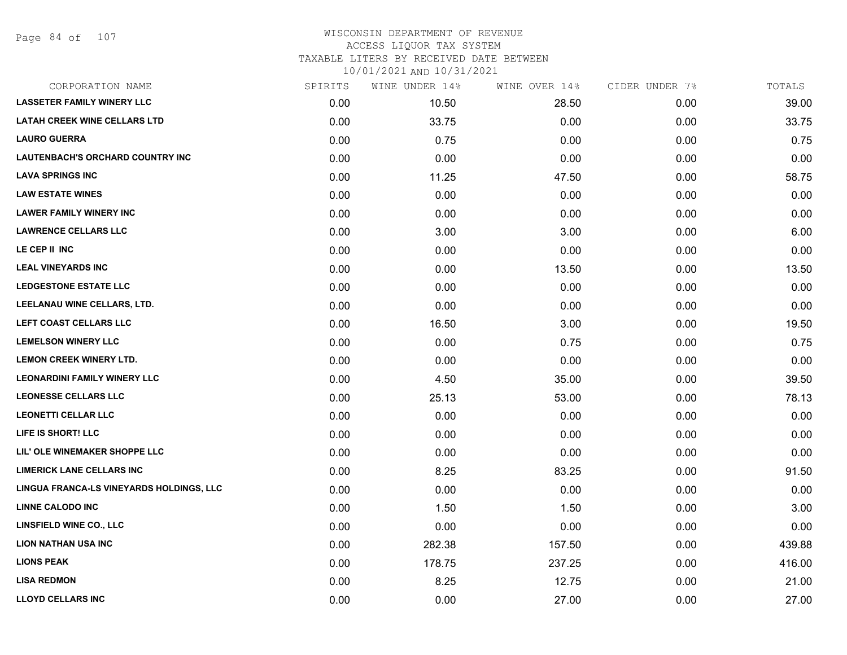# WISCONSIN DEPARTMENT OF REVENUE ACCESS LIQUOR TAX SYSTEM TAXABLE LITERS BY RECEIVED DATE BETWEEN

| CORPORATION NAME                         | SPIRITS | WINE UNDER 14% | WINE OVER 14% | CIDER UNDER 7% | TOTALS |
|------------------------------------------|---------|----------------|---------------|----------------|--------|
| <b>LASSETER FAMILY WINERY LLC</b>        | 0.00    | 10.50          | 28.50         | 0.00           | 39.00  |
| <b>LATAH CREEK WINE CELLARS LTD</b>      | 0.00    | 33.75          | 0.00          | 0.00           | 33.75  |
| <b>LAURO GUERRA</b>                      | 0.00    | 0.75           | 0.00          | 0.00           | 0.75   |
| LAUTENBACH'S ORCHARD COUNTRY INC         | 0.00    | 0.00           | 0.00          | 0.00           | 0.00   |
| <b>LAVA SPRINGS INC</b>                  | 0.00    | 11.25          | 47.50         | 0.00           | 58.75  |
| <b>LAW ESTATE WINES</b>                  | 0.00    | 0.00           | 0.00          | 0.00           | 0.00   |
| <b>LAWER FAMILY WINERY INC</b>           | 0.00    | 0.00           | 0.00          | 0.00           | 0.00   |
| <b>LAWRENCE CELLARS LLC</b>              | 0.00    | 3.00           | 3.00          | 0.00           | 6.00   |
| LE CEP II INC                            | 0.00    | 0.00           | 0.00          | 0.00           | 0.00   |
| <b>LEAL VINEYARDS INC</b>                | 0.00    | 0.00           | 13.50         | 0.00           | 13.50  |
| LEDGESTONE ESTATE LLC                    | 0.00    | 0.00           | 0.00          | 0.00           | 0.00   |
| LEELANAU WINE CELLARS, LTD.              | 0.00    | 0.00           | 0.00          | 0.00           | 0.00   |
| LEFT COAST CELLARS LLC                   | 0.00    | 16.50          | 3.00          | 0.00           | 19.50  |
| <b>LEMELSON WINERY LLC</b>               | 0.00    | 0.00           | 0.75          | 0.00           | 0.75   |
| LEMON CREEK WINERY LTD.                  | 0.00    | 0.00           | 0.00          | 0.00           | 0.00   |
| <b>LEONARDINI FAMILY WINERY LLC</b>      | 0.00    | 4.50           | 35.00         | 0.00           | 39.50  |
| <b>LEONESSE CELLARS LLC</b>              | 0.00    | 25.13          | 53.00         | 0.00           | 78.13  |
| <b>LEONETTI CELLAR LLC</b>               | 0.00    | 0.00           | 0.00          | 0.00           | 0.00   |
| LIFE IS SHORT! LLC                       | 0.00    | 0.00           | 0.00          | 0.00           | 0.00   |
| LIL' OLE WINEMAKER SHOPPE LLC            | 0.00    | 0.00           | 0.00          | 0.00           | 0.00   |
| <b>LIMERICK LANE CELLARS INC</b>         | 0.00    | 8.25           | 83.25         | 0.00           | 91.50  |
| LINGUA FRANCA-LS VINEYARDS HOLDINGS, LLC | 0.00    | 0.00           | 0.00          | 0.00           | 0.00   |
| <b>LINNE CALODO INC</b>                  | 0.00    | 1.50           | 1.50          | 0.00           | 3.00   |
| <b>LINSFIELD WINE CO., LLC</b>           | 0.00    | 0.00           | 0.00          | 0.00           | 0.00   |
| <b>LION NATHAN USA INC</b>               | 0.00    | 282.38         | 157.50        | 0.00           | 439.88 |
| <b>LIONS PEAK</b>                        | 0.00    | 178.75         | 237.25        | 0.00           | 416.00 |
| <b>LISA REDMON</b>                       | 0.00    | 8.25           | 12.75         | 0.00           | 21.00  |
| <b>LLOYD CELLARS INC</b>                 | 0.00    | 0.00           | 27.00         | 0.00           | 27.00  |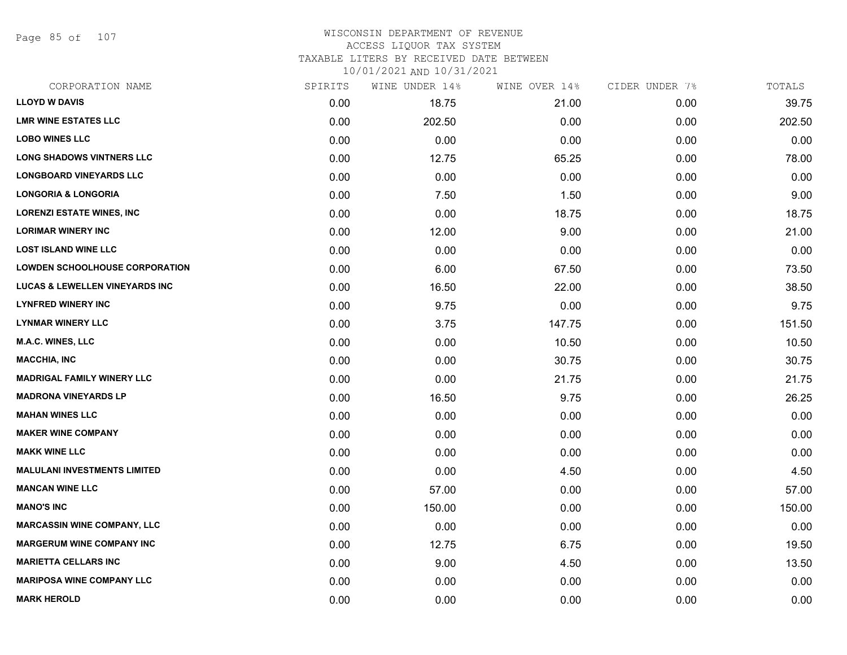Page 85 of 107

### WISCONSIN DEPARTMENT OF REVENUE ACCESS LIQUOR TAX SYSTEM TAXABLE LITERS BY RECEIVED DATE BETWEEN

| CORPORATION NAME                          | SPIRITS | WINE UNDER 14% | WINE OVER 14% | CIDER UNDER 7% | TOTALS |
|-------------------------------------------|---------|----------------|---------------|----------------|--------|
| <b>LLOYD W DAVIS</b>                      | 0.00    | 18.75          | 21.00         | 0.00           | 39.75  |
| <b>LMR WINE ESTATES LLC</b>               | 0.00    | 202.50         | 0.00          | 0.00           | 202.50 |
| <b>LOBO WINES LLC</b>                     | 0.00    | 0.00           | 0.00          | 0.00           | 0.00   |
| <b>LONG SHADOWS VINTNERS LLC</b>          | 0.00    | 12.75          | 65.25         | 0.00           | 78.00  |
| <b>LONGBOARD VINEYARDS LLC</b>            | 0.00    | 0.00           | 0.00          | 0.00           | 0.00   |
| <b>LONGORIA &amp; LONGORIA</b>            | 0.00    | 7.50           | 1.50          | 0.00           | 9.00   |
| <b>LORENZI ESTATE WINES, INC</b>          | 0.00    | 0.00           | 18.75         | 0.00           | 18.75  |
| <b>LORIMAR WINERY INC</b>                 | 0.00    | 12.00          | 9.00          | 0.00           | 21.00  |
| <b>LOST ISLAND WINE LLC</b>               | 0.00    | 0.00           | 0.00          | 0.00           | 0.00   |
| <b>LOWDEN SCHOOLHOUSE CORPORATION</b>     | 0.00    | 6.00           | 67.50         | 0.00           | 73.50  |
| <b>LUCAS &amp; LEWELLEN VINEYARDS INC</b> | 0.00    | 16.50          | 22.00         | 0.00           | 38.50  |
| <b>LYNFRED WINERY INC</b>                 | 0.00    | 9.75           | 0.00          | 0.00           | 9.75   |
| <b>LYNMAR WINERY LLC</b>                  | 0.00    | 3.75           | 147.75        | 0.00           | 151.50 |
| <b>M.A.C. WINES, LLC</b>                  | 0.00    | 0.00           | 10.50         | 0.00           | 10.50  |
| <b>MACCHIA, INC</b>                       | 0.00    | 0.00           | 30.75         | 0.00           | 30.75  |
| <b>MADRIGAL FAMILY WINERY LLC</b>         | 0.00    | 0.00           | 21.75         | 0.00           | 21.75  |
| <b>MADRONA VINEYARDS LP</b>               | 0.00    | 16.50          | 9.75          | 0.00           | 26.25  |
| <b>MAHAN WINES LLC</b>                    | 0.00    | 0.00           | 0.00          | 0.00           | 0.00   |
| <b>MAKER WINE COMPANY</b>                 | 0.00    | 0.00           | 0.00          | 0.00           | 0.00   |
| <b>MAKK WINE LLC</b>                      | 0.00    | 0.00           | 0.00          | 0.00           | 0.00   |
| <b>MALULANI INVESTMENTS LIMITED</b>       | 0.00    | 0.00           | 4.50          | 0.00           | 4.50   |
| <b>MANCAN WINE LLC</b>                    | 0.00    | 57.00          | 0.00          | 0.00           | 57.00  |
| <b>MANO'S INC</b>                         | 0.00    | 150.00         | 0.00          | 0.00           | 150.00 |
| <b>MARCASSIN WINE COMPANY, LLC</b>        | 0.00    | 0.00           | 0.00          | 0.00           | 0.00   |
| <b>MARGERUM WINE COMPANY INC</b>          | 0.00    | 12.75          | 6.75          | 0.00           | 19.50  |
| <b>MARIETTA CELLARS INC</b>               | 0.00    | 9.00           | 4.50          | 0.00           | 13.50  |
| <b>MARIPOSA WINE COMPANY LLC</b>          | 0.00    | 0.00           | 0.00          | 0.00           | 0.00   |
| <b>MARK HEROLD</b>                        | 0.00    | 0.00           | 0.00          | 0.00           | 0.00   |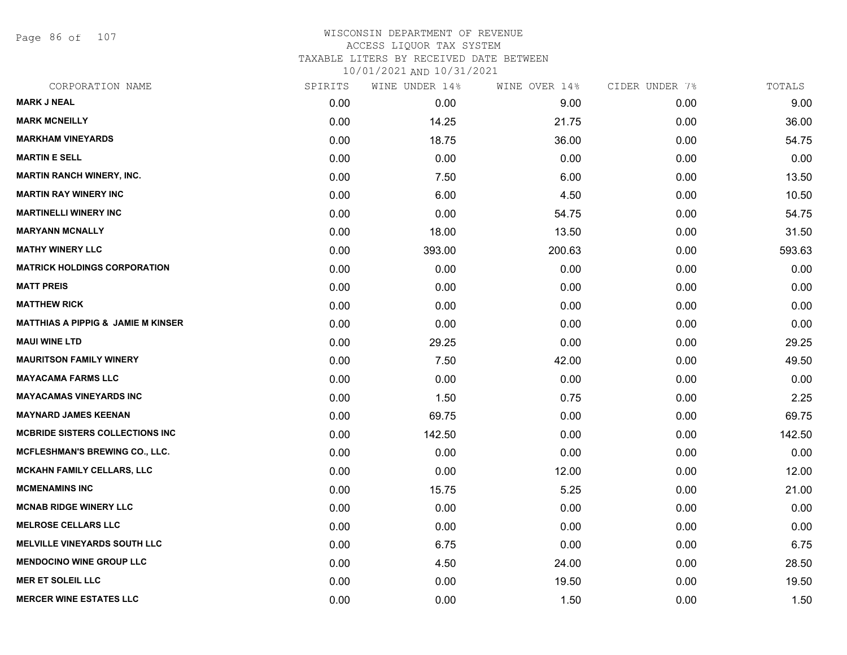Page 86 of 107

| CORPORATION NAME                              | SPIRITS | WINE UNDER 14% | WINE OVER 14% | CIDER UNDER 7% | TOTALS |
|-----------------------------------------------|---------|----------------|---------------|----------------|--------|
| <b>MARK J NEAL</b>                            | 0.00    | 0.00           | 9.00          | 0.00           | 9.00   |
| <b>MARK MCNEILLY</b>                          | 0.00    | 14.25          | 21.75         | 0.00           | 36.00  |
| <b>MARKHAM VINEYARDS</b>                      | 0.00    | 18.75          | 36.00         | 0.00           | 54.75  |
| <b>MARTIN E SELL</b>                          | 0.00    | 0.00           | 0.00          | 0.00           | 0.00   |
| <b>MARTIN RANCH WINERY, INC.</b>              | 0.00    | 7.50           | 6.00          | 0.00           | 13.50  |
| <b>MARTIN RAY WINERY INC</b>                  | 0.00    | 6.00           | 4.50          | 0.00           | 10.50  |
| <b>MARTINELLI WINERY INC</b>                  | 0.00    | 0.00           | 54.75         | 0.00           | 54.75  |
| <b>MARYANN MCNALLY</b>                        | 0.00    | 18.00          | 13.50         | 0.00           | 31.50  |
| <b>MATHY WINERY LLC</b>                       | 0.00    | 393.00         | 200.63        | 0.00           | 593.63 |
| <b>MATRICK HOLDINGS CORPORATION</b>           | 0.00    | 0.00           | 0.00          | 0.00           | 0.00   |
| <b>MATT PREIS</b>                             | 0.00    | 0.00           | 0.00          | 0.00           | 0.00   |
| <b>MATTHEW RICK</b>                           | 0.00    | 0.00           | 0.00          | 0.00           | 0.00   |
| <b>MATTHIAS A PIPPIG &amp; JAMIE M KINSER</b> | 0.00    | 0.00           | 0.00          | 0.00           | 0.00   |
| <b>MAUI WINE LTD</b>                          | 0.00    | 29.25          | 0.00          | 0.00           | 29.25  |
| <b>MAURITSON FAMILY WINERY</b>                | 0.00    | 7.50           | 42.00         | 0.00           | 49.50  |
| <b>MAYACAMA FARMS LLC</b>                     | 0.00    | 0.00           | 0.00          | 0.00           | 0.00   |
| <b>MAYACAMAS VINEYARDS INC</b>                | 0.00    | 1.50           | 0.75          | 0.00           | 2.25   |
| <b>MAYNARD JAMES KEENAN</b>                   | 0.00    | 69.75          | 0.00          | 0.00           | 69.75  |
| <b>MCBRIDE SISTERS COLLECTIONS INC</b>        | 0.00    | 142.50         | 0.00          | 0.00           | 142.50 |
| <b>MCFLESHMAN'S BREWING CO., LLC.</b>         | 0.00    | 0.00           | 0.00          | 0.00           | 0.00   |
| <b>MCKAHN FAMILY CELLARS, LLC</b>             | 0.00    | 0.00           | 12.00         | 0.00           | 12.00  |
| <b>MCMENAMINS INC</b>                         | 0.00    | 15.75          | 5.25          | 0.00           | 21.00  |
| <b>MCNAB RIDGE WINERY LLC</b>                 | 0.00    | 0.00           | 0.00          | 0.00           | 0.00   |
| <b>MELROSE CELLARS LLC</b>                    | 0.00    | 0.00           | 0.00          | 0.00           | 0.00   |
| <b>MELVILLE VINEYARDS SOUTH LLC</b>           | 0.00    | 6.75           | 0.00          | 0.00           | 6.75   |
| <b>MENDOCINO WINE GROUP LLC</b>               | 0.00    | 4.50           | 24.00         | 0.00           | 28.50  |
| <b>MER ET SOLEIL LLC</b>                      | 0.00    | 0.00           | 19.50         | 0.00           | 19.50  |
| <b>MERCER WINE ESTATES LLC</b>                | 0.00    | 0.00           | 1.50          | 0.00           | 1.50   |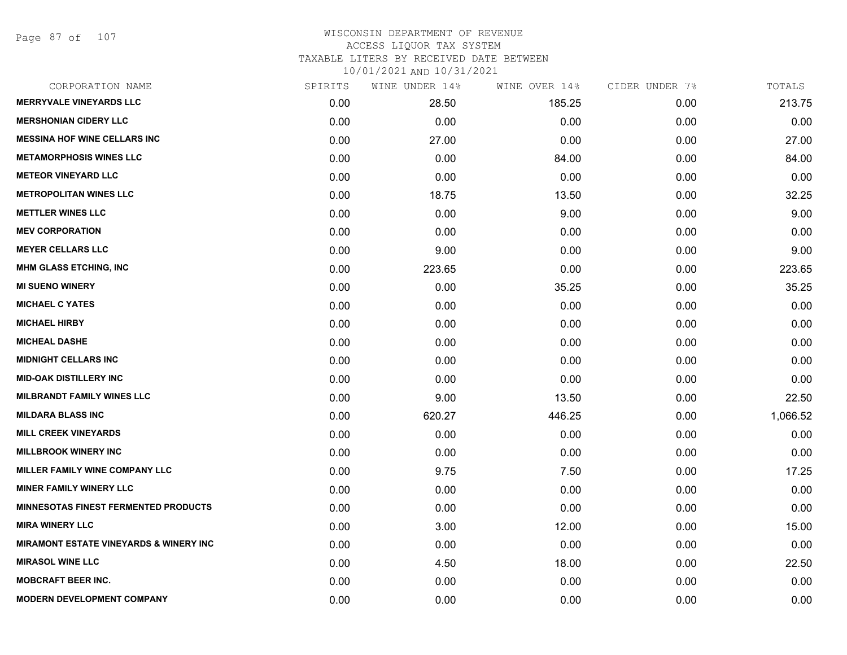Page 87 of 107

## WISCONSIN DEPARTMENT OF REVENUE ACCESS LIQUOR TAX SYSTEM TAXABLE LITERS BY RECEIVED DATE BETWEEN

| CORPORATION NAME                                  | SPIRITS | WINE UNDER 14% | WINE OVER 14% | CIDER UNDER 7% | TOTALS   |
|---------------------------------------------------|---------|----------------|---------------|----------------|----------|
| <b>MERRYVALE VINEYARDS LLC</b>                    | 0.00    | 28.50          | 185.25        | 0.00           | 213.75   |
| <b>MERSHONIAN CIDERY LLC</b>                      | 0.00    | 0.00           | 0.00          | 0.00           | 0.00     |
| <b>MESSINA HOF WINE CELLARS INC</b>               | 0.00    | 27.00          | 0.00          | 0.00           | 27.00    |
| <b>METAMORPHOSIS WINES LLC</b>                    | 0.00    | 0.00           | 84.00         | 0.00           | 84.00    |
| <b>METEOR VINEYARD LLC</b>                        | 0.00    | 0.00           | 0.00          | 0.00           | 0.00     |
| <b>METROPOLITAN WINES LLC</b>                     | 0.00    | 18.75          | 13.50         | 0.00           | 32.25    |
| <b>METTLER WINES LLC</b>                          | 0.00    | 0.00           | 9.00          | 0.00           | 9.00     |
| <b>MEV CORPORATION</b>                            | 0.00    | 0.00           | 0.00          | 0.00           | 0.00     |
| <b>MEYER CELLARS LLC</b>                          | 0.00    | 9.00           | 0.00          | 0.00           | 9.00     |
| <b>MHM GLASS ETCHING, INC</b>                     | 0.00    | 223.65         | 0.00          | 0.00           | 223.65   |
| <b>MI SUENO WINERY</b>                            | 0.00    | 0.00           | 35.25         | 0.00           | 35.25    |
| <b>MICHAEL C YATES</b>                            | 0.00    | 0.00           | 0.00          | 0.00           | 0.00     |
| <b>MICHAEL HIRBY</b>                              | 0.00    | 0.00           | 0.00          | 0.00           | 0.00     |
| <b>MICHEAL DASHE</b>                              | 0.00    | 0.00           | 0.00          | 0.00           | 0.00     |
| <b>MIDNIGHT CELLARS INC</b>                       | 0.00    | 0.00           | 0.00          | 0.00           | 0.00     |
| <b>MID-OAK DISTILLERY INC</b>                     | 0.00    | 0.00           | 0.00          | 0.00           | 0.00     |
| <b>MILBRANDT FAMILY WINES LLC</b>                 | 0.00    | 9.00           | 13.50         | 0.00           | 22.50    |
| <b>MILDARA BLASS INC</b>                          | 0.00    | 620.27         | 446.25        | 0.00           | 1,066.52 |
| <b>MILL CREEK VINEYARDS</b>                       | 0.00    | 0.00           | 0.00          | 0.00           | 0.00     |
| <b>MILLBROOK WINERY INC</b>                       | 0.00    | 0.00           | 0.00          | 0.00           | 0.00     |
| <b>MILLER FAMILY WINE COMPANY LLC</b>             | 0.00    | 9.75           | 7.50          | 0.00           | 17.25    |
| <b>MINER FAMILY WINERY LLC</b>                    | 0.00    | 0.00           | 0.00          | 0.00           | 0.00     |
| <b>MINNESOTAS FINEST FERMENTED PRODUCTS</b>       | 0.00    | 0.00           | 0.00          | 0.00           | 0.00     |
| <b>MIRA WINERY LLC</b>                            | 0.00    | 3.00           | 12.00         | 0.00           | 15.00    |
| <b>MIRAMONT ESTATE VINEYARDS &amp; WINERY INC</b> | 0.00    | 0.00           | 0.00          | 0.00           | 0.00     |
| <b>MIRASOL WINE LLC</b>                           | 0.00    | 4.50           | 18.00         | 0.00           | 22.50    |
| <b>MOBCRAFT BEER INC.</b>                         | 0.00    | 0.00           | 0.00          | 0.00           | 0.00     |
| <b>MODERN DEVELOPMENT COMPANY</b>                 | 0.00    | 0.00           | 0.00          | 0.00           | 0.00     |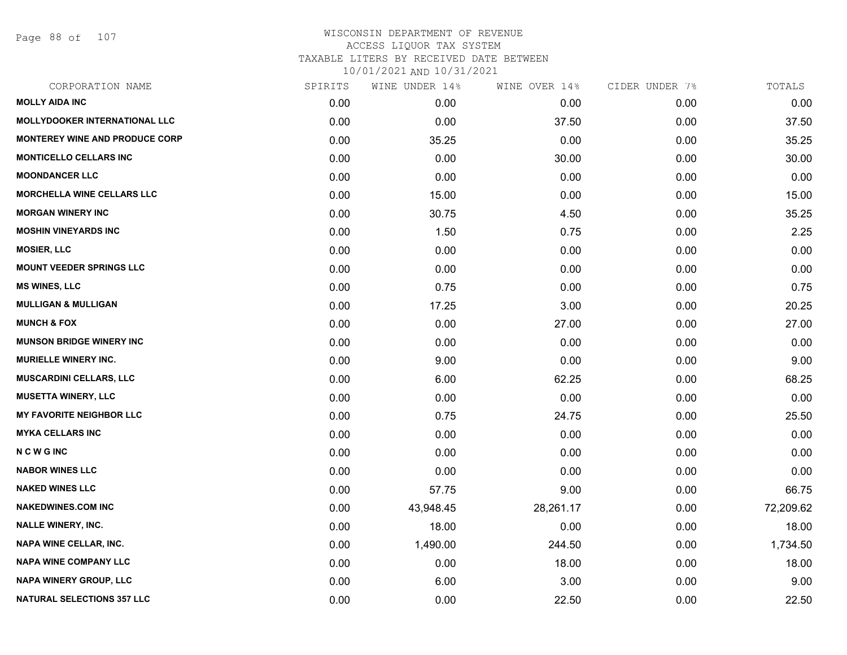Page 88 of 107

| CORPORATION NAME                     | SPIRITS | WINE UNDER 14% | WINE OVER 14% | CIDER UNDER 7% | TOTALS    |
|--------------------------------------|---------|----------------|---------------|----------------|-----------|
| <b>MOLLY AIDA INC</b>                | 0.00    | 0.00           | 0.00          | 0.00           | 0.00      |
| <b>MOLLYDOOKER INTERNATIONAL LLC</b> | 0.00    | 0.00           | 37.50         | 0.00           | 37.50     |
| MONTEREY WINE AND PRODUCE CORP       | 0.00    | 35.25          | 0.00          | 0.00           | 35.25     |
| <b>MONTICELLO CELLARS INC</b>        | 0.00    | 0.00           | 30.00         | 0.00           | 30.00     |
| <b>MOONDANCER LLC</b>                | 0.00    | 0.00           | 0.00          | 0.00           | 0.00      |
| <b>MORCHELLA WINE CELLARS LLC</b>    | 0.00    | 15.00          | 0.00          | 0.00           | 15.00     |
| <b>MORGAN WINERY INC</b>             | 0.00    | 30.75          | 4.50          | 0.00           | 35.25     |
| <b>MOSHIN VINEYARDS INC</b>          | 0.00    | 1.50           | 0.75          | 0.00           | 2.25      |
| <b>MOSIER, LLC</b>                   | 0.00    | 0.00           | 0.00          | 0.00           | 0.00      |
| <b>MOUNT VEEDER SPRINGS LLC</b>      | 0.00    | 0.00           | 0.00          | 0.00           | 0.00      |
| <b>MS WINES, LLC</b>                 | 0.00    | 0.75           | 0.00          | 0.00           | 0.75      |
| <b>MULLIGAN &amp; MULLIGAN</b>       | 0.00    | 17.25          | 3.00          | 0.00           | 20.25     |
| <b>MUNCH &amp; FOX</b>               | 0.00    | 0.00           | 27.00         | 0.00           | 27.00     |
| <b>MUNSON BRIDGE WINERY INC</b>      | 0.00    | 0.00           | 0.00          | 0.00           | 0.00      |
| MURIELLE WINERY INC.                 | 0.00    | 9.00           | 0.00          | 0.00           | 9.00      |
| MUSCARDINI CELLARS, LLC              | 0.00    | 6.00           | 62.25         | 0.00           | 68.25     |
| <b>MUSETTA WINERY, LLC</b>           | 0.00    | 0.00           | 0.00          | 0.00           | 0.00      |
| <b>MY FAVORITE NEIGHBOR LLC</b>      | 0.00    | 0.75           | 24.75         | 0.00           | 25.50     |
| <b>MYKA CELLARS INC</b>              | 0.00    | 0.00           | 0.00          | 0.00           | 0.00      |
| <b>NCWGINC</b>                       | 0.00    | 0.00           | 0.00          | 0.00           | 0.00      |
| <b>NABOR WINES LLC</b>               | 0.00    | 0.00           | 0.00          | 0.00           | 0.00      |
| <b>NAKED WINES LLC</b>               | 0.00    | 57.75          | 9.00          | 0.00           | 66.75     |
| <b>NAKEDWINES.COM INC</b>            | 0.00    | 43,948.45      | 28,261.17     | 0.00           | 72,209.62 |
| <b>NALLE WINERY, INC.</b>            | 0.00    | 18.00          | 0.00          | 0.00           | 18.00     |
| <b>NAPA WINE CELLAR, INC.</b>        | 0.00    | 1,490.00       | 244.50        | 0.00           | 1,734.50  |
| <b>NAPA WINE COMPANY LLC</b>         | 0.00    | 0.00           | 18.00         | 0.00           | 18.00     |
| <b>NAPA WINERY GROUP, LLC</b>        | 0.00    | 6.00           | 3.00          | 0.00           | 9.00      |
| <b>NATURAL SELECTIONS 357 LLC</b>    | 0.00    | 0.00           | 22.50         | 0.00           | 22.50     |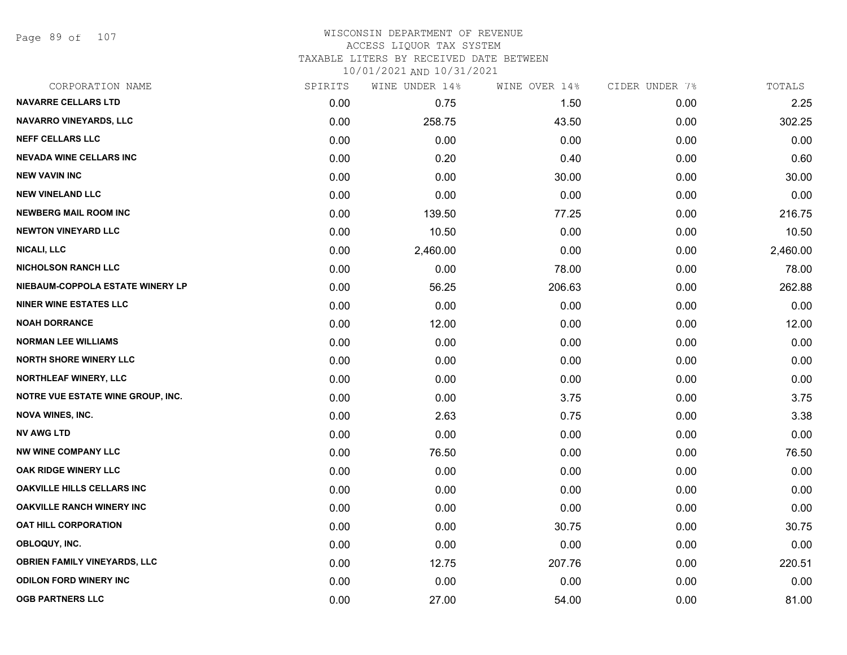Page 89 of 107

### WISCONSIN DEPARTMENT OF REVENUE ACCESS LIQUOR TAX SYSTEM

TAXABLE LITERS BY RECEIVED DATE BETWEEN

| CORPORATION NAME                         | SPIRITS | WINE UNDER 14% | WINE OVER 14% | CIDER UNDER 7% | TOTALS   |
|------------------------------------------|---------|----------------|---------------|----------------|----------|
| <b>NAVARRE CELLARS LTD</b>               | 0.00    | 0.75           | 1.50          | 0.00           | 2.25     |
| <b>NAVARRO VINEYARDS, LLC</b>            | 0.00    | 258.75         | 43.50         | 0.00           | 302.25   |
| <b>NEFF CELLARS LLC</b>                  | 0.00    | 0.00           | 0.00          | 0.00           | 0.00     |
| <b>NEVADA WINE CELLARS INC</b>           | 0.00    | 0.20           | 0.40          | 0.00           | 0.60     |
| <b>NEW VAVIN INC</b>                     | 0.00    | 0.00           | 30.00         | 0.00           | 30.00    |
| <b>NEW VINELAND LLC</b>                  | 0.00    | 0.00           | 0.00          | 0.00           | 0.00     |
| <b>NEWBERG MAIL ROOM INC</b>             | 0.00    | 139.50         | 77.25         | 0.00           | 216.75   |
| <b>NEWTON VINEYARD LLC</b>               | 0.00    | 10.50          | 0.00          | 0.00           | 10.50    |
| <b>NICALI, LLC</b>                       | 0.00    | 2,460.00       | 0.00          | 0.00           | 2,460.00 |
| <b>NICHOLSON RANCH LLC</b>               | 0.00    | 0.00           | 78.00         | 0.00           | 78.00    |
| NIEBAUM-COPPOLA ESTATE WINERY LP         | 0.00    | 56.25          | 206.63        | 0.00           | 262.88   |
| <b>NINER WINE ESTATES LLC</b>            | 0.00    | 0.00           | 0.00          | 0.00           | 0.00     |
| <b>NOAH DORRANCE</b>                     | 0.00    | 12.00          | 0.00          | 0.00           | 12.00    |
| <b>NORMAN LEE WILLIAMS</b>               | 0.00    | 0.00           | 0.00          | 0.00           | 0.00     |
| <b>NORTH SHORE WINERY LLC</b>            | 0.00    | 0.00           | 0.00          | 0.00           | 0.00     |
| <b>NORTHLEAF WINERY, LLC</b>             | 0.00    | 0.00           | 0.00          | 0.00           | 0.00     |
| <b>NOTRE VUE ESTATE WINE GROUP, INC.</b> | 0.00    | 0.00           | 3.75          | 0.00           | 3.75     |
| <b>NOVA WINES, INC.</b>                  | 0.00    | 2.63           | 0.75          | 0.00           | 3.38     |
| <b>NV AWG LTD</b>                        | 0.00    | 0.00           | 0.00          | 0.00           | 0.00     |
| <b>NW WINE COMPANY LLC</b>               | 0.00    | 76.50          | 0.00          | 0.00           | 76.50    |
| OAK RIDGE WINERY LLC                     | 0.00    | 0.00           | 0.00          | 0.00           | 0.00     |
| OAKVILLE HILLS CELLARS INC               | 0.00    | 0.00           | 0.00          | 0.00           | 0.00     |
| <b>OAKVILLE RANCH WINERY INC</b>         | 0.00    | 0.00           | 0.00          | 0.00           | 0.00     |
| <b>OAT HILL CORPORATION</b>              | 0.00    | 0.00           | 30.75         | 0.00           | 30.75    |
| OBLOQUY, INC.                            | 0.00    | 0.00           | 0.00          | 0.00           | 0.00     |
| <b>OBRIEN FAMILY VINEYARDS, LLC</b>      | 0.00    | 12.75          | 207.76        | 0.00           | 220.51   |
| <b>ODILON FORD WINERY INC</b>            | 0.00    | 0.00           | 0.00          | 0.00           | 0.00     |
| <b>OGB PARTNERS LLC</b>                  | 0.00    | 27.00          | 54.00         | 0.00           | 81.00    |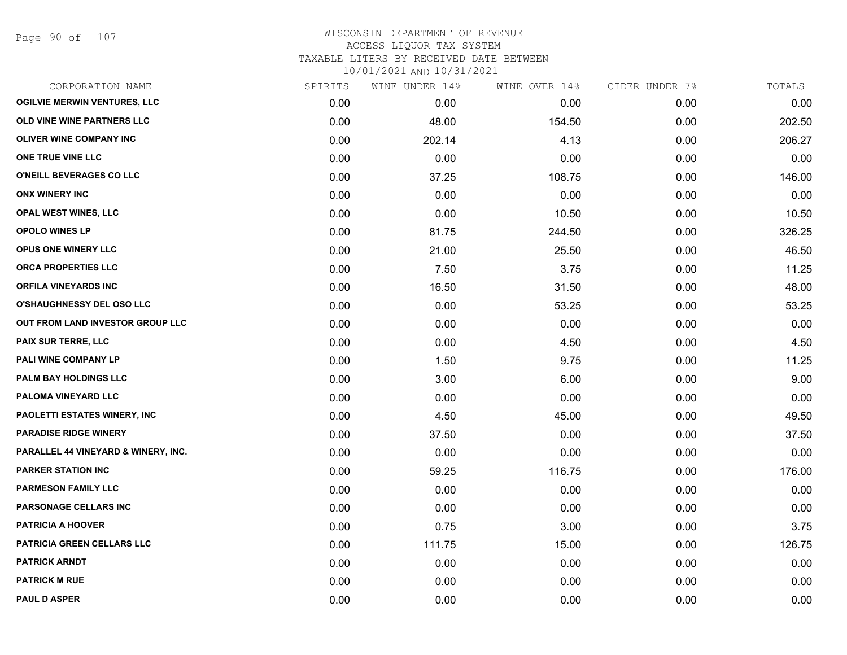Page 90 of 107

| CORPORATION NAME                    | SPIRITS | WINE UNDER 14% | WINE OVER 14% | CIDER UNDER 7% | TOTALS |
|-------------------------------------|---------|----------------|---------------|----------------|--------|
| <b>OGILVIE MERWIN VENTURES, LLC</b> | 0.00    | 0.00           | 0.00          | 0.00           | 0.00   |
| OLD VINE WINE PARTNERS LLC          | 0.00    | 48.00          | 154.50        | 0.00           | 202.50 |
| <b>OLIVER WINE COMPANY INC</b>      | 0.00    | 202.14         | 4.13          | 0.00           | 206.27 |
| ONE TRUE VINE LLC                   | 0.00    | 0.00           | 0.00          | 0.00           | 0.00   |
| <b>O'NEILL BEVERAGES CO LLC</b>     | 0.00    | 37.25          | 108.75        | 0.00           | 146.00 |
| <b>ONX WINERY INC</b>               | 0.00    | 0.00           | 0.00          | 0.00           | 0.00   |
| <b>OPAL WEST WINES, LLC</b>         | 0.00    | 0.00           | 10.50         | 0.00           | 10.50  |
| <b>OPOLO WINES LP</b>               | 0.00    | 81.75          | 244.50        | 0.00           | 326.25 |
| OPUS ONE WINERY LLC                 | 0.00    | 21.00          | 25.50         | 0.00           | 46.50  |
| ORCA PROPERTIES LLC                 | 0.00    | 7.50           | 3.75          | 0.00           | 11.25  |
| <b>ORFILA VINEYARDS INC</b>         | 0.00    | 16.50          | 31.50         | 0.00           | 48.00  |
| O'SHAUGHNESSY DEL OSO LLC           | 0.00    | 0.00           | 53.25         | 0.00           | 53.25  |
| OUT FROM LAND INVESTOR GROUP LLC    | 0.00    | 0.00           | 0.00          | 0.00           | 0.00   |
| <b>PAIX SUR TERRE, LLC</b>          | 0.00    | 0.00           | 4.50          | 0.00           | 4.50   |
| PALI WINE COMPANY LP                | 0.00    | 1.50           | 9.75          | 0.00           | 11.25  |
| PALM BAY HOLDINGS LLC               | 0.00    | 3.00           | 6.00          | 0.00           | 9.00   |
| PALOMA VINEYARD LLC                 | 0.00    | 0.00           | 0.00          | 0.00           | 0.00   |
| PAOLETTI ESTATES WINERY, INC        | 0.00    | 4.50           | 45.00         | 0.00           | 49.50  |
| <b>PARADISE RIDGE WINERY</b>        | 0.00    | 37.50          | 0.00          | 0.00           | 37.50  |
| PARALLEL 44 VINEYARD & WINERY, INC. | 0.00    | 0.00           | 0.00          | 0.00           | 0.00   |
| <b>PARKER STATION INC</b>           | 0.00    | 59.25          | 116.75        | 0.00           | 176.00 |
| <b>PARMESON FAMILY LLC</b>          | 0.00    | 0.00           | 0.00          | 0.00           | 0.00   |
| <b>PARSONAGE CELLARS INC</b>        | 0.00    | 0.00           | 0.00          | 0.00           | 0.00   |
| <b>PATRICIA A HOOVER</b>            | 0.00    | 0.75           | 3.00          | 0.00           | 3.75   |
| <b>PATRICIA GREEN CELLARS LLC</b>   | 0.00    | 111.75         | 15.00         | 0.00           | 126.75 |
| <b>PATRICK ARNDT</b>                | 0.00    | 0.00           | 0.00          | 0.00           | 0.00   |
| <b>PATRICK M RUE</b>                | 0.00    | 0.00           | 0.00          | 0.00           | 0.00   |
| <b>PAUL D ASPER</b>                 | 0.00    | 0.00           | 0.00          | 0.00           | 0.00   |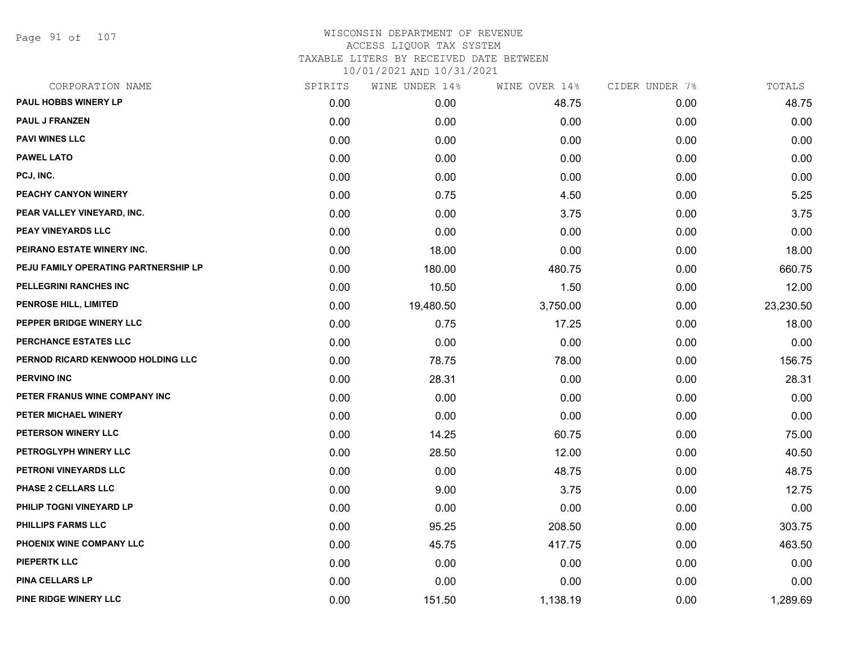Page 91 of 107

# WISCONSIN DEPARTMENT OF REVENUE ACCESS LIQUOR TAX SYSTEM TAXABLE LITERS BY RECEIVED DATE BETWEEN

| CORPORATION NAME                     | SPIRITS | WINE UNDER 14% | WINE OVER 14% | CIDER UNDER 7% | TOTALS    |
|--------------------------------------|---------|----------------|---------------|----------------|-----------|
| PAUL HOBBS WINERY LP                 | 0.00    | 0.00           | 48.75         | 0.00           | 48.75     |
| <b>PAUL J FRANZEN</b>                | 0.00    | 0.00           | 0.00          | 0.00           | 0.00      |
| <b>PAVI WINES LLC</b>                | 0.00    | 0.00           | 0.00          | 0.00           | 0.00      |
| <b>PAWEL LATO</b>                    | 0.00    | 0.00           | 0.00          | 0.00           | 0.00      |
| PCJ, INC.                            | 0.00    | 0.00           | 0.00          | 0.00           | 0.00      |
| PEACHY CANYON WINERY                 | 0.00    | 0.75           | 4.50          | 0.00           | 5.25      |
| PEAR VALLEY VINEYARD, INC.           | 0.00    | 0.00           | 3.75          | 0.00           | 3.75      |
| <b>PEAY VINEYARDS LLC</b>            | 0.00    | 0.00           | 0.00          | 0.00           | 0.00      |
| PEIRANO ESTATE WINERY INC.           | 0.00    | 18.00          | 0.00          | 0.00           | 18.00     |
| PEJU FAMILY OPERATING PARTNERSHIP LP | 0.00    | 180.00         | 480.75        | 0.00           | 660.75    |
| PELLEGRINI RANCHES INC               | 0.00    | 10.50          | 1.50          | 0.00           | 12.00     |
| PENROSE HILL, LIMITED                | 0.00    | 19,480.50      | 3,750.00      | 0.00           | 23,230.50 |
| PEPPER BRIDGE WINERY LLC             | 0.00    | 0.75           | 17.25         | 0.00           | 18.00     |
| PERCHANCE ESTATES LLC                | 0.00    | 0.00           | 0.00          | 0.00           | 0.00      |
| PERNOD RICARD KENWOOD HOLDING LLC    | 0.00    | 78.75          | 78.00         | 0.00           | 156.75    |
| <b>PERVINO INC</b>                   | 0.00    | 28.31          | 0.00          | 0.00           | 28.31     |
| PETER FRANUS WINE COMPANY INC        | 0.00    | 0.00           | 0.00          | 0.00           | 0.00      |
| PETER MICHAEL WINERY                 | 0.00    | 0.00           | 0.00          | 0.00           | 0.00      |
| PETERSON WINERY LLC                  | 0.00    | 14.25          | 60.75         | 0.00           | 75.00     |
| PETROGLYPH WINERY LLC                | 0.00    | 28.50          | 12.00         | 0.00           | 40.50     |
| PETRONI VINEYARDS LLC                | 0.00    | 0.00           | 48.75         | 0.00           | 48.75     |
| PHASE 2 CELLARS LLC                  | 0.00    | 9.00           | 3.75          | 0.00           | 12.75     |
| PHILIP TOGNI VINEYARD LP             | 0.00    | 0.00           | 0.00          | 0.00           | 0.00      |
| <b>PHILLIPS FARMS LLC</b>            | 0.00    | 95.25          | 208.50        | 0.00           | 303.75    |
| PHOENIX WINE COMPANY LLC             | 0.00    | 45.75          | 417.75        | 0.00           | 463.50    |
| <b>PIEPERTK LLC</b>                  | 0.00    | 0.00           | 0.00          | 0.00           | 0.00      |
| PINA CELLARS LP                      | 0.00    | 0.00           | 0.00          | 0.00           | 0.00      |
| PINE RIDGE WINERY LLC                | 0.00    | 151.50         | 1,138.19      | 0.00           | 1,289.69  |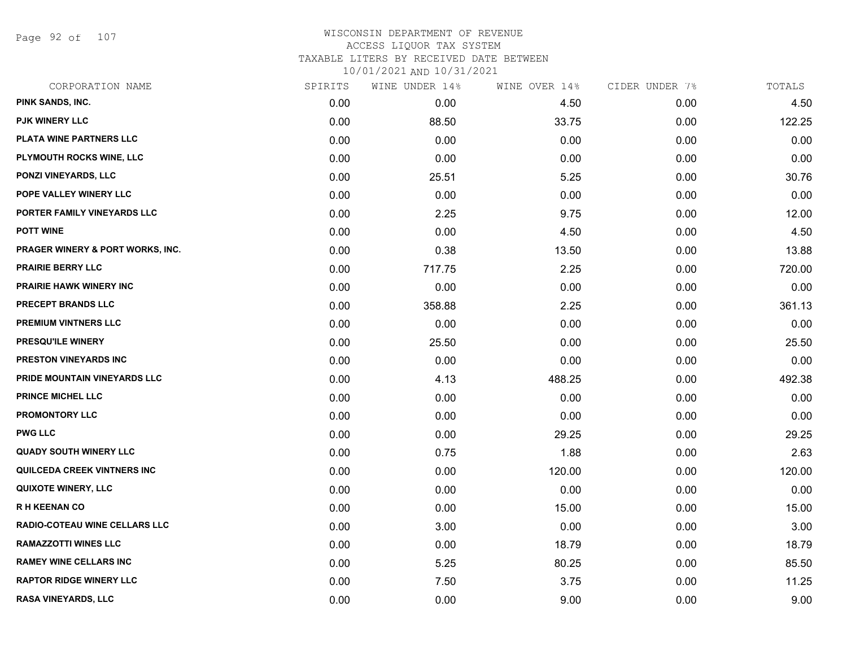Page 92 of 107

### WISCONSIN DEPARTMENT OF REVENUE ACCESS LIQUOR TAX SYSTEM TAXABLE LITERS BY RECEIVED DATE BETWEEN

| CORPORATION NAME                 | SPIRITS | WINE UNDER 14% | WINE OVER 14% | CIDER UNDER 7% | TOTALS |
|----------------------------------|---------|----------------|---------------|----------------|--------|
| PINK SANDS, INC.                 | 0.00    | 0.00           | 4.50          | 0.00           | 4.50   |
| <b>PJK WINERY LLC</b>            | 0.00    | 88.50          | 33.75         | 0.00           | 122.25 |
| PLATA WINE PARTNERS LLC          | 0.00    | 0.00           | 0.00          | 0.00           | 0.00   |
| PLYMOUTH ROCKS WINE, LLC         | 0.00    | 0.00           | 0.00          | 0.00           | 0.00   |
| <b>PONZI VINEYARDS, LLC</b>      | 0.00    | 25.51          | 5.25          | 0.00           | 30.76  |
| POPE VALLEY WINERY LLC           | 0.00    | 0.00           | 0.00          | 0.00           | 0.00   |
| PORTER FAMILY VINEYARDS LLC      | 0.00    | 2.25           | 9.75          | 0.00           | 12.00  |
| <b>POTT WINE</b>                 | 0.00    | 0.00           | 4.50          | 0.00           | 4.50   |
| PRAGER WINERY & PORT WORKS, INC. | 0.00    | 0.38           | 13.50         | 0.00           | 13.88  |
| <b>PRAIRIE BERRY LLC</b>         | 0.00    | 717.75         | 2.25          | 0.00           | 720.00 |
| PRAIRIE HAWK WINERY INC          | 0.00    | 0.00           | 0.00          | 0.00           | 0.00   |
| PRECEPT BRANDS LLC               | 0.00    | 358.88         | 2.25          | 0.00           | 361.13 |
| <b>PREMIUM VINTNERS LLC</b>      | 0.00    | 0.00           | 0.00          | 0.00           | 0.00   |
| <b>PRESQU'ILE WINERY</b>         | 0.00    | 25.50          | 0.00          | 0.00           | 25.50  |
| PRESTON VINEYARDS INC            | 0.00    | 0.00           | 0.00          | 0.00           | 0.00   |
| PRIDE MOUNTAIN VINEYARDS LLC     | 0.00    | 4.13           | 488.25        | 0.00           | 492.38 |
| PRINCE MICHEL LLC                | 0.00    | 0.00           | 0.00          | 0.00           | 0.00   |
| <b>PROMONTORY LLC</b>            | 0.00    | 0.00           | 0.00          | 0.00           | 0.00   |
| <b>PWG LLC</b>                   | 0.00    | 0.00           | 29.25         | 0.00           | 29.25  |
| <b>QUADY SOUTH WINERY LLC</b>    | 0.00    | 0.75           | 1.88          | 0.00           | 2.63   |
| QUILCEDA CREEK VINTNERS INC      | 0.00    | 0.00           | 120.00        | 0.00           | 120.00 |
| <b>QUIXOTE WINERY, LLC</b>       | 0.00    | 0.00           | 0.00          | 0.00           | 0.00   |
| <b>RH KEENAN CO</b>              | 0.00    | 0.00           | 15.00         | 0.00           | 15.00  |
| RADIO-COTEAU WINE CELLARS LLC    | 0.00    | 3.00           | 0.00          | 0.00           | 3.00   |
| <b>RAMAZZOTTI WINES LLC</b>      | 0.00    | 0.00           | 18.79         | 0.00           | 18.79  |
| <b>RAMEY WINE CELLARS INC</b>    | 0.00    | 5.25           | 80.25         | 0.00           | 85.50  |
| <b>RAPTOR RIDGE WINERY LLC</b>   | 0.00    | 7.50           | 3.75          | 0.00           | 11.25  |
| RASA VINEYARDS, LLC              | 0.00    | 0.00           | 9.00          | 0.00           | 9.00   |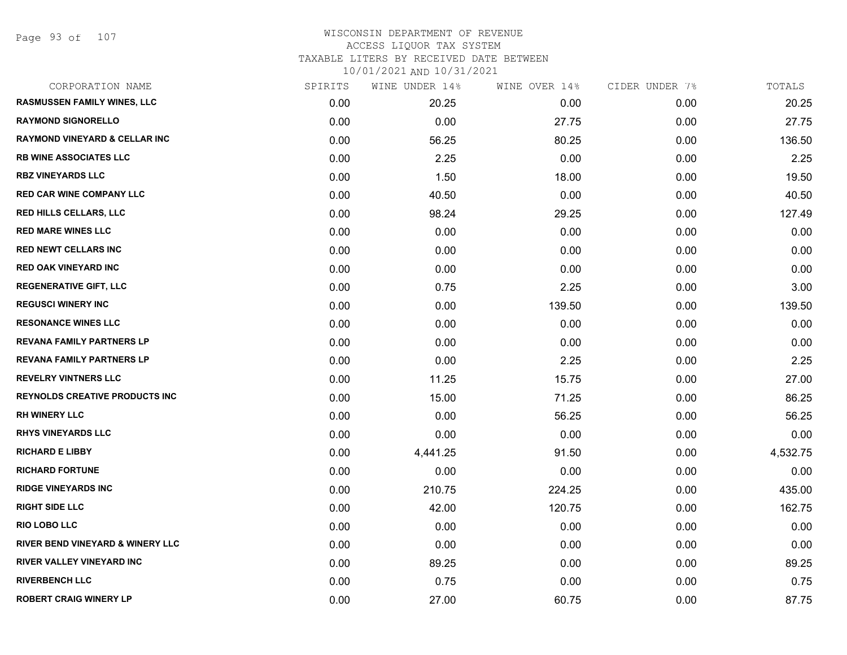Page 93 of 107

### WISCONSIN DEPARTMENT OF REVENUE ACCESS LIQUOR TAX SYSTEM TAXABLE LITERS BY RECEIVED DATE BETWEEN

| CORPORATION NAME                            | SPIRITS | WINE UNDER 14% | WINE OVER 14% | CIDER UNDER 7% | TOTALS   |
|---------------------------------------------|---------|----------------|---------------|----------------|----------|
| RASMUSSEN FAMILY WINES, LLC                 | 0.00    | 20.25          | 0.00          | 0.00           | 20.25    |
| <b>RAYMOND SIGNORELLO</b>                   | 0.00    | 0.00           | 27.75         | 0.00           | 27.75    |
| <b>RAYMOND VINEYARD &amp; CELLAR INC</b>    | 0.00    | 56.25          | 80.25         | 0.00           | 136.50   |
| <b>RB WINE ASSOCIATES LLC</b>               | 0.00    | 2.25           | 0.00          | 0.00           | 2.25     |
| <b>RBZ VINEYARDS LLC</b>                    | 0.00    | 1.50           | 18.00         | 0.00           | 19.50    |
| <b>RED CAR WINE COMPANY LLC</b>             | 0.00    | 40.50          | 0.00          | 0.00           | 40.50    |
| <b>RED HILLS CELLARS, LLC</b>               | 0.00    | 98.24          | 29.25         | 0.00           | 127.49   |
| <b>RED MARE WINES LLC</b>                   | 0.00    | 0.00           | 0.00          | 0.00           | 0.00     |
| <b>RED NEWT CELLARS INC</b>                 | 0.00    | 0.00           | 0.00          | 0.00           | 0.00     |
| <b>RED OAK VINEYARD INC</b>                 | 0.00    | 0.00           | 0.00          | 0.00           | 0.00     |
| <b>REGENERATIVE GIFT, LLC</b>               | 0.00    | 0.75           | 2.25          | 0.00           | 3.00     |
| <b>REGUSCI WINERY INC</b>                   | 0.00    | 0.00           | 139.50        | 0.00           | 139.50   |
| <b>RESONANCE WINES LLC</b>                  | 0.00    | 0.00           | 0.00          | 0.00           | 0.00     |
| <b>REVANA FAMILY PARTNERS LP</b>            | 0.00    | 0.00           | 0.00          | 0.00           | 0.00     |
| REVANA FAMILY PARTNERS LP                   | 0.00    | 0.00           | 2.25          | 0.00           | 2.25     |
| <b>REVELRY VINTNERS LLC</b>                 | 0.00    | 11.25          | 15.75         | 0.00           | 27.00    |
| <b>REYNOLDS CREATIVE PRODUCTS INC</b>       | 0.00    | 15.00          | 71.25         | 0.00           | 86.25    |
| <b>RH WINERY LLC</b>                        | 0.00    | 0.00           | 56.25         | 0.00           | 56.25    |
| <b>RHYS VINEYARDS LLC</b>                   | 0.00    | 0.00           | 0.00          | 0.00           | 0.00     |
| <b>RICHARD E LIBBY</b>                      | 0.00    | 4,441.25       | 91.50         | 0.00           | 4,532.75 |
| <b>RICHARD FORTUNE</b>                      | 0.00    | 0.00           | 0.00          | 0.00           | 0.00     |
| <b>RIDGE VINEYARDS INC</b>                  | 0.00    | 210.75         | 224.25        | 0.00           | 435.00   |
| <b>RIGHT SIDE LLC</b>                       | 0.00    | 42.00          | 120.75        | 0.00           | 162.75   |
| <b>RIO LOBO LLC</b>                         | 0.00    | 0.00           | 0.00          | 0.00           | 0.00     |
| <b>RIVER BEND VINEYARD &amp; WINERY LLC</b> | 0.00    | 0.00           | 0.00          | 0.00           | 0.00     |
| RIVER VALLEY VINEYARD INC                   | 0.00    | 89.25          | 0.00          | 0.00           | 89.25    |
| <b>RIVERBENCH LLC</b>                       | 0.00    | 0.75           | 0.00          | 0.00           | 0.75     |
| <b>ROBERT CRAIG WINERY LP</b>               | 0.00    | 27.00          | 60.75         | 0.00           | 87.75    |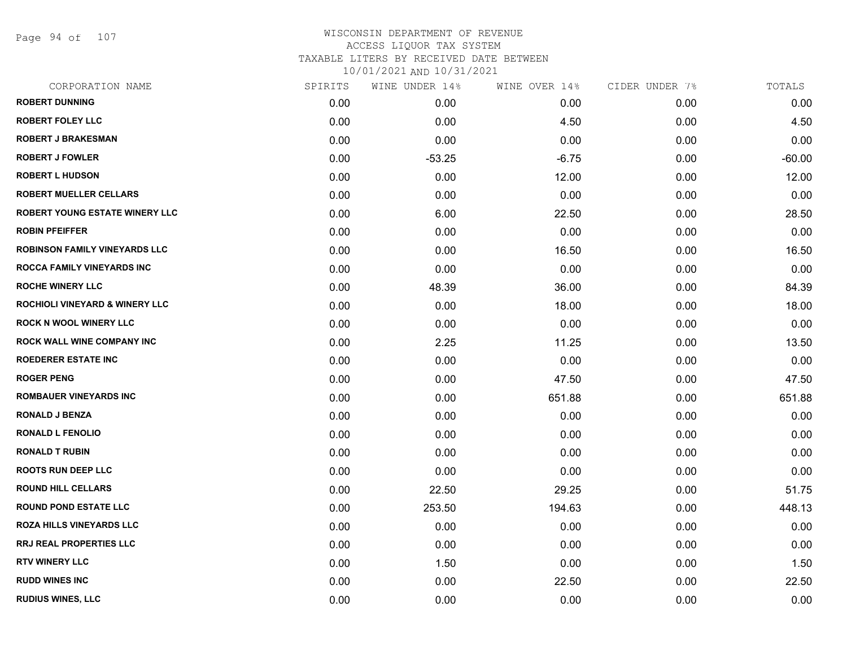Page 94 of 107

| CORPORATION NAME                          | SPIRITS | WINE UNDER 14% | WINE OVER 14% | CIDER UNDER 7% | TOTALS   |
|-------------------------------------------|---------|----------------|---------------|----------------|----------|
| <b>ROBERT DUNNING</b>                     | 0.00    | 0.00           | 0.00          | 0.00           | 0.00     |
| <b>ROBERT FOLEY LLC</b>                   | 0.00    | 0.00           | 4.50          | 0.00           | 4.50     |
| <b>ROBERT J BRAKESMAN</b>                 | 0.00    | 0.00           | 0.00          | 0.00           | 0.00     |
| <b>ROBERT J FOWLER</b>                    | 0.00    | $-53.25$       | $-6.75$       | 0.00           | $-60.00$ |
| <b>ROBERT L HUDSON</b>                    | 0.00    | 0.00           | 12.00         | 0.00           | 12.00    |
| <b>ROBERT MUELLER CELLARS</b>             | 0.00    | 0.00           | 0.00          | 0.00           | 0.00     |
| ROBERT YOUNG ESTATE WINERY LLC            | 0.00    | 6.00           | 22.50         | 0.00           | 28.50    |
| <b>ROBIN PFEIFFER</b>                     | 0.00    | 0.00           | 0.00          | 0.00           | 0.00     |
| ROBINSON FAMILY VINEYARDS LLC             | 0.00    | 0.00           | 16.50         | 0.00           | 16.50    |
| <b>ROCCA FAMILY VINEYARDS INC</b>         | 0.00    | 0.00           | 0.00          | 0.00           | 0.00     |
| <b>ROCHE WINERY LLC</b>                   | 0.00    | 48.39          | 36.00         | 0.00           | 84.39    |
| <b>ROCHIOLI VINEYARD &amp; WINERY LLC</b> | 0.00    | 0.00           | 18.00         | 0.00           | 18.00    |
| <b>ROCK N WOOL WINERY LLC</b>             | 0.00    | 0.00           | 0.00          | 0.00           | 0.00     |
| ROCK WALL WINE COMPANY INC                | 0.00    | 2.25           | 11.25         | 0.00           | 13.50    |
| <b>ROEDERER ESTATE INC</b>                | 0.00    | 0.00           | 0.00          | 0.00           | 0.00     |
| <b>ROGER PENG</b>                         | 0.00    | 0.00           | 47.50         | 0.00           | 47.50    |
| <b>ROMBAUER VINEYARDS INC</b>             | 0.00    | 0.00           | 651.88        | 0.00           | 651.88   |
| <b>RONALD J BENZA</b>                     | 0.00    | 0.00           | 0.00          | 0.00           | 0.00     |
| <b>RONALD L FENOLIO</b>                   | 0.00    | 0.00           | 0.00          | 0.00           | 0.00     |
| <b>RONALD T RUBIN</b>                     | 0.00    | 0.00           | 0.00          | 0.00           | 0.00     |
| <b>ROOTS RUN DEEP LLC</b>                 | 0.00    | 0.00           | 0.00          | 0.00           | 0.00     |
| <b>ROUND HILL CELLARS</b>                 | 0.00    | 22.50          | 29.25         | 0.00           | 51.75    |
| <b>ROUND POND ESTATE LLC</b>              | 0.00    | 253.50         | 194.63        | 0.00           | 448.13   |
| <b>ROZA HILLS VINEYARDS LLC</b>           | 0.00    | 0.00           | 0.00          | 0.00           | 0.00     |
| RRJ REAL PROPERTIES LLC                   | 0.00    | 0.00           | 0.00          | 0.00           | 0.00     |
| <b>RTV WINERY LLC</b>                     | 0.00    | 1.50           | 0.00          | 0.00           | 1.50     |
| <b>RUDD WINES INC</b>                     | 0.00    | 0.00           | 22.50         | 0.00           | 22.50    |
| <b>RUDIUS WINES, LLC</b>                  | 0.00    | 0.00           | 0.00          | 0.00           | 0.00     |
|                                           |         |                |               |                |          |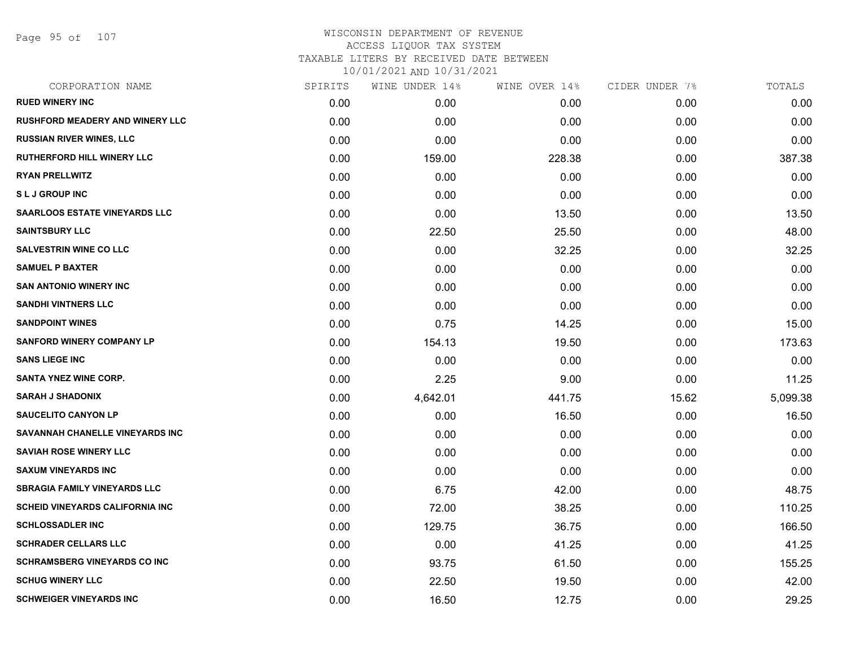Page 95 of 107

| CORPORATION NAME                       | SPIRITS | WINE UNDER 14% | WINE OVER 14% | CIDER UNDER 7% | TOTALS   |
|----------------------------------------|---------|----------------|---------------|----------------|----------|
| <b>RUED WINERY INC</b>                 | 0.00    | 0.00           | 0.00          | 0.00           | 0.00     |
| <b>RUSHFORD MEADERY AND WINERY LLC</b> | 0.00    | 0.00           | 0.00          | 0.00           | 0.00     |
| <b>RUSSIAN RIVER WINES, LLC</b>        | 0.00    | 0.00           | 0.00          | 0.00           | 0.00     |
| <b>RUTHERFORD HILL WINERY LLC</b>      | 0.00    | 159.00         | 228.38        | 0.00           | 387.38   |
| <b>RYAN PRELLWITZ</b>                  | 0.00    | 0.00           | 0.00          | 0.00           | 0.00     |
| <b>SLJ GROUP INC</b>                   | 0.00    | 0.00           | 0.00          | 0.00           | 0.00     |
| <b>SAARLOOS ESTATE VINEYARDS LLC</b>   | 0.00    | 0.00           | 13.50         | 0.00           | 13.50    |
| <b>SAINTSBURY LLC</b>                  | 0.00    | 22.50          | 25.50         | 0.00           | 48.00    |
| <b>SALVESTRIN WINE CO LLC</b>          | 0.00    | 0.00           | 32.25         | 0.00           | 32.25    |
| <b>SAMUEL P BAXTER</b>                 | 0.00    | 0.00           | 0.00          | 0.00           | 0.00     |
| <b>SAN ANTONIO WINERY INC</b>          | 0.00    | 0.00           | 0.00          | 0.00           | 0.00     |
| <b>SANDHI VINTNERS LLC</b>             | 0.00    | 0.00           | 0.00          | 0.00           | 0.00     |
| <b>SANDPOINT WINES</b>                 | 0.00    | 0.75           | 14.25         | 0.00           | 15.00    |
| <b>SANFORD WINERY COMPANY LP</b>       | 0.00    | 154.13         | 19.50         | 0.00           | 173.63   |
| <b>SANS LIEGE INC</b>                  | 0.00    | 0.00           | 0.00          | 0.00           | 0.00     |
| <b>SANTA YNEZ WINE CORP.</b>           | 0.00    | 2.25           | 9.00          | 0.00           | 11.25    |
| <b>SARAH J SHADONIX</b>                | 0.00    | 4,642.01       | 441.75        | 15.62          | 5,099.38 |
| <b>SAUCELITO CANYON LP</b>             | 0.00    | 0.00           | 16.50         | 0.00           | 16.50    |
| SAVANNAH CHANELLE VINEYARDS INC        | 0.00    | 0.00           | 0.00          | 0.00           | 0.00     |
| <b>SAVIAH ROSE WINERY LLC</b>          | 0.00    | 0.00           | 0.00          | 0.00           | 0.00     |
| <b>SAXUM VINEYARDS INC</b>             | 0.00    | 0.00           | 0.00          | 0.00           | 0.00     |
| <b>SBRAGIA FAMILY VINEYARDS LLC</b>    | 0.00    | 6.75           | 42.00         | 0.00           | 48.75    |
| <b>SCHEID VINEYARDS CALIFORNIA INC</b> | 0.00    | 72.00          | 38.25         | 0.00           | 110.25   |
| <b>SCHLOSSADLER INC</b>                | 0.00    | 129.75         | 36.75         | 0.00           | 166.50   |
| <b>SCHRADER CELLARS LLC</b>            | 0.00    | 0.00           | 41.25         | 0.00           | 41.25    |
| <b>SCHRAMSBERG VINEYARDS CO INC</b>    | 0.00    | 93.75          | 61.50         | 0.00           | 155.25   |
| <b>SCHUG WINERY LLC</b>                | 0.00    | 22.50          | 19.50         | 0.00           | 42.00    |
| <b>SCHWEIGER VINEYARDS INC</b>         | 0.00    | 16.50          | 12.75         | 0.00           | 29.25    |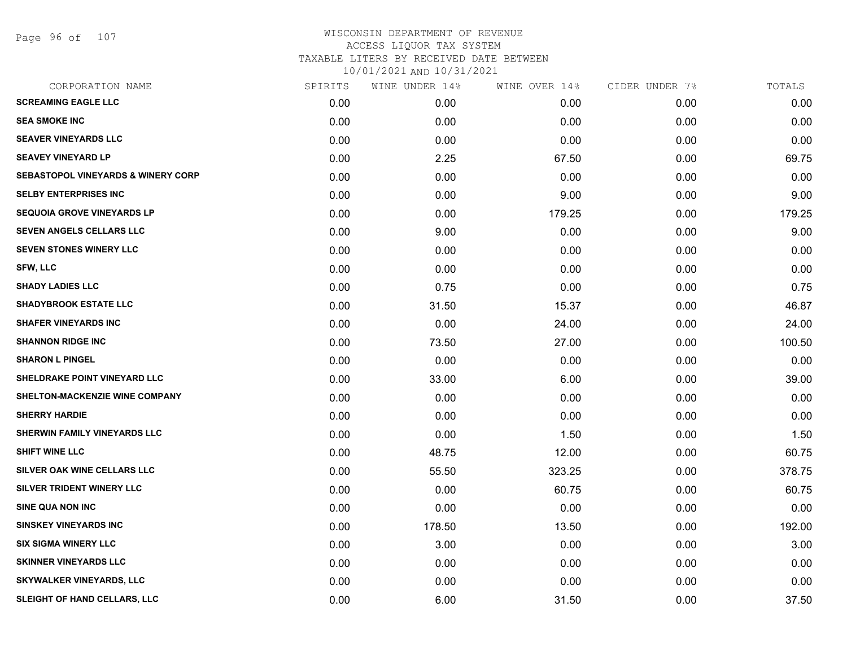# WISCONSIN DEPARTMENT OF REVENUE ACCESS LIQUOR TAX SYSTEM TAXABLE LITERS BY RECEIVED DATE BETWEEN

| CORPORATION NAME                              | SPIRITS | WINE UNDER 14% | WINE OVER 14% | CIDER UNDER 7% | TOTALS |
|-----------------------------------------------|---------|----------------|---------------|----------------|--------|
| <b>SCREAMING EAGLE LLC</b>                    | 0.00    | 0.00           | 0.00          | 0.00           | 0.00   |
| <b>SEA SMOKE INC</b>                          | 0.00    | 0.00           | 0.00          | 0.00           | 0.00   |
| <b>SEAVER VINEYARDS LLC</b>                   | 0.00    | 0.00           | 0.00          | 0.00           | 0.00   |
| <b>SEAVEY VINEYARD LP</b>                     | 0.00    | 2.25           | 67.50         | 0.00           | 69.75  |
| <b>SEBASTOPOL VINEYARDS &amp; WINERY CORP</b> | 0.00    | 0.00           | 0.00          | 0.00           | 0.00   |
| <b>SELBY ENTERPRISES INC</b>                  | 0.00    | 0.00           | 9.00          | 0.00           | 9.00   |
| <b>SEQUOIA GROVE VINEYARDS LP</b>             | 0.00    | 0.00           | 179.25        | 0.00           | 179.25 |
| SEVEN ANGELS CELLARS LLC                      | 0.00    | 9.00           | 0.00          | 0.00           | 9.00   |
| <b>SEVEN STONES WINERY LLC</b>                | 0.00    | 0.00           | 0.00          | 0.00           | 0.00   |
| SFW, LLC                                      | 0.00    | 0.00           | 0.00          | 0.00           | 0.00   |
| <b>SHADY LADIES LLC</b>                       | 0.00    | 0.75           | 0.00          | 0.00           | 0.75   |
| <b>SHADYBROOK ESTATE LLC</b>                  | 0.00    | 31.50          | 15.37         | 0.00           | 46.87  |
| <b>SHAFER VINEYARDS INC</b>                   | 0.00    | 0.00           | 24.00         | 0.00           | 24.00  |
| <b>SHANNON RIDGE INC</b>                      | 0.00    | 73.50          | 27.00         | 0.00           | 100.50 |
| <b>SHARON L PINGEL</b>                        | 0.00    | 0.00           | 0.00          | 0.00           | 0.00   |
| SHELDRAKE POINT VINEYARD LLC                  | 0.00    | 33.00          | 6.00          | 0.00           | 39.00  |
| SHELTON-MACKENZIE WINE COMPANY                | 0.00    | 0.00           | 0.00          | 0.00           | 0.00   |
| <b>SHERRY HARDIE</b>                          | 0.00    | 0.00           | 0.00          | 0.00           | 0.00   |
| SHERWIN FAMILY VINEYARDS LLC                  | 0.00    | 0.00           | 1.50          | 0.00           | 1.50   |
| <b>SHIFT WINE LLC</b>                         | 0.00    | 48.75          | 12.00         | 0.00           | 60.75  |
| SILVER OAK WINE CELLARS LLC                   | 0.00    | 55.50          | 323.25        | 0.00           | 378.75 |
| SILVER TRIDENT WINERY LLC                     | 0.00    | 0.00           | 60.75         | 0.00           | 60.75  |
| <b>SINE QUA NON INC</b>                       | 0.00    | 0.00           | 0.00          | 0.00           | 0.00   |
| <b>SINSKEY VINEYARDS INC</b>                  | 0.00    | 178.50         | 13.50         | 0.00           | 192.00 |
| <b>SIX SIGMA WINERY LLC</b>                   | 0.00    | 3.00           | 0.00          | 0.00           | 3.00   |
| <b>SKINNER VINEYARDS LLC</b>                  | 0.00    | 0.00           | 0.00          | 0.00           | 0.00   |
| <b>SKYWALKER VINEYARDS, LLC</b>               | 0.00    | 0.00           | 0.00          | 0.00           | 0.00   |
| SLEIGHT OF HAND CELLARS, LLC                  | 0.00    | 6.00           | 31.50         | 0.00           | 37.50  |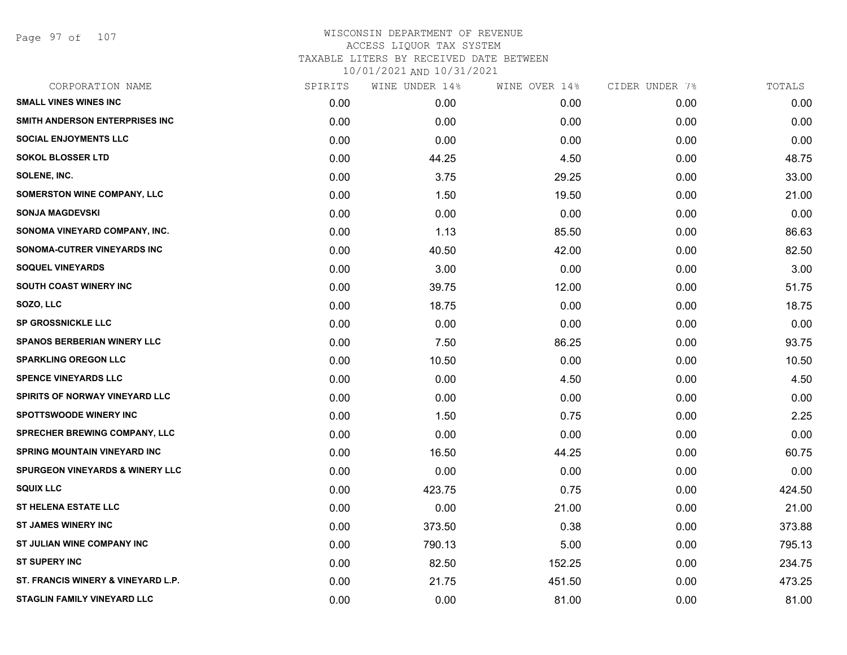Page 97 of 107

| SPIRITS | WINE UNDER 14% | WINE OVER 14% | CIDER UNDER 7% | TOTALS |
|---------|----------------|---------------|----------------|--------|
| 0.00    | 0.00           | 0.00          | 0.00           | 0.00   |
| 0.00    | 0.00           | 0.00          | 0.00           | 0.00   |
| 0.00    | 0.00           | 0.00          | 0.00           | 0.00   |
| 0.00    | 44.25          | 4.50          | 0.00           | 48.75  |
| 0.00    | 3.75           | 29.25         | 0.00           | 33.00  |
| 0.00    | 1.50           | 19.50         | 0.00           | 21.00  |
| 0.00    | 0.00           | 0.00          | 0.00           | 0.00   |
| 0.00    | 1.13           | 85.50         | 0.00           | 86.63  |
| 0.00    | 40.50          | 42.00         | 0.00           | 82.50  |
| 0.00    | 3.00           | 0.00          | 0.00           | 3.00   |
| 0.00    | 39.75          | 12.00         | 0.00           | 51.75  |
| 0.00    | 18.75          | 0.00          | 0.00           | 18.75  |
| 0.00    | 0.00           | 0.00          | 0.00           | 0.00   |
| 0.00    | 7.50           | 86.25         | 0.00           | 93.75  |
| 0.00    | 10.50          | 0.00          | 0.00           | 10.50  |
| 0.00    | 0.00           | 4.50          | 0.00           | 4.50   |
| 0.00    | 0.00           | 0.00          | 0.00           | 0.00   |
| 0.00    | 1.50           | 0.75          | 0.00           | 2.25   |
| 0.00    | 0.00           | 0.00          | 0.00           | 0.00   |
| 0.00    | 16.50          | 44.25         | 0.00           | 60.75  |
| 0.00    | 0.00           | 0.00          | 0.00           | 0.00   |
| 0.00    | 423.75         | 0.75          | 0.00           | 424.50 |
| 0.00    | 0.00           | 21.00         | 0.00           | 21.00  |
| 0.00    | 373.50         | 0.38          | 0.00           | 373.88 |
| 0.00    | 790.13         | 5.00          | 0.00           | 795.13 |
| 0.00    | 82.50          | 152.25        | 0.00           | 234.75 |
| 0.00    | 21.75          | 451.50        | 0.00           | 473.25 |
| 0.00    | 0.00           | 81.00         | 0.00           | 81.00  |
|         |                |               |                |        |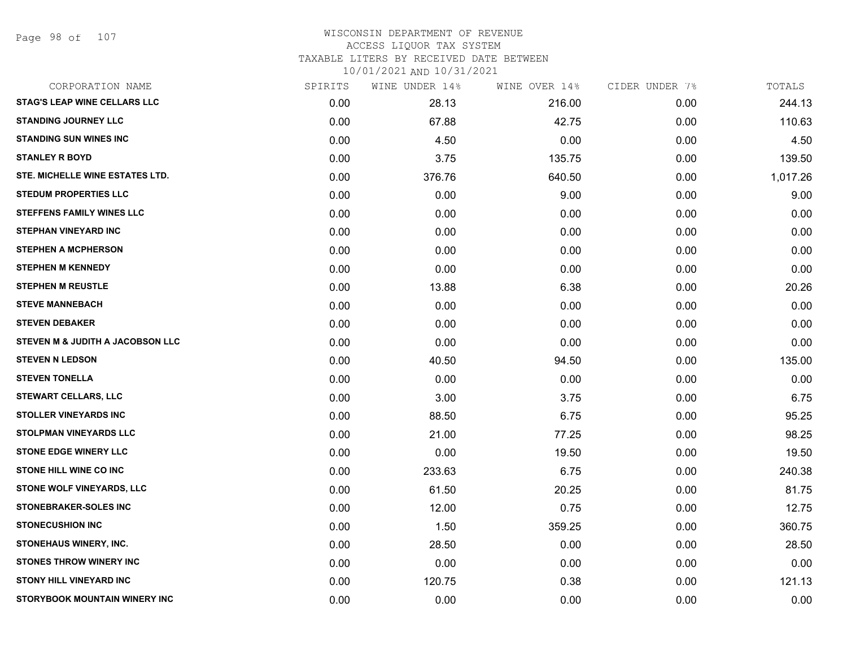Page 98 of 107

# WISCONSIN DEPARTMENT OF REVENUE ACCESS LIQUOR TAX SYSTEM

TAXABLE LITERS BY RECEIVED DATE BETWEEN

| CORPORATION NAME                    | SPIRITS | WINE UNDER 14% | WINE OVER 14% | CIDER UNDER 7% | TOTALS   |
|-------------------------------------|---------|----------------|---------------|----------------|----------|
| <b>STAG'S LEAP WINE CELLARS LLC</b> | 0.00    | 28.13          | 216.00        | 0.00           | 244.13   |
| <b>STANDING JOURNEY LLC</b>         | 0.00    | 67.88          | 42.75         | 0.00           | 110.63   |
| <b>STANDING SUN WINES INC</b>       | 0.00    | 4.50           | 0.00          | 0.00           | 4.50     |
| <b>STANLEY R BOYD</b>               | 0.00    | 3.75           | 135.75        | 0.00           | 139.50   |
| STE. MICHELLE WINE ESTATES LTD.     | 0.00    | 376.76         | 640.50        | 0.00           | 1,017.26 |
| <b>STEDUM PROPERTIES LLC</b>        | 0.00    | 0.00           | 9.00          | 0.00           | 9.00     |
| <b>STEFFENS FAMILY WINES LLC</b>    | 0.00    | 0.00           | 0.00          | 0.00           | 0.00     |
| <b>STEPHAN VINEYARD INC</b>         | 0.00    | 0.00           | 0.00          | 0.00           | 0.00     |
| <b>STEPHEN A MCPHERSON</b>          | 0.00    | 0.00           | 0.00          | 0.00           | 0.00     |
| <b>STEPHEN M KENNEDY</b>            | 0.00    | 0.00           | 0.00          | 0.00           | 0.00     |
| <b>STEPHEN M REUSTLE</b>            | 0.00    | 13.88          | 6.38          | 0.00           | 20.26    |
| <b>STEVE MANNEBACH</b>              | 0.00    | 0.00           | 0.00          | 0.00           | 0.00     |
| <b>STEVEN DEBAKER</b>               | 0.00    | 0.00           | 0.00          | 0.00           | 0.00     |
| STEVEN M & JUDITH A JACOBSON LLC    | 0.00    | 0.00           | 0.00          | 0.00           | 0.00     |
| <b>STEVEN N LEDSON</b>              | 0.00    | 40.50          | 94.50         | 0.00           | 135.00   |
| <b>STEVEN TONELLA</b>               | 0.00    | 0.00           | 0.00          | 0.00           | 0.00     |
| <b>STEWART CELLARS, LLC</b>         | 0.00    | 3.00           | 3.75          | 0.00           | 6.75     |
| <b>STOLLER VINEYARDS INC</b>        | 0.00    | 88.50          | 6.75          | 0.00           | 95.25    |
| <b>STOLPMAN VINEYARDS LLC</b>       | 0.00    | 21.00          | 77.25         | 0.00           | 98.25    |
| <b>STONE EDGE WINERY LLC</b>        | 0.00    | 0.00           | 19.50         | 0.00           | 19.50    |
| <b>STONE HILL WINE CO INC</b>       | 0.00    | 233.63         | 6.75          | 0.00           | 240.38   |
| STONE WOLF VINEYARDS, LLC           | 0.00    | 61.50          | 20.25         | 0.00           | 81.75    |
| <b>STONEBRAKER-SOLES INC</b>        | 0.00    | 12.00          | 0.75          | 0.00           | 12.75    |
| <b>STONECUSHION INC</b>             | 0.00    | 1.50           | 359.25        | 0.00           | 360.75   |
| STONEHAUS WINERY, INC.              | 0.00    | 28.50          | 0.00          | 0.00           | 28.50    |
| <b>STONES THROW WINERY INC</b>      | 0.00    | 0.00           | 0.00          | 0.00           | 0.00     |
| <b>STONY HILL VINEYARD INC</b>      | 0.00    | 120.75         | 0.38          | 0.00           | 121.13   |
| STORYBOOK MOUNTAIN WINERY INC       | 0.00    | 0.00           | 0.00          | 0.00           | 0.00     |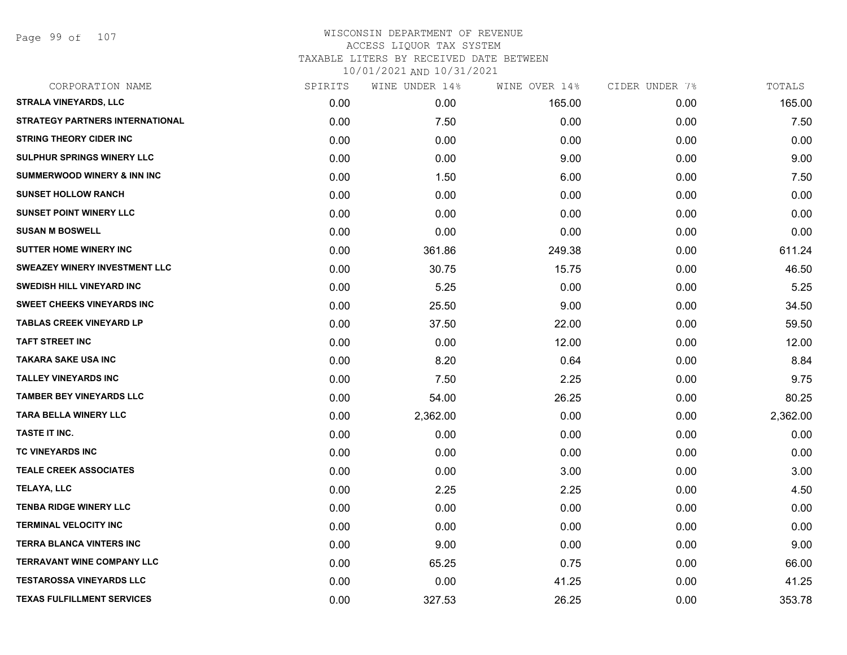Page 99 of 107

| CORPORATION NAME                       | SPIRITS | WINE UNDER 14% | WINE OVER 14% | CIDER UNDER 7% | TOTALS   |
|----------------------------------------|---------|----------------|---------------|----------------|----------|
| <b>STRALA VINEYARDS, LLC</b>           | 0.00    | 0.00           | 165.00        | 0.00           | 165.00   |
| <b>STRATEGY PARTNERS INTERNATIONAL</b> | 0.00    | 7.50           | 0.00          | 0.00           | 7.50     |
| <b>STRING THEORY CIDER INC</b>         | 0.00    | 0.00           | 0.00          | 0.00           | 0.00     |
| SULPHUR SPRINGS WINERY LLC             | 0.00    | 0.00           | 9.00          | 0.00           | 9.00     |
| <b>SUMMERWOOD WINERY &amp; INN INC</b> | 0.00    | 1.50           | 6.00          | 0.00           | 7.50     |
| <b>SUNSET HOLLOW RANCH</b>             | 0.00    | 0.00           | 0.00          | 0.00           | 0.00     |
| <b>SUNSET POINT WINERY LLC</b>         | 0.00    | 0.00           | 0.00          | 0.00           | 0.00     |
| <b>SUSAN M BOSWELL</b>                 | 0.00    | 0.00           | 0.00          | 0.00           | 0.00     |
| <b>SUTTER HOME WINERY INC</b>          | 0.00    | 361.86         | 249.38        | 0.00           | 611.24   |
| <b>SWEAZEY WINERY INVESTMENT LLC</b>   | 0.00    | 30.75          | 15.75         | 0.00           | 46.50    |
| <b>SWEDISH HILL VINEYARD INC</b>       | 0.00    | 5.25           | 0.00          | 0.00           | 5.25     |
| <b>SWEET CHEEKS VINEYARDS INC</b>      | 0.00    | 25.50          | 9.00          | 0.00           | 34.50    |
| <b>TABLAS CREEK VINEYARD LP</b>        | 0.00    | 37.50          | 22.00         | 0.00           | 59.50    |
| <b>TAFT STREET INC</b>                 | 0.00    | 0.00           | 12.00         | 0.00           | 12.00    |
| TAKARA SAKE USA INC                    | 0.00    | 8.20           | 0.64          | 0.00           | 8.84     |
| <b>TALLEY VINEYARDS INC</b>            | 0.00    | 7.50           | 2.25          | 0.00           | 9.75     |
| <b>TAMBER BEY VINEYARDS LLC</b>        | 0.00    | 54.00          | 26.25         | 0.00           | 80.25    |
| <b>TARA BELLA WINERY LLC</b>           | 0.00    | 2,362.00       | 0.00          | 0.00           | 2,362.00 |
| TASTE IT INC.                          | 0.00    | 0.00           | 0.00          | 0.00           | 0.00     |
| TC VINEYARDS INC                       | 0.00    | 0.00           | 0.00          | 0.00           | 0.00     |
| <b>TEALE CREEK ASSOCIATES</b>          | 0.00    | 0.00           | 3.00          | 0.00           | 3.00     |
| TELAYA, LLC                            | 0.00    | 2.25           | 2.25          | 0.00           | 4.50     |
| <b>TENBA RIDGE WINERY LLC</b>          | 0.00    | 0.00           | 0.00          | 0.00           | 0.00     |
| <b>TERMINAL VELOCITY INC</b>           | 0.00    | 0.00           | 0.00          | 0.00           | 0.00     |
| TERRA BLANCA VINTERS INC               | 0.00    | 9.00           | 0.00          | 0.00           | 9.00     |
| TERRAVANT WINE COMPANY LLC             | 0.00    | 65.25          | 0.75          | 0.00           | 66.00    |
| <b>TESTAROSSA VINEYARDS LLC</b>        | 0.00    | 0.00           | 41.25         | 0.00           | 41.25    |
| <b>TEXAS FULFILLMENT SERVICES</b>      | 0.00    | 327.53         | 26.25         | 0.00           | 353.78   |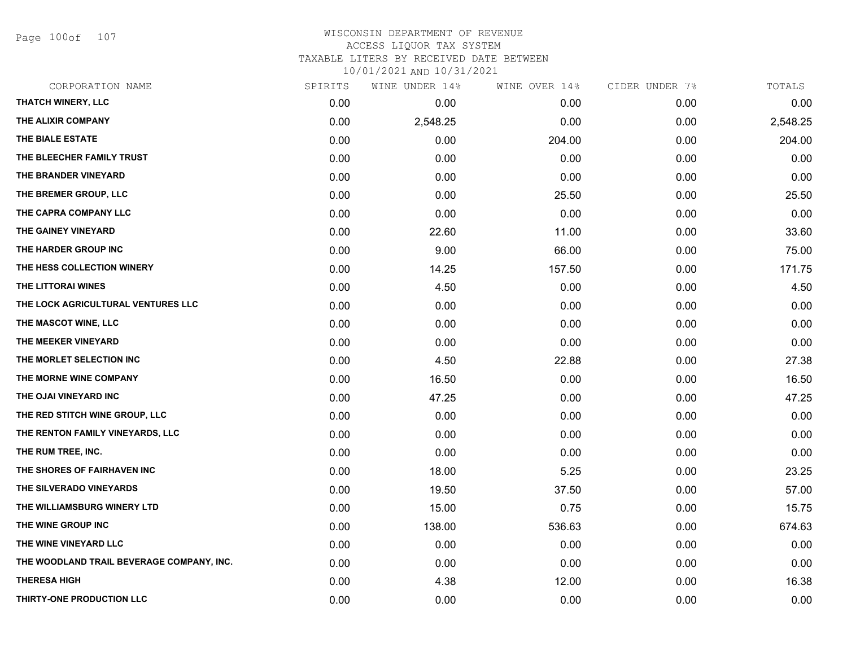Page 100of 107

### WISCONSIN DEPARTMENT OF REVENUE ACCESS LIQUOR TAX SYSTEM TAXABLE LITERS BY RECEIVED DATE BETWEEN

| CORPORATION NAME                          | SPIRITS | WINE UNDER 14% | WINE OVER 14% | CIDER UNDER 7% | TOTALS   |
|-------------------------------------------|---------|----------------|---------------|----------------|----------|
| THATCH WINERY, LLC                        | 0.00    | 0.00           | 0.00          | 0.00           | 0.00     |
| THE ALIXIR COMPANY                        | 0.00    | 2,548.25       | 0.00          | 0.00           | 2,548.25 |
| THE BIALE ESTATE                          | 0.00    | 0.00           | 204.00        | 0.00           | 204.00   |
| THE BLEECHER FAMILY TRUST                 | 0.00    | 0.00           | 0.00          | 0.00           | 0.00     |
| THE BRANDER VINEYARD                      | 0.00    | 0.00           | 0.00          | 0.00           | 0.00     |
| THE BREMER GROUP, LLC                     | 0.00    | 0.00           | 25.50         | 0.00           | 25.50    |
| THE CAPRA COMPANY LLC                     | 0.00    | 0.00           | 0.00          | 0.00           | 0.00     |
| THE GAINEY VINEYARD                       | 0.00    | 22.60          | 11.00         | 0.00           | 33.60    |
| THE HARDER GROUP INC                      | 0.00    | 9.00           | 66.00         | 0.00           | 75.00    |
| THE HESS COLLECTION WINERY                | 0.00    | 14.25          | 157.50        | 0.00           | 171.75   |
| THE LITTORAI WINES                        | 0.00    | 4.50           | 0.00          | 0.00           | 4.50     |
| THE LOCK AGRICULTURAL VENTURES LLC        | 0.00    | 0.00           | 0.00          | 0.00           | 0.00     |
| THE MASCOT WINE, LLC                      | 0.00    | 0.00           | 0.00          | 0.00           | 0.00     |
| THE MEEKER VINEYARD                       | 0.00    | 0.00           | 0.00          | 0.00           | 0.00     |
| THE MORLET SELECTION INC                  | 0.00    | 4.50           | 22.88         | 0.00           | 27.38    |
| THE MORNE WINE COMPANY                    | 0.00    | 16.50          | 0.00          | 0.00           | 16.50    |
| THE OJAI VINEYARD INC                     | 0.00    | 47.25          | 0.00          | 0.00           | 47.25    |
| THE RED STITCH WINE GROUP, LLC            | 0.00    | 0.00           | 0.00          | 0.00           | 0.00     |
| THE RENTON FAMILY VINEYARDS, LLC          | 0.00    | 0.00           | 0.00          | 0.00           | 0.00     |
| THE RUM TREE, INC.                        | 0.00    | 0.00           | 0.00          | 0.00           | 0.00     |
| THE SHORES OF FAIRHAVEN INC               | 0.00    | 18.00          | 5.25          | 0.00           | 23.25    |
| THE SILVERADO VINEYARDS                   | 0.00    | 19.50          | 37.50         | 0.00           | 57.00    |
| THE WILLIAMSBURG WINERY LTD               | 0.00    | 15.00          | 0.75          | 0.00           | 15.75    |
| THE WINE GROUP INC                        | 0.00    | 138.00         | 536.63        | 0.00           | 674.63   |
| THE WINE VINEYARD LLC                     | 0.00    | 0.00           | 0.00          | 0.00           | 0.00     |
| THE WOODLAND TRAIL BEVERAGE COMPANY, INC. | 0.00    | 0.00           | 0.00          | 0.00           | 0.00     |
| <b>THERESA HIGH</b>                       | 0.00    | 4.38           | 12.00         | 0.00           | 16.38    |
| THIRTY-ONE PRODUCTION LLC                 | 0.00    | 0.00           | 0.00          | 0.00           | 0.00     |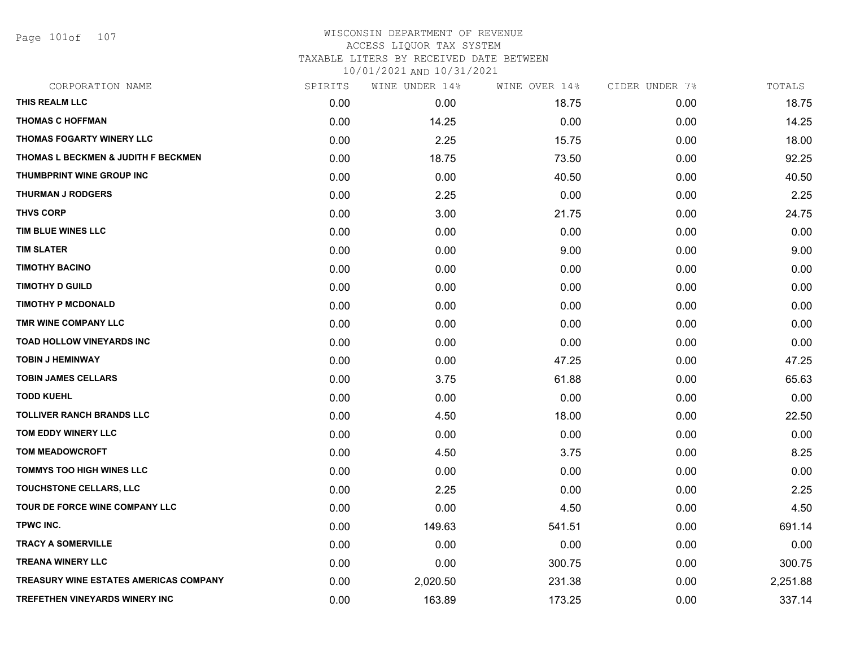Page 101of 107

| CORPORATION NAME                              | SPIRITS | WINE UNDER 14% | WINE OVER 14% | CIDER UNDER 7% | TOTALS   |
|-----------------------------------------------|---------|----------------|---------------|----------------|----------|
| THIS REALM LLC                                | 0.00    | 0.00           | 18.75         | 0.00           | 18.75    |
| <b>THOMAS C HOFFMAN</b>                       | 0.00    | 14.25          | 0.00          | 0.00           | 14.25    |
| THOMAS FOGARTY WINERY LLC                     | 0.00    | 2.25           | 15.75         | 0.00           | 18.00    |
| THOMAS L BECKMEN & JUDITH F BECKMEN           | 0.00    | 18.75          | 73.50         | 0.00           | 92.25    |
| THUMBPRINT WINE GROUP INC                     | 0.00    | 0.00           | 40.50         | 0.00           | 40.50    |
| <b>THURMAN J RODGERS</b>                      | 0.00    | 2.25           | 0.00          | 0.00           | 2.25     |
| <b>THVS CORP</b>                              | 0.00    | 3.00           | 21.75         | 0.00           | 24.75    |
| TIM BLUE WINES LLC                            | 0.00    | 0.00           | 0.00          | 0.00           | 0.00     |
| <b>TIM SLATER</b>                             | 0.00    | 0.00           | 9.00          | 0.00           | 9.00     |
| <b>TIMOTHY BACINO</b>                         | 0.00    | 0.00           | 0.00          | 0.00           | 0.00     |
| <b>TIMOTHY D GUILD</b>                        | 0.00    | 0.00           | 0.00          | 0.00           | 0.00     |
| <b>TIMOTHY P MCDONALD</b>                     | 0.00    | 0.00           | 0.00          | 0.00           | 0.00     |
| TMR WINE COMPANY LLC                          | 0.00    | 0.00           | 0.00          | 0.00           | 0.00     |
| <b>TOAD HOLLOW VINEYARDS INC</b>              | 0.00    | 0.00           | 0.00          | 0.00           | 0.00     |
| <b>TOBIN J HEMINWAY</b>                       | 0.00    | 0.00           | 47.25         | 0.00           | 47.25    |
| <b>TOBIN JAMES CELLARS</b>                    | 0.00    | 3.75           | 61.88         | 0.00           | 65.63    |
| <b>TODD KUEHL</b>                             | 0.00    | 0.00           | 0.00          | 0.00           | 0.00     |
| <b>TOLLIVER RANCH BRANDS LLC</b>              | 0.00    | 4.50           | 18.00         | 0.00           | 22.50    |
| TOM EDDY WINERY LLC                           | 0.00    | 0.00           | 0.00          | 0.00           | 0.00     |
| <b>TOM MEADOWCROFT</b>                        | 0.00    | 4.50           | 3.75          | 0.00           | 8.25     |
| <b>TOMMYS TOO HIGH WINES LLC</b>              | 0.00    | 0.00           | 0.00          | 0.00           | 0.00     |
| TOUCHSTONE CELLARS, LLC                       | 0.00    | 2.25           | 0.00          | 0.00           | 2.25     |
| TOUR DE FORCE WINE COMPANY LLC                | 0.00    | 0.00           | 4.50          | 0.00           | 4.50     |
| <b>TPWC INC.</b>                              | 0.00    | 149.63         | 541.51        | 0.00           | 691.14   |
| <b>TRACY A SOMERVILLE</b>                     | 0.00    | 0.00           | 0.00          | 0.00           | 0.00     |
| <b>TREANA WINERY LLC</b>                      | 0.00    | 0.00           | 300.75        | 0.00           | 300.75   |
| <b>TREASURY WINE ESTATES AMERICAS COMPANY</b> | 0.00    | 2,020.50       | 231.38        | 0.00           | 2,251.88 |
| TREFETHEN VINEYARDS WINERY INC                | 0.00    | 163.89         | 173.25        | 0.00           | 337.14   |
|                                               |         |                |               |                |          |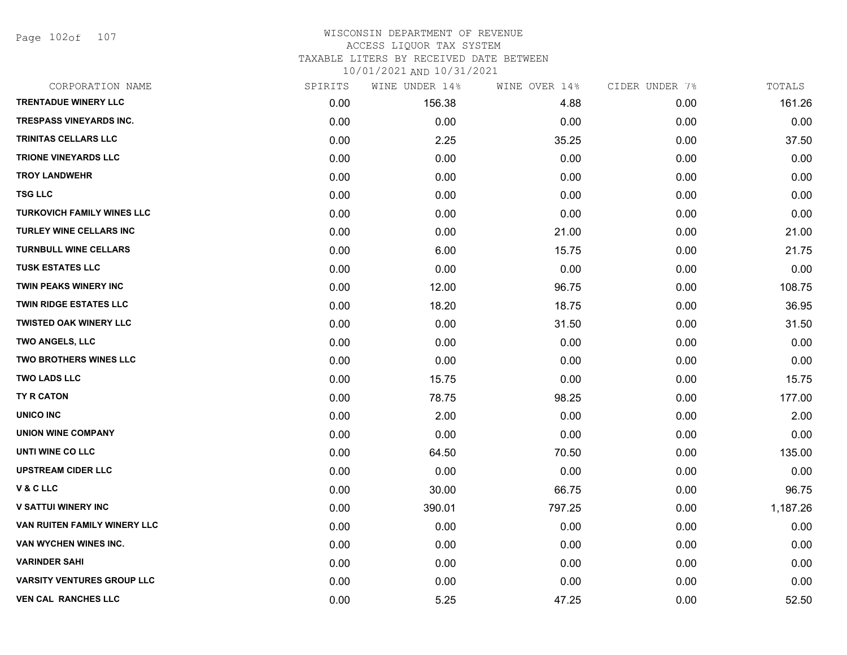Page 102of 107

### WISCONSIN DEPARTMENT OF REVENUE ACCESS LIQUOR TAX SYSTEM TAXABLE LITERS BY RECEIVED DATE BETWEEN

| CORPORATION NAME                  | SPIRITS | WINE UNDER 14% | WINE OVER 14% | CIDER UNDER 7% | TOTALS   |
|-----------------------------------|---------|----------------|---------------|----------------|----------|
| <b>TRENTADUE WINERY LLC</b>       | 0.00    | 156.38         | 4.88          | 0.00           | 161.26   |
| <b>TRESPASS VINEYARDS INC.</b>    | 0.00    | 0.00           | 0.00          | 0.00           | 0.00     |
| <b>TRINITAS CELLARS LLC</b>       | 0.00    | 2.25           | 35.25         | 0.00           | 37.50    |
| <b>TRIONE VINEYARDS LLC</b>       | 0.00    | 0.00           | 0.00          | 0.00           | 0.00     |
| <b>TROY LANDWEHR</b>              | 0.00    | 0.00           | 0.00          | 0.00           | 0.00     |
| <b>TSG LLC</b>                    | 0.00    | 0.00           | 0.00          | 0.00           | 0.00     |
| <b>TURKOVICH FAMILY WINES LLC</b> | 0.00    | 0.00           | 0.00          | 0.00           | 0.00     |
| <b>TURLEY WINE CELLARS INC</b>    | 0.00    | 0.00           | 21.00         | 0.00           | 21.00    |
| <b>TURNBULL WINE CELLARS</b>      | 0.00    | 6.00           | 15.75         | 0.00           | 21.75    |
| <b>TUSK ESTATES LLC</b>           | 0.00    | 0.00           | 0.00          | 0.00           | 0.00     |
| <b>TWIN PEAKS WINERY INC</b>      | 0.00    | 12.00          | 96.75         | 0.00           | 108.75   |
| TWIN RIDGE ESTATES LLC            | 0.00    | 18.20          | 18.75         | 0.00           | 36.95    |
| <b>TWISTED OAK WINERY LLC</b>     | 0.00    | 0.00           | 31.50         | 0.00           | 31.50    |
| <b>TWO ANGELS, LLC</b>            | 0.00    | 0.00           | 0.00          | 0.00           | 0.00     |
| <b>TWO BROTHERS WINES LLC</b>     | 0.00    | 0.00           | 0.00          | 0.00           | 0.00     |
| <b>TWO LADS LLC</b>               | 0.00    | 15.75          | 0.00          | 0.00           | 15.75    |
| <b>TY R CATON</b>                 | 0.00    | 78.75          | 98.25         | 0.00           | 177.00   |
| <b>UNICO INC</b>                  | 0.00    | 2.00           | 0.00          | 0.00           | 2.00     |
| <b>UNION WINE COMPANY</b>         | 0.00    | 0.00           | 0.00          | 0.00           | 0.00     |
| UNTI WINE CO LLC                  | 0.00    | 64.50          | 70.50         | 0.00           | 135.00   |
| <b>UPSTREAM CIDER LLC</b>         | 0.00    | 0.00           | 0.00          | 0.00           | 0.00     |
| V&CLLC                            | 0.00    | 30.00          | 66.75         | 0.00           | 96.75    |
| <b>V SATTUI WINERY INC</b>        | 0.00    | 390.01         | 797.25        | 0.00           | 1,187.26 |
| VAN RUITEN FAMILY WINERY LLC      | 0.00    | 0.00           | 0.00          | 0.00           | 0.00     |
| VAN WYCHEN WINES INC.             | 0.00    | 0.00           | 0.00          | 0.00           | 0.00     |
| <b>VARINDER SAHI</b>              | 0.00    | 0.00           | 0.00          | 0.00           | 0.00     |
| <b>VARSITY VENTURES GROUP LLC</b> | 0.00    | 0.00           | 0.00          | 0.00           | 0.00     |
| <b>VEN CAL RANCHES LLC</b>        | 0.00    | 5.25           | 47.25         | 0.00           | 52.50    |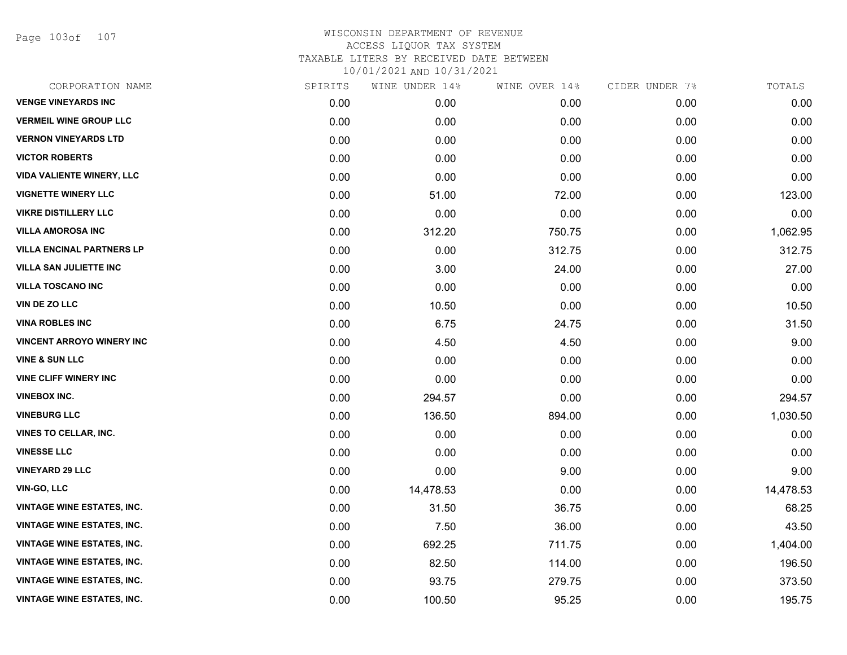Page 103of 107

| CORPORATION NAME                  | SPIRITS | WINE UNDER 14% | WINE OVER 14% | CIDER UNDER 7% | TOTALS    |
|-----------------------------------|---------|----------------|---------------|----------------|-----------|
| <b>VENGE VINEYARDS INC</b>        | 0.00    | 0.00           | 0.00          | 0.00           | 0.00      |
| <b>VERMEIL WINE GROUP LLC</b>     | 0.00    | 0.00           | 0.00          | 0.00           | 0.00      |
| <b>VERNON VINEYARDS LTD</b>       | 0.00    | 0.00           | 0.00          | 0.00           | 0.00      |
| <b>VICTOR ROBERTS</b>             | 0.00    | 0.00           | 0.00          | 0.00           | 0.00      |
| <b>VIDA VALIENTE WINERY, LLC</b>  | 0.00    | 0.00           | 0.00          | 0.00           | 0.00      |
| <b>VIGNETTE WINERY LLC</b>        | 0.00    | 51.00          | 72.00         | 0.00           | 123.00    |
| <b>VIKRE DISTILLERY LLC</b>       | 0.00    | 0.00           | 0.00          | 0.00           | 0.00      |
| <b>VILLA AMOROSA INC</b>          | 0.00    | 312.20         | 750.75        | 0.00           | 1,062.95  |
| <b>VILLA ENCINAL PARTNERS LP</b>  | 0.00    | 0.00           | 312.75        | 0.00           | 312.75    |
| <b>VILLA SAN JULIETTE INC</b>     | 0.00    | 3.00           | 24.00         | 0.00           | 27.00     |
| <b>VILLA TOSCANO INC</b>          | 0.00    | 0.00           | 0.00          | 0.00           | 0.00      |
| <b>VIN DE ZO LLC</b>              | 0.00    | 10.50          | 0.00          | 0.00           | 10.50     |
| <b>VINA ROBLES INC</b>            | 0.00    | 6.75           | 24.75         | 0.00           | 31.50     |
| <b>VINCENT ARROYO WINERY INC</b>  | 0.00    | 4.50           | 4.50          | 0.00           | 9.00      |
| <b>VINE &amp; SUN LLC</b>         | 0.00    | 0.00           | 0.00          | 0.00           | 0.00      |
| <b>VINE CLIFF WINERY INC</b>      | 0.00    | 0.00           | 0.00          | 0.00           | 0.00      |
| <b>VINEBOX INC.</b>               | 0.00    | 294.57         | 0.00          | 0.00           | 294.57    |
| <b>VINEBURG LLC</b>               | 0.00    | 136.50         | 894.00        | 0.00           | 1,030.50  |
| <b>VINES TO CELLAR, INC.</b>      | 0.00    | 0.00           | 0.00          | 0.00           | 0.00      |
| <b>VINESSE LLC</b>                | 0.00    | 0.00           | 0.00          | 0.00           | 0.00      |
| <b>VINEYARD 29 LLC</b>            | 0.00    | 0.00           | 9.00          | 0.00           | 9.00      |
| <b>VIN-GO, LLC</b>                | 0.00    | 14,478.53      | 0.00          | 0.00           | 14,478.53 |
| <b>VINTAGE WINE ESTATES, INC.</b> | 0.00    | 31.50          | 36.75         | 0.00           | 68.25     |
| <b>VINTAGE WINE ESTATES, INC.</b> | 0.00    | 7.50           | 36.00         | 0.00           | 43.50     |
| <b>VINTAGE WINE ESTATES, INC.</b> | 0.00    | 692.25         | 711.75        | 0.00           | 1,404.00  |
| <b>VINTAGE WINE ESTATES, INC.</b> | 0.00    | 82.50          | 114.00        | 0.00           | 196.50    |
| <b>VINTAGE WINE ESTATES, INC.</b> | 0.00    | 93.75          | 279.75        | 0.00           | 373.50    |
| <b>VINTAGE WINE ESTATES, INC.</b> | 0.00    | 100.50         | 95.25         | 0.00           | 195.75    |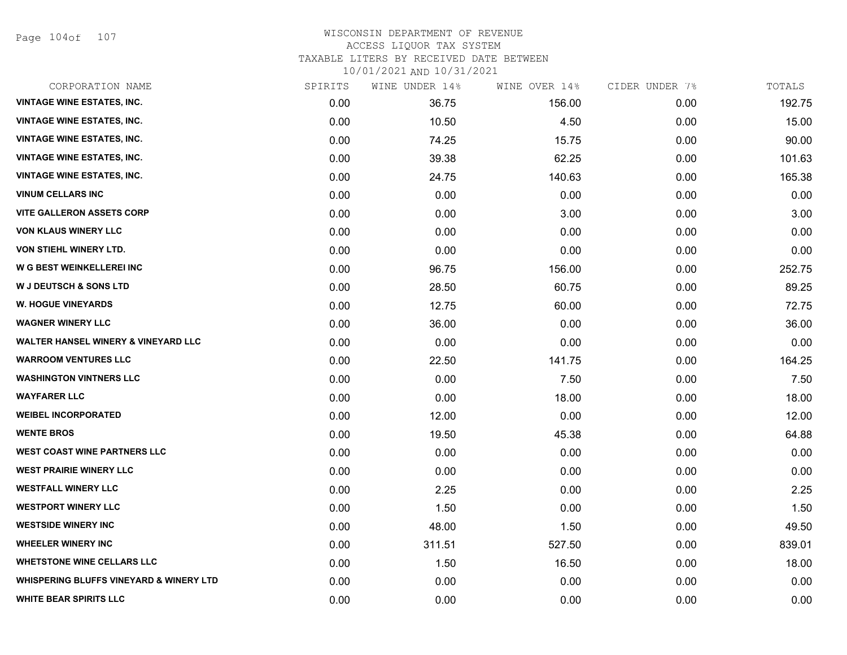Page 104of 107

### WISCONSIN DEPARTMENT OF REVENUE ACCESS LIQUOR TAX SYSTEM TAXABLE LITERS BY RECEIVED DATE BETWEEN

| CORPORATION NAME                                   | SPIRITS | WINE UNDER 14% | WINE OVER 14% | CIDER UNDER 7% | TOTALS |
|----------------------------------------------------|---------|----------------|---------------|----------------|--------|
| <b>VINTAGE WINE ESTATES, INC.</b>                  | 0.00    | 36.75          | 156.00        | 0.00           | 192.75 |
| <b>VINTAGE WINE ESTATES, INC.</b>                  | 0.00    | 10.50          | 4.50          | 0.00           | 15.00  |
| <b>VINTAGE WINE ESTATES, INC.</b>                  | 0.00    | 74.25          | 15.75         | 0.00           | 90.00  |
| <b>VINTAGE WINE ESTATES, INC.</b>                  | 0.00    | 39.38          | 62.25         | 0.00           | 101.63 |
| <b>VINTAGE WINE ESTATES, INC.</b>                  | 0.00    | 24.75          | 140.63        | 0.00           | 165.38 |
| <b>VINUM CELLARS INC</b>                           | 0.00    | 0.00           | 0.00          | 0.00           | 0.00   |
| <b>VITE GALLERON ASSETS CORP</b>                   | 0.00    | 0.00           | 3.00          | 0.00           | 3.00   |
| <b>VON KLAUS WINERY LLC</b>                        | 0.00    | 0.00           | 0.00          | 0.00           | 0.00   |
| VON STIEHL WINERY LTD.                             | 0.00    | 0.00           | 0.00          | 0.00           | 0.00   |
| W G BEST WEINKELLEREI INC                          | 0.00    | 96.75          | 156.00        | 0.00           | 252.75 |
| <b>W J DEUTSCH &amp; SONS LTD</b>                  | 0.00    | 28.50          | 60.75         | 0.00           | 89.25  |
| <b>W. HOGUE VINEYARDS</b>                          | 0.00    | 12.75          | 60.00         | 0.00           | 72.75  |
| <b>WAGNER WINERY LLC</b>                           | 0.00    | 36.00          | 0.00          | 0.00           | 36.00  |
| <b>WALTER HANSEL WINERY &amp; VINEYARD LLC</b>     | 0.00    | 0.00           | 0.00          | 0.00           | 0.00   |
| <b>WARROOM VENTURES LLC</b>                        | 0.00    | 22.50          | 141.75        | 0.00           | 164.25 |
| <b>WASHINGTON VINTNERS LLC</b>                     | 0.00    | 0.00           | 7.50          | 0.00           | 7.50   |
| <b>WAYFARER LLC</b>                                | 0.00    | 0.00           | 18.00         | 0.00           | 18.00  |
| <b>WEIBEL INCORPORATED</b>                         | 0.00    | 12.00          | 0.00          | 0.00           | 12.00  |
| <b>WENTE BROS</b>                                  | 0.00    | 19.50          | 45.38         | 0.00           | 64.88  |
| <b>WEST COAST WINE PARTNERS LLC</b>                | 0.00    | 0.00           | 0.00          | 0.00           | 0.00   |
| <b>WEST PRAIRIE WINERY LLC</b>                     | 0.00    | 0.00           | 0.00          | 0.00           | 0.00   |
| <b>WESTFALL WINERY LLC</b>                         | 0.00    | 2.25           | 0.00          | 0.00           | 2.25   |
| <b>WESTPORT WINERY LLC</b>                         | 0.00    | 1.50           | 0.00          | 0.00           | 1.50   |
| <b>WESTSIDE WINERY INC</b>                         | 0.00    | 48.00          | 1.50          | 0.00           | 49.50  |
| <b>WHEELER WINERY INC</b>                          | 0.00    | 311.51         | 527.50        | 0.00           | 839.01 |
| <b>WHETSTONE WINE CELLARS LLC</b>                  | 0.00    | 1.50           | 16.50         | 0.00           | 18.00  |
| <b>WHISPERING BLUFFS VINEYARD &amp; WINERY LTD</b> | 0.00    | 0.00           | 0.00          | 0.00           | 0.00   |
| <b>WHITE BEAR SPIRITS LLC</b>                      | 0.00    | 0.00           | 0.00          | 0.00           | 0.00   |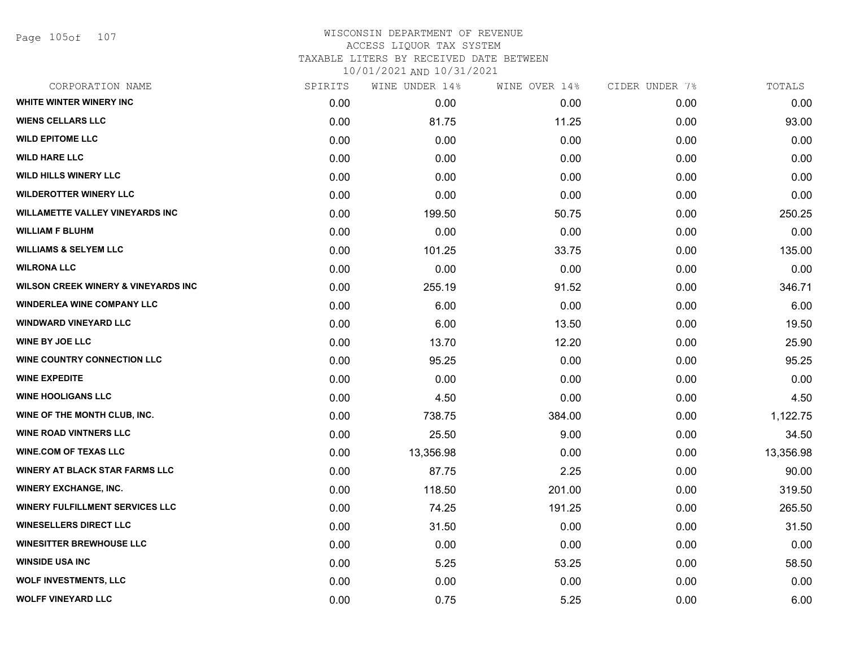Page 105of 107

## WISCONSIN DEPARTMENT OF REVENUE ACCESS LIQUOR TAX SYSTEM TAXABLE LITERS BY RECEIVED DATE BETWEEN

| CORPORATION NAME                               | SPIRITS | WINE UNDER 14% | WINE OVER 14% | CIDER UNDER 7% | TOTALS    |
|------------------------------------------------|---------|----------------|---------------|----------------|-----------|
| WHITE WINTER WINERY INC                        | 0.00    | 0.00           | 0.00          | 0.00           | 0.00      |
| <b>WIENS CELLARS LLC</b>                       | 0.00    | 81.75          | 11.25         | 0.00           | 93.00     |
| <b>WILD EPITOME LLC</b>                        | 0.00    | 0.00           | 0.00          | 0.00           | 0.00      |
| <b>WILD HARE LLC</b>                           | 0.00    | 0.00           | 0.00          | 0.00           | 0.00      |
| <b>WILD HILLS WINERY LLC</b>                   | 0.00    | 0.00           | 0.00          | 0.00           | 0.00      |
| <b>WILDEROTTER WINERY LLC</b>                  | 0.00    | 0.00           | 0.00          | 0.00           | 0.00      |
| <b>WILLAMETTE VALLEY VINEYARDS INC</b>         | 0.00    | 199.50         | 50.75         | 0.00           | 250.25    |
| <b>WILLIAM F BLUHM</b>                         | 0.00    | 0.00           | 0.00          | 0.00           | 0.00      |
| <b>WILLIAMS &amp; SELYEM LLC</b>               | 0.00    | 101.25         | 33.75         | 0.00           | 135.00    |
| <b>WILRONA LLC</b>                             | 0.00    | 0.00           | 0.00          | 0.00           | 0.00      |
| <b>WILSON CREEK WINERY &amp; VINEYARDS INC</b> | 0.00    | 255.19         | 91.52         | 0.00           | 346.71    |
| <b>WINDERLEA WINE COMPANY LLC</b>              | 0.00    | 6.00           | 0.00          | 0.00           | 6.00      |
| <b>WINDWARD VINEYARD LLC</b>                   | 0.00    | 6.00           | 13.50         | 0.00           | 19.50     |
| <b>WINE BY JOE LLC</b>                         | 0.00    | 13.70          | 12.20         | 0.00           | 25.90     |
| <b>WINE COUNTRY CONNECTION LLC</b>             | 0.00    | 95.25          | 0.00          | 0.00           | 95.25     |
| <b>WINE EXPEDITE</b>                           | 0.00    | 0.00           | 0.00          | 0.00           | 0.00      |
| <b>WINE HOOLIGANS LLC</b>                      | 0.00    | 4.50           | 0.00          | 0.00           | 4.50      |
| WINE OF THE MONTH CLUB, INC.                   | 0.00    | 738.75         | 384.00        | 0.00           | 1,122.75  |
| <b>WINE ROAD VINTNERS LLC</b>                  | 0.00    | 25.50          | 9.00          | 0.00           | 34.50     |
| <b>WINE.COM OF TEXAS LLC</b>                   | 0.00    | 13,356.98      | 0.00          | 0.00           | 13,356.98 |
| <b>WINERY AT BLACK STAR FARMS LLC</b>          | 0.00    | 87.75          | 2.25          | 0.00           | 90.00     |
| <b>WINERY EXCHANGE, INC.</b>                   | 0.00    | 118.50         | 201.00        | 0.00           | 319.50    |
| <b>WINERY FULFILLMENT SERVICES LLC</b>         | 0.00    | 74.25          | 191.25        | 0.00           | 265.50    |
| <b>WINESELLERS DIRECT LLC</b>                  | 0.00    | 31.50          | 0.00          | 0.00           | 31.50     |
| <b>WINESITTER BREWHOUSE LLC</b>                | 0.00    | 0.00           | 0.00          | 0.00           | 0.00      |
| <b>WINSIDE USA INC</b>                         | 0.00    | 5.25           | 53.25         | 0.00           | 58.50     |
| <b>WOLF INVESTMENTS, LLC</b>                   | 0.00    | 0.00           | 0.00          | 0.00           | 0.00      |
| <b>WOLFF VINEYARD LLC</b>                      | 0.00    | 0.75           | 5.25          | 0.00           | 6.00      |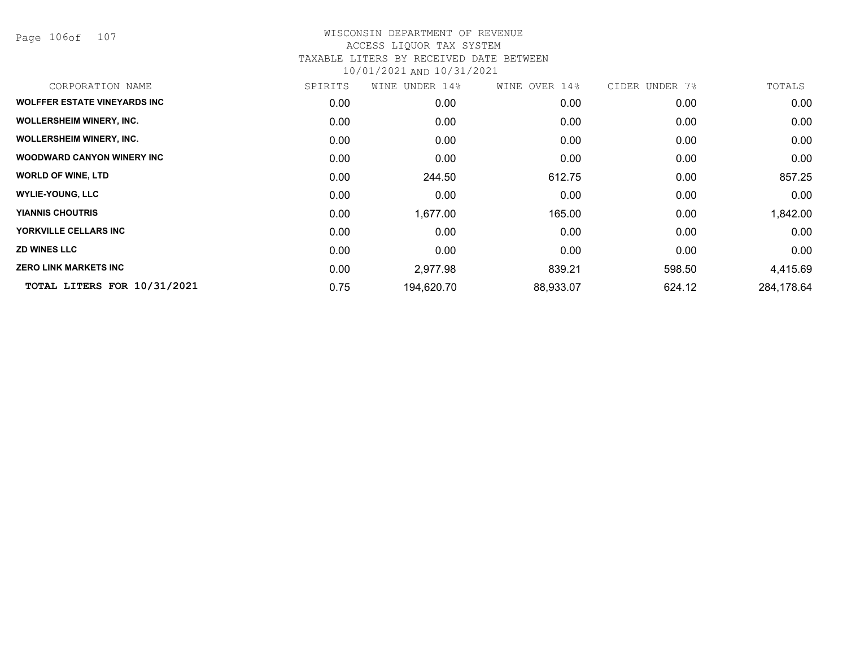Page 106of 107

| CORPORATION NAME                    | SPIRITS | WINE UNDER 14% | WINE OVER 14% | CIDER UNDER 7% | TOTALS     |
|-------------------------------------|---------|----------------|---------------|----------------|------------|
| <b>WOLFFER ESTATE VINEYARDS INC</b> | 0.00    | 0.00           | 0.00          | 0.00           | 0.00       |
| <b>WOLLERSHEIM WINERY, INC.</b>     | 0.00    | 0.00           | 0.00          | 0.00           | 0.00       |
| <b>WOLLERSHEIM WINERY, INC.</b>     | 0.00    | 0.00           | 0.00          | 0.00           | 0.00       |
| <b>WOODWARD CANYON WINERY INC.</b>  | 0.00    | 0.00           | 0.00          | 0.00           | 0.00       |
| <b>WORLD OF WINE, LTD</b>           | 0.00    | 244.50         | 612.75        | 0.00           | 857.25     |
| <b>WYLIE-YOUNG, LLC</b>             | 0.00    | 0.00           | 0.00          | 0.00           | 0.00       |
| <b>YIANNIS CHOUTRIS</b>             | 0.00    | 1,677.00       | 165.00        | 0.00           | 1,842.00   |
| YORKVILLE CELLARS INC               | 0.00    | 0.00           | 0.00          | 0.00           | 0.00       |
| <b>ZD WINES LLC</b>                 | 0.00    | 0.00           | 0.00          | 0.00           | 0.00       |
| <b>ZERO LINK MARKETS INC</b>        | 0.00    | 2,977.98       | 839.21        | 598.50         | 4,415.69   |
| TOTAL LITERS FOR 10/31/2021         | 0.75    | 194,620.70     | 88,933.07     | 624.12         | 284,178.64 |